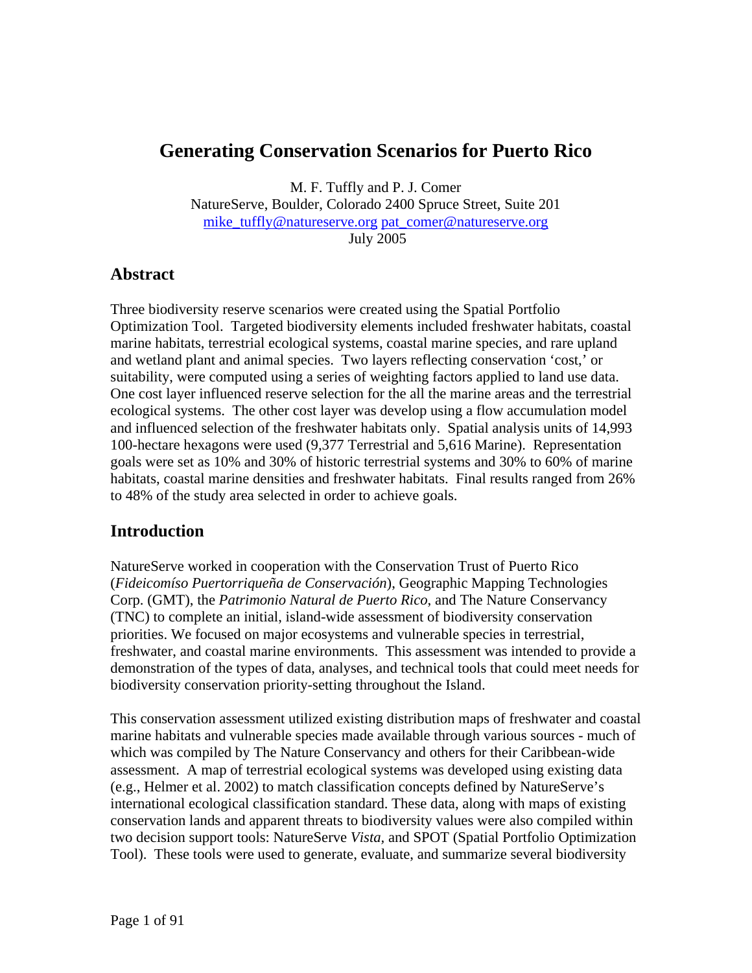# **Generating Conservation Scenarios for Puerto Rico**

M. F. Tuffly and P. J. Comer

NatureServe, Boulder, Colorado 2400 Spruce Street, Suite 201 mike\_tuffly@natureserve.org pat\_comer@natureserve.org July 2005

### **Abstract**

Three biodiversity reserve scenarios were created using the Spatial Portfolio Optimization Tool. Targeted biodiversity elements included freshwater habitats, coastal marine habitats, terrestrial ecological systems, coastal marine species, and rare upland and wetland plant and animal species. Two layers reflecting conservation 'cost,' or suitability, were computed using a series of weighting factors applied to land use data. One cost layer influenced reserve selection for the all the marine areas and the terrestrial ecological systems. The other cost layer was develop using a flow accumulation model and influenced selection of the freshwater habitats only. Spatial analysis units of 14,993 100-hectare hexagons were used (9,377 Terrestrial and 5,616 Marine). Representation goals were set as 10% and 30% of historic terrestrial systems and 30% to 60% of marine habitats, coastal marine densities and freshwater habitats. Final results ranged from 26% to 48% of the study area selected in order to achieve goals.

## **Introduction**

NatureServe worked in cooperation with the Conservation Trust of Puerto Rico (*Fideicomíso Puertorriqueña de Conservación*), Geographic Mapping Technologies Corp. (GMT), the *Patrimonio Natural de Puerto Rico*, and The Nature Conservancy (TNC) to complete an initial, island-wide assessment of biodiversity conservation priorities. We focused on major ecosystems and vulnerable species in terrestrial, freshwater, and coastal marine environments. This assessment was intended to provide a demonstration of the types of data, analyses, and technical tools that could meet needs for biodiversity conservation priority-setting throughout the Island.

This conservation assessment utilized existing distribution maps of freshwater and coastal marine habitats and vulnerable species made available through various sources - much of which was compiled by The Nature Conservancy and others for their Caribbean-wide assessment. A map of terrestrial ecological systems was developed using existing data (e.g., Helmer et al. 2002) to match classification concepts defined by NatureServe's international ecological classification standard. These data, along with maps of existing conservation lands and apparent threats to biodiversity values were also compiled within two decision support tools: NatureServe *Vista,* and SPOT (Spatial Portfolio Optimization Tool). These tools were used to generate, evaluate, and summarize several biodiversity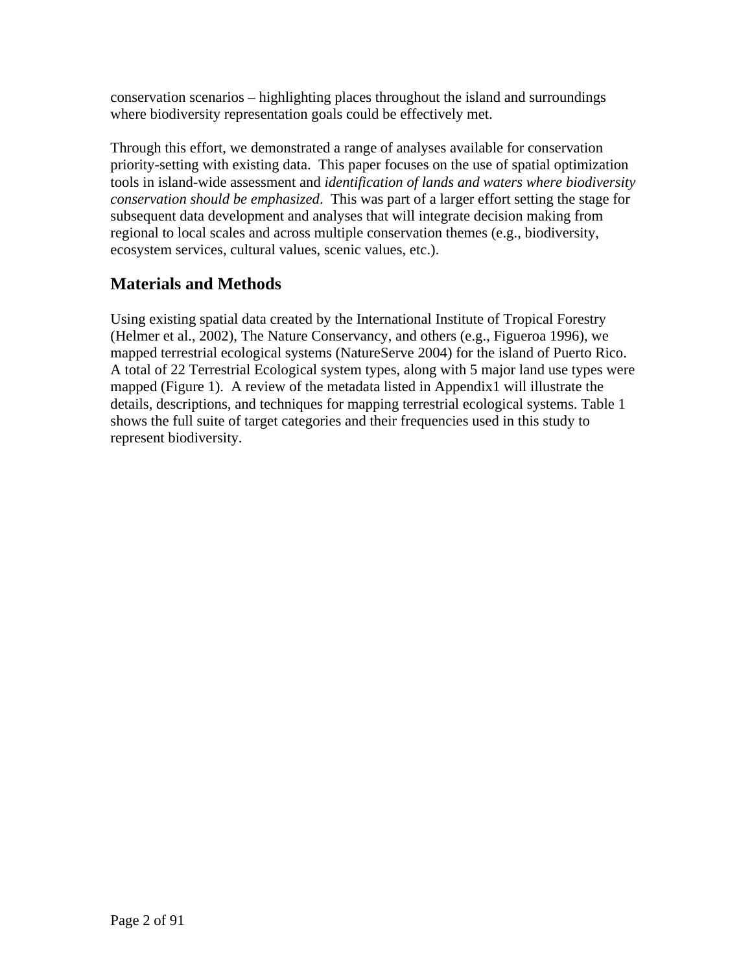conservation scenarios – highlighting places throughout the island and surroundings where biodiversity representation goals could be effectively met.

Through this effort, we demonstrated a range of analyses available for conservation priority-setting with existing data. This paper focuses on the use of spatial optimization tools in island-wide assessment and *identification of lands and waters where biodiversity conservation should be emphasized*. This was part of a larger effort setting the stage for subsequent data development and analyses that will integrate decision making from regional to local scales and across multiple conservation themes (e.g., biodiversity, ecosystem services, cultural values, scenic values, etc.).

# **Materials and Methods**

Using existing spatial data created by the International Institute of Tropical Forestry (Helmer et al., 2002), The Nature Conservancy, and others (e.g., Figueroa 1996), we mapped terrestrial ecological systems (NatureServe 2004) for the island of Puerto Rico. A total of 22 Terrestrial Ecological system types, along with 5 major land use types were mapped (Figure 1). A review of the metadata listed in Appendix1 will illustrate the details, descriptions, and techniques for mapping terrestrial ecological systems. Table 1 shows the full suite of target categories and their frequencies used in this study to represent biodiversity.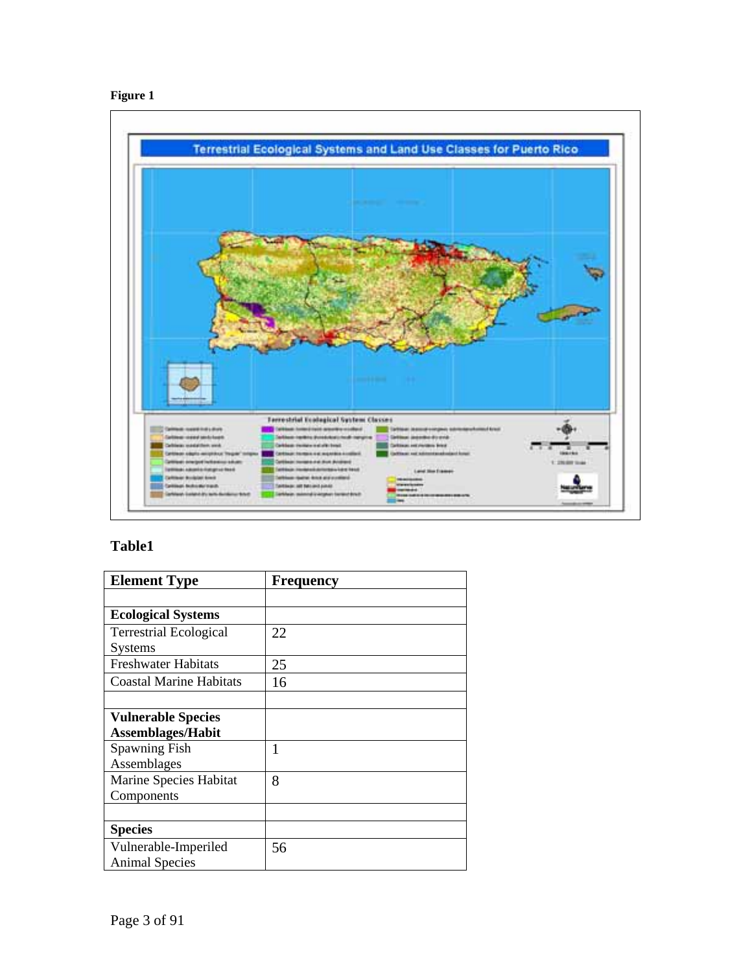



# **Table1**

| <b>Element Type</b>            | <b>Frequency</b> |
|--------------------------------|------------------|
|                                |                  |
| <b>Ecological Systems</b>      |                  |
| <b>Terrestrial Ecological</b>  | 22               |
| <b>Systems</b>                 |                  |
| <b>Freshwater Habitats</b>     | 25               |
| <b>Coastal Marine Habitats</b> | 16               |
|                                |                  |
| <b>Vulnerable Species</b>      |                  |
| <b>Assemblages/Habit</b>       |                  |
| <b>Spawning Fish</b>           | 1                |
| Assemblages                    |                  |
| Marine Species Habitat         | 8                |
| Components                     |                  |
|                                |                  |
| <b>Species</b>                 |                  |
| Vulnerable-Imperiled           | 56               |
| <b>Animal Species</b>          |                  |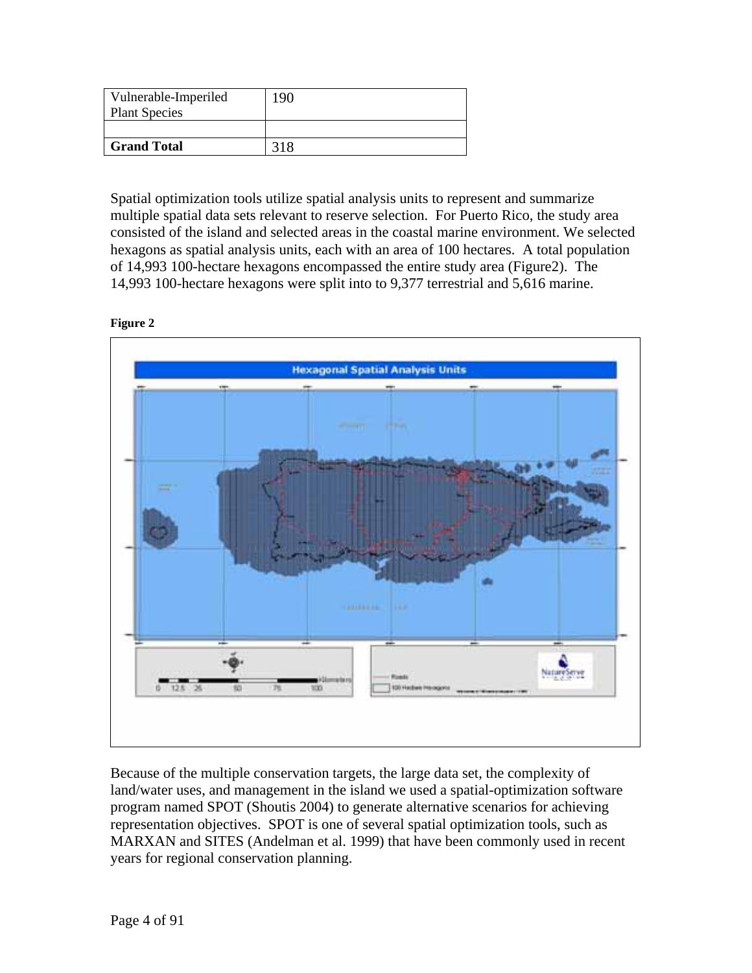| Vulnerable-Imperiled<br><b>Plant Species</b> | 190 |
|----------------------------------------------|-----|
|                                              |     |
| <b>Grand Total</b>                           |     |

Spatial optimization tools utilize spatial analysis units to represent and summarize multiple spatial data sets relevant to reserve selection. For Puerto Rico, the study area consisted of the island and selected areas in the coastal marine environment. We selected hexagons as spatial analysis units, each with an area of 100 hectares. A total population of 14,993 100-hectare hexagons encompassed the entire study area (Figure2). The 14,993 100-hectare hexagons were split into to 9,377 terrestrial and 5,616 marine.





Because of the multiple conservation targets, the large data set, the complexity of land/water uses, and management in the island we used a spatial-optimization software program named SPOT (Shoutis 2004) to generate alternative scenarios for achieving representation objectives. SPOT is one of several spatial optimization tools, such as MARXAN and SITES (Andelman et al. 1999) that have been commonly used in recent years for regional conservation planning.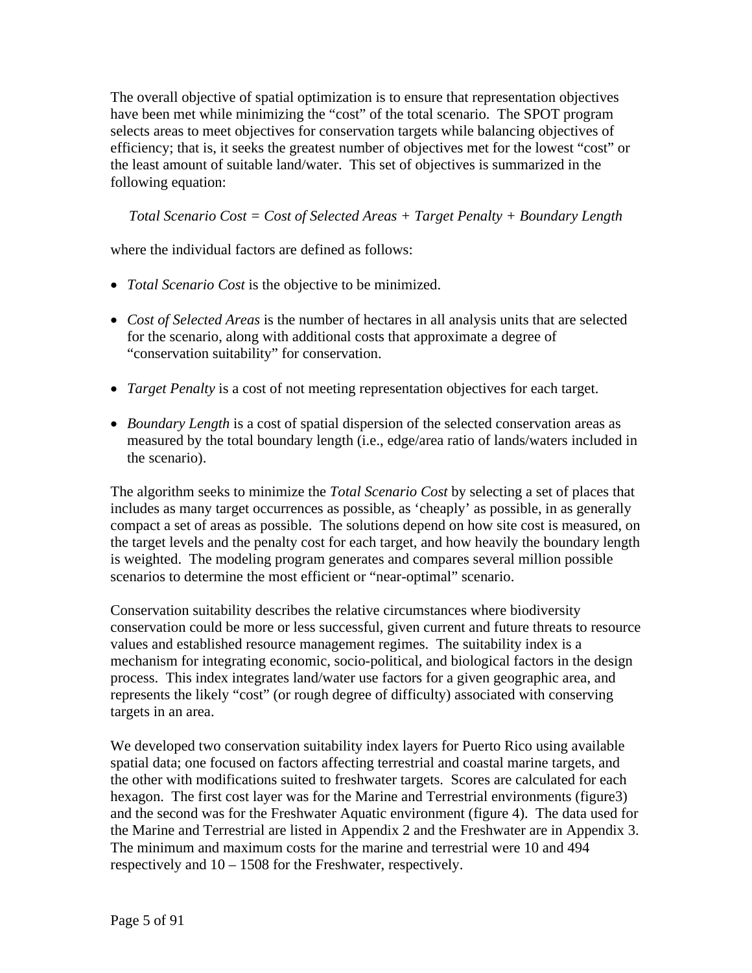The overall objective of spatial optimization is to ensure that representation objectives have been met while minimizing the "cost" of the total scenario. The SPOT program selects areas to meet objectives for conservation targets while balancing objectives of efficiency; that is, it seeks the greatest number of objectives met for the lowest "cost" or the least amount of suitable land/water. This set of objectives is summarized in the following equation:

*Total Scenario Cost = Cost of Selected Areas + Target Penalty + Boundary Length*

where the individual factors are defined as follows:

- *Total Scenario Cost* is the objective to be minimized.
- *Cost of Selected Areas* is the number of hectares in all analysis units that are selected for the scenario, along with additional costs that approximate a degree of "conservation suitability" for conservation.
- *Target Penalty* is a cost of not meeting representation objectives for each target.
- *Boundary Length* is a cost of spatial dispersion of the selected conservation areas as measured by the total boundary length (i.e., edge/area ratio of lands/waters included in the scenario).

The algorithm seeks to minimize the *Total Scenario Cost* by selecting a set of places that includes as many target occurrences as possible, as 'cheaply' as possible, in as generally compact a set of areas as possible. The solutions depend on how site cost is measured, on the target levels and the penalty cost for each target, and how heavily the boundary length is weighted. The modeling program generates and compares several million possible scenarios to determine the most efficient or "near-optimal" scenario.

Conservation suitability describes the relative circumstances where biodiversity conservation could be more or less successful, given current and future threats to resource values and established resource management regimes. The suitability index is a mechanism for integrating economic, socio-political, and biological factors in the design process. This index integrates land/water use factors for a given geographic area, and represents the likely "cost" (or rough degree of difficulty) associated with conserving targets in an area.

We developed two conservation suitability index layers for Puerto Rico using available spatial data; one focused on factors affecting terrestrial and coastal marine targets, and the other with modifications suited to freshwater targets. Scores are calculated for each hexagon. The first cost layer was for the Marine and Terrestrial environments (figure3) and the second was for the Freshwater Aquatic environment (figure 4). The data used for the Marine and Terrestrial are listed in Appendix 2 and the Freshwater are in Appendix 3. The minimum and maximum costs for the marine and terrestrial were 10 and 494 respectively and 10 – 1508 for the Freshwater, respectively.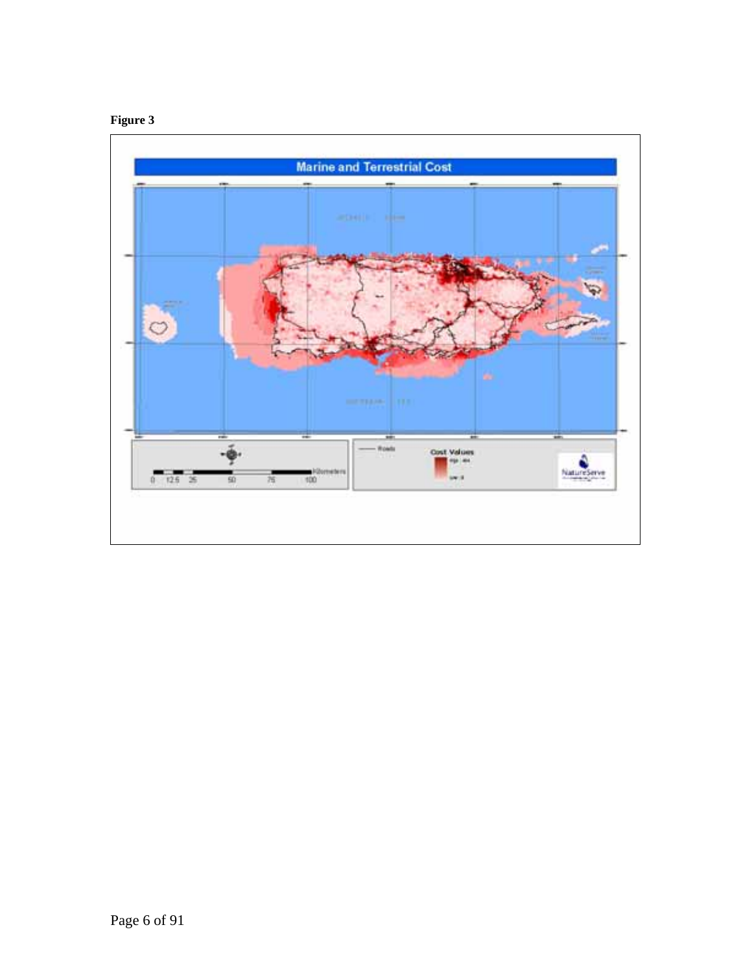

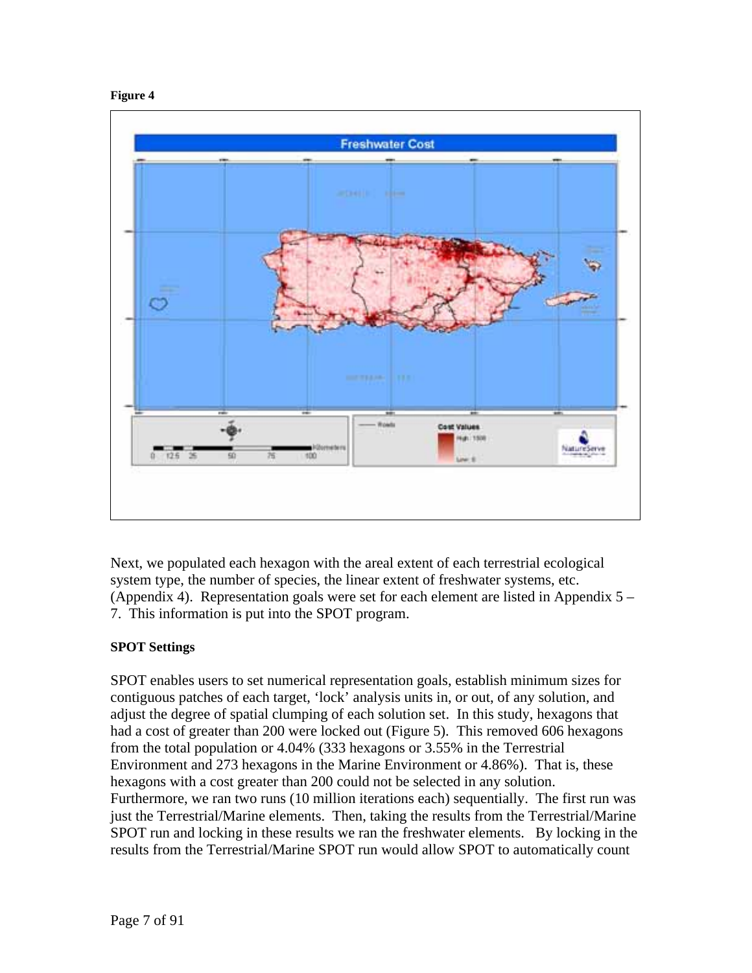



Next, we populated each hexagon with the areal extent of each terrestrial ecological system type, the number of species, the linear extent of freshwater systems, etc. (Appendix 4). Representation goals were set for each element are listed in Appendix  $5 -$ 7. This information is put into the SPOT program.

### **SPOT Settings**

SPOT enables users to set numerical representation goals, establish minimum sizes for contiguous patches of each target, 'lock' analysis units in, or out, of any solution, and adjust the degree of spatial clumping of each solution set. In this study, hexagons that had a cost of greater than 200 were locked out (Figure 5). This removed 606 hexagons from the total population or 4.04% (333 hexagons or 3.55% in the Terrestrial Environment and 273 hexagons in the Marine Environment or 4.86%). That is, these hexagons with a cost greater than 200 could not be selected in any solution. Furthermore, we ran two runs (10 million iterations each) sequentially. The first run was just the Terrestrial/Marine elements. Then, taking the results from the Terrestrial/Marine SPOT run and locking in these results we ran the freshwater elements. By locking in the results from the Terrestrial/Marine SPOT run would allow SPOT to automatically count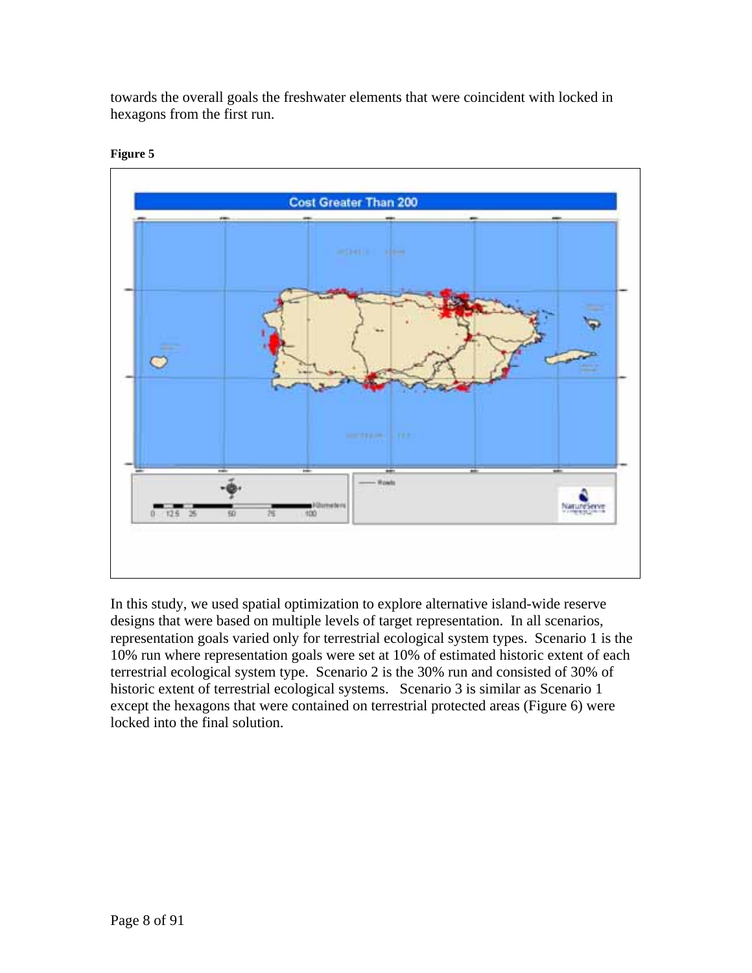towards the overall goals the freshwater elements that were coincident with locked in hexagons from the first run.



#### **Figure 5**

In this study, we used spatial optimization to explore alternative island-wide reserve designs that were based on multiple levels of target representation. In all scenarios, representation goals varied only for terrestrial ecological system types. Scenario 1 is the 10% run where representation goals were set at 10% of estimated historic extent of each terrestrial ecological system type. Scenario 2 is the 30% run and consisted of 30% of historic extent of terrestrial ecological systems. Scenario 3 is similar as Scenario 1 except the hexagons that were contained on terrestrial protected areas (Figure 6) were locked into the final solution.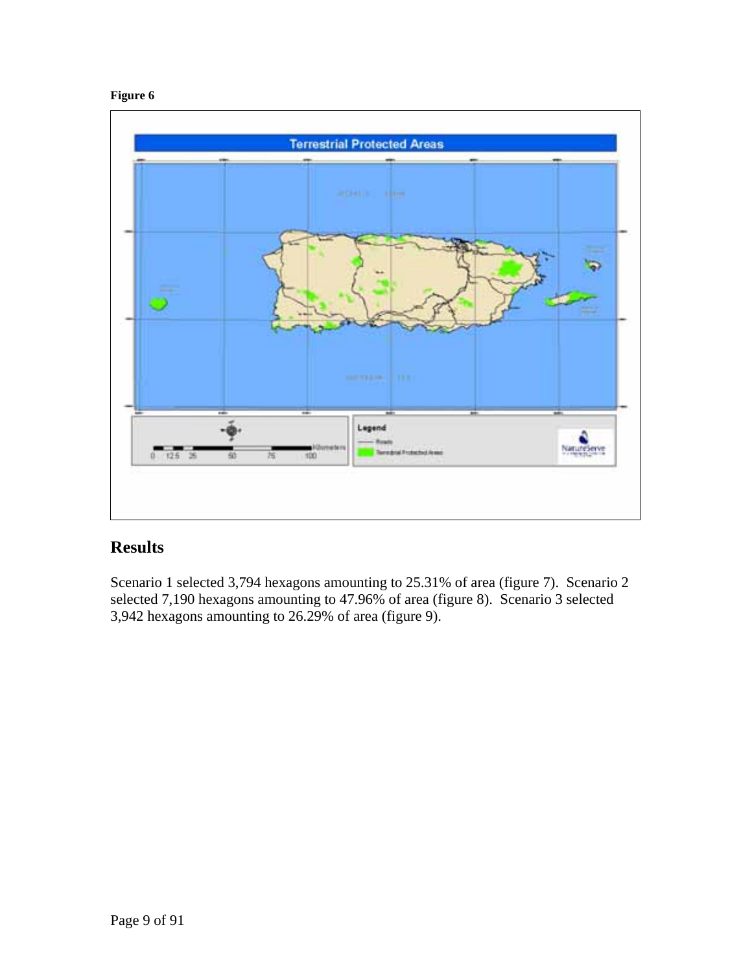#### **Figure 6**



# **Results**

Scenario 1 selected 3,794 hexagons amounting to 25.31% of area (figure 7). Scenario 2 selected 7,190 hexagons amounting to 47.96% of area (figure 8). Scenario 3 selected 3,942 hexagons amounting to 26.29% of area (figure 9).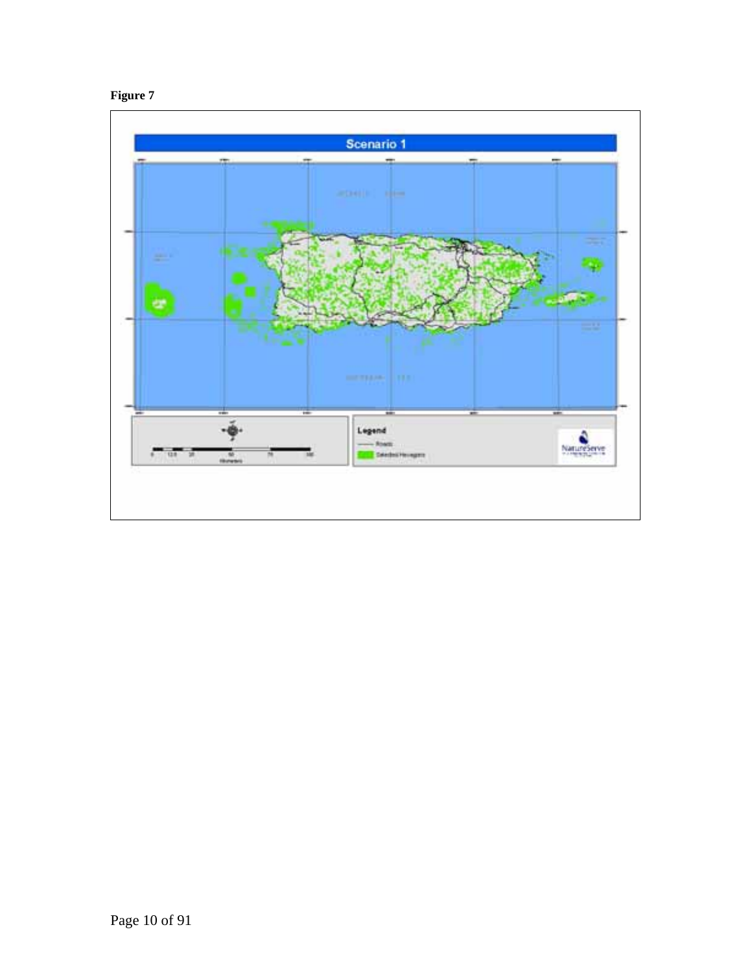

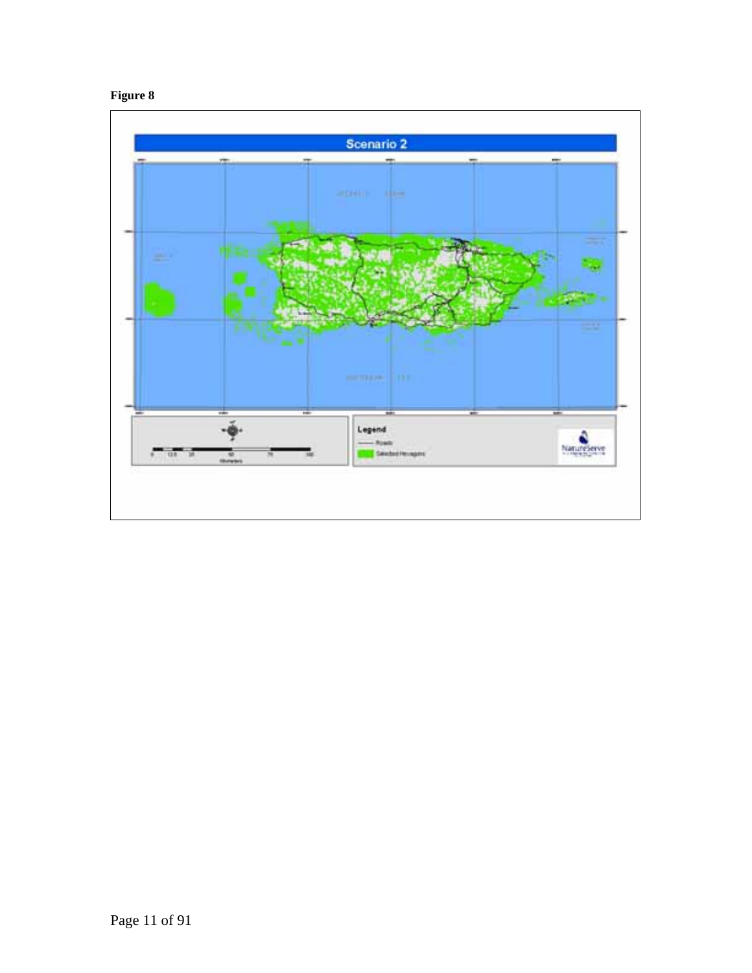

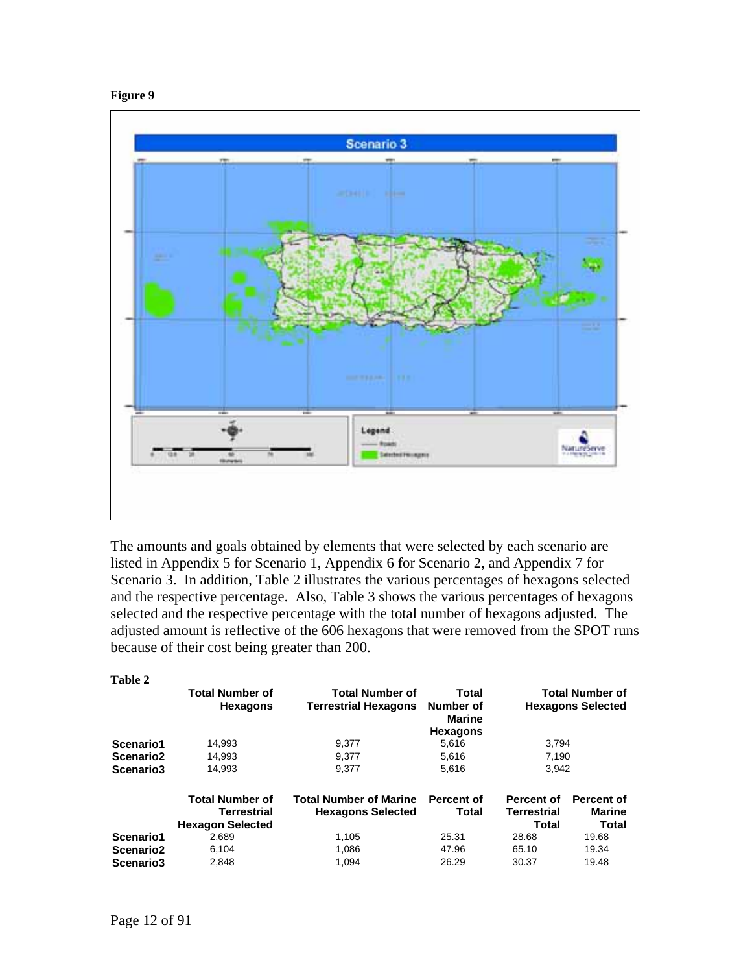



The amounts and goals obtained by elements that were selected by each scenario are listed in Appendix 5 for Scenario 1, Appendix 6 for Scenario 2, and Appendix 7 for Scenario 3. In addition, Table 2 illustrates the various percentages of hexagons selected and the respective percentage. Also, Table 3 shows the various percentages of hexagons selected and the respective percentage with the total number of hexagons adjusted. The adjusted amount is reflective of the 606 hexagons that were removed from the SPOT runs because of their cost being greater than 200.

| <b>Table 2</b>        |                                              |                                                           |                                     |                                  |                                                    |
|-----------------------|----------------------------------------------|-----------------------------------------------------------|-------------------------------------|----------------------------------|----------------------------------------------------|
|                       | <b>Total Number of</b><br><b>Hexagons</b>    | <b>Total Number of</b><br><b>Terrestrial Hexagons</b>     | Total<br>Number of<br><b>Marine</b> |                                  | <b>Total Number of</b><br><b>Hexagons Selected</b> |
|                       |                                              |                                                           | <b>Hexagons</b>                     |                                  |                                                    |
| Scenario1             | 14,993                                       | 9,377                                                     | 5,616                               | 3,794                            |                                                    |
| Scenario <sub>2</sub> | 14,993                                       | 9.377                                                     | 5,616                               | 7,190                            |                                                    |
| Scenario3             | 14,993                                       | 9.377                                                     | 5,616                               | 3,942                            |                                                    |
|                       | <b>Total Number of</b><br><b>Terrestrial</b> | <b>Total Number of Marine</b><br><b>Hexagons Selected</b> | Percent of<br>Total                 | Percent of<br><b>Terrestrial</b> | Percent of<br><b>Marine</b>                        |
|                       | <b>Hexagon Selected</b>                      |                                                           |                                     | Total                            | Total                                              |
| Scenario1             | 2,689                                        | 1,105                                                     | 25.31                               | 28.68                            | 19.68                                              |
| Scenario <sub>2</sub> | 6,104                                        | 1,086                                                     | 47.96                               | 65.10                            | 19.34                                              |
| Scenario3             | 2,848                                        | 1,094                                                     | 26.29                               | 30.37                            | 19.48                                              |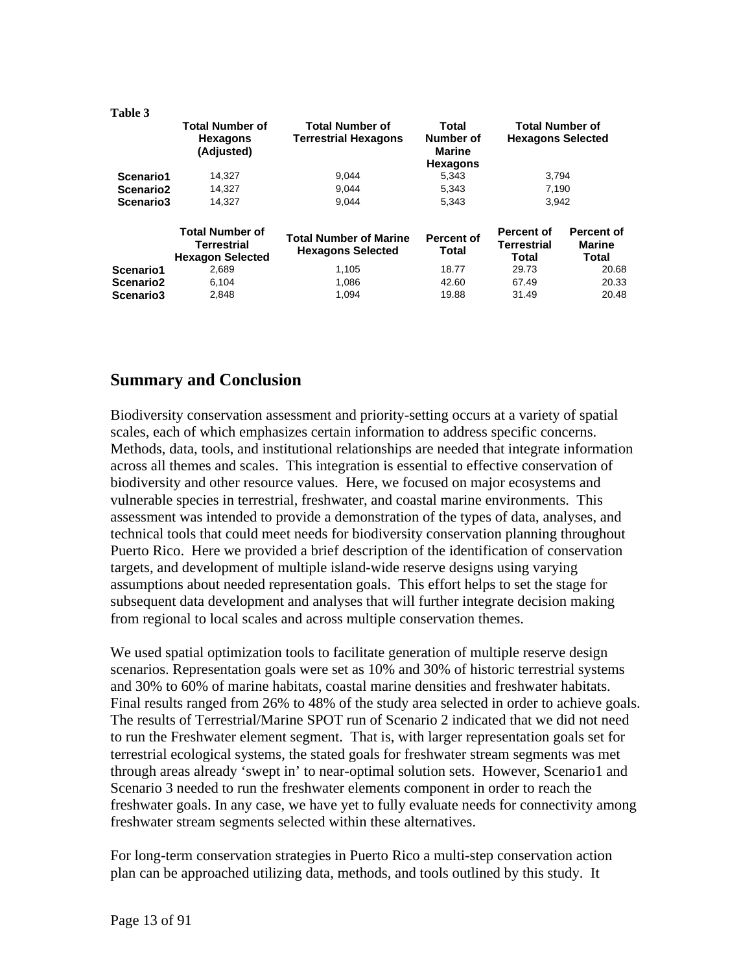| Table 3               |                                                                  |                                                           |                                                 |                                                    |                               |
|-----------------------|------------------------------------------------------------------|-----------------------------------------------------------|-------------------------------------------------|----------------------------------------------------|-------------------------------|
|                       | <b>Total Number of</b><br><b>Hexagons</b><br>(Adjusted)          | <b>Total Number of</b><br><b>Terrestrial Hexagons</b>     | Total<br>Number of<br>Marine<br><b>Hexagons</b> | <b>Total Number of</b><br><b>Hexagons Selected</b> |                               |
| Scenario1             | 14,327                                                           | 9,044                                                     | 5,343                                           | 3,794                                              |                               |
| Scenario <sub>2</sub> | 14,327                                                           | 9.044                                                     | 5,343                                           | 7,190                                              |                               |
| Scenario <sub>3</sub> | 14.327                                                           | 9.044                                                     | 5.343                                           | 3.942                                              |                               |
|                       | <b>Total Number of</b><br>Terrestrial<br><b>Hexagon Selected</b> | <b>Total Number of Marine</b><br><b>Hexagons Selected</b> | Percent of<br>Total                             | Percent of<br><b>Terrestrial</b><br>Total          | Percent of<br>Marine<br>Total |
| Scenario1             | 2,689                                                            | 1.105                                                     | 18.77                                           | 29.73                                              | 20.68                         |
| Scenario <sub>2</sub> | 6,104                                                            | 1,086                                                     | 42.60                                           | 67.49                                              | 20.33                         |
| Scenario3             | 2,848                                                            | 1,094                                                     | 19.88                                           | 31.49                                              | 20.48                         |

# **Summary and Conclusion**

Biodiversity conservation assessment and priority-setting occurs at a variety of spatial scales, each of which emphasizes certain information to address specific concerns. Methods, data, tools, and institutional relationships are needed that integrate information across all themes and scales. This integration is essential to effective conservation of biodiversity and other resource values. Here, we focused on major ecosystems and vulnerable species in terrestrial, freshwater, and coastal marine environments. This assessment was intended to provide a demonstration of the types of data, analyses, and technical tools that could meet needs for biodiversity conservation planning throughout Puerto Rico. Here we provided a brief description of the identification of conservation targets, and development of multiple island-wide reserve designs using varying assumptions about needed representation goals. This effort helps to set the stage for subsequent data development and analyses that will further integrate decision making from regional to local scales and across multiple conservation themes.

We used spatial optimization tools to facilitate generation of multiple reserve design scenarios. Representation goals were set as 10% and 30% of historic terrestrial systems and 30% to 60% of marine habitats, coastal marine densities and freshwater habitats. Final results ranged from 26% to 48% of the study area selected in order to achieve goals. The results of Terrestrial/Marine SPOT run of Scenario 2 indicated that we did not need to run the Freshwater element segment. That is, with larger representation goals set for terrestrial ecological systems, the stated goals for freshwater stream segments was met through areas already 'swept in' to near-optimal solution sets. However, Scenario1 and Scenario 3 needed to run the freshwater elements component in order to reach the freshwater goals. In any case, we have yet to fully evaluate needs for connectivity among freshwater stream segments selected within these alternatives.

For long-term conservation strategies in Puerto Rico a multi-step conservation action plan can be approached utilizing data, methods, and tools outlined by this study. It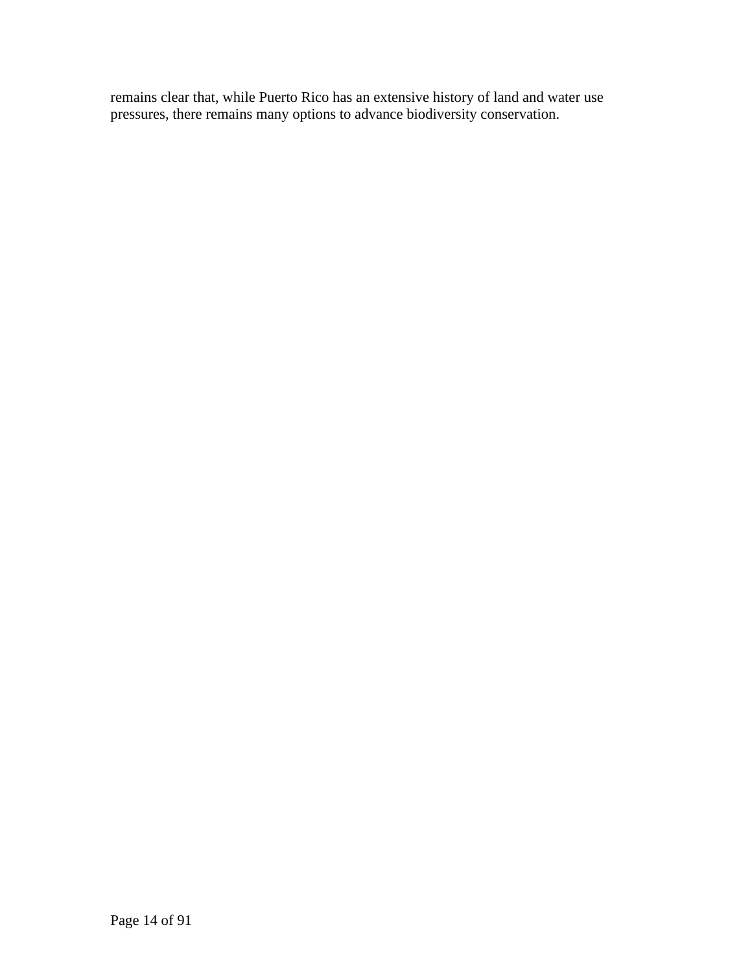remains clear that, while Puerto Rico has an extensive history of land and water use pressures, there remains many options to advance biodiversity conservation.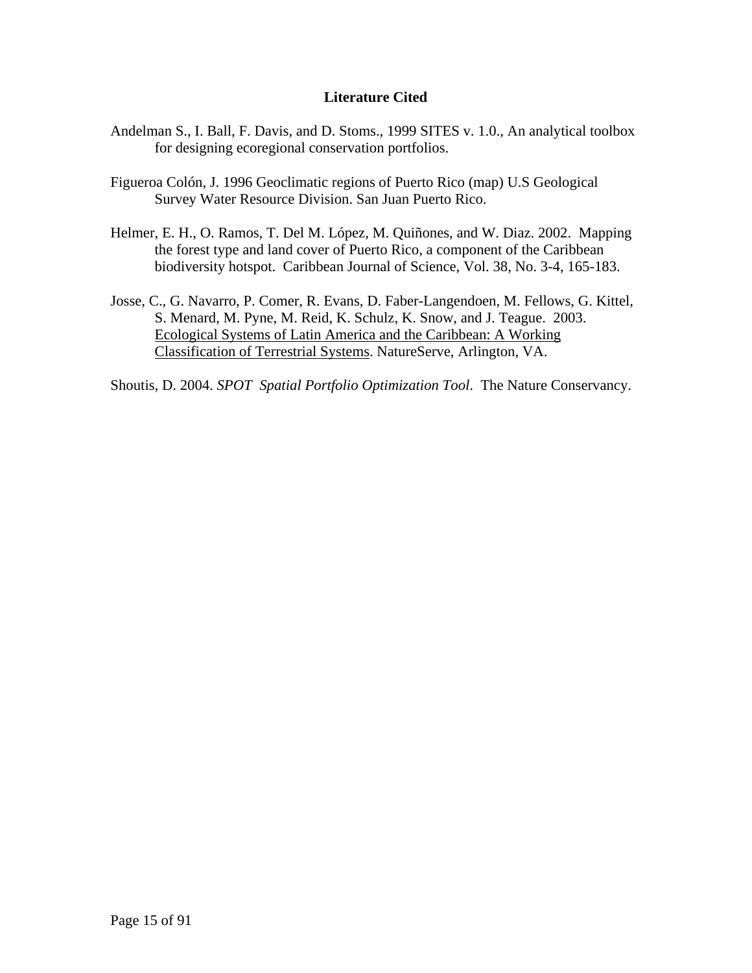#### **Literature Cited**

- Andelman S., I. Ball, F. Davis, and D. Stoms., 1999 SITES v. 1.0., An analytical toolbox for designing ecoregional conservation portfolios.
- Figueroa Colón, J. 1996 Geoclimatic regions of Puerto Rico (map) U.S Geological Survey Water Resource Division. San Juan Puerto Rico.
- Helmer, E. H., O. Ramos, T. Del M. López, M. Quiñones, and W. Diaz. 2002. Mapping the forest type and land cover of Puerto Rico, a component of the Caribbean biodiversity hotspot. Caribbean Journal of Science, Vol. 38, No. 3-4, 165-183.
- Josse, C., G. Navarro, P. Comer, R. Evans, D. Faber-Langendoen, M. Fellows, G. Kittel, S. Menard, M. Pyne, M. Reid, K. Schulz, K. Snow, and J. Teague. 2003. Ecological Systems of Latin America and the Caribbean: A Working Classification of Terrestrial Systems. NatureServe, Arlington, VA.

Shoutis, D. 2004. *SPOT Spatial Portfolio Optimization Tool*. The Nature Conservancy.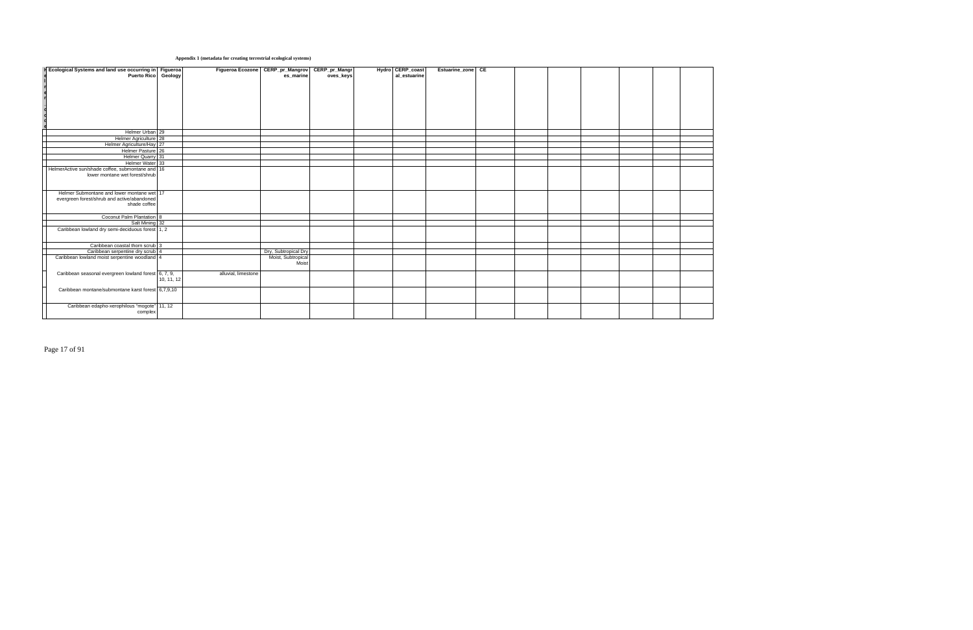#### **Appendix 1 (metadata for creating terrestrial ecological systems)**

| <b>F</b> Ecological Systems and land use occurring in Figueroa |            | <b>Figueroa Ecozone</b> | CERP_pr_Mangrov CERP_pr_Mangr |           | Hydro CERP_coast | Estuarine zone CE |  |  |  |  |
|----------------------------------------------------------------|------------|-------------------------|-------------------------------|-----------|------------------|-------------------|--|--|--|--|
| Puerto Rico Geology                                            |            |                         | es_marine                     | oves_keys | al_estuarine     |                   |  |  |  |  |
|                                                                |            |                         |                               |           |                  |                   |  |  |  |  |
|                                                                |            |                         |                               |           |                  |                   |  |  |  |  |
|                                                                |            |                         |                               |           |                  |                   |  |  |  |  |
|                                                                |            |                         |                               |           |                  |                   |  |  |  |  |
|                                                                |            |                         |                               |           |                  |                   |  |  |  |  |
|                                                                |            |                         |                               |           |                  |                   |  |  |  |  |
|                                                                |            |                         |                               |           |                  |                   |  |  |  |  |
|                                                                |            |                         |                               |           |                  |                   |  |  |  |  |
| Helmer Urban 29                                                |            |                         |                               |           |                  |                   |  |  |  |  |
| Helmer Agriculture 28                                          |            |                         |                               |           |                  |                   |  |  |  |  |
| Helmer Agriculture/Hay 27                                      |            |                         |                               |           |                  |                   |  |  |  |  |
| Helmer Pasture 26                                              |            |                         |                               |           |                  |                   |  |  |  |  |
| Helmer Quarry 31                                               |            |                         |                               |           |                  |                   |  |  |  |  |
| Helmer Water 33                                                |            |                         |                               |           |                  |                   |  |  |  |  |
| HelmerActive sun/shade coffee, submontane and 16               |            |                         |                               |           |                  |                   |  |  |  |  |
| lower montane wet forest/shrub                                 |            |                         |                               |           |                  |                   |  |  |  |  |
|                                                                |            |                         |                               |           |                  |                   |  |  |  |  |
|                                                                |            |                         |                               |           |                  |                   |  |  |  |  |
| Helmer Submontane and lower montane wet 17                     |            |                         |                               |           |                  |                   |  |  |  |  |
| evergreen forest/shrub and active/abandoned                    |            |                         |                               |           |                  |                   |  |  |  |  |
| shade coffee                                                   |            |                         |                               |           |                  |                   |  |  |  |  |
|                                                                |            |                         |                               |           |                  |                   |  |  |  |  |
| Coconut Palm Plantation 8                                      |            |                         |                               |           |                  |                   |  |  |  |  |
| Salt Mining 32                                                 |            |                         |                               |           |                  |                   |  |  |  |  |
| Caribbean lowland dry semi-deciduous forest 1, 2               |            |                         |                               |           |                  |                   |  |  |  |  |
|                                                                |            |                         |                               |           |                  |                   |  |  |  |  |
|                                                                |            |                         |                               |           |                  |                   |  |  |  |  |
| Caribbean coastal thorn scrub 3                                |            |                         |                               |           |                  |                   |  |  |  |  |
| Caribbean serpentine dry scrub 4                               |            |                         | Dry, Subtropical Dry          |           |                  |                   |  |  |  |  |
| Caribbean lowland moist serpentine woodland 4                  |            |                         | Moist, Subtropical<br>Moist   |           |                  |                   |  |  |  |  |
|                                                                |            |                         |                               |           |                  |                   |  |  |  |  |
| Caribbean seasonal evergreen lowland forest 6, 7, 9,           |            | alluvial, limestone     |                               |           |                  |                   |  |  |  |  |
|                                                                | 10, 11, 12 |                         |                               |           |                  |                   |  |  |  |  |
|                                                                |            |                         |                               |           |                  |                   |  |  |  |  |
| Caribbean montane/submontane karst forest 6,7,9,10             |            |                         |                               |           |                  |                   |  |  |  |  |
|                                                                |            |                         |                               |           |                  |                   |  |  |  |  |
|                                                                |            |                         |                               |           |                  |                   |  |  |  |  |
| Caribbean edapho-xerophilous "mogote" 11, 12<br>complex        |            |                         |                               |           |                  |                   |  |  |  |  |
|                                                                |            |                         |                               |           |                  |                   |  |  |  |  |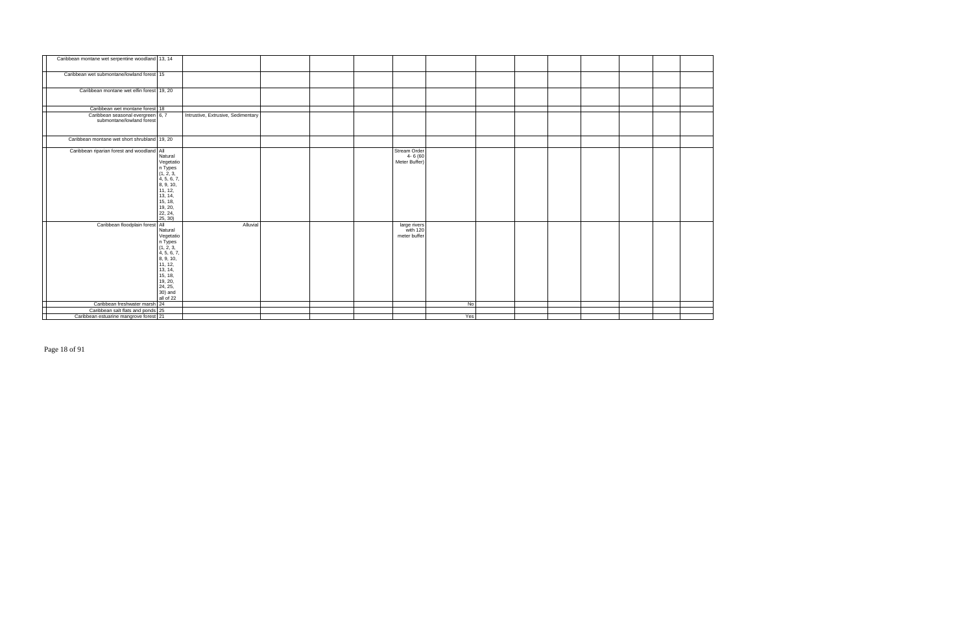| Caribbean montane wet serpentine woodland 13, 14               |                                                                                                                                                         |                                    |  |                                          |     |  |  |  |  |
|----------------------------------------------------------------|---------------------------------------------------------------------------------------------------------------------------------------------------------|------------------------------------|--|------------------------------------------|-----|--|--|--|--|
| Caribbean wet submontane/lowland forest 15                     |                                                                                                                                                         |                                    |  |                                          |     |  |  |  |  |
| Caribbean montane wet elfin forest 19, 20                      |                                                                                                                                                         |                                    |  |                                          |     |  |  |  |  |
| Caribbean wet montane forest 18                                |                                                                                                                                                         |                                    |  |                                          |     |  |  |  |  |
| Caribbean seasonal evergreen 6, 7<br>submontane/lowland forest |                                                                                                                                                         | Intrustive, Extrusive, Sedimentary |  |                                          |     |  |  |  |  |
| Caribbean montane wet short shrubland 19, 20                   |                                                                                                                                                         |                                    |  |                                          |     |  |  |  |  |
| Caribbean riparian forest and woodland All                     | Natural<br>Vegetatio<br>n Types<br>(1, 2, 3,<br>4, 5, 6, 7,<br>8, 9, 10,<br>11, 12,<br>13, 14,<br>15, 18,<br>19, 20,<br>22, 24,<br>25, 30)              |                                    |  | Stream Order<br>4-6 (60<br>Meter Buffer) |     |  |  |  |  |
| Caribbean floodplain forest All                                | Natural<br>Vegetation<br>1 Types<br>1, 2, 3,<br>4, 5, 6, 7,<br>8, 9, 10,<br>11, 12,<br>13, 14,<br>15, 18,<br>19, 20,<br>24, 25,<br>30) and<br>all of 22 | Alluvial                           |  | large rivers<br>with 120<br>meter buffer |     |  |  |  |  |
| Caribbean freshwater marsh 24                                  |                                                                                                                                                         |                                    |  |                                          | No  |  |  |  |  |
| Caribbean salt flats and ponds 25                              |                                                                                                                                                         |                                    |  |                                          |     |  |  |  |  |
| Caribbean estuarine mangrove forest 21                         |                                                                                                                                                         |                                    |  |                                          | Yes |  |  |  |  |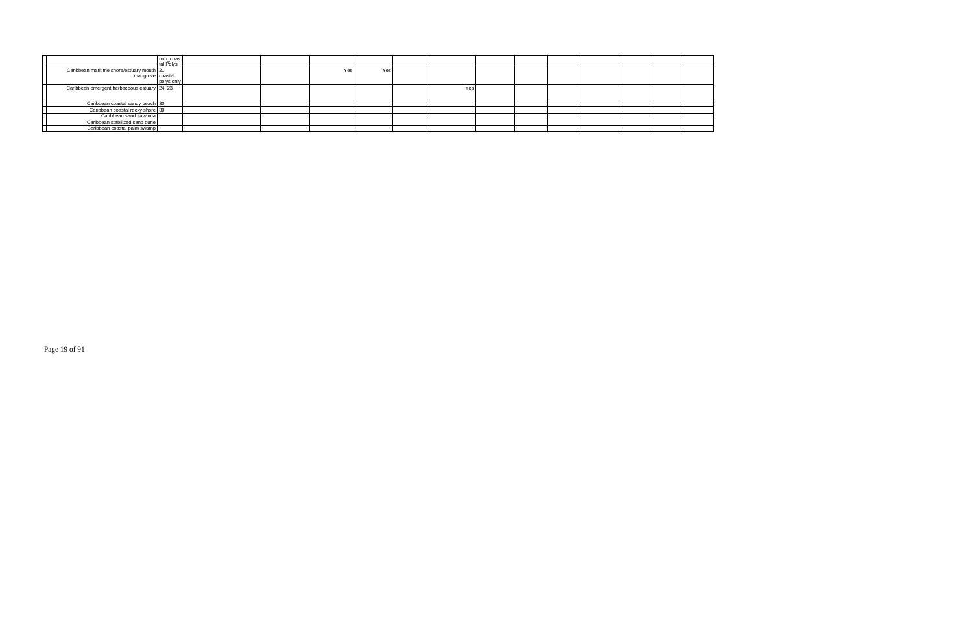|                                              | non_coas<br>tal Polys |  |     |      |     |  |  |  |  |
|----------------------------------------------|-----------------------|--|-----|------|-----|--|--|--|--|
| Caribbean maritime shore/estuary mouth 21    |                       |  | Yes | Yes. |     |  |  |  |  |
| mangrove coastal                             |                       |  |     |      |     |  |  |  |  |
|                                              | polys only            |  |     |      |     |  |  |  |  |
| Caribbean emergent herbaceous estuary 24, 23 |                       |  |     |      | Yes |  |  |  |  |
|                                              |                       |  |     |      |     |  |  |  |  |
| Caribbean coastal sandy beach 30             |                       |  |     |      |     |  |  |  |  |
| Caribbean coastal rocky shore 30             |                       |  |     |      |     |  |  |  |  |
| Caribbean sand savanna                       |                       |  |     |      |     |  |  |  |  |
| Caribbean stabilized sand dune               |                       |  |     |      |     |  |  |  |  |
| Caribbean coastal palm swamp                 |                       |  |     |      |     |  |  |  |  |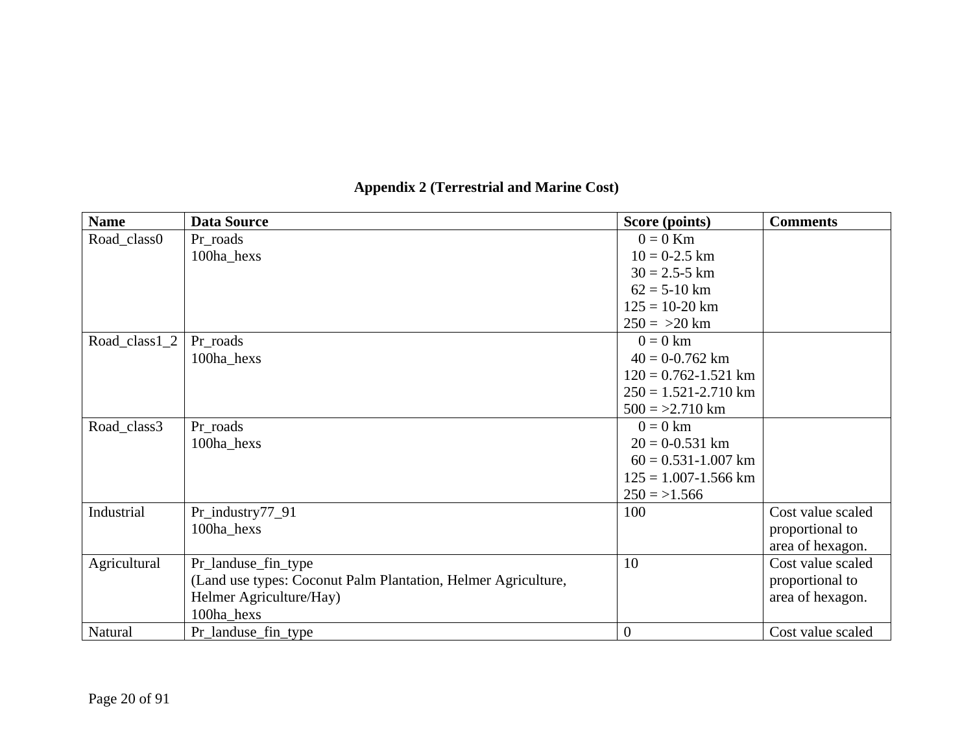| <b>Name</b>   | <b>Data Source</b>                                            | Score (points)           | <b>Comments</b>   |
|---------------|---------------------------------------------------------------|--------------------------|-------------------|
| Road_class0   | Pr_roads                                                      | $0 = 0$ Km               |                   |
|               | 100ha_hexs                                                    | $10 = 0-2.5$ km          |                   |
|               |                                                               | $30 = 2.5 - 5$ km        |                   |
|               |                                                               | $62 = 5 - 10$ km         |                   |
|               |                                                               | $125 = 10 - 20$ km       |                   |
|               |                                                               | $250 = 20$ km            |                   |
| Road_class1_2 | Pr_roads                                                      | $0 = 0$ km               |                   |
|               | 100ha_hexs                                                    | $40 = 0.762$ km          |                   |
|               |                                                               | $120 = 0.762 - 1.521$ km |                   |
|               |                                                               | $250 = 1.521 - 2.710$ km |                   |
|               |                                                               | $500 = 2.710$ km         |                   |
| Road_class3   | Pr_roads                                                      | $0 = 0$ km               |                   |
|               | 100ha_hexs                                                    | $20 = 0.531$ km          |                   |
|               |                                                               | $60 = 0.531 - 1.007$ km  |                   |
|               |                                                               | $125 = 1.007 - 1.566$ km |                   |
|               |                                                               | $250 = 1.566$            |                   |
| Industrial    | Pr_industry77_91                                              | 100                      | Cost value scaled |
|               | 100ha_hexs                                                    |                          | proportional to   |
|               |                                                               |                          | area of hexagon.  |
| Agricultural  | Pr_landuse_fin_type                                           | 10                       | Cost value scaled |
|               | (Land use types: Coconut Palm Plantation, Helmer Agriculture, |                          | proportional to   |
|               | Helmer Agriculture/Hay)                                       |                          | area of hexagon.  |
|               | 100ha_hexs                                                    |                          |                   |
| Natural       | Pr_landuse_fin_type                                           | $\overline{0}$           | Cost value scaled |

# **Appendix 2 (Terrestrial and Marine Cost)**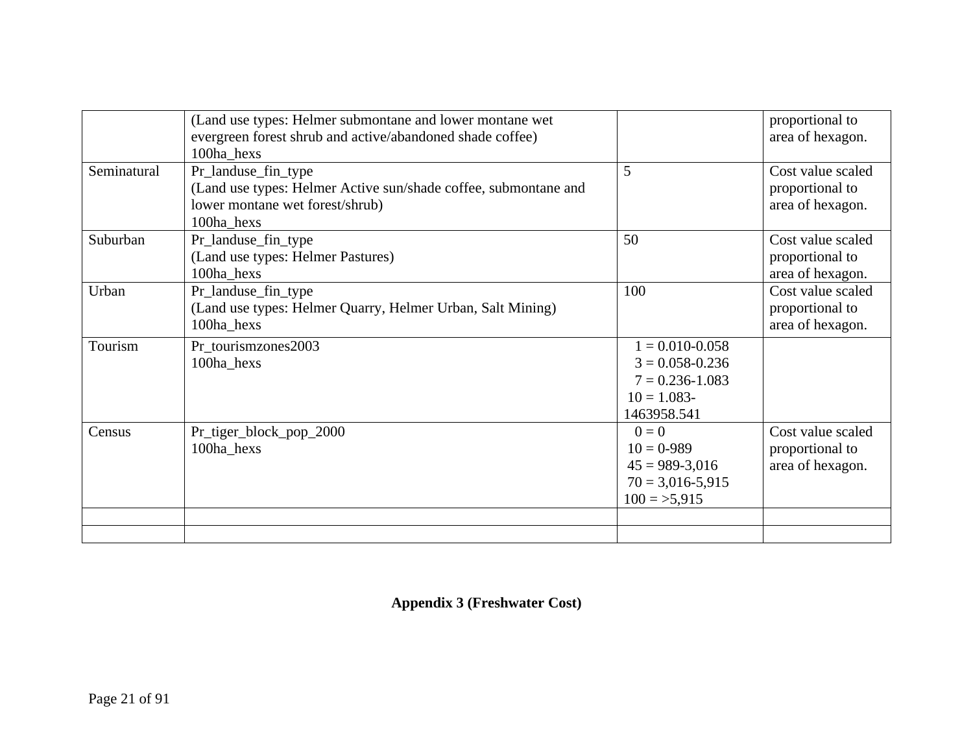|             | (Land use types: Helmer submontane and lower montane wet        |                      | proportional to   |
|-------------|-----------------------------------------------------------------|----------------------|-------------------|
|             | evergreen forest shrub and active/abandoned shade coffee)       |                      | area of hexagon.  |
|             | 100ha hexs                                                      |                      |                   |
| Seminatural | Pr_landuse_fin_type                                             | 5                    | Cost value scaled |
|             | (Land use types: Helmer Active sun/shade coffee, submontane and |                      | proportional to   |
|             | lower montane wet forest/shrub)                                 |                      | area of hexagon.  |
|             | 100ha_hexs                                                      |                      |                   |
| Suburban    | Pr_landuse_fin_type                                             | 50                   | Cost value scaled |
|             | (Land use types: Helmer Pastures)                               |                      | proportional to   |
|             | 100ha_hexs                                                      |                      | area of hexagon.  |
| Urban       | Pr_landuse_fin_type                                             | 100                  | Cost value scaled |
|             | (Land use types: Helmer Quarry, Helmer Urban, Salt Mining)      |                      | proportional to   |
|             | 100ha_hexs                                                      |                      | area of hexagon.  |
| Tourism     | Pr_tourismzones2003                                             | $1 = 0.010 - 0.058$  |                   |
|             | 100ha_hexs                                                      | $3 = 0.058 - 0.236$  |                   |
|             |                                                                 | $7 = 0.236 - 1.083$  |                   |
|             |                                                                 | $10 = 1.083$         |                   |
|             |                                                                 | 1463958.541          |                   |
| Census      | Pr_tiger_block_pop_2000                                         | $0 = 0$              | Cost value scaled |
|             | 100ha_hexs                                                      | $10 = 0.989$         | proportional to   |
|             |                                                                 | $45 = 989 - 3,016$   | area of hexagon.  |
|             |                                                                 | $70 = 3,016 - 5,915$ |                   |
|             |                                                                 | $100 = 5,915$        |                   |
|             |                                                                 |                      |                   |
|             |                                                                 |                      |                   |

**Appendix 3 (Freshwater Cost)**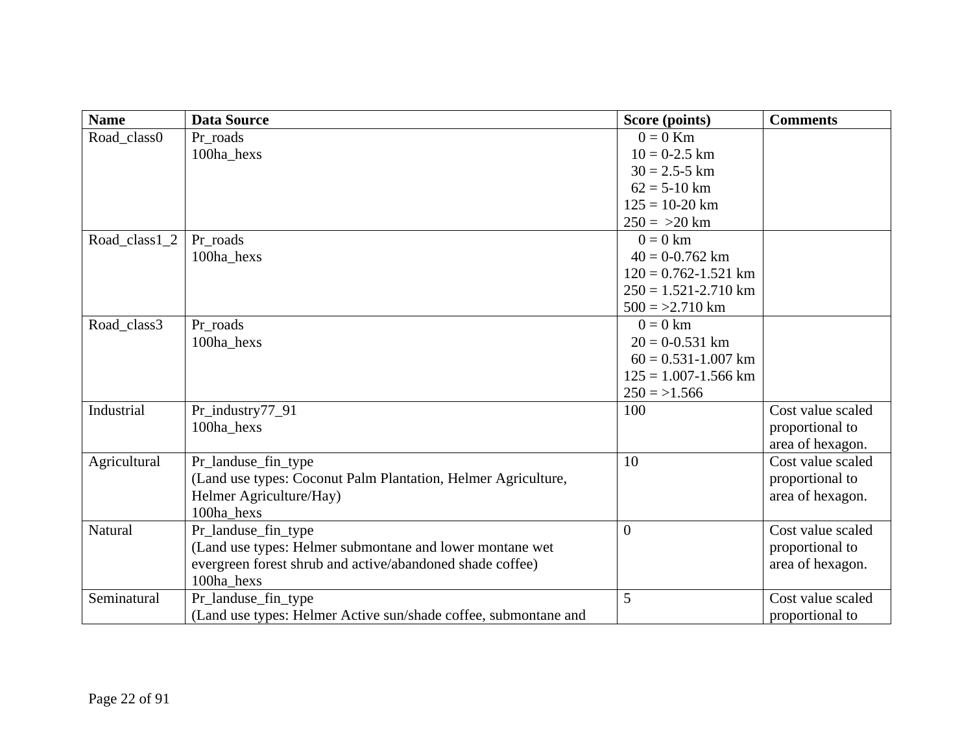| <b>Name</b>   | <b>Data Source</b>                                              | Score (points)           | <b>Comments</b>   |
|---------------|-----------------------------------------------------------------|--------------------------|-------------------|
| Road_class0   | Pr roads                                                        | $0 = 0$ Km               |                   |
|               | 100ha_hexs                                                      | $10 = 0 - 2.5$ km        |                   |
|               |                                                                 | $30 = 2.5 - 5$ km        |                   |
|               |                                                                 | $62 = 5-10$ km           |                   |
|               |                                                                 | $125 = 10 - 20$ km       |                   |
|               |                                                                 | $250 = 20$ km            |                   |
| Road_class1_2 | Pr roads                                                        | $0 = 0$ km               |                   |
|               | 100ha hexs                                                      | $40 = 0.762$ km          |                   |
|               |                                                                 | $120 = 0.762 - 1.521$ km |                   |
|               |                                                                 | $250 = 1.521 - 2.710$ km |                   |
|               |                                                                 | $500 = 2.710$ km         |                   |
| Road_class3   | Pr roads                                                        | $0 = 0$ km               |                   |
|               | 100ha_hexs                                                      | $20 = 0.0531$ km         |                   |
|               |                                                                 | $60 = 0.531 - 1.007$ km  |                   |
|               |                                                                 | $125 = 1.007 - 1.566$ km |                   |
|               |                                                                 | $250 = 1.566$            |                   |
| Industrial    | Pr_industry77_91                                                | 100                      | Cost value scaled |
|               | 100ha hexs                                                      |                          | proportional to   |
|               |                                                                 |                          | area of hexagon.  |
| Agricultural  | Pr_landuse_fin_type                                             | 10                       | Cost value scaled |
|               | (Land use types: Coconut Palm Plantation, Helmer Agriculture,   |                          | proportional to   |
|               | Helmer Agriculture/Hay)                                         |                          | area of hexagon.  |
|               | 100ha_hexs                                                      |                          |                   |
| Natural       | Pr_landuse_fin_type                                             | $\overline{0}$           | Cost value scaled |
|               | (Land use types: Helmer submontane and lower montane wet        |                          | proportional to   |
|               | evergreen forest shrub and active/abandoned shade coffee)       |                          | area of hexagon.  |
|               | 100ha hexs                                                      |                          |                   |
| Seminatural   | Pr_landuse_fin_type                                             | 5                        | Cost value scaled |
|               | (Land use types: Helmer Active sun/shade coffee, submontane and |                          | proportional to   |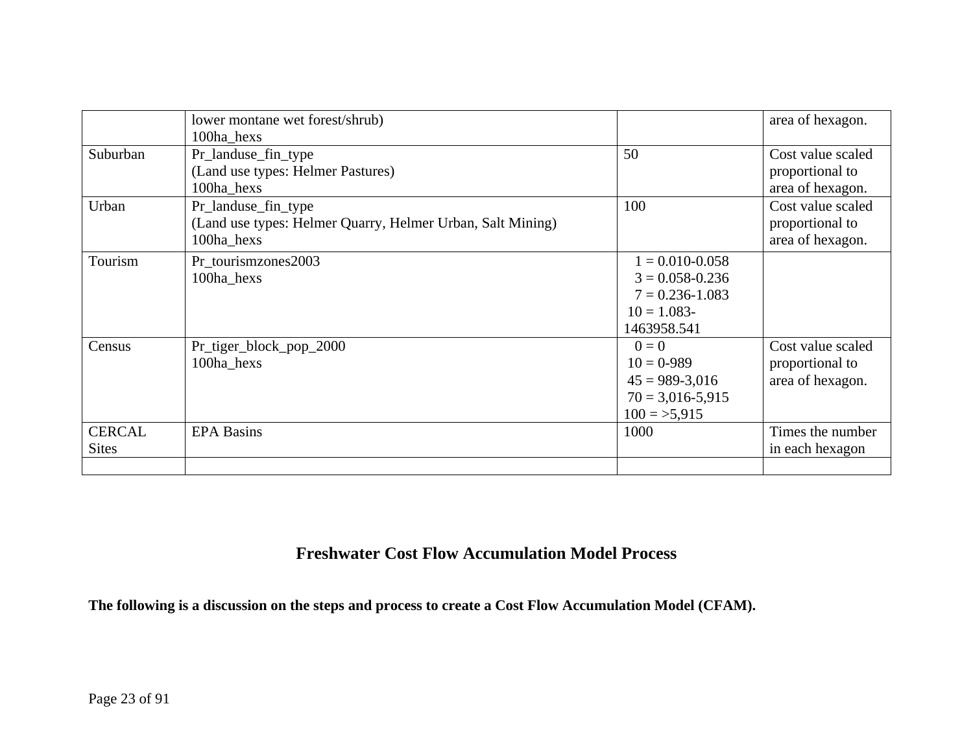|               | lower montane wet forest/shrub)                            |                      | area of hexagon.  |
|---------------|------------------------------------------------------------|----------------------|-------------------|
|               | 100ha_hexs                                                 |                      |                   |
| Suburban      | Pr_landuse_fin_type                                        | 50                   | Cost value scaled |
|               | (Land use types: Helmer Pastures)                          |                      | proportional to   |
|               | 100ha_hexs                                                 |                      | area of hexagon.  |
| Urban         | Pr_landuse_fin_type                                        | 100                  | Cost value scaled |
|               | (Land use types: Helmer Quarry, Helmer Urban, Salt Mining) |                      | proportional to   |
|               | 100ha_hexs                                                 |                      | area of hexagon.  |
| Tourism       | Pr_tourismzones2003                                        | $1 = 0.010 - 0.058$  |                   |
|               | 100ha_hexs                                                 | $3 = 0.058 - 0.236$  |                   |
|               |                                                            | $7 = 0.236 - 1.083$  |                   |
|               |                                                            | $10 = 1.083$         |                   |
|               |                                                            | 1463958.541          |                   |
| Census        | Pr_tiger_block_pop_2000                                    | $0=0$                | Cost value scaled |
|               | 100ha_hexs                                                 | $10 = 0.989$         | proportional to   |
|               |                                                            | $45 = 989 - 3,016$   | area of hexagon.  |
|               |                                                            | $70 = 3,016 - 5,915$ |                   |
|               |                                                            | $100 = 5,915$        |                   |
| <b>CERCAL</b> | <b>EPA Basins</b>                                          | 1000                 | Times the number  |
| <b>Sites</b>  |                                                            |                      | in each hexagon   |
|               |                                                            |                      |                   |

# **Freshwater Cost Flow Accumulation Model Process**

**The following is a discussion on the steps and process to create a Cost Flow Accumulation Model (CFAM).**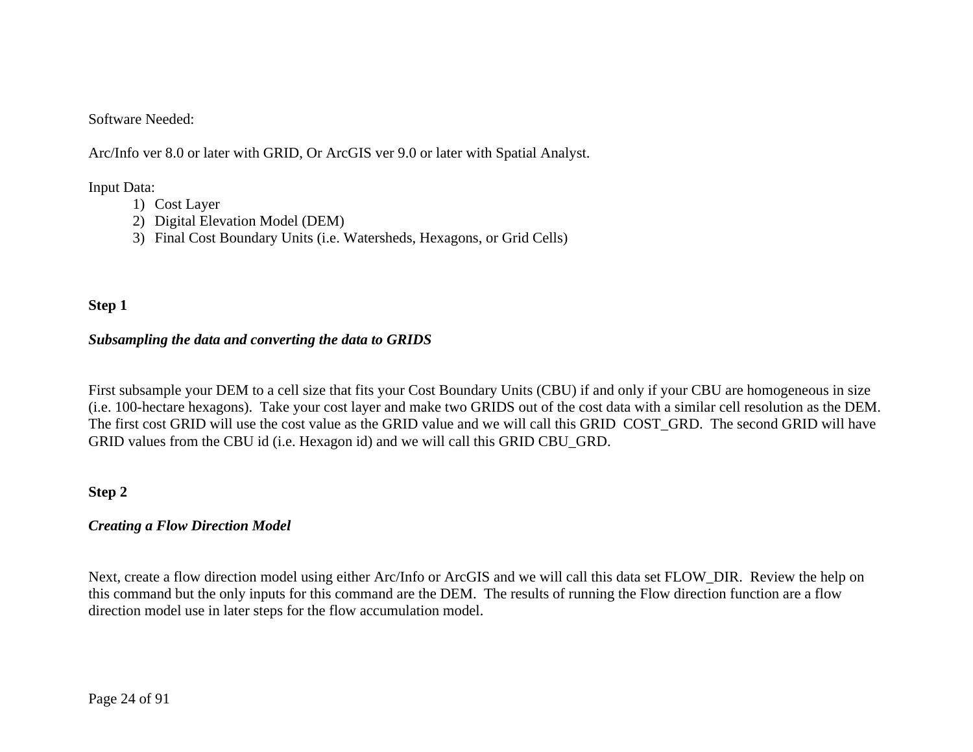#### Software Needed:

Arc/Info ver 8.0 or later with GRID, Or ArcGIS ver 9.0 or later with Spatial Analyst.

Input Data:

- 1) Cost Layer
- 2) Digital Elevation Model (DEM)
- 3) Final Cost Boundary Units (i.e. Watersheds, Hexagons, or Grid Cells)

### **Step 1**

### *Subsampling the data and converting the data to GRIDS*

First subsample your DEM to a cell size that fits your Cost Boundary Units (CBU) if and only if your CBU are homogeneous in size (i.e. 100-hectare hexagons). Take your cost layer and make two GRIDS out of the cost data with a similar cell resolution as the DEM. The first cost GRID will use the cost value as the GRID value and we will call this GRID COST\_GRD. The second GRID will have GRID values from the CBU id (i.e. Hexagon id) and we will call this GRID CBU\_GRD.

#### **Step 2**

#### *Creating a Flow Direction Model*

Next, create a flow direction model using either Arc/Info or ArcGIS and we will call this data set FLOW\_DIR. Review the help on this command but the only inputs for this command are the DEM. The results of running the Flow direction function are a flow direction model use in later steps for the flow accumulation model.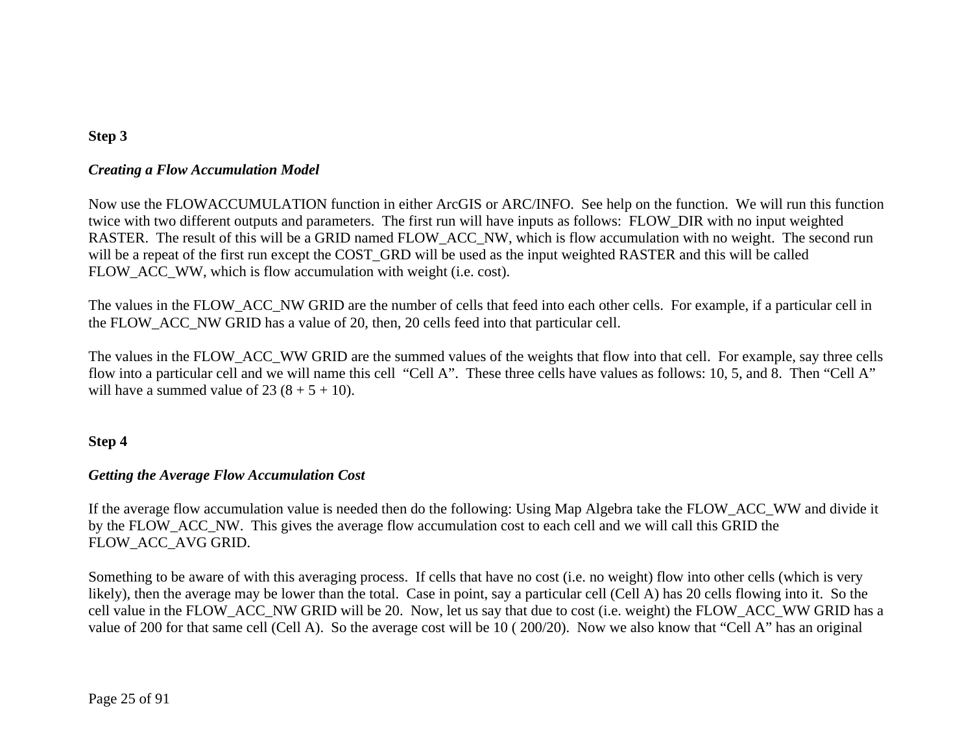### **Step 3**

#### *Creating a Flow Accumulation Model*

Now use the FLOWACCUMULATION function in either ArcGIS or ARC/INFO. See help on the function. We will run this function twice with two different outputs and parameters. The first run will have inputs as follows: FLOW\_DIR with no input weighted RASTER. The result of this will be a GRID named FLOW\_ACC\_NW, which is flow accumulation with no weight. The second run will be a repeat of the first run except the COST\_GRD will be used as the input weighted RASTER and this will be called FLOW ACC WW, which is flow accumulation with weight (i.e. cost).

The values in the FLOW ACC NW GRID are the number of cells that feed into each other cells. For example, if a particular cell in the FLOW\_ACC\_NW GRID has a value of 20, then, 20 cells feed into that particular cell.

The values in the FLOW ACC WW GRID are the summed values of the weights that flow into that cell. For example, say three cells flow into a particular cell and we will name this cell "Cell A". These three cells have values as follows: 10, 5, and 8. Then "Cell A" will have a summed value of  $23(8 + 5 + 10)$ .

### **Step 4**

### *Getting the Average Flow Accumulation Cost*

If the average flow accumulation value is needed then do the following: Using Map Algebra take the FLOW\_ACC\_WW and divide it by the FLOW\_ACC\_NW. This gives the average flow accumulation cost to each cell and we will call this GRID the FLOW\_ACC\_AVG GRID.

Something to be aware of with this averaging process. If cells that have no cost (i.e. no weight) flow into other cells (which is very likely), then the average may be lower than the total. Case in point, say a particular cell (Cell A) has 20 cells flowing into it. So the cell value in the FLOW\_ACC\_NW GRID will be 20. Now, let us say that due to cost (i.e. weight) the FLOW\_ACC\_WW GRID has a value of 200 for that same cell (Cell A). So the average cost will be 10 ( 200/20). Now we also know that "Cell A" has an original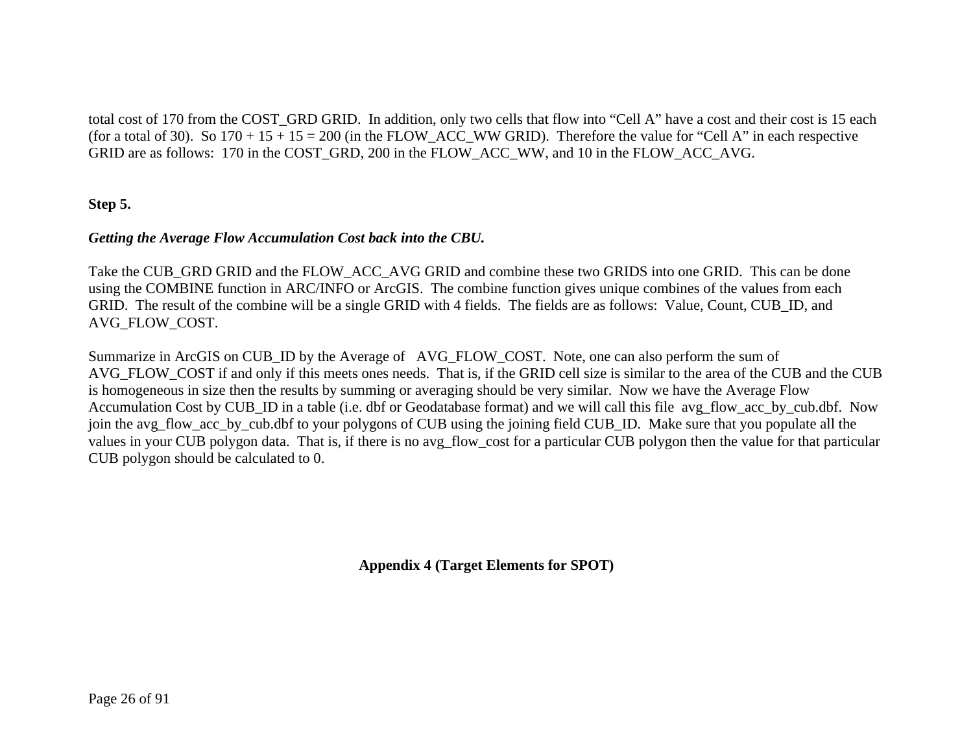total cost of 170 from the COST GRD GRID. In addition, only two cells that flow into "Cell A" have a cost and their cost is 15 each (for a total of 30). So  $170 + 15 + 15 = 200$  (in the FLOW\_ACC\_WW GRID). Therefore the value for "Cell A" in each respective GRID are as follows: 170 in the COST\_GRD, 200 in the FLOW\_ACC\_WW, and 10 in the FLOW\_ACC\_AVG.

### **Step 5.**

### *Getting the Average Flow Accumulation Cost back into the CBU.*

Take the CUB GRD GRID and the FLOW ACC AVG GRID and combine these two GRIDS into one GRID. This can be done using the COMBINE function in ARC/INFO or ArcGIS. The combine function gives unique combines of the values from each GRID. The result of the combine will be a single GRID with 4 fields. The fields are as follows: Value, Count, CUB\_ID, and AVG\_FLOW\_COST.

Summarize in ArcGIS on CUB\_ID by the Average of AVG\_FLOW\_COST. Note, one can also perform the sum of AVG FLOW COST if and only if this meets ones needs. That is, if the GRID cell size is similar to the area of the CUB and the CUB is homogeneous in size then the results by summing or averaging should be very similar. Now we have the Average Flow Accumulation Cost by CUB\_ID in a table (i.e. dbf or Geodatabase format) and we will call this file avg\_flow\_acc\_by\_cub.dbf. Now join the avg\_flow\_acc\_by\_cub.dbf to your polygons of CUB using the joining field CUB\_ID. Make sure that you populate all the values in your CUB polygon data. That is, if there is no avg\_flow\_cost for a particular CUB polygon then the value for that particular CUB polygon should be calculated to 0.

**Appendix 4 (Target Elements for SPOT)**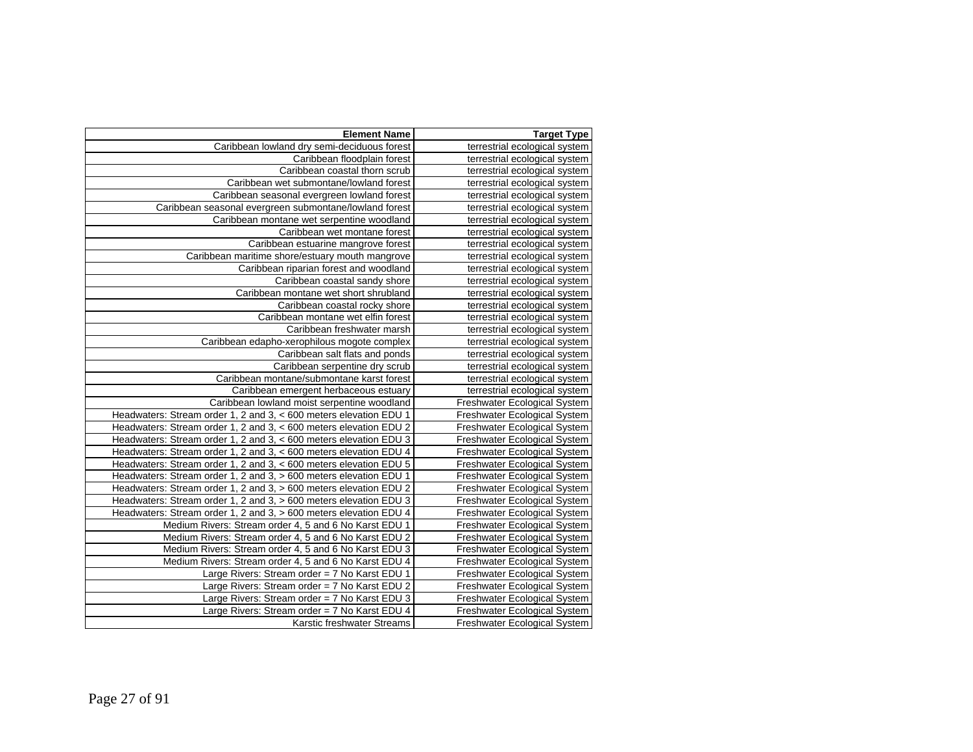| <b>Element Name</b>                                               | <b>Target Type</b>                  |
|-------------------------------------------------------------------|-------------------------------------|
| Caribbean lowland dry semi-deciduous forest                       | terrestrial ecological system       |
| Caribbean floodplain forest                                       | terrestrial ecological system       |
| Caribbean coastal thorn scrub                                     | terrestrial ecological system       |
| Caribbean wet submontane/lowland forest                           | terrestrial ecological system       |
| Caribbean seasonal evergreen lowland forest                       | terrestrial ecological system       |
| Caribbean seasonal evergreen submontane/lowland forest            | terrestrial ecological system       |
| Caribbean montane wet serpentine woodland                         | terrestrial ecological system       |
| Caribbean wet montane forest                                      | terrestrial ecological system       |
| Caribbean estuarine mangrove forest                               | terrestrial ecological system       |
| Caribbean maritime shore/estuary mouth mangrove                   | terrestrial ecological system       |
| Caribbean riparian forest and woodland                            | terrestrial ecological system       |
| Caribbean coastal sandy shore                                     | terrestrial ecological system       |
| Caribbean montane wet short shrubland                             | terrestrial ecological system       |
| Caribbean coastal rocky shore                                     | terrestrial ecological system       |
| Caribbean montane wet elfin forest                                | terrestrial ecological system       |
| Caribbean freshwater marsh                                        | terrestrial ecological system       |
| Caribbean edapho-xerophilous mogote complex                       | terrestrial ecological system       |
| Caribbean salt flats and ponds                                    | terrestrial ecological system       |
| Caribbean serpentine dry scrub                                    | terrestrial ecological system       |
| Caribbean montane/submontane karst forest                         | terrestrial ecological system       |
| Caribbean emergent herbaceous estuary                             | terrestrial ecological system       |
| Caribbean lowland moist serpentine woodland                       | Freshwater Ecological System        |
| Headwaters: Stream order 1, 2 and 3, < 600 meters elevation EDU 1 | Freshwater Ecological System        |
| Headwaters: Stream order 1, 2 and 3, < 600 meters elevation EDU 2 | Freshwater Ecological System        |
| Headwaters: Stream order 1, 2 and 3, < 600 meters elevation EDU 3 | Freshwater Ecological System        |
| Headwaters: Stream order 1, 2 and 3, < 600 meters elevation EDU 4 | Freshwater Ecological System        |
| Headwaters: Stream order 1, 2 and 3, < 600 meters elevation EDU 5 | Freshwater Ecological System        |
| Headwaters: Stream order 1, 2 and 3, > 600 meters elevation EDU 1 | Freshwater Ecological System        |
| Headwaters: Stream order 1, 2 and 3, > 600 meters elevation EDU 2 | <b>Freshwater Ecological System</b> |
| Headwaters: Stream order 1, 2 and 3, > 600 meters elevation EDU 3 | Freshwater Ecological System        |
| Headwaters: Stream order 1, 2 and 3, > 600 meters elevation EDU 4 | Freshwater Ecological System        |
| Medium Rivers: Stream order 4, 5 and 6 No Karst EDU 1             | <b>Freshwater Ecological System</b> |
| Medium Rivers: Stream order 4, 5 and 6 No Karst EDU 2             | Freshwater Ecological System        |
| Medium Rivers: Stream order 4, 5 and 6 No Karst EDU 3             | Freshwater Ecological System        |
| Medium Rivers: Stream order 4, 5 and 6 No Karst EDU 4             | Freshwater Ecological System        |
| Large Rivers: Stream order = 7 No Karst EDU 1                     | Freshwater Ecological System        |
| Large Rivers: Stream order = 7 No Karst EDU 2                     | <b>Freshwater Ecological System</b> |
| Large Rivers: Stream order = 7 No Karst EDU 3                     | Freshwater Ecological System        |
| Large Rivers: Stream order = 7 No Karst EDU 4                     | Freshwater Ecological System        |
| Karstic freshwater Streams                                        | Freshwater Ecological System        |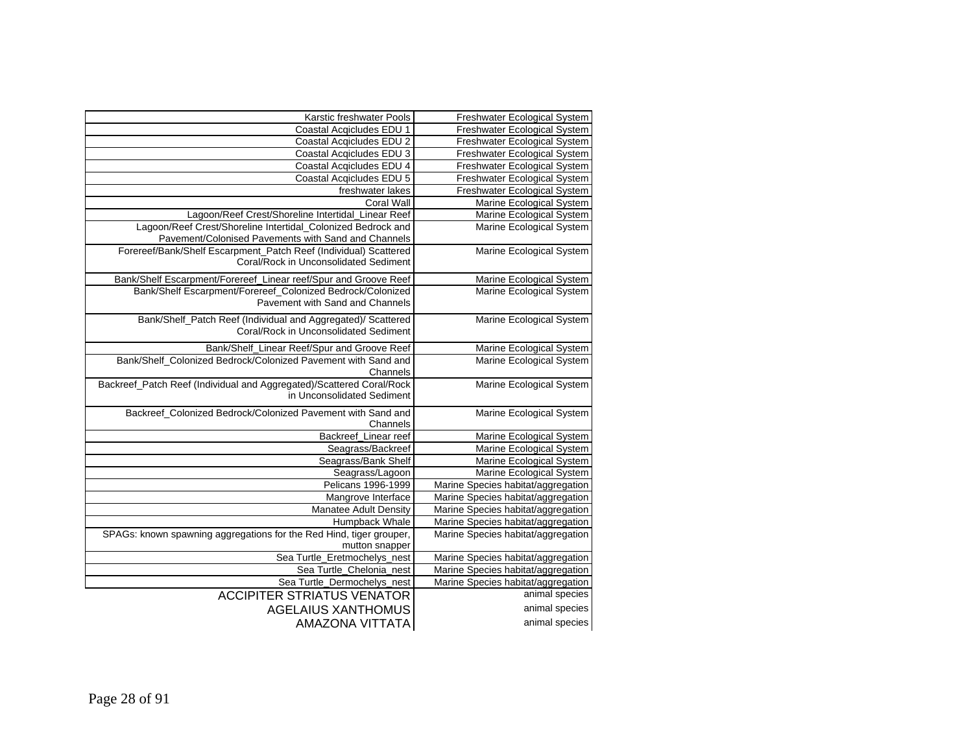| Freshwater Ecological System       | Karstic freshwater Pools                                                                                            |
|------------------------------------|---------------------------------------------------------------------------------------------------------------------|
| Freshwater Ecological System       | Coastal Acqicludes EDU 1                                                                                            |
| Freshwater Ecological System       | Coastal Acqicludes EDU 2                                                                                            |
| Freshwater Ecological System       | Coastal Acqicludes EDU 3                                                                                            |
| Freshwater Ecological System       | Coastal Acqicludes EDU 4                                                                                            |
| Freshwater Ecological System       | Coastal Acqicludes EDU 5                                                                                            |
| Freshwater Ecological System       | freshwater lakes                                                                                                    |
| Marine Ecological System           | <b>Coral Wall</b>                                                                                                   |
| Marine Ecological System           | Lagoon/Reef Crest/Shoreline Intertidal_Linear Reef                                                                  |
| Marine Ecological System           | Lagoon/Reef Crest/Shoreline Intertidal_Colonized Bedrock and<br>Pavement/Colonised Pavements with Sand and Channels |
| Marine Ecological System           | Forereef/Bank/Shelf Escarpment_Patch Reef (Individual) Scattered<br>Coral/Rock in Unconsolidated Sediment           |
| Marine Ecological System           | Bank/Shelf Escarpment/Forereef_Linear reef/Spur and Groove Reef                                                     |
| Marine Ecological System           | Bank/Shelf Escarpment/Forereef_Colonized Bedrock/Colonized<br>Pavement with Sand and Channels                       |
| Marine Ecological System           | Bank/Shelf_Patch Reef (Individual and Aggregated)/ Scattered<br>Coral/Rock in Unconsolidated Sediment               |
| Marine Ecological System           | Bank/Shelf_Linear Reef/Spur and Groove Reef                                                                         |
| Marine Ecological System           | Bank/Shelf_Colonized Bedrock/Colonized Pavement with Sand and<br>Channels                                           |
| Marine Ecological System           | Backreef_Patch Reef (Individual and Aggregated)/Scattered Coral/Rock<br>in Unconsolidated Sediment                  |
| Marine Ecological System           | Backreef_Colonized Bedrock/Colonized Pavement with Sand and<br>Channels                                             |
| Marine Ecological System           | Backreef Linear reef                                                                                                |
| Marine Ecological System           | Seagrass/Backreef                                                                                                   |
| Marine Ecological System           | Seagrass/Bank Shelf                                                                                                 |
| Marine Ecological System           | Seagrass/Lagoon                                                                                                     |
| Marine Species habitat/aggregation | Pelicans 1996-1999                                                                                                  |
| Marine Species habitat/aggregation | Mangrove Interface                                                                                                  |
| Marine Species habitat/aggregation | Manatee Adult Density                                                                                               |
| Marine Species habitat/aggregation | Humpback Whale                                                                                                      |
| Marine Species habitat/aggregation | SPAGs: known spawning aggregations for the Red Hind, tiger grouper,<br>mutton snapper                               |
| Marine Species habitat/aggregation | Sea Turtle_Eretmochelys_nest                                                                                        |
| Marine Species habitat/aggregation | Sea Turtle_Chelonia_nest                                                                                            |
| Marine Species habitat/aggregation | Sea Turtle_Dermochelys_nest                                                                                         |
| animal species                     | <b>ACCIPITER STRIATUS VENATOR</b>                                                                                   |
| animal species                     | <b>AGELAIUS XANTHOMUS</b>                                                                                           |
| animal species                     | <b>AMAZONA VITTATA</b>                                                                                              |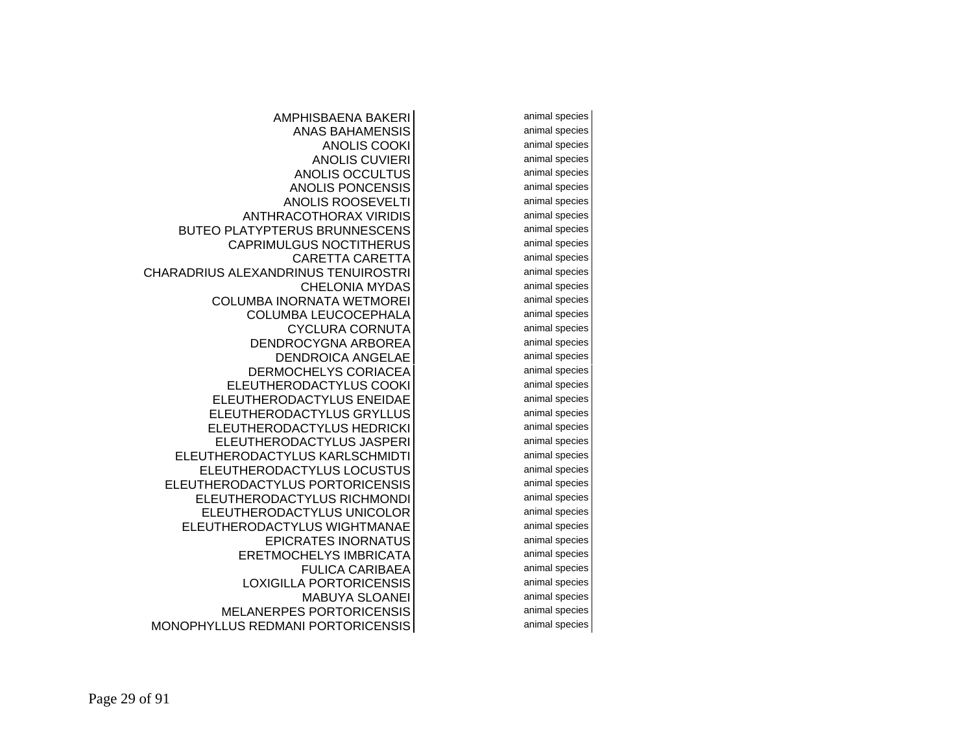animal species animal species animal species animal species animal species animal species animal species animal species animal species animal species animal species animal species animal species animal species animal species animal species animal species animal species animal species animal species animal species animal species animal species animal species animal species animal species animal species animal species animal species animal species animal species animal species animal species animal species animal species animal species animal species

AMPHISBAENA BAKERIANAS BAHAMENSISANOLIS COOKIANOLIS CUVIERIANOLIS OCCULTUSANOLIS PONCENSISANOLIS ROOSEVELTIANTHRACOTHORAX VIRIDISBUTEO PLATYPTERUS BRUNNESCENSCAPRIMULGUS NOCTITHERUSCARETTA CARETTACHARADRIUS ALEXANDRINUS TENUIROSTRICHELONIA MYDASCOLUMBA INORNATA WETMOREICOLUMBA LEUCOCEPHALACYCLURA CORNUTADENDROCYGNA ARBOREADENDROICA ANGELAEDERMOCHELYS CORIACEAELEUTHERODACTYLUS COOKIELEUTHERODACTYLUS ENEIDAEELEUTHERODACTYLUS GRYLLUSELEUTHERODACTYLUS HEDRICKIELEUTHERODACTYLUS JASPERIELEUTHERODACTYLUS KARLSCHMIDTIELEUTHERODACTYLUS LOCUSTUSELEUTHERODACTYLUS PORTORICENSISELEUTHERODACTYLUS RICHMONDIELEUTHERODACTYLUS UNICOLORELEUTHERODACTYLUS WIGHTMANAEEPICRATES INORNATUSERETMOCHELYS IMBRICATAFULICA CARIBAEALOXIGILLA PORTORICENSISMABUYA SLOANEIMELANERPES PORTORICENSISMONOPHYLLUS REDMANI PORTORICENSIS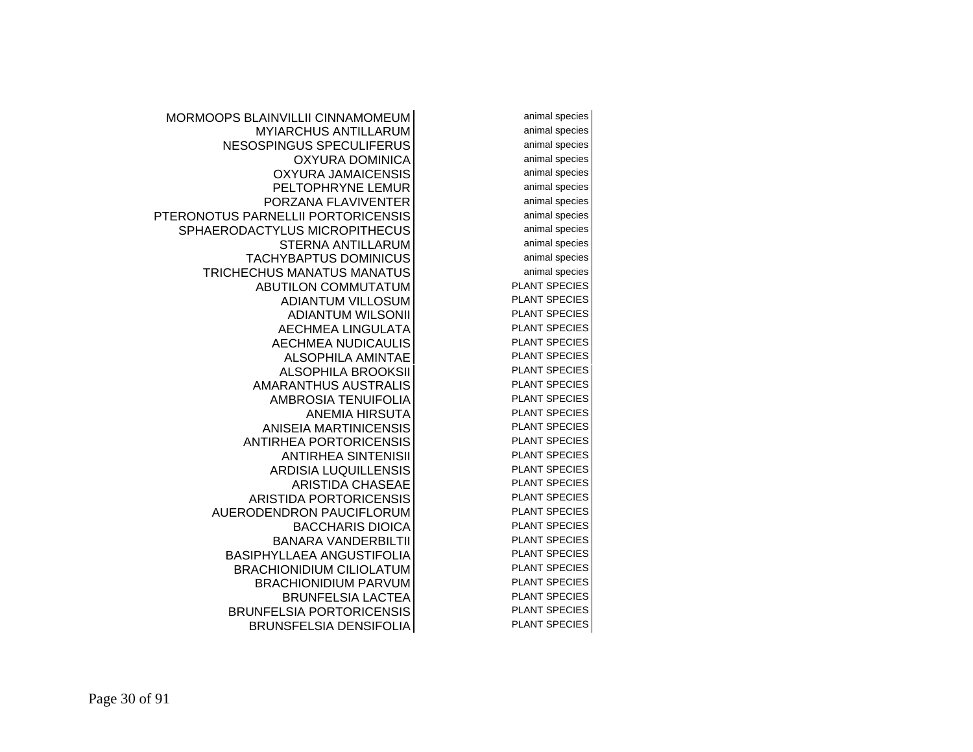MORMOOPS BLAINVILLII CINNAMOMEUMMYIARCHUS ANTILLARUMNESOSPINGUS SPECULIFERUSOXYURA DOMINICAOXYURA JAMAICENSISPELTOPHRYNE LEMURPORZANA FLAVIVENTERPTERONOTUS PARNELLII PORTORICENSISSPHAERODACTYLUS MICROPITHECUSSTERNA ANTILLARUMTACHYBAPTUS DOMINICUSTRICHECHUS MANATUS MANATUSABUTILON COMMUTATUMADIANTUM VILLOSUMADIANTUM WILSONIIAECHMEA LINGULATAAECHMEA NUDICAULISALSOPHILA AMINTAEALSOPHILA BROOKSIIAMARANTHUS AUSTRALISAMBROSIA TENUIFOLIAANEMIA HIRSUTAANISEIA MARTINICENSISANTIRHEA PORTORICENSISANTIRHEA SINTENISIIARDISIA LUQUILLENSISARISTIDA CHASEAEARISTIDA PORTORICENSISAUERODENDRON PAUCIFLORUMBACCHARIS DIOICABANARA VANDERBILTIIBASIPHYLLAEA ANGUSTIFOLIABRACHIONIDIUM CILIOLATUMBRACHIONIDIUM PARVUMBRUNFELSIA LACTEABRUNFELSIA PORTORICENSISBRUNSFELSIA DENSIFOLIA

 animal species animal species animal species animal species animal species animal species animal species animal species animal species animal species animal species animal species PLANT SPECIES PLANT SPECIES PLANT SPECIES PLANT SPECIES PLANT SPECIES PLANT SPECIES PLANT SPECIES PLANT SPECIES PLANT SPECIES PLANT SPECIES PLANT SPECIES PLANT SPECIES PLANT SPECIES PLANT SPECIES PLANT SPECIES PLANT SPECIES PLANT SPECIES PLANT SPECIES PLANT SPECIES PLANT SPECIES PLANT SPECIES PLANT SPECIES PLANT SPECIES PLANT SPECIES PLANT SPECIES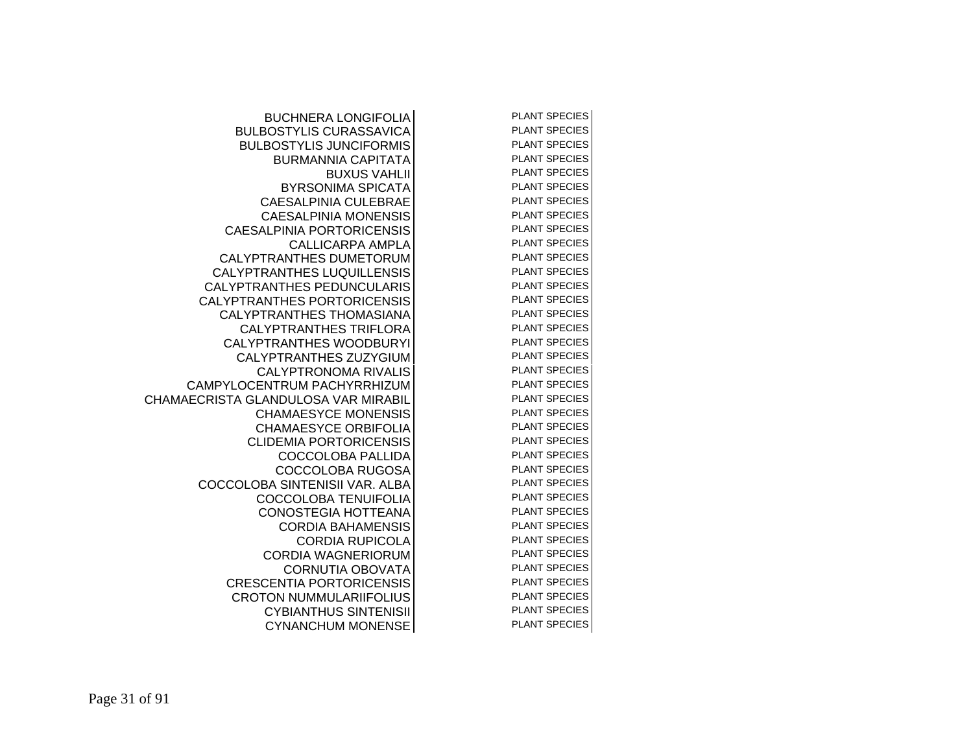| <b>BUCHNERA LONGIFOLIA</b>          | <b>PLANT SPECIES</b> |
|-------------------------------------|----------------------|
| <b>BULBOSTYLIS CURASSAVICA</b>      | <b>PLANT SPECIES</b> |
| <b>BULBOSTYLIS JUNCIFORMIS</b>      | <b>PLANT SPECIES</b> |
| <b>BURMANNIA CAPITATA</b>           | <b>PLANT SPECIES</b> |
| <b>BUXUS VAHLII</b>                 | <b>PLANT SPECIES</b> |
| <b>BYRSONIMA SPICATA</b>            | <b>PLANT SPECIES</b> |
| <b>CAESALPINIA CULEBRAE</b>         | <b>PLANT SPECIES</b> |
| <b>CAESALPINIA MONENSIS</b>         | <b>PLANT SPECIES</b> |
| <b>CAESALPINIA PORTORICENSIS</b>    | <b>PLANT SPECIES</b> |
| <b>CALLICARPA AMPLA</b>             | <b>PLANT SPECIES</b> |
| <b>CALYPTRANTHES DUMETORUM</b>      | <b>PLANT SPECIES</b> |
| <b>CALYPTRANTHES LUQUILLENSIS</b>   | <b>PLANT SPECIES</b> |
| <b>CALYPTRANTHES PEDUNCULARIS</b>   | <b>PLANT SPECIES</b> |
| <b>CALYPTRANTHES PORTORICENSIS</b>  | <b>PLANT SPECIES</b> |
| <b>CALYPTRANTHES THOMASIANA</b>     | <b>PLANT SPECIES</b> |
| <b>CALYPTRANTHES TRIFLORA</b>       | <b>PLANT SPECIES</b> |
| CALYPTRANTHES WOODBURYI             | <b>PLANT SPECIES</b> |
| CALYPTRANTHES ZUZYGIUM              | <b>PLANT SPECIES</b> |
| <b>CALYPTRONOMA RIVALIS</b>         | <b>PLANT SPECIES</b> |
| CAMPYLOCENTRUM PACHYRRHIZUM         | <b>PLANT SPECIES</b> |
| CHAMAECRISTA GLANDULOSA VAR MIRABIL | <b>PLANT SPECIES</b> |
| <b>CHAMAESYCE MONENSIS</b>          | <b>PLANT SPECIES</b> |
| <b>CHAMAESYCE ORBIFOLIA</b>         | <b>PLANT SPECIES</b> |
| <b>CLIDEMIA PORTORICENSIS</b>       | <b>PLANT SPECIES</b> |
| <b>COCCOLOBA PALLIDA</b>            | <b>PLANT SPECIES</b> |
| <b>COCCOLOBA RUGOSA</b>             | <b>PLANT SPECIES</b> |
| COCCOLOBA SINTENISII VAR. ALBA      | <b>PLANT SPECIES</b> |
| <b>COCCOLOBA TENUIFOLIA</b>         | <b>PLANT SPECIES</b> |
| <b>CONOSTEGIA HOTTEANA</b>          | <b>PLANT SPECIES</b> |
| <b>CORDIA BAHAMENSIS</b>            | <b>PLANT SPECIES</b> |
| <b>CORDIA RUPICOLA</b>              | <b>PLANT SPECIES</b> |
| <b>CORDIA WAGNERIORUM</b>           | <b>PLANT SPECIES</b> |
| <b>CORNUTIA OBOVATA</b>             | <b>PLANT SPECIES</b> |
| <b>CRESCENTIA PORTORICENSIS</b>     | <b>PLANT SPECIES</b> |
| <b>CROTON NUMMULARIIFOLIUS</b>      | <b>PLANT SPECIES</b> |
| <b>CYBIANTHUS SINTENISII</b>        | <b>PLANT SPECIES</b> |
| <b>CYNANCHUM MONENSE</b>            | <b>PLANT SPECIES</b> |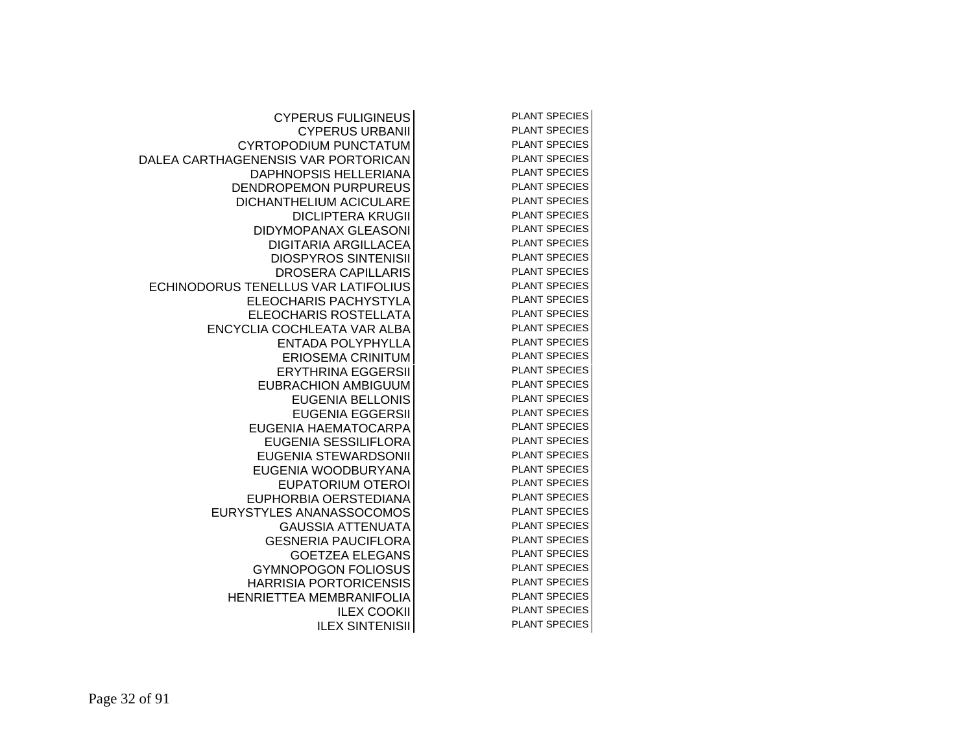| <b>CYPERUS FULIGINEUS</b>           | <b>PLANT SPECIES</b> |
|-------------------------------------|----------------------|
| <b>CYPERUS URBANII</b>              | <b>PLANT SPECIES</b> |
| CYRTOPODIUM PUNCTATUM               | <b>PLANT SPECIES</b> |
| DALEA CARTHAGENENSIS VAR PORTORICAN | <b>PLANT SPECIES</b> |
| <b>DAPHNOPSIS HELLERIANA</b>        | <b>PLANT SPECIES</b> |
| DENDROPEMON PURPUREUS               | <b>PLANT SPECIES</b> |
| DICHANTHELIUM ACICULARE             | <b>PLANT SPECIES</b> |
| <b>DICLIPTERA KRUGII</b>            | PLANT SPECIES        |
| <b>DIDYMOPANAX GLEASONI</b>         | <b>PLANT SPECIES</b> |
| <b>DIGITARIA ARGILLACEA</b>         | <b>PLANT SPECIES</b> |
| <b>DIOSPYROS SINTENISII</b>         | <b>PLANT SPECIES</b> |
| <b>DROSERA CAPILLARIS</b>           | <b>PLANT SPECIES</b> |
| ECHINODORUS TENELLUS VAR LATIFOLIUS | <b>PLANT SPECIES</b> |
| ELEOCHARIS PACHYSTYLA               | <b>PLANT SPECIES</b> |
| ELEOCHARIS ROSTELLATA               | <b>PLANT SPECIES</b> |
| ENCYCLIA COCHLEATA VAR ALBA         | <b>PLANT SPECIES</b> |
| <b>ENTADA POLYPHYLLA</b>            | <b>PLANT SPECIES</b> |
| <b>ERIOSEMA CRINITUM</b>            | <b>PLANT SPECIES</b> |
| <b>ERYTHRINA EGGERSII</b>           | <b>PLANT SPECIES</b> |
| <b>EUBRACHION AMBIGUUM</b>          | <b>PLANT SPECIES</b> |
| <b>EUGENIA BELLONIS</b>             | <b>PLANT SPECIES</b> |
| <b>EUGENIA EGGERSII</b>             | <b>PLANT SPECIES</b> |
| EUGENIA HAEMATOCARPA                | <b>PLANT SPECIES</b> |
| EUGENIA SESSILIFLORA                | <b>PLANT SPECIES</b> |
| EUGENIA STEWARDSONII                | <b>PLANT SPECIES</b> |
| EUGENIA WOODBURYANA                 | <b>PLANT SPECIES</b> |
| <b>EUPATORIUM OTEROI</b>            | <b>PLANT SPECIES</b> |
| EUPHORBIA OERSTEDIANA               | <b>PLANT SPECIES</b> |
| EURYSTYLES ANANASSOCOMOS            | <b>PLANT SPECIES</b> |
| <b>GAUSSIA ATTENUATA</b>            | <b>PLANT SPECIES</b> |
| <b>GESNERIA PAUCIFLORA</b>          | <b>PLANT SPECIES</b> |
| <b>GOETZEA ELEGANS</b>              | <b>PLANT SPECIES</b> |
| <b>GYMNOPOGON FOLIOSUS</b>          | <b>PLANT SPECIES</b> |
| <b>HARRISIA PORTORICENSIS</b>       | <b>PLANT SPECIES</b> |
| HENRIETTEA MEMBRANIFOLIA            | <b>PLANT SPECIES</b> |
| <b>ILEX COOKII</b>                  | <b>PLANT SPECIES</b> |
| <b>ILEX SINTENISII</b>              | <b>PLANT SPECIES</b> |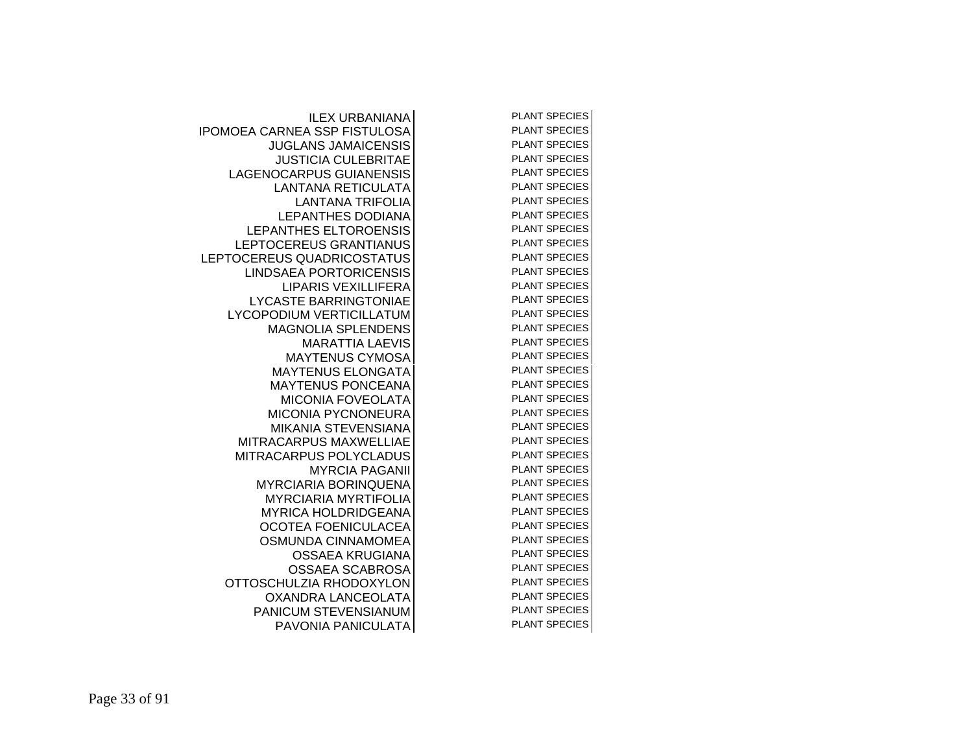| <b>ILEX URBANIANA</b>              | <b>PLANT SPECIES</b> |
|------------------------------------|----------------------|
| <b>POMOEA CARNEA SSP FISTULOSA</b> | <b>PLANT SPECIES</b> |
| <b>JUGLANS JAMAICENSIS</b>         | <b>PLANT SPECIES</b> |
| <b>JUSTICIA CULEBRITAE</b>         | <b>PLANT SPECIES</b> |
| LAGENOCARPUS GUIANENSIS            | <b>PLANT SPECIES</b> |
| <b>LANTANA RETICULATA</b>          | <b>PLANT SPECIES</b> |
| <b>LANTANA TRIFOLIA</b>            | <b>PLANT SPECIES</b> |
| <b>LEPANTHES DODIANA</b>           | <b>PLANT SPECIES</b> |
| LEPANTHES ELTOROENSIS              | <b>PLANT SPECIES</b> |
| LEPTOCEREUS GRANTIANUS             | <b>PLANT SPECIES</b> |
| LEPTOCEREUS QUADRICOSTATUS         | <b>PLANT SPECIES</b> |
| <b>LINDSAEA PORTORICENSIS</b>      | <b>PLANT SPECIES</b> |
| <b>LIPARIS VEXILLIFERA</b>         | <b>PLANT SPECIES</b> |
| <b>LYCASTE BARRINGTONIAE</b>       | <b>PLANT SPECIES</b> |
| <b>LYCOPODIUM VERTICILLATUM</b>    | <b>PLANT SPECIES</b> |
| <b>MAGNOLIA SPLENDENS</b>          | <b>PLANT SPECIES</b> |
| <b>MARATTIA LAEVIS</b>             | <b>PLANT SPECIES</b> |
| <b>MAYTENUS CYMOSA</b>             | <b>PLANT SPECIES</b> |
| <b>MAYTENUS ELONGATA</b>           | <b>PLANT SPECIES</b> |
| <b>MAYTENUS PONCEANA</b>           | <b>PLANT SPECIES</b> |
| <b>MICONIA FOVEOLATA</b>           | <b>PLANT SPECIES</b> |
| <b>MICONIA PYCNONEURA</b>          | <b>PLANT SPECIES</b> |
| <b>MIKANIA STEVENSIANA</b>         | <b>PLANT SPECIES</b> |
| <b>MITRACARPUS MAXWELLIAE</b>      | <b>PLANT SPECIES</b> |
| MITRACARPUS POLYCLADUS             | <b>PLANT SPECIES</b> |
| <b>MYRCIA PAGANII</b>              | <b>PLANT SPECIES</b> |
| <b>MYRCIARIA BORINQUENA</b>        | <b>PLANT SPECIES</b> |
| <b>MYRCIARIA MYRTIFOLIA</b>        | <b>PLANT SPECIES</b> |
| <b>MYRICA HOLDRIDGEANA</b>         | <b>PLANT SPECIES</b> |
| OCOTEA FOENICULACEA                | <b>PLANT SPECIES</b> |
| <b>OSMUNDA CINNAMOMEA</b>          | <b>PLANT SPECIES</b> |
| OSSAEA KRUGIANA                    | <b>PLANT SPECIES</b> |
| <b>OSSAEA SCABROSA</b>             | <b>PLANT SPECIES</b> |
| OTTOSCHULZIA RHODOXYLON            | <b>PLANT SPECIES</b> |
| OXANDRA LANCEOLATA                 | <b>PLANT SPECIES</b> |
| PANICUM STEVENSIANUM               | <b>PLANT SPECIES</b> |
| PAVONIA PANICULATA                 | <b>PLANT SPECIES</b> |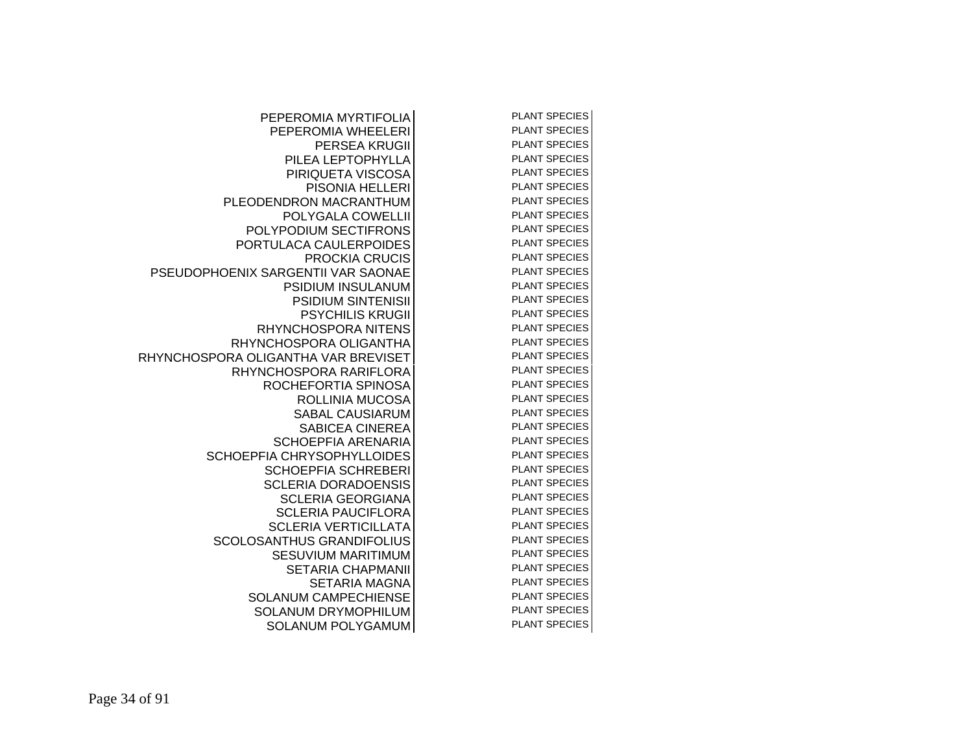| PEPEROMIA MYRTIFOLIA                | <b>PLANT SPECIES</b> |  |
|-------------------------------------|----------------------|--|
| PEPEROMIA WHEELERI                  | <b>PLANT SPECIES</b> |  |
| <b>PERSEA KRUGII</b>                | <b>PLANT SPECIES</b> |  |
| PILEA LEPTOPHYLLA                   | <b>PLANT SPECIES</b> |  |
| PIRIQUETA VISCOSA                   | <b>PLANT SPECIES</b> |  |
| PISONIA HELLERI                     | <b>PLANT SPECIES</b> |  |
| PLEODENDRON MACRANTHUM              | <b>PLANT SPECIES</b> |  |
| POLYGALA COWELLII                   | <b>PLANT SPECIES</b> |  |
| POLYPODIUM SECTIFRONS               | <b>PLANT SPECIES</b> |  |
| PORTULACA CAULERPOIDES              | <b>PLANT SPECIES</b> |  |
| <b>PROCKIA CRUCIS</b>               | <b>PLANT SPECIES</b> |  |
| PSEUDOPHOENIX SARGENTII VAR SAONAE  | <b>PLANT SPECIES</b> |  |
| <b>PSIDIUM INSULANUM</b>            | <b>PLANT SPECIES</b> |  |
| <b>PSIDIUM SINTENISII</b>           | <b>PLANT SPECIES</b> |  |
| <b>PSYCHILIS KRUGII</b>             | <b>PLANT SPECIES</b> |  |
| <b>RHYNCHOSPORA NITENS</b>          | <b>PLANT SPECIES</b> |  |
| RHYNCHOSPORA OLIGANTHA              | <b>PLANT SPECIES</b> |  |
| RHYNCHOSPORA OLIGANTHA VAR BREVISET | <b>PLANT SPECIES</b> |  |
| RHYNCHOSPORA RARIFLORA              | <b>PLANT SPECIES</b> |  |
| ROCHEFORTIA SPINOSA                 | <b>PLANT SPECIES</b> |  |
| ROLLINIA MUCOSA                     | <b>PLANT SPECIES</b> |  |
| <b>SABAL CAUSIARUM</b>              | <b>PLANT SPECIES</b> |  |
| <b>SABICEA CINEREA</b>              | <b>PLANT SPECIES</b> |  |
| <b>SCHOEPFIA ARENARIA</b>           | <b>PLANT SPECIES</b> |  |
| SCHOEPFIA CHRYSOPHYLLOIDES          | <b>PLANT SPECIES</b> |  |
| <b>SCHOEPFIA SCHREBERI</b>          | <b>PLANT SPECIES</b> |  |
| <b>SCLERIA DORADOENSIS</b>          | <b>PLANT SPECIES</b> |  |
| <b>SCLERIA GEORGIANA</b>            | <b>PLANT SPECIES</b> |  |
| <b>SCLERIA PAUCIFLORA</b>           | <b>PLANT SPECIES</b> |  |
| <b>SCLERIA VERTICILLATA</b>         | <b>PLANT SPECIES</b> |  |
| <b>SCOLOSANTHUS GRANDIFOLIUS</b>    | <b>PLANT SPECIES</b> |  |
| <b>SESUVIUM MARITIMUM</b>           | <b>PLANT SPECIES</b> |  |
| <b>SETARIA CHAPMANII</b>            | <b>PLANT SPECIES</b> |  |
| <b>SETARIA MAGNA</b>                | <b>PLANT SPECIES</b> |  |
| <b>SOLANUM CAMPECHIENSE</b>         | <b>PLANT SPECIES</b> |  |
| <b>SOLANUM DRYMOPHILUM</b>          | <b>PLANT SPECIES</b> |  |
| <b>SOLANUM POLYGAMUM</b>            | <b>PLANT SPECIES</b> |  |
|                                     |                      |  |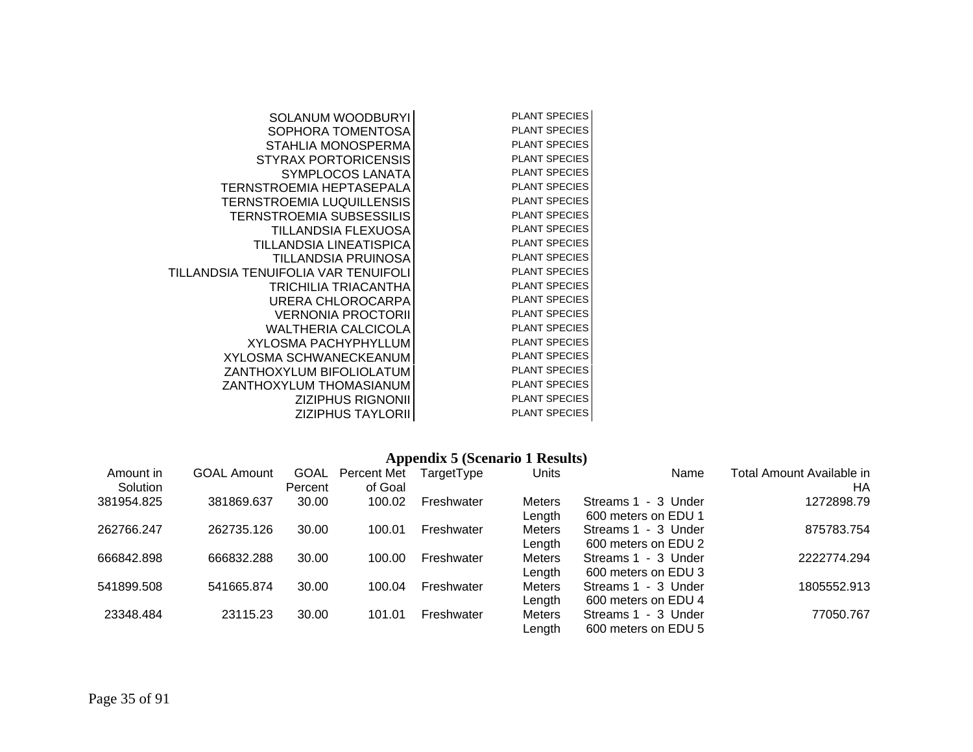| SOLANUM WOODBURYI                   | <b>PLANT SPECIES</b> |
|-------------------------------------|----------------------|
| SOPHORA TOMENTOSA                   | <b>PLANT SPECIES</b> |
| STAHLIA MONOSPERMA                  | <b>PLANT SPECIES</b> |
| <b>STYRAX PORTORICENSIS</b>         | <b>PLANT SPECIES</b> |
| SYMPLOCOS LANATA                    | <b>PLANT SPECIES</b> |
| TERNSTROEMIA HEPTASEPALA            | <b>PLANT SPECIES</b> |
| TERNSTROEMIA LUQUILLENSIS           | <b>PLANT SPECIES</b> |
| <b>TERNSTROEMIA SUBSESSILIS</b>     | <b>PLANT SPECIES</b> |
| TILLANDSIA FLEXUOSA                 | <b>PLANT SPECIES</b> |
| TILLANDSIA LINEATISPICA             | <b>PLANT SPECIES</b> |
| TILLANDSIA PRUINOSA                 | <b>PLANT SPECIES</b> |
| TILLANDSIA TENUIFOLIA VAR TENUIFOLI | <b>PLANT SPECIES</b> |
| TRICHILIA TRIACANTHA                | <b>PLANT SPECIES</b> |
| URERA CHLOROCARPA                   | <b>PLANT SPECIES</b> |
| <b>VERNONIA PROCTORII</b>           | <b>PLANT SPECIES</b> |
| <b>WALTHERIA CALCICOLA</b>          | <b>PLANT SPECIES</b> |
| XYLOSMA PACHYPHYLLUM                | <b>PLANT SPECIES</b> |
| <b>XYLOSMA SCHWANECKEANUM</b>       | <b>PLANT SPECIES</b> |
| ZANTHOXYLUM BIFOLIOLATUM            | <b>PLANT SPECIES</b> |
| ZANTHOXYLUM THOMASIANUM             | <b>PLANT SPECIES</b> |
| <b>ZIZIPHUS RIGNONII</b>            | <b>PLANT SPECIES</b> |
| ZIZIPHUS TAYLORII                   | <b>PLANT SPECIES</b> |

## **Appendix 5 (Scenario 1 Results)**

| Amount in<br>Solution | <b>GOAL Amount</b> | GOAL<br>Percent | Percent Met<br>of Goal | TargetType | Units                   | Name                                       | Total Amount Available in<br>HA |
|-----------------------|--------------------|-----------------|------------------------|------------|-------------------------|--------------------------------------------|---------------------------------|
| 381954.825            | 381869.637         | 30.00           | 100.02                 | Freshwater | <b>Meters</b><br>Length | Streams 1 - 3 Under<br>600 meters on EDU 1 | 1272898.79                      |
| 262766.247            | 262735.126         | 30.00           | 100.01                 | Freshwater | <b>Meters</b><br>Length | Streams 1 - 3 Under<br>600 meters on EDU 2 | 875783.754                      |
| 666842.898            | 666832.288         | 30.00           | 100.00                 | Freshwater | <b>Meters</b><br>Length | Streams 1 - 3 Under<br>600 meters on EDU 3 | 2222774.294                     |
| 541899.508            | 541665.874         | 30.00           | 100.04                 | Freshwater | <b>Meters</b><br>Length | Streams 1 - 3 Under<br>600 meters on EDU 4 | 1805552.913                     |
| 23348.484             | 23115.23           | 30.00           | 101.01                 | Freshwater | <b>Meters</b><br>Length | Streams 1 - 3 Under<br>600 meters on EDU 5 | 77050.767                       |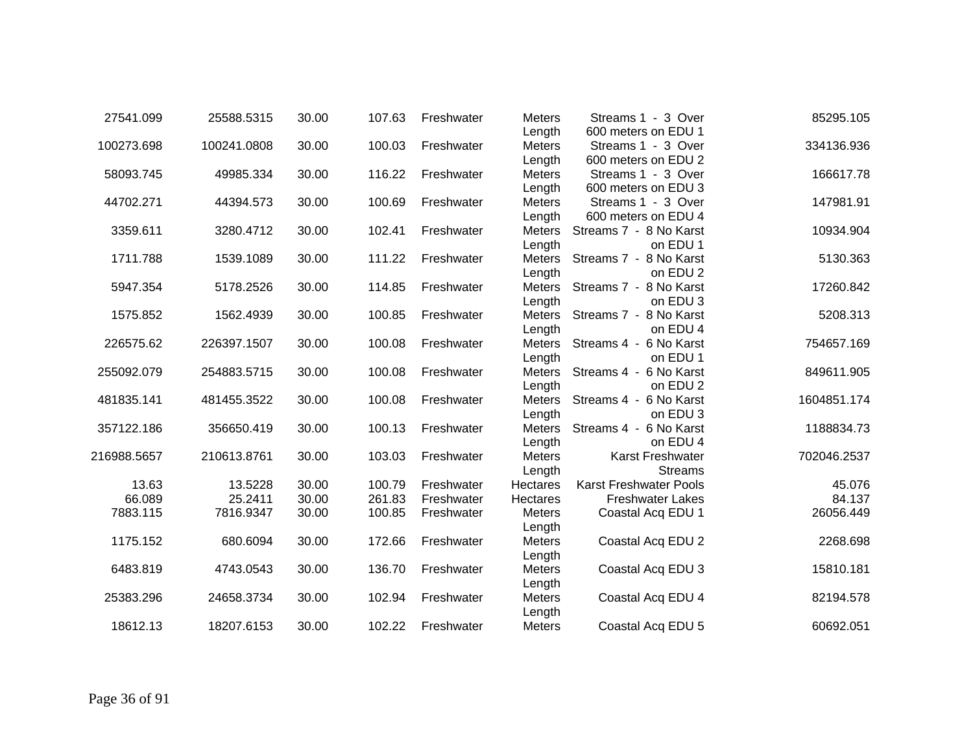| 27541.099   | 25588.5315  | 30.00 | 107.63 | Freshwater | <b>Meters</b>   | Streams 1 - 3 Over            | 85295.105   |
|-------------|-------------|-------|--------|------------|-----------------|-------------------------------|-------------|
|             |             |       |        |            | Length          | 600 meters on EDU 1           |             |
| 100273.698  | 100241.0808 | 30.00 | 100.03 | Freshwater | <b>Meters</b>   | Streams 1 - 3 Over            | 334136.936  |
|             |             |       |        |            | Length          | 600 meters on EDU 2           |             |
| 58093.745   | 49985.334   | 30.00 | 116.22 | Freshwater | <b>Meters</b>   | Streams 1 - 3 Over            | 166617.78   |
|             |             |       |        |            | Length          | 600 meters on EDU 3           |             |
| 44702.271   | 44394.573   | 30.00 | 100.69 | Freshwater | <b>Meters</b>   | Streams 1 - 3 Over            | 147981.91   |
|             |             |       |        |            | Length          | 600 meters on EDU 4           |             |
| 3359.611    | 3280.4712   | 30.00 | 102.41 | Freshwater | Meters          | Streams 7 - 8 No Karst        | 10934.904   |
|             |             |       |        |            | Length          | on EDU 1                      |             |
| 1711.788    | 1539.1089   | 30.00 | 111.22 | Freshwater | Meters          | Streams 7 - 8 No Karst        | 5130.363    |
|             |             |       |        |            | Length          | on EDU 2                      |             |
| 5947.354    | 5178.2526   | 30.00 | 114.85 | Freshwater | Meters          | Streams 7 - 8 No Karst        | 17260.842   |
|             |             |       |        |            | Length          | on EDU 3                      |             |
| 1575.852    | 1562.4939   | 30.00 | 100.85 | Freshwater | Meters          | Streams 7 - 8 No Karst        | 5208.313    |
|             |             |       |        |            | Length          | on EDU 4                      |             |
| 226575.62   | 226397.1507 | 30.00 | 100.08 | Freshwater | Meters          | Streams 4 - 6 No Karst        | 754657.169  |
|             |             |       |        |            | Length          | on EDU 1                      |             |
| 255092.079  | 254883.5715 | 30.00 | 100.08 | Freshwater | Meters          | Streams 4 - 6 No Karst        | 849611.905  |
|             |             |       |        |            | Length          | on EDU 2                      |             |
| 481835.141  | 481455.3522 | 30.00 | 100.08 | Freshwater | Meters          | Streams 4 - 6 No Karst        | 1604851.174 |
|             |             |       |        |            | Length          | on EDU 3                      |             |
| 357122.186  | 356650.419  | 30.00 | 100.13 | Freshwater | Meters          | Streams 4 - 6 No Karst        | 1188834.73  |
|             |             |       |        |            | Length          | on EDU 4                      |             |
| 216988.5657 | 210613.8761 | 30.00 | 103.03 | Freshwater | Meters          | Karst Freshwater              | 702046.2537 |
|             |             |       |        |            | Length          | <b>Streams</b>                |             |
| 13.63       | 13.5228     | 30.00 | 100.79 | Freshwater | <b>Hectares</b> | <b>Karst Freshwater Pools</b> | 45.076      |
| 66.089      | 25.2411     | 30.00 | 261.83 | Freshwater | Hectares        | <b>Freshwater Lakes</b>       | 84.137      |
| 7883.115    | 7816.9347   | 30.00 | 100.85 | Freshwater | <b>Meters</b>   | Coastal Acq EDU 1             | 26056.449   |
|             |             |       |        |            | Length          |                               |             |
| 1175.152    | 680.6094    | 30.00 | 172.66 | Freshwater | <b>Meters</b>   | Coastal Acq EDU 2             | 2268.698    |
|             |             |       |        |            | Length          |                               |             |
| 6483.819    | 4743.0543   | 30.00 | 136.70 | Freshwater | <b>Meters</b>   | Coastal Acq EDU 3             | 15810.181   |
|             |             |       |        |            | Length          |                               |             |
| 25383.296   | 24658.3734  | 30.00 | 102.94 | Freshwater | Meters          | Coastal Acq EDU 4             | 82194.578   |
|             |             |       |        |            | Length          |                               |             |
| 18612.13    | 18207.6153  | 30.00 | 102.22 |            |                 |                               | 60692.051   |
|             |             |       |        | Freshwater | Meters          | Coastal Acq EDU 5             |             |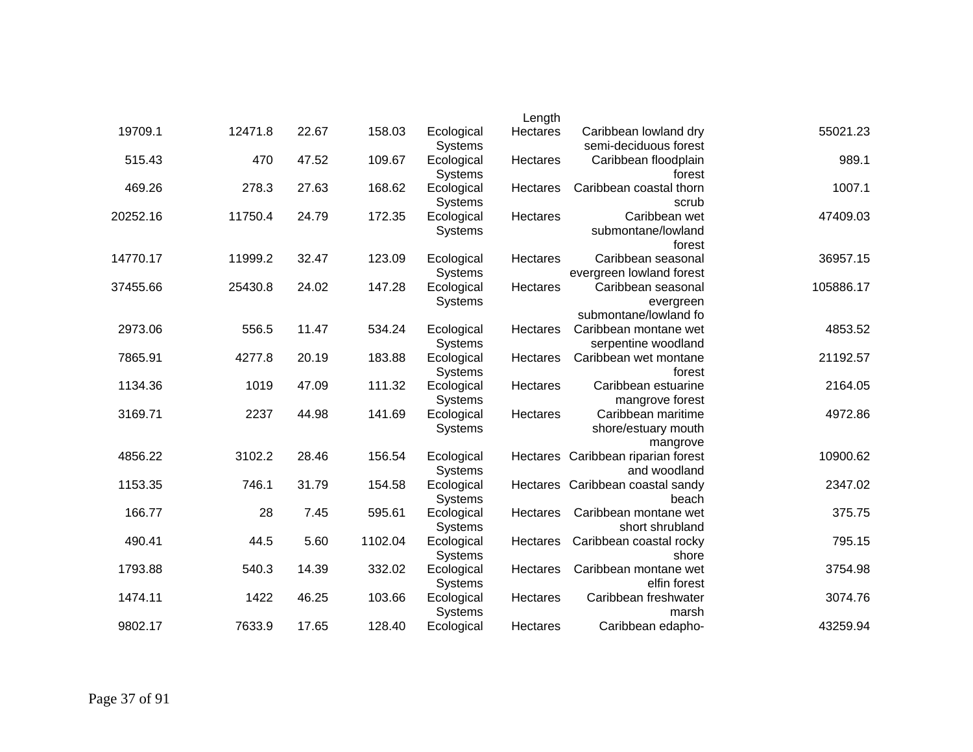|           |                                                          | Length   |                              |         |       |         |          |
|-----------|----------------------------------------------------------|----------|------------------------------|---------|-------|---------|----------|
| 55021.23  | Caribbean lowland dry<br>semi-deciduous forest           | Hectares | Ecological<br><b>Systems</b> | 158.03  | 22.67 | 12471.8 | 19709.1  |
| 989.1     | Caribbean floodplain<br>forest                           | Hectares | Ecological<br><b>Systems</b> | 109.67  | 47.52 | 470     | 515.43   |
| 1007.1    | Caribbean coastal thorn<br>scrub                         | Hectares | Ecological<br>Systems        | 168.62  | 27.63 | 278.3   | 469.26   |
| 47409.03  | Caribbean wet<br>submontane/lowland<br>forest            | Hectares | Ecological<br>Systems        | 172.35  | 24.79 | 11750.4 | 20252.16 |
| 36957.15  | Caribbean seasonal<br>evergreen lowland forest           | Hectares | Ecological<br>Systems        | 123.09  | 32.47 | 11999.2 | 14770.17 |
| 105886.17 | Caribbean seasonal<br>evergreen<br>submontane/lowland fo | Hectares | Ecological<br><b>Systems</b> | 147.28  | 24.02 | 25430.8 | 37455.66 |
| 4853.52   | Caribbean montane wet<br>serpentine woodland             | Hectares | Ecological<br><b>Systems</b> | 534.24  | 11.47 | 556.5   | 2973.06  |
| 21192.57  | Caribbean wet montane<br>forest                          | Hectares | Ecological<br><b>Systems</b> | 183.88  | 20.19 | 4277.8  | 7865.91  |
| 2164.05   | Caribbean estuarine<br>mangrove forest                   | Hectares | Ecological<br><b>Systems</b> | 111.32  | 47.09 | 1019    | 1134.36  |
| 4972.86   | Caribbean maritime<br>shore/estuary mouth<br>mangrove    | Hectares | Ecological<br>Systems        | 141.69  | 44.98 | 2237    | 3169.71  |
| 10900.62  | Hectares Caribbean riparian forest<br>and woodland       |          | Ecological<br><b>Systems</b> | 156.54  | 28.46 | 3102.2  | 4856.22  |
| 2347.02   | Hectares Caribbean coastal sandy<br>beach                |          | Ecological<br>Systems        | 154.58  | 31.79 | 746.1   | 1153.35  |
| 375.75    | Caribbean montane wet<br>short shrubland                 | Hectares | Ecological<br>Systems        | 595.61  | 7.45  | 28      | 166.77   |
| 795.15    | Caribbean coastal rocky<br>shore                         | Hectares | Ecological<br><b>Systems</b> | 1102.04 | 5.60  | 44.5    | 490.41   |
| 3754.98   | Caribbean montane wet<br>elfin forest                    | Hectares | Ecological<br>Systems        | 332.02  | 14.39 | 540.3   | 1793.88  |
| 3074.76   | Caribbean freshwater<br>marsh                            | Hectares | Ecological<br>Systems        | 103.66  | 46.25 | 1422    | 1474.11  |
| 43259.94  | Caribbean edapho-                                        | Hectares | Ecological                   | 128.40  | 17.65 | 7633.9  | 9802.17  |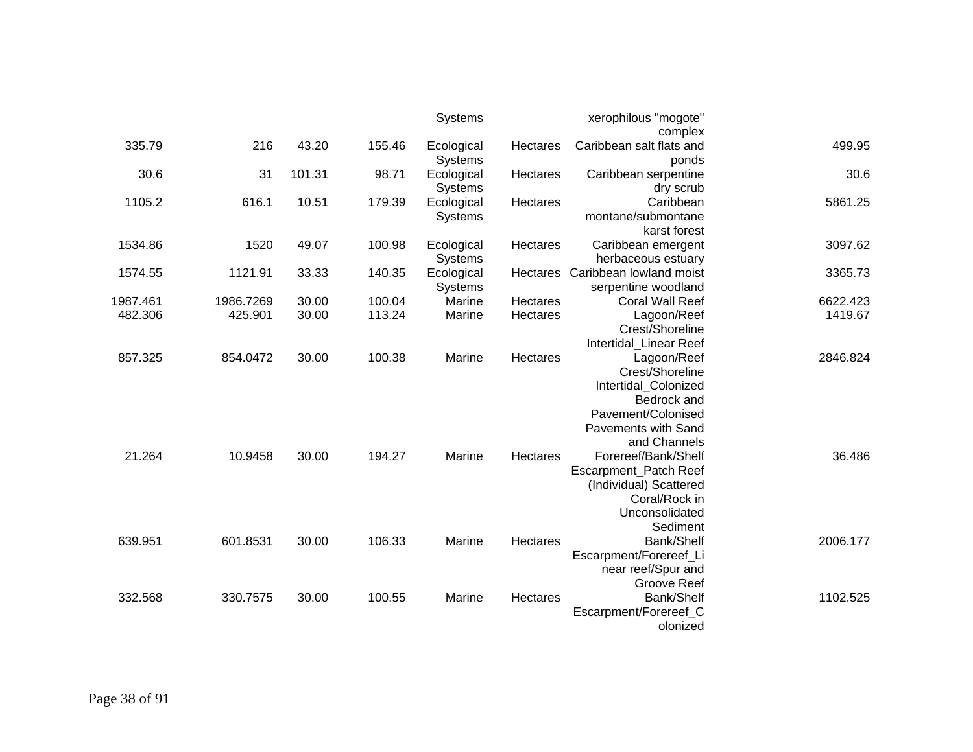|          |           |        |        | Systems               |          | xerophilous "mogote"              |          |
|----------|-----------|--------|--------|-----------------------|----------|-----------------------------------|----------|
|          |           |        |        |                       |          | complex                           |          |
| 335.79   | 216       | 43.20  | 155.46 | Ecological<br>Systems | Hectares | Caribbean salt flats and<br>ponds | 499.95   |
| 30.6     | 31        | 101.31 | 98.71  | Ecological            | Hectares | Caribbean serpentine              | 30.6     |
|          |           |        |        | <b>Systems</b>        |          | dry scrub                         |          |
| 1105.2   | 616.1     | 10.51  | 179.39 | Ecological            | Hectares | Caribbean                         | 5861.25  |
|          |           |        |        | <b>Systems</b>        |          | montane/submontane                |          |
|          |           |        |        |                       |          | karst forest                      |          |
| 1534.86  | 1520      | 49.07  | 100.98 | Ecological            | Hectares | Caribbean emergent                | 3097.62  |
|          |           |        |        | Systems               |          | herbaceous estuary                |          |
| 1574.55  | 1121.91   | 33.33  | 140.35 | Ecological            | Hectares | Caribbean lowland moist           | 3365.73  |
|          |           |        |        | <b>Systems</b>        |          | serpentine woodland               |          |
| 1987.461 | 1986.7269 | 30.00  | 100.04 | Marine                | Hectares | <b>Coral Wall Reef</b>            | 6622.423 |
| 482.306  | 425.901   | 30.00  | 113.24 | Marine                | Hectares | Lagoon/Reef                       | 1419.67  |
|          |           |        |        |                       |          | Crest/Shoreline                   |          |
|          |           |        |        |                       |          | Intertidal_Linear Reef            |          |
| 857.325  | 854.0472  | 30.00  | 100.38 | Marine                | Hectares | Lagoon/Reef                       | 2846.824 |
|          |           |        |        |                       |          | Crest/Shoreline                   |          |
|          |           |        |        |                       |          | Intertidal_Colonized              |          |
|          |           |        |        |                       |          | Bedrock and                       |          |
|          |           |        |        |                       |          | Pavement/Colonised                |          |
|          |           |        |        |                       |          | <b>Pavements with Sand</b>        |          |
|          |           |        |        |                       |          | and Channels                      |          |
| 21.264   | 10.9458   | 30.00  | 194.27 | Marine                | Hectares | Forereef/Bank/Shelf               | 36.486   |
|          |           |        |        |                       |          | Escarpment_Patch Reef             |          |
|          |           |        |        |                       |          | (Individual) Scattered            |          |
|          |           |        |        |                       |          | Coral/Rock in                     |          |
|          |           |        |        |                       |          | Unconsolidated                    |          |
|          |           |        |        |                       |          | Sediment                          |          |
| 639.951  | 601.8531  | 30.00  | 106.33 | Marine                | Hectares | Bank/Shelf                        | 2006.177 |
|          |           |        |        |                       |          | Escarpment/Forereef_Li            |          |
|          |           |        |        |                       |          | near reef/Spur and                |          |
|          |           |        |        |                       |          | <b>Groove Reef</b>                |          |
| 332.568  | 330.7575  | 30.00  | 100.55 | Marine                | Hectares | Bank/Shelf                        | 1102.525 |
|          |           |        |        |                       |          | Escarpment/Forereef_C             |          |
|          |           |        |        |                       |          | olonized                          |          |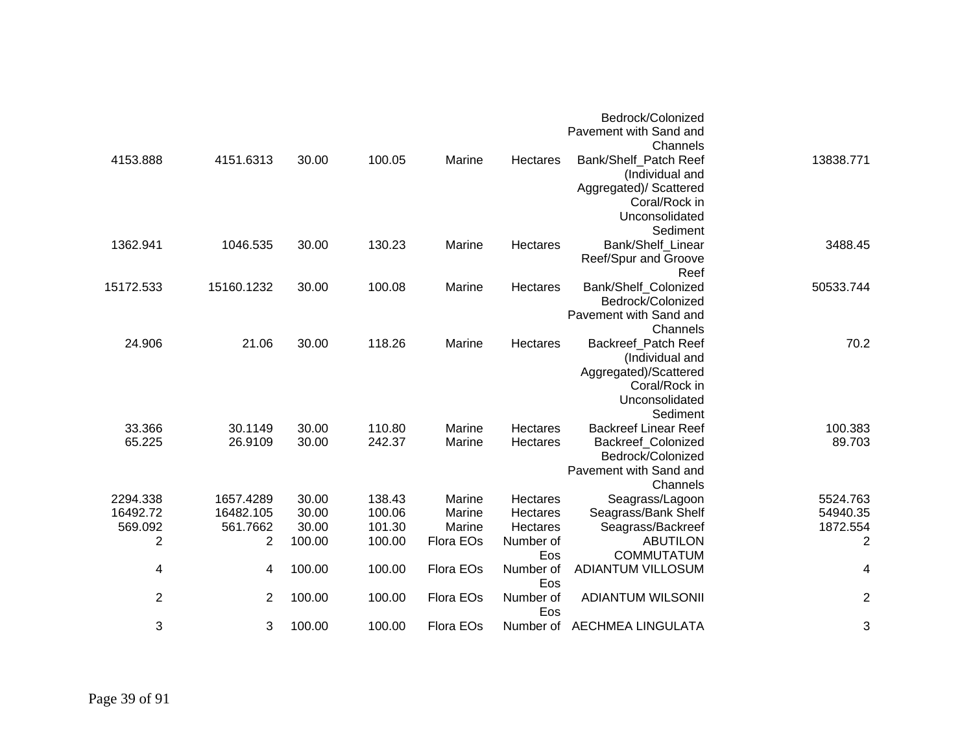|                  |                    |                |                  |                  |                      | Bedrock/Colonized<br>Pavement with Sand and<br>Channels                                                             |                   |
|------------------|--------------------|----------------|------------------|------------------|----------------------|---------------------------------------------------------------------------------------------------------------------|-------------------|
| 4153.888         | 4151.6313          | 30.00          | 100.05           | Marine           | Hectares             | Bank/Shelf_Patch Reef<br>(Individual and<br>Aggregated)/ Scattered<br>Coral/Rock in<br>Unconsolidated<br>Sediment   | 13838.771         |
| 1362.941         | 1046.535           | 30.00          | 130.23           | Marine           | Hectares             | Bank/Shelf_Linear<br>Reef/Spur and Groove<br>Reef                                                                   | 3488.45           |
| 15172.533        | 15160.1232         | 30.00          | 100.08           | Marine           | Hectares             | Bank/Shelf Colonized<br>Bedrock/Colonized<br>Pavement with Sand and<br>Channels                                     | 50533.744         |
| 24.906           | 21.06              | 30.00          | 118.26           | Marine           | Hectares             | Backreef_Patch Reef<br>(Individual and<br>Aggregated)/Scattered<br>Coral/Rock in<br>Unconsolidated<br>Sediment      | 70.2              |
| 33.366<br>65.225 | 30.1149<br>26.9109 | 30.00<br>30.00 | 110.80<br>242.37 | Marine<br>Marine | Hectares<br>Hectares | <b>Backreef Linear Reef</b><br><b>Backreef Colonized</b><br>Bedrock/Colonized<br>Pavement with Sand and<br>Channels | 100.383<br>89.703 |
| 2294.338         | 1657.4289          | 30.00          | 138.43           | Marine           | Hectares             | Seagrass/Lagoon                                                                                                     | 5524.763          |
| 16492.72         | 16482.105          | 30.00          | 100.06           | Marine           | Hectares             | Seagrass/Bank Shelf                                                                                                 | 54940.35          |
| 569.092          | 561.7662           | 30.00          | 101.30           | Marine           | Hectares             | Seagrass/Backreef                                                                                                   | 1872.554          |
| $\mathbf 2$      | $\overline{c}$     | 100.00         | 100.00           | Flora EOs        | Number of<br>Eos     | <b>ABUTILON</b><br><b>COMMUTATUM</b>                                                                                | $\overline{c}$    |
| 4                | 4                  | 100.00         | 100.00           | Flora EOs        | Number of<br>Eos     | <b>ADIANTUM VILLOSUM</b>                                                                                            | 4                 |
| $\mathbf{2}$     | $\overline{2}$     | 100.00         | 100.00           | Flora EOs        | Number of<br>Eos     | <b>ADIANTUM WILSONII</b>                                                                                            | $\overline{c}$    |
| 3                | 3                  | 100.00         | 100.00           | Flora EOs        |                      | Number of AECHMEA LINGULATA                                                                                         | 3                 |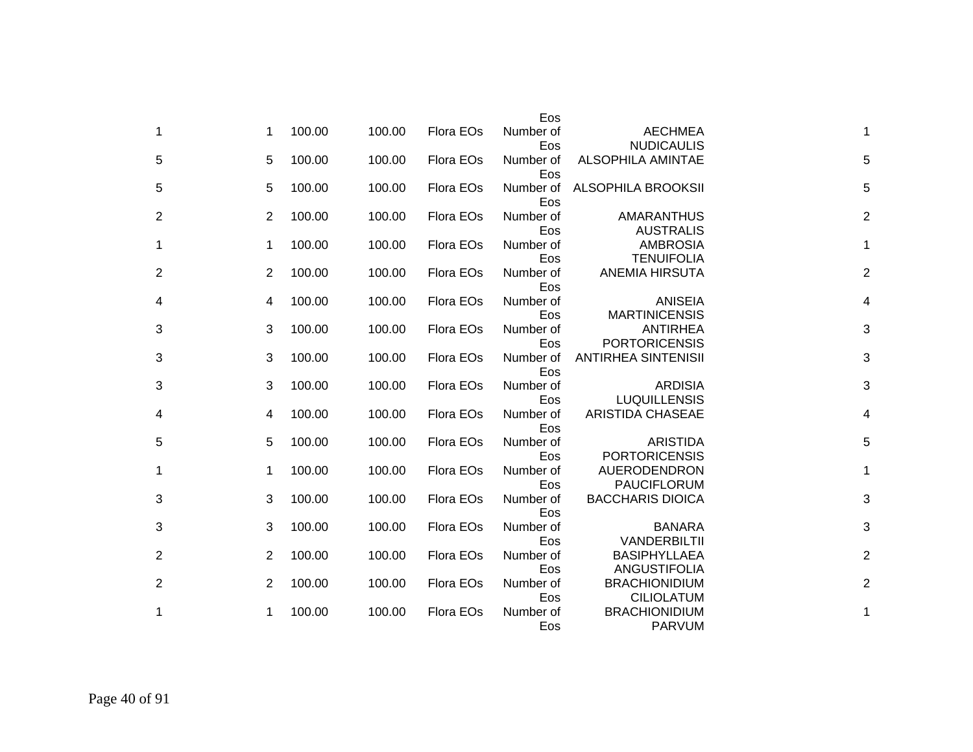|                |                |        |        |           | Eos              |                                           |                         |
|----------------|----------------|--------|--------|-----------|------------------|-------------------------------------------|-------------------------|
| 1              | 1              | 100.00 | 100.00 | Flora EOs | Number of<br>Eos | <b>AECHMEA</b><br><b>NUDICAULIS</b>       | 1                       |
| 5              | 5              | 100.00 | 100.00 | Flora EOs | Number of<br>Eos | <b>ALSOPHILA AMINTAE</b>                  | 5                       |
| 5              | 5              | 100.00 | 100.00 | Flora EOs | Number of<br>Eos | <b>ALSOPHILA BROOKSII</b>                 | 5                       |
| $\overline{2}$ | $\overline{2}$ | 100.00 | 100.00 | Flora EOs | Number of<br>Eos | <b>AMARANTHUS</b><br><b>AUSTRALIS</b>     | $\overline{2}$          |
| 1              | 1              | 100.00 | 100.00 | Flora EOs | Number of<br>Eos | <b>AMBROSIA</b><br><b>TENUIFOLIA</b>      | 1                       |
| 2              | $\overline{2}$ | 100.00 | 100.00 | Flora EOs | Number of<br>Eos | <b>ANEMIA HIRSUTA</b>                     | $\overline{2}$          |
| 4              | 4              | 100.00 | 100.00 | Flora EOs | Number of<br>Eos | <b>ANISEIA</b><br><b>MARTINICENSIS</b>    | 4                       |
| 3              | 3              | 100.00 | 100.00 | Flora EOs | Number of<br>Eos | <b>ANTIRHEA</b><br><b>PORTORICENSIS</b>   | 3                       |
| 3              | 3              | 100.00 | 100.00 | Flora EOs | Number of<br>Eos | <b>ANTIRHEA SINTENISII</b>                | 3                       |
| 3              | 3              | 100.00 | 100.00 | Flora EOs | Number of<br>Eos | <b>ARDISIA</b><br><b>LUQUILLENSIS</b>     | 3                       |
| 4              | 4              | 100.00 | 100.00 | Flora EOs | Number of<br>Eos | <b>ARISTIDA CHASEAE</b>                   | $\overline{\mathbf{4}}$ |
| 5              | 5              | 100.00 | 100.00 | Flora EOs | Number of<br>Eos | <b>ARISTIDA</b><br><b>PORTORICENSIS</b>   | 5                       |
| 1              | 1              | 100.00 | 100.00 | Flora EOs | Number of<br>Eos | AUERODENDRON<br><b>PAUCIFLORUM</b>        | $\mathbf{1}$            |
| 3              | 3              | 100.00 | 100.00 | Flora EOs | Number of<br>Eos | <b>BACCHARIS DIOICA</b>                   | 3                       |
| 3              | 3              | 100.00 | 100.00 | Flora EOs | Number of<br>Eos | <b>BANARA</b><br>VANDERBILTII             | 3                       |
| 2              | $\overline{2}$ | 100.00 | 100.00 | Flora EOs | Number of<br>Eos | <b>BASIPHYLLAEA</b><br>ANGUSTIFOLIA       | $\overline{2}$          |
| $\overline{2}$ | $\overline{2}$ | 100.00 | 100.00 | Flora EOs | Number of<br>Eos | <b>BRACHIONIDIUM</b><br><b>CILIOLATUM</b> | $\overline{c}$          |
| 1              | 1              | 100.00 | 100.00 | Flora EOs | Number of<br>Eos | <b>BRACHIONIDIUM</b><br><b>PARVUM</b>     | 1                       |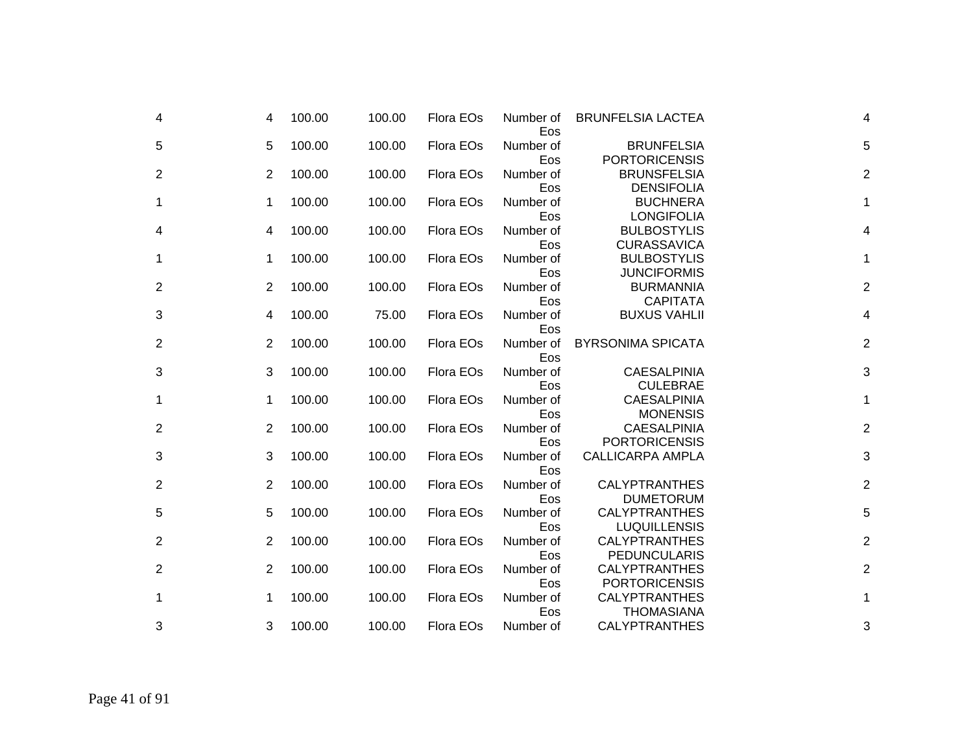| 4              | 4 | 100.00 | 100.00 | Flora EOs | Number of<br>Eos | <b>BRUNFELSIA LACTEA</b>                     | 4                       |
|----------------|---|--------|--------|-----------|------------------|----------------------------------------------|-------------------------|
| 5              | 5 | 100.00 | 100.00 | Flora EOs | Number of<br>Eos | <b>BRUNFELSIA</b><br><b>PORTORICENSIS</b>    | 5                       |
| $\overline{2}$ | 2 | 100.00 | 100.00 | Flora EOs | Number of<br>Eos | <b>BRUNSFELSIA</b><br><b>DENSIFOLIA</b>      | $\overline{\mathbf{c}}$ |
| 1              | 1 | 100.00 | 100.00 | Flora EOs | Number of<br>Eos | <b>BUCHNERA</b><br><b>LONGIFOLIA</b>         | 1                       |
| 4              | 4 | 100.00 | 100.00 | Flora EOs | Number of<br>Eos | <b>BULBOSTYLIS</b><br><b>CURASSAVICA</b>     | 4                       |
| 1              | 1 | 100.00 | 100.00 | Flora EOs | Number of<br>Eos | <b>BULBOSTYLIS</b><br><b>JUNCIFORMIS</b>     | 1                       |
| $\overline{2}$ | 2 | 100.00 | 100.00 | Flora EOs | Number of<br>Eos | <b>BURMANNIA</b><br><b>CAPITATA</b>          | $\overline{2}$          |
| 3              | 4 | 100.00 | 75.00  | Flora EOs | Number of<br>Eos | <b>BUXUS VAHLII</b>                          | 4                       |
| $\overline{2}$ | 2 | 100.00 | 100.00 | Flora EOs | Number of<br>Eos | <b>BYRSONIMA SPICATA</b>                     | $\overline{c}$          |
| 3              | 3 | 100.00 | 100.00 | Flora EOs | Number of<br>Eos | <b>CAESALPINIA</b><br><b>CULEBRAE</b>        | 3                       |
| 1              | 1 | 100.00 | 100.00 | Flora EOs | Number of<br>Eos | <b>CAESALPINIA</b><br><b>MONENSIS</b>        | 1                       |
| $\overline{2}$ | 2 | 100.00 | 100.00 | Flora EOs | Number of<br>Eos | <b>CAESALPINIA</b><br><b>PORTORICENSIS</b>   | $\overline{2}$          |
| 3              | 3 | 100.00 | 100.00 | Flora EOs | Number of<br>Eos | <b>CALLICARPA AMPLA</b>                      | 3                       |
| $\overline{2}$ | 2 | 100.00 | 100.00 | Flora EOs | Number of<br>Eos | <b>CALYPTRANTHES</b><br><b>DUMETORUM</b>     | $\overline{c}$          |
| 5              | 5 | 100.00 | 100.00 | Flora EOs | Number of<br>Eos | <b>CALYPTRANTHES</b><br><b>LUQUILLENSIS</b>  | 5                       |
| $\overline{2}$ | 2 | 100.00 | 100.00 | Flora EOs | Number of<br>Eos | <b>CALYPTRANTHES</b><br><b>PEDUNCULARIS</b>  | $\overline{\mathbf{c}}$ |
| $\overline{2}$ | 2 | 100.00 | 100.00 | Flora EOs | Number of<br>Eos | <b>CALYPTRANTHES</b><br><b>PORTORICENSIS</b> | $\overline{2}$          |
| 1              | 1 | 100.00 | 100.00 | Flora EOs | Number of<br>Eos | <b>CALYPTRANTHES</b><br><b>THOMASIANA</b>    | 1                       |
| 3              | 3 | 100.00 | 100.00 | Flora EOs | Number of        | <b>CALYPTRANTHES</b>                         | 3                       |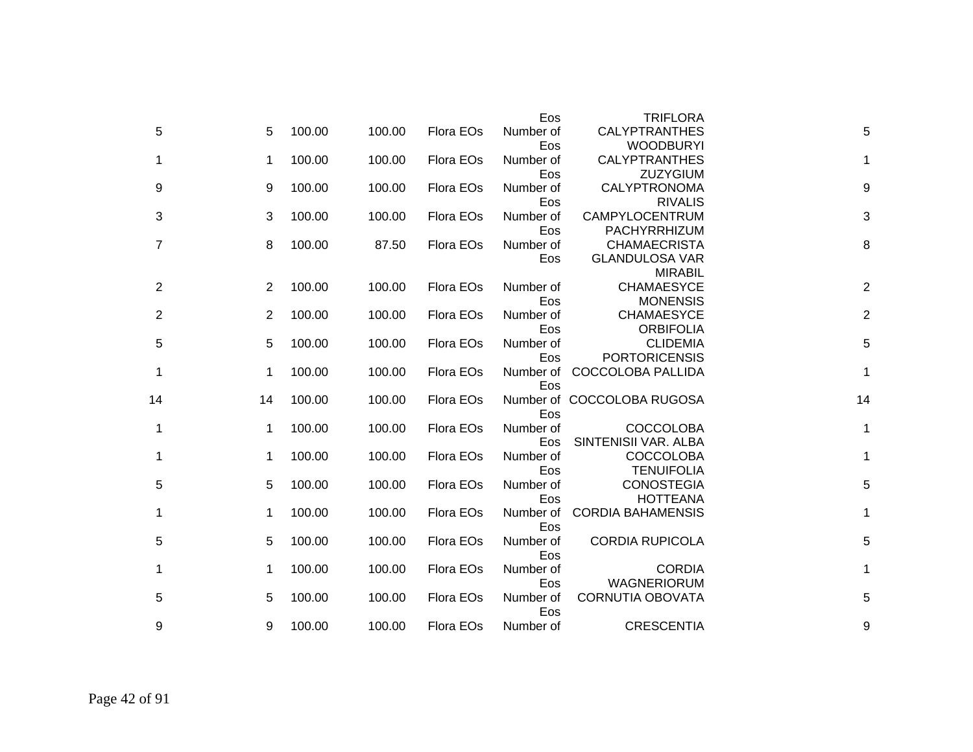|    |    |        |        |           | Eos              | <b>TRIFLORA</b>                       |                |
|----|----|--------|--------|-----------|------------------|---------------------------------------|----------------|
| 5  | 5  | 100.00 | 100.00 | Flora EOs | Number of        | <b>CALYPTRANTHES</b>                  | 5              |
|    |    |        |        |           | Eos              | <b>WOODBURYI</b>                      |                |
| 1  | 1  | 100.00 | 100.00 | Flora EOs | Number of        | <b>CALYPTRANTHES</b>                  | 1              |
|    |    |        |        |           | Eos              | ZUZYGIUM                              |                |
| 9  | 9  | 100.00 | 100.00 | Flora EOs | Number of        | CALYPTRONOMA                          | 9              |
|    |    |        |        |           | Eos              | <b>RIVALIS</b>                        |                |
| 3  | 3  | 100.00 | 100.00 | Flora EOs | Number of        | CAMPYLOCENTRUM                        | 3              |
|    |    |        |        |           | Eos              | PACHYRRHIZUM                          |                |
| 7  | 8  | 100.00 | 87.50  | Flora EOs | Number of        | <b>CHAMAECRISTA</b>                   | 8              |
|    |    |        |        |           | Eos              | <b>GLANDULOSA VAR</b>                 |                |
|    |    |        |        |           |                  | <b>MIRABIL</b>                        |                |
| 2  | 2  | 100.00 | 100.00 | Flora EOs | Number of        | <b>CHAMAESYCE</b>                     | $\overline{2}$ |
|    |    |        |        |           | Eos              | <b>MONENSIS</b>                       |                |
| 2  | 2  | 100.00 | 100.00 | Flora EOs | Number of        | <b>CHAMAESYCE</b>                     | $\overline{c}$ |
|    |    |        |        |           | Eos              | <b>ORBIFOLIA</b>                      |                |
| 5  | 5  | 100.00 | 100.00 | Flora EOs | Number of        | <b>CLIDEMIA</b>                       | 5              |
|    |    |        |        |           | Eos              | <b>PORTORICENSIS</b>                  |                |
| 1  | 1  | 100.00 | 100.00 | Flora EOs | Number of        | COCCOLOBA PALLIDA                     | $\mathbf{1}$   |
|    |    |        |        |           | Eos              |                                       |                |
| 14 | 14 | 100.00 | 100.00 | Flora EOs |                  | Number of COCCOLOBA RUGOSA            | 14             |
|    |    |        |        |           | Eos              |                                       |                |
| 1  | 1  | 100.00 | 100.00 | Flora EOs | Number of        | <b>COCCOLOBA</b>                      | 1              |
|    |    |        |        |           | Eos              | SINTENISII VAR. ALBA                  |                |
| 1  | 1  | 100.00 | 100.00 | Flora EOs | Number of        | <b>COCCOLOBA</b><br><b>TENUIFOLIA</b> | 1              |
|    |    | 100.00 | 100.00 | Flora EOs | Eos              | <b>CONOSTEGIA</b>                     | 5              |
| 5  | 5  |        |        |           | Number of<br>Eos | <b>HOTTEANA</b>                       |                |
| 1  | 1  | 100.00 | 100.00 | Flora EOs | Number of        | <b>CORDIA BAHAMENSIS</b>              | 1              |
|    |    |        |        |           | Eos              |                                       |                |
| 5  | 5  | 100.00 | 100.00 | Flora EOs | Number of        | <b>CORDIA RUPICOLA</b>                | 5              |
|    |    |        |        |           | Eos              |                                       |                |
| 1  | 1  | 100.00 | 100.00 | Flora EOs | Number of        | <b>CORDIA</b>                         | 1              |
|    |    |        |        |           | Eos              | <b>WAGNERIORUM</b>                    |                |
| 5  | 5  | 100.00 | 100.00 | Flora EOs | Number of        | <b>CORNUTIA OBOVATA</b>               | 5              |
|    |    |        |        |           | Eos              |                                       |                |
| 9  | 9  | 100.00 | 100.00 | Flora EOs | Number of        | <b>CRESCENTIA</b>                     | 9              |
|    |    |        |        |           |                  |                                       |                |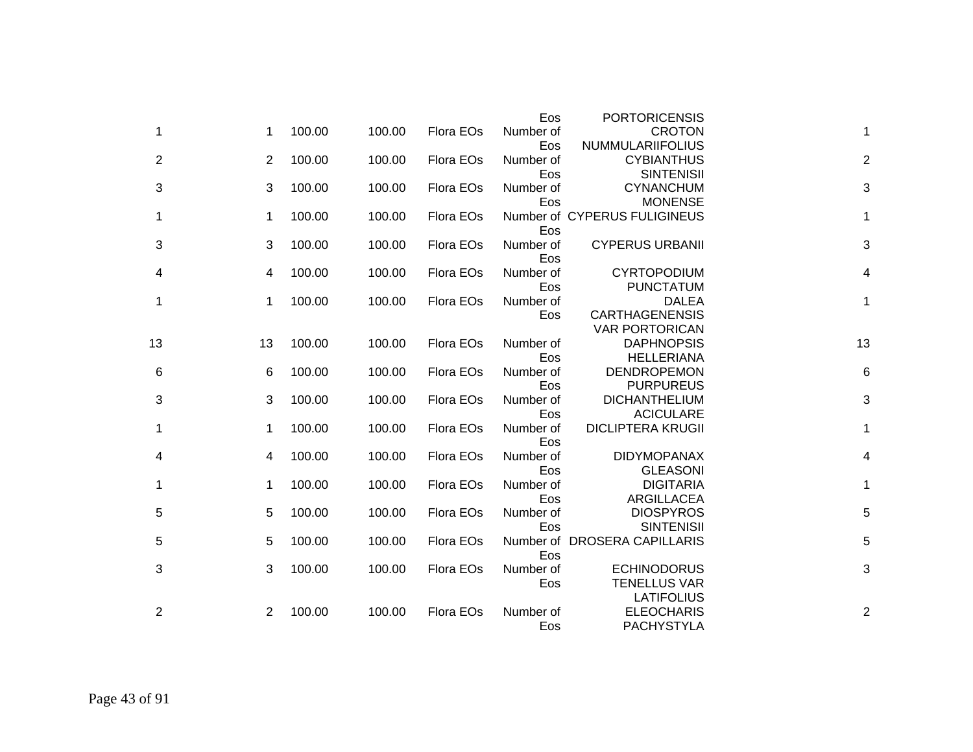|                |                |        |        |           | Eos              | <b>PORTORICENSIS</b>                      |                |
|----------------|----------------|--------|--------|-----------|------------------|-------------------------------------------|----------------|
| 1              | 1              | 100.00 | 100.00 | Flora EOs | Number of        | <b>CROTON</b>                             | $\mathbf{1}$   |
|                |                |        |        |           | Eos              | <b>NUMMULARIIFOLIUS</b>                   |                |
| $\overline{2}$ | $\overline{2}$ | 100.00 | 100.00 | Flora EOs | Number of        | <b>CYBIANTHUS</b>                         | $\overline{c}$ |
|                |                |        |        |           | Eos              | <b>SINTENISII</b>                         |                |
| 3              | 3              | 100.00 | 100.00 | Flora EOs | Number of        | <b>CYNANCHUM</b>                          | 3              |
|                |                |        |        |           | Eos              | <b>MONENSE</b>                            |                |
| 1              | 1              | 100.00 | 100.00 | Flora EOs |                  | Number of CYPERUS FULIGINEUS              | $\mathbf 1$    |
|                |                |        |        |           | Eos              |                                           |                |
| 3              | 3              | 100.00 | 100.00 | Flora EOs | Number of        | <b>CYPERUS URBANII</b>                    | 3              |
|                |                |        |        |           | Eos              |                                           |                |
| 4              | 4              | 100.00 | 100.00 | Flora EOs | Number of        | <b>CYRTOPODIUM</b>                        | 4              |
|                | 1              | 100.00 | 100.00 | Flora EOs | Eos<br>Number of | <b>PUNCTATUM</b><br><b>DALEA</b>          | $\mathbf{1}$   |
| 1              |                |        |        |           | Eos              | <b>CARTHAGENENSIS</b>                     |                |
|                |                |        |        |           |                  | <b>VAR PORTORICAN</b>                     |                |
| 13             | 13             | 100.00 | 100.00 | Flora EOs | Number of        | <b>DAPHNOPSIS</b>                         | 13             |
|                |                |        |        |           | Eos              | <b>HELLERIANA</b>                         |                |
| 6              | 6              | 100.00 | 100.00 | Flora EOs | Number of        | <b>DENDROPEMON</b>                        | 6              |
|                |                |        |        |           | Eos              | <b>PURPUREUS</b>                          |                |
| 3              | 3              | 100.00 | 100.00 | Flora EOs | Number of        | <b>DICHANTHELIUM</b>                      | 3              |
|                |                |        |        |           | Eos              | <b>ACICULARE</b>                          |                |
| 1              | 1              | 100.00 | 100.00 | Flora EOs | Number of        | <b>DICLIPTERA KRUGII</b>                  | $\mathbf 1$    |
|                |                |        |        |           | Eos              |                                           |                |
| 4              | 4              | 100.00 | 100.00 | Flora EOs | Number of        | <b>DIDYMOPANAX</b>                        | 4              |
|                |                |        |        |           | Eos              | <b>GLEASONI</b>                           |                |
| 1              | 1              | 100.00 | 100.00 | Flora EOs | Number of        | <b>DIGITARIA</b>                          | $\mathbf{1}$   |
|                |                |        |        |           | Eos              | ARGILLACEA                                |                |
| 5              | 5              | 100.00 | 100.00 | Flora EOs | Number of        | <b>DIOSPYROS</b>                          | 5              |
|                |                |        |        |           | Eos              | <b>SINTENISII</b>                         |                |
| 5              | 5              | 100.00 | 100.00 | Flora EOs |                  | Number of DROSERA CAPILLARIS              | 5              |
|                |                |        |        |           | Eos              |                                           |                |
| 3              | 3              | 100.00 | 100.00 | Flora EOs | Number of        | <b>ECHINODORUS</b><br><b>TENELLUS VAR</b> | 3              |
|                |                |        |        |           | Eos              | <b>LATIFOLIUS</b>                         |                |
| 2              | 2              | 100.00 | 100.00 | Flora EOs | Number of        | <b>ELEOCHARIS</b>                         | $\mathbf 2$    |
|                |                |        |        |           | Eos              | <b>PACHYSTYLA</b>                         |                |
|                |                |        |        |           |                  |                                           |                |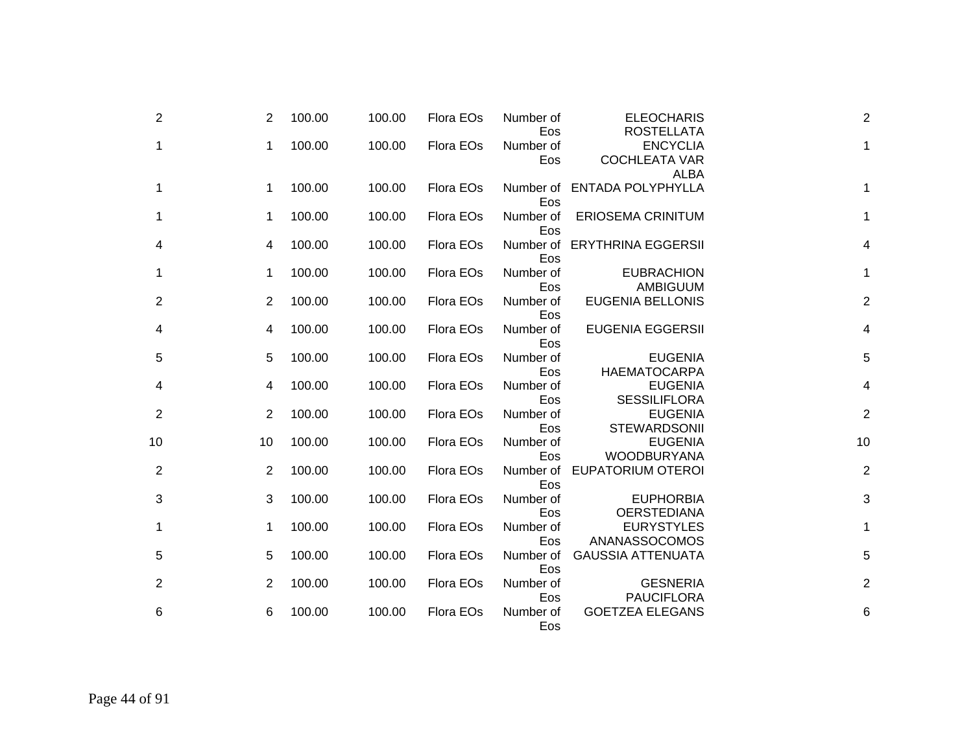| $\overline{2}$ | 2              | 100.00 | 100.00 | Flora EOs | Number of<br>Eos | <b>ELEOCHARIS</b><br><b>ROSTELLATA</b>                 | $\overline{c}$          |
|----------------|----------------|--------|--------|-----------|------------------|--------------------------------------------------------|-------------------------|
| 1              | 1              | 100.00 | 100.00 | Flora EOs | Number of<br>Eos | <b>ENCYCLIA</b><br><b>COCHLEATA VAR</b><br><b>ALBA</b> | 1                       |
| 1              | 1              | 100.00 | 100.00 | Flora EOs | Eos              | Number of ENTADA POLYPHYLLA                            | 1                       |
| 1              | 1              | 100.00 | 100.00 | Flora EOs | Number of<br>Eos | <b>ERIOSEMA CRINITUM</b>                               | 1                       |
| 4              | 4              | 100.00 | 100.00 | Flora EOs | Eos              | Number of ERYTHRINA EGGERSII                           | $\overline{\mathbf{4}}$ |
| 1              | 1              | 100.00 | 100.00 | Flora EOs | Number of<br>Eos | <b>EUBRACHION</b><br>AMBIGUUM                          | 1                       |
| 2              | 2              | 100.00 | 100.00 | Flora EOs | Number of<br>Eos | <b>EUGENIA BELLONIS</b>                                | $\overline{c}$          |
| 4              | 4              | 100.00 | 100.00 | Flora EOs | Number of<br>Eos | <b>EUGENIA EGGERSII</b>                                | $\overline{\mathbf{4}}$ |
| 5              | 5              | 100.00 | 100.00 | Flora EOs | Number of<br>Eos | <b>EUGENIA</b><br><b>HAEMATOCARPA</b>                  | 5                       |
| 4              | 4              | 100.00 | 100.00 | Flora EOs | Number of<br>Eos | <b>EUGENIA</b><br><b>SESSILIFLORA</b>                  | $\overline{\mathbf{4}}$ |
| 2              | $\overline{2}$ | 100.00 | 100.00 | Flora EOs | Number of<br>Eos | <b>EUGENIA</b><br><b>STEWARDSONII</b>                  | $\overline{c}$          |
| 10             | 10             | 100.00 | 100.00 | Flora EOs | Number of<br>Eos | <b>EUGENIA</b><br><b>WOODBURYANA</b>                   | 10                      |
| 2              | 2              | 100.00 | 100.00 | Flora EOs | Number of<br>Eos | <b>EUPATORIUM OTEROI</b>                               | $\overline{c}$          |
| 3              | 3              | 100.00 | 100.00 | Flora EOs | Number of<br>Eos | <b>EUPHORBIA</b><br><b>OERSTEDIANA</b>                 | 3                       |
| 1              | 1              | 100.00 | 100.00 | Flora EOs | Number of<br>Eos | <b>EURYSTYLES</b><br>ANANASSOCOMOS                     | $\mathbf{1}$            |
| 5              | 5              | 100.00 | 100.00 | Flora EOs | Number of<br>Eos | <b>GAUSSIA ATTENUATA</b>                               | 5                       |
| 2              | $\overline{2}$ | 100.00 | 100.00 | Flora EOs | Number of<br>Eos | <b>GESNERIA</b><br><b>PAUCIFLORA</b>                   | $\overline{c}$          |
| 6              | 6              | 100.00 | 100.00 | Flora EOs | Number of<br>Eos | <b>GOETZEA ELEGANS</b>                                 | 6                       |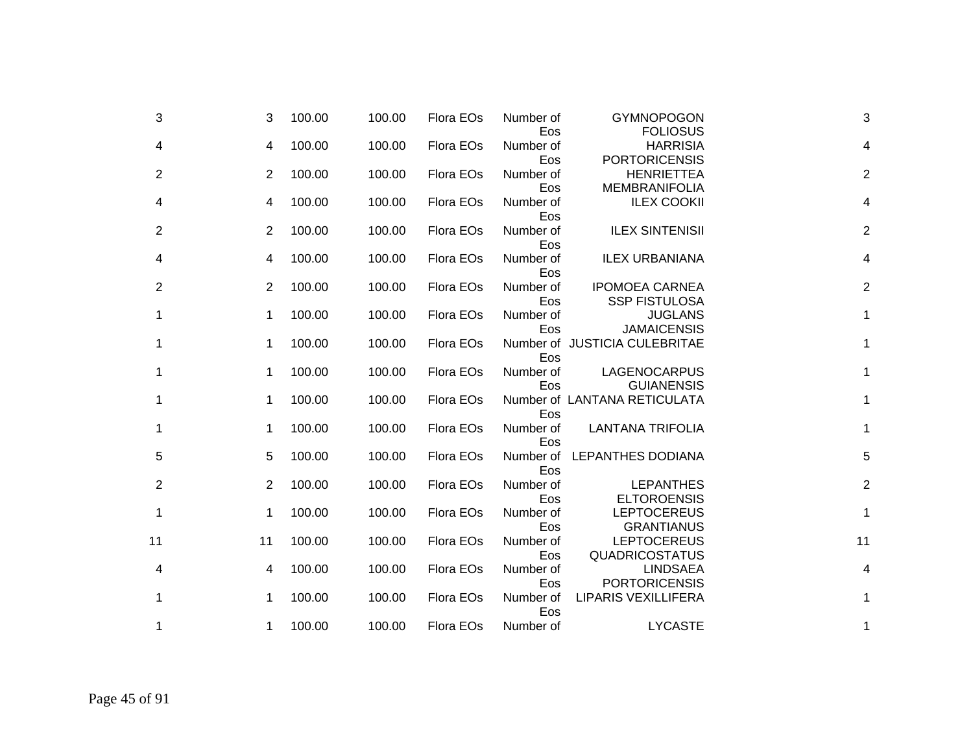| 3              | 3           | 100.00 | 100.00 | Flora EOs | Number of<br>Eos        | <b>GYMNOPOGON</b><br><b>FOLIOSUS</b>                              | 3                       |
|----------------|-------------|--------|--------|-----------|-------------------------|-------------------------------------------------------------------|-------------------------|
| 4              | 4           | 100.00 | 100.00 | Flora EOs | Number of               | <b>HARRISIA</b>                                                   | 4                       |
| $\overline{2}$ | 2           | 100.00 | 100.00 | Flora EOs | Eos<br>Number of<br>Eos | <b>PORTORICENSIS</b><br><b>HENRIETTEA</b><br><b>MEMBRANIFOLIA</b> | $\overline{2}$          |
| 4              | 4           | 100.00 | 100.00 | Flora EOs | Number of               | <b>ILEX COOKII</b>                                                | $\overline{\mathbf{4}}$ |
| 2              | 2           | 100.00 | 100.00 | Flora EOs | Eos<br>Number of<br>Eos | <b>ILEX SINTENISII</b>                                            | $\overline{2}$          |
| 4              | 4           | 100.00 | 100.00 | Flora EOs | Number of<br>Eos        | <b>ILEX URBANIANA</b>                                             | $\overline{\mathbf{4}}$ |
| 2              | 2           | 100.00 | 100.00 | Flora EOs | Number of<br>Eos        | <b>IPOMOEA CARNEA</b><br><b>SSP FISTULOSA</b>                     | $\overline{2}$          |
| 1              | 1           | 100.00 | 100.00 | Flora EOs | Number of<br>Eos        | <b>JUGLANS</b><br><b>JAMAICENSIS</b>                              | 1                       |
| 1              | 1           | 100.00 | 100.00 | Flora EOs | Eos                     | Number of JUSTICIA CULEBRITAE                                     | 1                       |
| 1              | 1           | 100.00 | 100.00 | Flora EOs | Number of<br>Eos        | LAGENOCARPUS<br><b>GUIANENSIS</b>                                 | 1                       |
| 1              | $\mathbf 1$ | 100.00 | 100.00 | Flora EOs | Eos                     | Number of LANTANA RETICULATA                                      | 1                       |
| 1              | 1           | 100.00 | 100.00 | Flora EOs | Number of<br>Eos        | <b>LANTANA TRIFOLIA</b>                                           | 1                       |
| 5              | 5           | 100.00 | 100.00 | Flora EOs | Number of<br>Eos        | <b>LEPANTHES DODIANA</b>                                          | 5                       |
| $\overline{2}$ | 2           | 100.00 | 100.00 | Flora EOs | Number of<br>Eos        | <b>LEPANTHES</b><br><b>ELTOROENSIS</b>                            | $\overline{c}$          |
| 1              | 1           | 100.00 | 100.00 | Flora EOs | Number of<br>Eos        | <b>LEPTOCEREUS</b><br><b>GRANTIANUS</b>                           | $\mathbf 1$             |
| 11             | 11          | 100.00 | 100.00 | Flora EOs | Number of<br>Eos        | <b>LEPTOCEREUS</b><br><b>QUADRICOSTATUS</b>                       | 11                      |
| 4              | 4           | 100.00 | 100.00 | Flora EOs | Number of<br>Eos        | <b>LINDSAEA</b><br><b>PORTORICENSIS</b>                           | 4                       |
| 1              | 1           | 100.00 | 100.00 | Flora EOs | Number of<br>Eos        | <b>LIPARIS VEXILLIFERA</b>                                        | 1                       |
| 1              | 1           | 100.00 | 100.00 | Flora EOs | Number of               | <b>LYCASTE</b>                                                    | 1                       |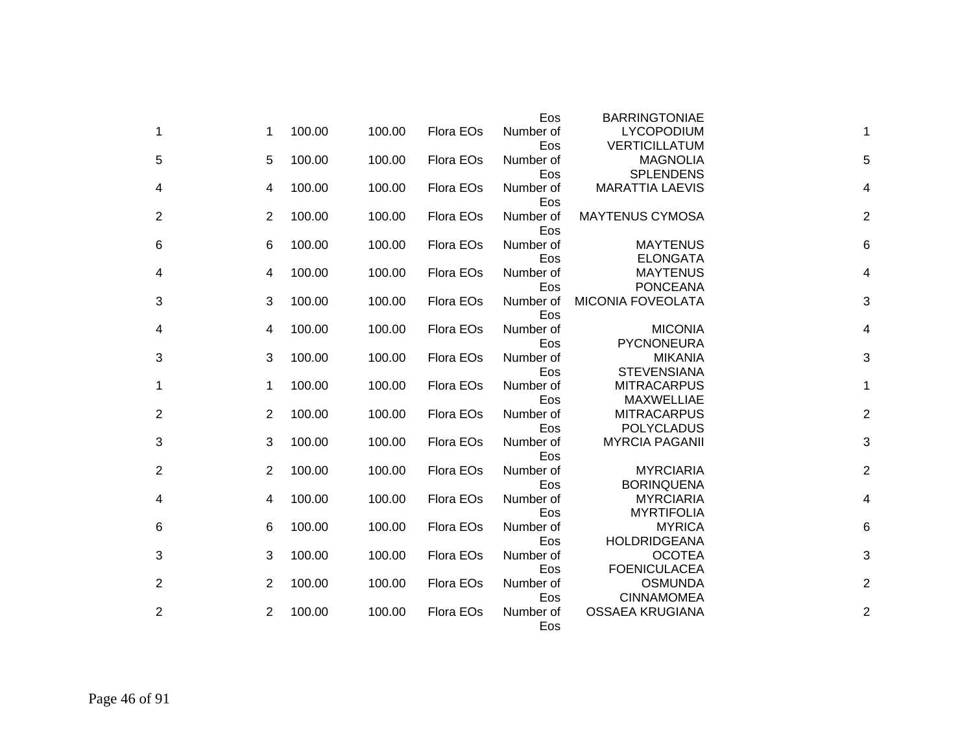|                |                |        |        |           | Eos       | <b>BARRINGTONIAE</b>     |                |
|----------------|----------------|--------|--------|-----------|-----------|--------------------------|----------------|
| 1              | 1              | 100.00 | 100.00 | Flora EOs | Number of | <b>LYCOPODIUM</b>        | 1              |
|                |                |        |        |           | Eos       | <b>VERTICILLATUM</b>     |                |
| 5              | 5              | 100.00 | 100.00 | Flora EOs | Number of | <b>MAGNOLIA</b>          | 5              |
|                |                |        |        |           | Eos       | <b>SPLENDENS</b>         |                |
| 4              | 4              | 100.00 | 100.00 | Flora EOs | Number of | <b>MARATTIA LAEVIS</b>   | 4              |
|                |                |        |        |           | Eos       |                          |                |
| 2              | 2              | 100.00 | 100.00 | Flora EOs | Number of | <b>MAYTENUS CYMOSA</b>   | 2              |
|                |                |        |        |           | Eos       |                          |                |
| 6              | 6              | 100.00 | 100.00 | Flora EOs | Number of | <b>MAYTENUS</b>          | 6              |
|                |                |        |        |           | Eos       | <b>ELONGATA</b>          |                |
| 4              | 4              | 100.00 | 100.00 | Flora EOs | Number of | <b>MAYTENUS</b>          | 4              |
|                |                |        |        |           | Eos       | <b>PONCEANA</b>          |                |
| 3              | 3              | 100.00 | 100.00 | Flora EOs | Number of | <b>MICONIA FOVEOLATA</b> | 3              |
|                |                |        |        |           | Eos       |                          |                |
| 4              | 4              | 100.00 | 100.00 | Flora EOs | Number of | <b>MICONIA</b>           | 4              |
|                |                |        |        |           | Eos       | <b>PYCNONEURA</b>        |                |
| 3              | 3              | 100.00 | 100.00 | Flora EOs | Number of | <b>MIKANIA</b>           | 3              |
|                |                |        |        |           | Eos       | <b>STEVENSIANA</b>       |                |
| 1              | 1              | 100.00 | 100.00 | Flora EOs | Number of | <b>MITRACARPUS</b>       | 1              |
|                |                |        |        |           | Eos       | <b>MAXWELLIAE</b>        |                |
| $\overline{2}$ | 2              | 100.00 | 100.00 | Flora EOs | Number of | <b>MITRACARPUS</b>       | $\overline{2}$ |
|                |                |        |        |           | Eos       | <b>POLYCLADUS</b>        |                |
| 3              | 3              | 100.00 | 100.00 | Flora EOs | Number of | <b>MYRCIA PAGANII</b>    | 3              |
|                |                |        |        |           | Eos       |                          |                |
| $\overline{2}$ | 2              | 100.00 | 100.00 | Flora EOs | Number of | <b>MYRCIARIA</b>         | $\overline{2}$ |
|                |                |        |        |           | Eos       | <b>BORINQUENA</b>        |                |
| 4              | 4              | 100.00 | 100.00 | Flora EOs | Number of | <b>MYRCIARIA</b>         | 4              |
|                |                |        |        |           | Eos       | <b>MYRTIFOLIA</b>        |                |
| 6              | 6              | 100.00 | 100.00 | Flora EOs | Number of | <b>MYRICA</b>            | 6              |
|                |                |        |        |           | Eos       | <b>HOLDRIDGEANA</b>      |                |
| 3              | 3              | 100.00 | 100.00 | Flora EOs | Number of | <b>OCOTEA</b>            | 3              |
|                |                |        |        |           | Eos       | <b>FOENICULACEA</b>      |                |
| $\mathbf{2}$   | $\overline{2}$ | 100.00 | 100.00 | Flora EOs | Number of | <b>OSMUNDA</b>           | $\overline{2}$ |
|                |                |        |        |           | Eos       | <b>CINNAMOMEA</b>        |                |
| $\overline{2}$ | 2              | 100.00 | 100.00 | Flora EOs | Number of | <b>OSSAEA KRUGIANA</b>   | $\overline{2}$ |
|                |                |        |        |           | Eos       |                          |                |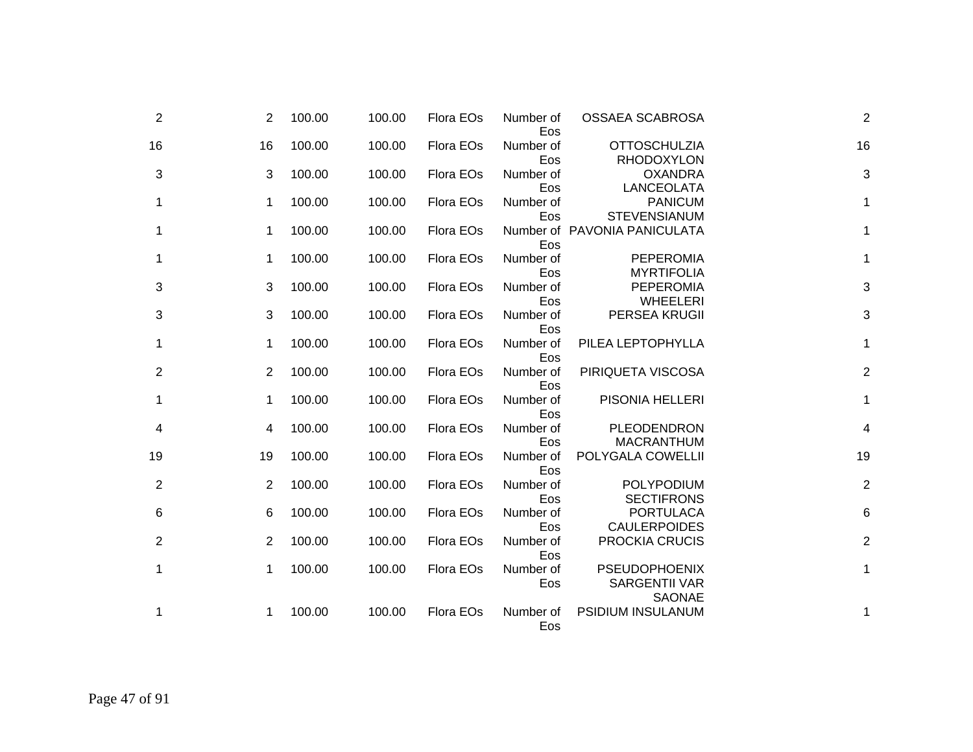| $\overline{2}$ | $\overline{2}$ | 100.00 | 100.00 | Flora EOs | Number of<br>Eos | OSSAEA SCABROSA                                               | $\mathbf 2$      |
|----------------|----------------|--------|--------|-----------|------------------|---------------------------------------------------------------|------------------|
| 16             | 16             | 100.00 | 100.00 | Flora EOs | Number of<br>Eos | <b>OTTOSCHULZIA</b><br><b>RHODOXYLON</b>                      | 16               |
| 3              | 3              | 100.00 | 100.00 | Flora EOs | Number of<br>Eos | <b>OXANDRA</b><br>LANCEOLATA                                  | 3                |
| 1              | 1              | 100.00 | 100.00 | Flora EOs | Number of<br>Eos | <b>PANICUM</b><br><b>STEVENSIANUM</b>                         | $\mathbf{1}$     |
| 1              | 1              | 100.00 | 100.00 | Flora EOs | Eos              | Number of PAVONIA PANICULATA                                  | $\mathbf{1}$     |
| 1              | 1              | 100.00 | 100.00 | Flora EOs | Number of<br>Eos | <b>PEPEROMIA</b><br><b>MYRTIFOLIA</b>                         | $\mathbf{1}$     |
| 3              | 3              | 100.00 | 100.00 | Flora EOs | Number of<br>Eos | <b>PEPEROMIA</b><br><b>WHEELERI</b>                           | 3                |
| 3              | 3              | 100.00 | 100.00 | Flora EOs | Number of<br>Eos | PERSEA KRUGII                                                 | 3                |
| 1              | 1              | 100.00 | 100.00 | Flora EOs | Number of<br>Eos | PILEA LEPTOPHYLLA                                             | $\mathbf{1}$     |
| $\overline{c}$ | 2              | 100.00 | 100.00 | Flora EOs | Number of<br>Eos | PIRIQUETA VISCOSA                                             | $\boldsymbol{2}$ |
| 1              | 1              | 100.00 | 100.00 | Flora EOs | Number of<br>Eos | PISONIA HELLERI                                               | $\mathbf{1}$     |
| 4              | 4              | 100.00 | 100.00 | Flora EOs | Number of<br>Eos | PLEODENDRON<br><b>MACRANTHUM</b>                              | 4                |
| 19             | 19             | 100.00 | 100.00 | Flora EOs | Number of<br>Eos | POLYGALA COWELLII                                             | 19               |
| $\overline{c}$ | 2              | 100.00 | 100.00 | Flora EOs | Number of<br>Eos | POLYPODIUM<br><b>SECTIFRONS</b>                               | $\boldsymbol{2}$ |
| 6              | 6              | 100.00 | 100.00 | Flora EOs | Number of<br>Eos | <b>PORTULACA</b><br><b>CAULERPOIDES</b>                       | 6                |
| $\overline{2}$ | 2              | 100.00 | 100.00 | Flora EOs | Number of<br>Eos | PROCKIA CRUCIS                                                | $\boldsymbol{2}$ |
| 1              | 1              | 100.00 | 100.00 | Flora EOs | Number of<br>Eos | <b>PSEUDOPHOENIX</b><br><b>SARGENTII VAR</b><br><b>SAONAE</b> | $\mathbf{1}$     |
| 1              | 1              | 100.00 | 100.00 | Flora EOs | Number of<br>Eos | <b>PSIDIUM INSULANUM</b>                                      | 1                |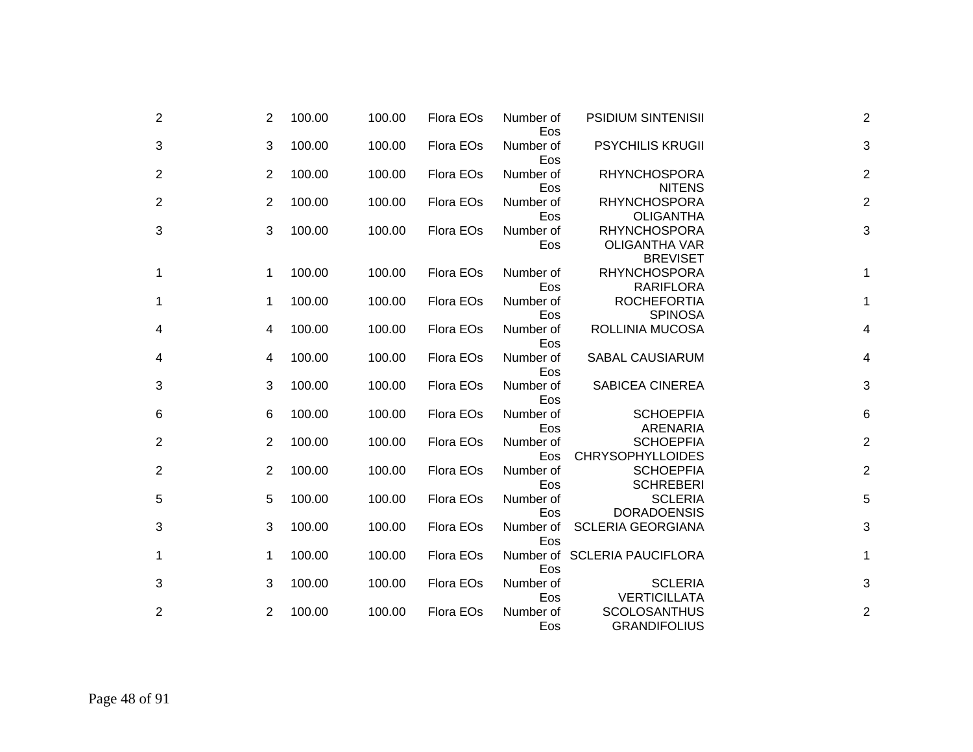| $\overline{2}$ | 2              | 100.00 | 100.00 | Flora EOs | Number of<br>Eos | <b>PSIDIUM SINTENISII</b>                                      | $\overline{2}$            |
|----------------|----------------|--------|--------|-----------|------------------|----------------------------------------------------------------|---------------------------|
| 3              | 3              | 100.00 | 100.00 | Flora EOs | Number of<br>Eos | <b>PSYCHILIS KRUGII</b>                                        | $\ensuremath{\mathsf{3}}$ |
| $\overline{2}$ | $\overline{2}$ | 100.00 | 100.00 | Flora EOs | Number of<br>Eos | <b>RHYNCHOSPORA</b><br><b>NITENS</b>                           | $\overline{2}$            |
| 2              | 2              | 100.00 | 100.00 | Flora EOs | Number of<br>Eos | <b>RHYNCHOSPORA</b><br><b>OLIGANTHA</b>                        | $\overline{2}$            |
| 3              | 3              | 100.00 | 100.00 | Flora EOs | Number of<br>Eos | <b>RHYNCHOSPORA</b><br><b>OLIGANTHA VAR</b><br><b>BREVISET</b> | 3                         |
| 1              | 1              | 100.00 | 100.00 | Flora EOs | Number of<br>Eos | <b>RHYNCHOSPORA</b><br><b>RARIFLORA</b>                        | 1                         |
| 1              | 1              | 100.00 | 100.00 | Flora EOs | Number of<br>Eos | <b>ROCHEFORTIA</b><br><b>SPINOSA</b>                           | 1                         |
| 4              | 4              | 100.00 | 100.00 | Flora EOs | Number of<br>Eos | ROLLINIA MUCOSA                                                | $\overline{\mathbf{4}}$   |
| 4              | 4              | 100.00 | 100.00 | Flora EOs | Number of<br>Eos | <b>SABAL CAUSIARUM</b>                                         | $\overline{\mathbf{4}}$   |
| 3              | 3              | 100.00 | 100.00 | Flora EOs | Number of<br>Eos | <b>SABICEA CINEREA</b>                                         | 3                         |
| 6              | 6              | 100.00 | 100.00 | Flora EOs | Number of<br>Eos | <b>SCHOEPFIA</b><br><b>ARENARIA</b>                            | $\,6$                     |
| 2              | 2              | 100.00 | 100.00 | Flora EOs | Number of<br>Eos | <b>SCHOEPFIA</b><br><b>CHRYSOPHYLLOIDES</b>                    | $\overline{c}$            |
| 2              | 2              | 100.00 | 100.00 | Flora EOs | Number of<br>Eos | <b>SCHOEPFIA</b><br><b>SCHREBERI</b>                           | $\overline{c}$            |
| 5              | 5              | 100.00 | 100.00 | Flora EOs | Number of<br>Eos | <b>SCLERIA</b><br><b>DORADOENSIS</b>                           | 5                         |
| 3              | 3              | 100.00 | 100.00 | Flora EOs | Number of<br>Eos | <b>SCLERIA GEORGIANA</b>                                       | $\mathbf{3}$              |
| 1              | 1              | 100.00 | 100.00 | Flora EOs | Eos              | Number of SCLERIA PAUCIFLORA                                   | $\mathbf{1}$              |
| 3              | 3              | 100.00 | 100.00 | Flora EOs | Number of<br>Eos | <b>SCLERIA</b><br><b>VERTICILLATA</b>                          | 3                         |
| 2              | 2              | 100.00 | 100.00 | Flora EOs | Number of<br>Eos | <b>SCOLOSANTHUS</b><br><b>GRANDIFOLIUS</b>                     | $\overline{2}$            |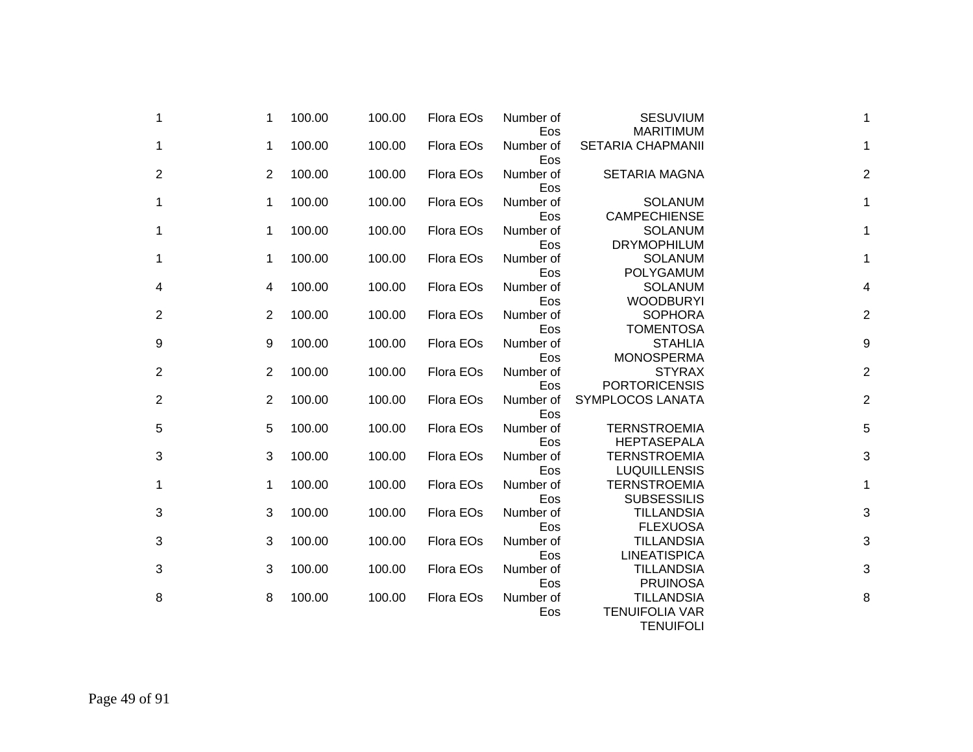| $\mathbf 1$      | 1 | 100.00 | 100.00 | Flora EOs | Number of<br>Eos | <b>SESUVIUM</b><br><b>MARITIMUM</b>                            | 1              |
|------------------|---|--------|--------|-----------|------------------|----------------------------------------------------------------|----------------|
| $\mathbf{1}$     | 1 | 100.00 | 100.00 | Flora EOs | Number of<br>Eos | <b>SETARIA CHAPMANII</b>                                       | 1              |
| $\overline{2}$   | 2 | 100.00 | 100.00 | Flora EOs | Number of<br>Eos | <b>SETARIA MAGNA</b>                                           | $\overline{2}$ |
| 1                | 1 | 100.00 | 100.00 | Flora EOs | Number of<br>Eos | <b>SOLANUM</b><br><b>CAMPECHIENSE</b>                          | 1              |
| 1                | 1 | 100.00 | 100.00 | Flora EOs | Number of<br>Eos | <b>SOLANUM</b><br><b>DRYMOPHILUM</b>                           | 1              |
| 1                | 1 | 100.00 | 100.00 | Flora EOs | Number of<br>Eos | <b>SOLANUM</b><br><b>POLYGAMUM</b>                             | 1              |
| 4                | 4 | 100.00 | 100.00 | Flora EOs | Number of<br>Eos | <b>SOLANUM</b><br><b>WOODBURYI</b>                             | 4              |
| $\overline{2}$   | 2 | 100.00 | 100.00 | Flora EOs | Number of<br>Eos | <b>SOPHORA</b><br><b>TOMENTOSA</b>                             | $\overline{2}$ |
| $\boldsymbol{9}$ | 9 | 100.00 | 100.00 | Flora EOs | Number of<br>Eos | <b>STAHLIA</b><br><b>MONOSPERMA</b>                            | 9              |
| $\overline{2}$   | 2 | 100.00 | 100.00 | Flora EOs | Number of<br>Eos | <b>STYRAX</b><br><b>PORTORICENSIS</b>                          | $\overline{c}$ |
| $\overline{2}$   | 2 | 100.00 | 100.00 | Flora EOs | Number of<br>Eos | SYMPLOCOS LANATA                                               | $\overline{c}$ |
| 5                | 5 | 100.00 | 100.00 | Flora EOs | Number of<br>Eos | <b>TERNSTROEMIA</b><br><b>HEPTASEPALA</b>                      | 5              |
| 3                | 3 | 100.00 | 100.00 | Flora EOs | Number of<br>Eos | <b>TERNSTROEMIA</b><br><b>LUQUILLENSIS</b>                     | 3              |
| $\mathbf 1$      | 1 | 100.00 | 100.00 | Flora EOs | Number of<br>Eos | <b>TERNSTROEMIA</b><br><b>SUBSESSILIS</b>                      | 1              |
| $\mathbf{3}$     | 3 | 100.00 | 100.00 | Flora EOs | Number of<br>Eos | <b>TILLANDSIA</b><br><b>FLEXUOSA</b>                           | 3              |
| $\mathbf{3}$     | 3 | 100.00 | 100.00 | Flora EOs | Number of<br>Eos | <b>TILLANDSIA</b><br><b>LINEATISPICA</b>                       | 3              |
| 3                | 3 | 100.00 | 100.00 | Flora EOs | Number of<br>Eos | <b>TILLANDSIA</b><br><b>PRUINOSA</b>                           | 3              |
| 8                | 8 | 100.00 | 100.00 | Flora EOs | Number of<br>Eos | <b>TILLANDSIA</b><br><b>TENUIFOLIA VAR</b><br><b>TENUIFOLI</b> | 8              |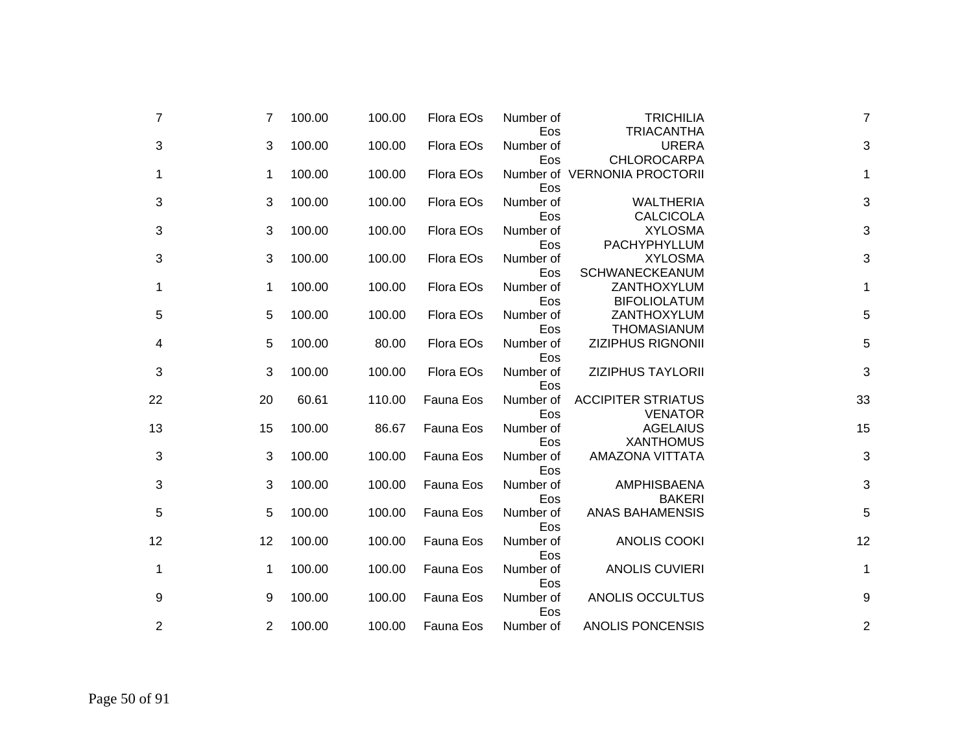| 7  | 7  | 100.00 | 100.00 | Flora EOs        | Number of<br>Eos | <b>TRICHILIA</b><br><b>TRIACANTHA</b>              | $\overline{7}$ |
|----|----|--------|--------|------------------|------------------|----------------------------------------------------|----------------|
| 3  | 3  | 100.00 | 100.00 | Flora EOs        | Number of        | <b>URERA</b>                                       | 3              |
| 1  | 1  | 100.00 | 100.00 | Flora EOs        | Eos<br>Eos       | <b>CHLOROCARPA</b><br>Number of VERNONIA PROCTORII | 1              |
| 3  | 3  | 100.00 | 100.00 | Flora EOs        | Number of<br>Eos | <b>WALTHERIA</b><br><b>CALCICOLA</b>               | 3              |
| 3  | 3  | 100.00 | 100.00 | Flora EOs        | Number of<br>Eos | <b>XYLOSMA</b><br>PACHYPHYLLUM                     | 3              |
| 3  | 3  | 100.00 | 100.00 | Flora EOs        | Number of<br>Eos | <b>XYLOSMA</b><br><b>SCHWANECKEANUM</b>            | 3              |
| 1  | 1  | 100.00 | 100.00 | Flora EOs        | Number of<br>Eos | ZANTHOXYLUM<br><b>BIFOLIOLATUM</b>                 | 1              |
| 5  | 5  | 100.00 | 100.00 | Flora EOs        | Number of<br>Eos | ZANTHOXYLUM<br><b>THOMASIANUM</b>                  | 5              |
| 4  | 5  | 100.00 | 80.00  | Flora EOs        | Number of<br>Eos | <b>ZIZIPHUS RIGNONII</b>                           | 5              |
| 3  | 3  | 100.00 | 100.00 | Flora EOs        | Number of<br>Eos | <b>ZIZIPHUS TAYLORII</b>                           | 3              |
| 22 | 20 | 60.61  | 110.00 | Fauna Eos        | Number of<br>Eos | <b>ACCIPITER STRIATUS</b><br><b>VENATOR</b>        | 33             |
| 13 | 15 | 100.00 | 86.67  | Fauna Eos        | Number of<br>Eos | <b>AGELAIUS</b><br><b>XANTHOMUS</b>                | 15             |
| 3  | 3  | 100.00 | 100.00 | <b>Fauna Eos</b> | Number of<br>Eos | <b>AMAZONA VITTATA</b>                             | 3              |
| 3  | 3  | 100.00 | 100.00 | Fauna Eos        | Number of<br>Eos | AMPHISBAENA<br><b>BAKERI</b>                       | 3              |
| 5  | 5  | 100.00 | 100.00 | Fauna Eos        | Number of<br>Eos | <b>ANAS BAHAMENSIS</b>                             | 5              |
| 12 | 12 | 100.00 | 100.00 | Fauna Eos        | Number of<br>Eos | <b>ANOLIS COOKI</b>                                | 12             |
| 1  | 1  | 100.00 | 100.00 | Fauna Eos        | Number of<br>Eos | <b>ANOLIS CUVIERI</b>                              | 1              |
| 9  | 9  | 100.00 | 100.00 | Fauna Eos        | Number of<br>Eos | ANOLIS OCCULTUS                                    | 9              |
| 2  | 2  | 100.00 | 100.00 | Fauna Eos        | Number of        | <b>ANOLIS PONCENSIS</b>                            | $\overline{c}$ |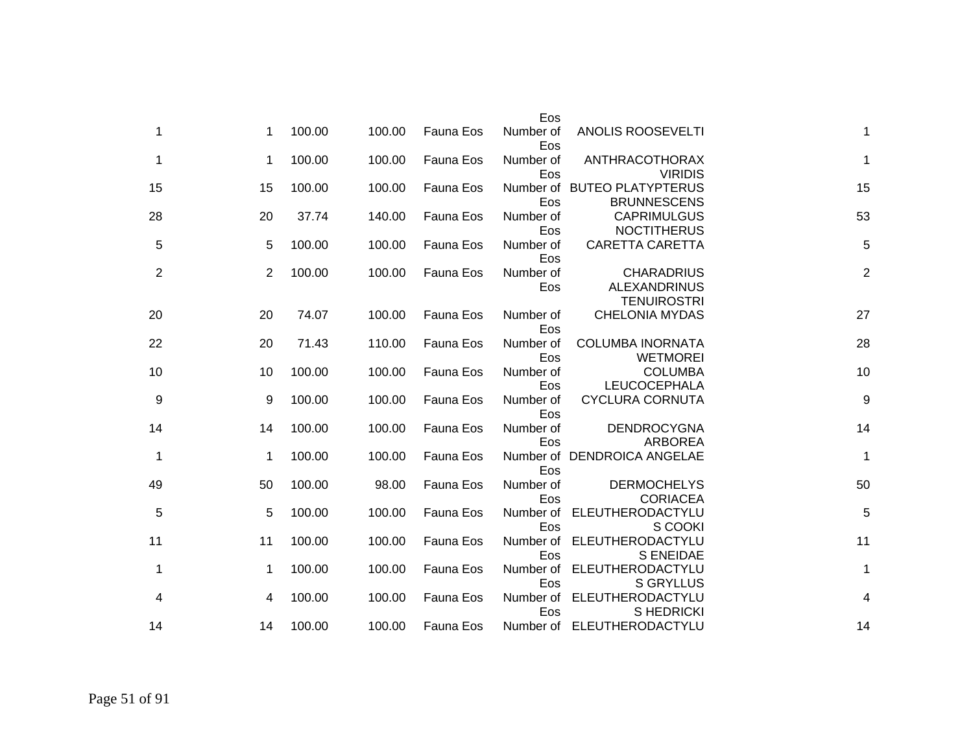|                |                                                                | Eos              |           |        |        |    |    |
|----------------|----------------------------------------------------------------|------------------|-----------|--------|--------|----|----|
| 1              | <b>ANOLIS ROOSEVELTI</b>                                       | Number of<br>Eos | Fauna Eos | 100.00 | 100.00 | 1  | 1  |
| $\mathbf{1}$   | <b>ANTHRACOTHORAX</b><br><b>VIRIDIS</b>                        | Number of<br>Eos | Fauna Eos | 100.00 | 100.00 | 1  | 1  |
| 15             | Number of BUTEO PLATYPTERUS<br><b>BRUNNESCENS</b>              | Eos              | Fauna Eos | 100.00 | 100.00 | 15 | 15 |
| 53             | <b>CAPRIMULGUS</b><br><b>NOCTITHERUS</b>                       | Number of<br>Eos | Fauna Eos | 140.00 | 37.74  | 20 | 28 |
| 5              | <b>CARETTA CARETTA</b>                                         | Number of<br>Eos | Fauna Eos | 100.00 | 100.00 | 5  | 5  |
| $\overline{c}$ | <b>CHARADRIUS</b><br><b>ALEXANDRINUS</b><br><b>TENUIROSTRI</b> | Number of<br>Eos | Fauna Eos | 100.00 | 100.00 | 2  | 2  |
| 27             | <b>CHELONIA MYDAS</b>                                          | Number of<br>Eos | Fauna Eos | 100.00 | 74.07  | 20 | 20 |
| 28             | <b>COLUMBA INORNATA</b><br><b>WETMOREI</b>                     | Number of<br>Eos | Fauna Eos | 110.00 | 71.43  | 20 | 22 |
| 10             | <b>COLUMBA</b><br>LEUCOCEPHALA                                 | Number of<br>Eos | Fauna Eos | 100.00 | 100.00 | 10 | 10 |
| 9              | <b>CYCLURA CORNUTA</b>                                         | Number of<br>Eos | Fauna Eos | 100.00 | 100.00 | 9  | 9  |
| 14             | <b>DENDROCYGNA</b><br><b>ARBOREA</b>                           | Number of<br>Eos | Fauna Eos | 100.00 | 100.00 | 14 | 14 |
| 1              | Number of DENDROICA ANGELAE                                    | Eos              | Fauna Eos | 100.00 | 100.00 | 1  | 1  |
| 50             | <b>DERMOCHELYS</b><br><b>CORIACEA</b>                          | Number of<br>Eos | Fauna Eos | 98.00  | 100.00 | 50 | 49 |
| 5              | ELEUTHERODACTYLU<br>S COOKI                                    | Number of<br>Eos | Fauna Eos | 100.00 | 100.00 | 5  | 5  |
| 11             | ELEUTHERODACTYLU<br><b>S ENEIDAE</b>                           | Number of<br>Eos | Fauna Eos | 100.00 | 100.00 | 11 | 11 |
| 1              | ELEUTHERODACTYLU<br><b>S GRYLLUS</b>                           | Number of<br>Eos | Fauna Eos | 100.00 | 100.00 | 1  | 1  |
| 4              | ELEUTHERODACTYLU<br>S HEDRICKI                                 | Number of<br>Eos | Fauna Eos | 100.00 | 100.00 | 4  | 4  |
| 14             | Number of ELEUTHERODACTYLU                                     |                  | Fauna Eos | 100.00 | 100.00 | 14 | 14 |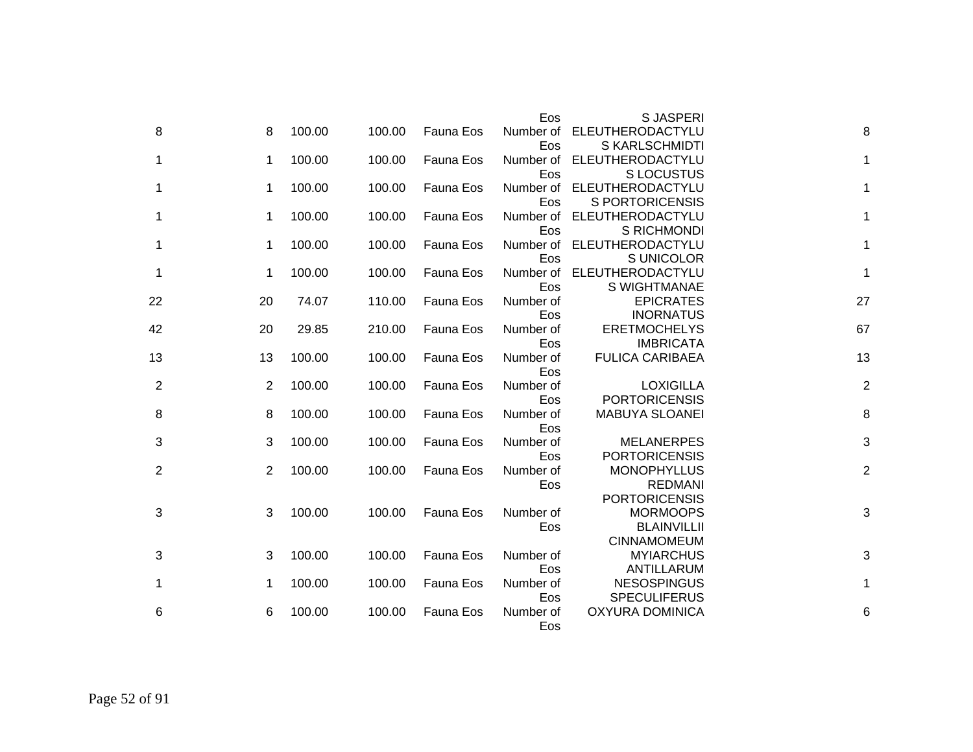|                |                |        |        |           | Eos       | <b>SJASPERI</b>        |                |
|----------------|----------------|--------|--------|-----------|-----------|------------------------|----------------|
| 8              | 8              | 100.00 | 100.00 | Fauna Eos | Number of | ELEUTHERODACTYLU       | 8              |
|                |                |        |        |           | Eos       | S KARLSCHMIDTI         |                |
| 1              | 1              | 100.00 | 100.00 | Fauna Eos | Number of | ELEUTHERODACTYLU       | 1              |
|                |                |        |        |           | Eos       | <b>SLOCUSTUS</b>       |                |
| 1              | 1              | 100.00 | 100.00 | Fauna Eos | Number of | ELEUTHERODACTYLU       | 1              |
|                |                |        |        |           | Eos       | <b>S PORTORICENSIS</b> |                |
| 1              | 1              | 100.00 | 100.00 | Fauna Eos | Number of | ELEUTHERODACTYLU       | 1              |
|                |                |        |        |           | Eos       | S RICHMONDI            |                |
| 1              | 1              | 100.00 | 100.00 | Fauna Eos | Number of | ELEUTHERODACTYLU       | 1              |
|                |                |        |        |           | Eos       | S UNICOLOR             |                |
| 1              | 1              | 100.00 | 100.00 | Fauna Eos | Number of | ELEUTHERODACTYLU       | 1              |
|                |                |        |        |           | Eos       | S WIGHTMANAE           |                |
| 22             | 20             | 74.07  | 110.00 | Fauna Eos | Number of | <b>EPICRATES</b>       | 27             |
|                |                |        |        |           | Eos       | <b>INORNATUS</b>       |                |
| 42             | 20             | 29.85  | 210.00 | Fauna Eos | Number of | <b>ERETMOCHELYS</b>    | 67             |
|                |                |        |        |           | Eos       | <b>IMBRICATA</b>       |                |
| 13             | 13             | 100.00 | 100.00 | Fauna Eos | Number of | <b>FULICA CARIBAEA</b> | 13             |
|                |                |        |        |           | Eos       |                        |                |
| $\overline{2}$ | $\overline{2}$ | 100.00 | 100.00 | Fauna Eos | Number of | <b>LOXIGILLA</b>       | $\overline{2}$ |
|                |                |        |        |           | Eos       | <b>PORTORICENSIS</b>   |                |
| 8              | 8              | 100.00 | 100.00 | Fauna Eos | Number of | <b>MABUYA SLOANEI</b>  | 8              |
|                |                |        |        |           | Eos       |                        |                |
| 3              | 3              | 100.00 | 100.00 | Fauna Eos | Number of | <b>MELANERPES</b>      | 3              |
|                |                |        |        |           | Eos       | <b>PORTORICENSIS</b>   |                |
| $\overline{2}$ | 2              | 100.00 | 100.00 | Fauna Eos | Number of | <b>MONOPHYLLUS</b>     | $\overline{2}$ |
|                |                |        |        |           | Eos       | <b>REDMANI</b>         |                |
|                |                |        |        |           |           | <b>PORTORICENSIS</b>   |                |
| 3              | 3              | 100.00 | 100.00 | Fauna Eos | Number of | <b>MORMOOPS</b>        | 3              |
|                |                |        |        |           | Eos       | <b>BLAINVILLII</b>     |                |
|                |                |        |        |           |           | <b>CINNAMOMEUM</b>     |                |
| 3              | 3              | 100.00 | 100.00 | Fauna Eos | Number of | <b>MYIARCHUS</b>       | 3              |
|                |                |        |        |           | Eos       | ANTILLARUM             |                |
| 1              | 1              | 100.00 | 100.00 | Fauna Eos | Number of | <b>NESOSPINGUS</b>     | $\mathbf{1}$   |
|                |                |        |        |           | Eos       | <b>SPECULIFERUS</b>    |                |
| 6              | 6              | 100.00 | 100.00 | Fauna Eos | Number of | <b>OXYURA DOMINICA</b> | 6              |
|                |                |        |        |           | Eos       |                        |                |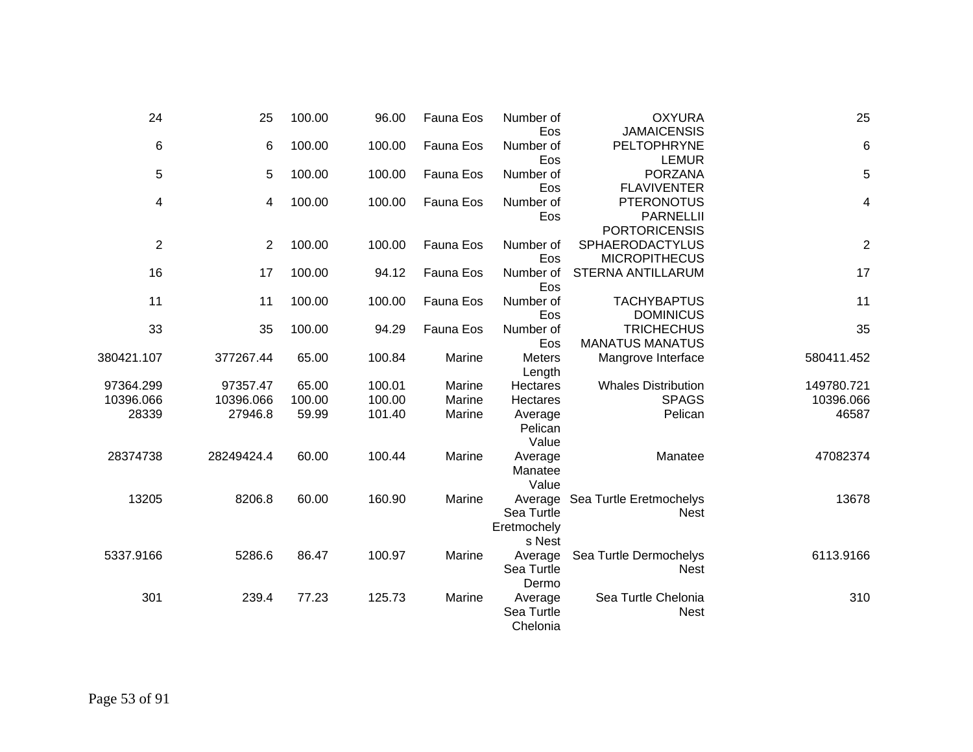| 25          | <b>OXYURA</b><br><b>JAMAICENSIS</b>                           | Number of<br>Eos                               | Fauna Eos | 96.00  | 100.00 | 25             | 24                      |
|-------------|---------------------------------------------------------------|------------------------------------------------|-----------|--------|--------|----------------|-------------------------|
| $\,$ 6 $\,$ | PELTOPHRYNE                                                   | Number of                                      | Fauna Eos | 100.00 | 100.00 | 6              | $\,6$                   |
| 5           | <b>LEMUR</b><br><b>PORZANA</b><br><b>FLAVIVENTER</b>          | Eos<br>Number of<br>Eos                        | Fauna Eos | 100.00 | 100.00 | 5              | 5                       |
| 4           | <b>PTERONOTUS</b><br><b>PARNELLII</b><br><b>PORTORICENSIS</b> | Number of<br>Eos                               | Fauna Eos | 100.00 | 100.00 | 4              | 4                       |
| $\sqrt{2}$  | SPHAERODACTYLUS<br><b>MICROPITHECUS</b>                       | Number of<br>Eos                               | Fauna Eos | 100.00 | 100.00 | $\overline{2}$ | $\overline{\mathbf{c}}$ |
| 17          | <b>STERNA ANTILLARUM</b>                                      | Number of<br>Eos                               | Fauna Eos | 94.12  | 100.00 | 17             | 16                      |
| 11          | <b>TACHYBAPTUS</b><br><b>DOMINICUS</b>                        | Number of<br>Eos                               | Fauna Eos | 100.00 | 100.00 | 11             | 11                      |
| 35          | <b>TRICHECHUS</b><br><b>MANATUS MANATUS</b>                   | Number of<br>Eos                               | Fauna Eos | 94.29  | 100.00 | 35             | 33                      |
| 580411.452  | Mangrove Interface                                            | <b>Meters</b><br>Length                        | Marine    | 100.84 | 65.00  | 377267.44      | 380421.107              |
| 149780.721  | <b>Whales Distribution</b>                                    | Hectares                                       | Marine    | 100.01 | 65.00  | 97357.47       | 97364.299               |
| 10396.066   | <b>SPAGS</b>                                                  | Hectares                                       | Marine    | 100.00 | 100.00 | 10396.066      | 10396.066               |
| 46587       | Pelican                                                       | Average<br>Pelican<br>Value                    | Marine    | 101.40 | 59.99  | 27946.8        | 28339                   |
| 47082374    | Manatee                                                       | Average<br>Manatee<br>Value                    | Marine    | 100.44 | 60.00  | 28249424.4     | 28374738                |
| 13678       | Sea Turtle Eretmochelys<br><b>Nest</b>                        | Average<br>Sea Turtle<br>Eretmochely<br>s Nest | Marine    | 160.90 | 60.00  | 8206.8         | 13205                   |
| 6113.9166   | Sea Turtle Dermochelys<br><b>Nest</b>                         | Average<br>Sea Turtle<br>Dermo                 | Marine    | 100.97 | 86.47  | 5286.6         | 5337.9166               |
| 310         | Sea Turtle Chelonia<br><b>Nest</b>                            | Average<br>Sea Turtle<br>Chelonia              | Marine    | 125.73 | 77.23  | 239.4          | 301                     |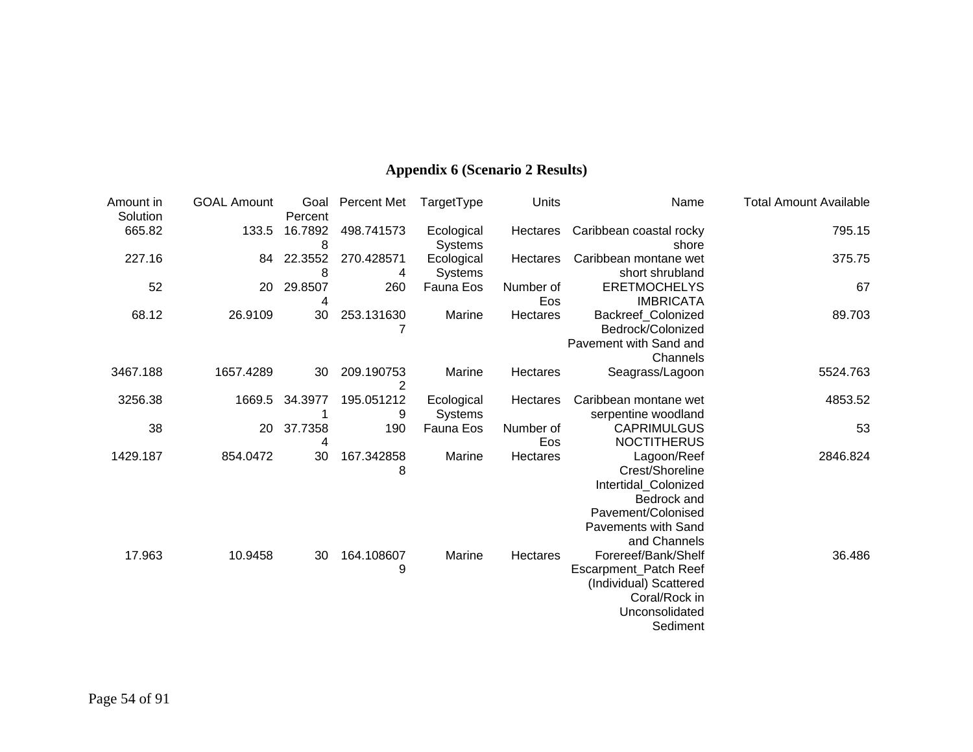## **Appendix 6 (Scenario 2 Results)**

| Amount in          | <b>GOAL Amount</b> | Goal               | Percent Met     | TargetType     | Units            | Name                                    | <b>Total Amount Available</b> |
|--------------------|--------------------|--------------------|-----------------|----------------|------------------|-----------------------------------------|-------------------------------|
| Solution<br>665.82 | 133.5              | Percent<br>16.7892 | 498.741573      | Ecological     | Hectares         | Caribbean coastal rocky                 | 795.15                        |
|                    |                    | 8                  |                 | <b>Systems</b> |                  | shore                                   |                               |
| 227.16             | 84                 | 22.3552            | 270.428571      | Ecological     | Hectares         | Caribbean montane wet                   | 375.75                        |
|                    |                    | 8                  | 4               | <b>Systems</b> |                  | short shrubland                         |                               |
| 52                 | 20                 | 29.8507<br>4       | 260             | Fauna Eos      | Number of<br>Eos | <b>ERETMOCHELYS</b><br><b>IMBRICATA</b> | 67                            |
| 68.12              | 26.9109            | 30                 | 253.131630      | Marine         | Hectares         | <b>Backreef Colonized</b>               | 89.703                        |
|                    |                    |                    |                 |                |                  | Bedrock/Colonized                       |                               |
|                    |                    |                    |                 |                |                  | Pavement with Sand and                  |                               |
|                    |                    |                    |                 |                |                  | Channels                                |                               |
| 3467.188           | 1657.4289          | 30                 | 209.190753<br>2 | Marine         | Hectares         | Seagrass/Lagoon                         | 5524.763                      |
| 3256.38            | 1669.5             | 34.3977            | 195.051212      | Ecological     | Hectares         | Caribbean montane wet                   | 4853.52                       |
|                    |                    |                    | 9               | <b>Systems</b> |                  | serpentine woodland                     |                               |
| 38                 | 20                 | 37.7358            | 190             | Fauna Eos      | Number of        | <b>CAPRIMULGUS</b>                      | 53                            |
|                    |                    | 4                  |                 |                | Eos              | <b>NOCTITHERUS</b>                      |                               |
| 1429.187           | 854.0472           | 30                 | 167.342858      | Marine         | Hectares         | Lagoon/Reef                             | 2846.824                      |
|                    |                    |                    | 8               |                |                  | Crest/Shoreline                         |                               |
|                    |                    |                    |                 |                |                  | Intertidal_Colonized                    |                               |
|                    |                    |                    |                 |                |                  | Bedrock and                             |                               |
|                    |                    |                    |                 |                |                  | Pavement/Colonised                      |                               |
|                    |                    |                    |                 |                |                  | <b>Pavements with Sand</b>              |                               |
|                    |                    |                    |                 |                |                  | and Channels                            |                               |
| 17.963             | 10.9458            | 30                 | 164.108607      | Marine         | Hectares         | Forereef/Bank/Shelf                     | 36.486                        |
|                    |                    |                    | 9               |                |                  | Escarpment_Patch Reef                   |                               |
|                    |                    |                    |                 |                |                  | (Individual) Scattered                  |                               |
|                    |                    |                    |                 |                |                  | Coral/Rock in                           |                               |
|                    |                    |                    |                 |                |                  | Unconsolidated                          |                               |
|                    |                    |                    |                 |                |                  | Sediment                                |                               |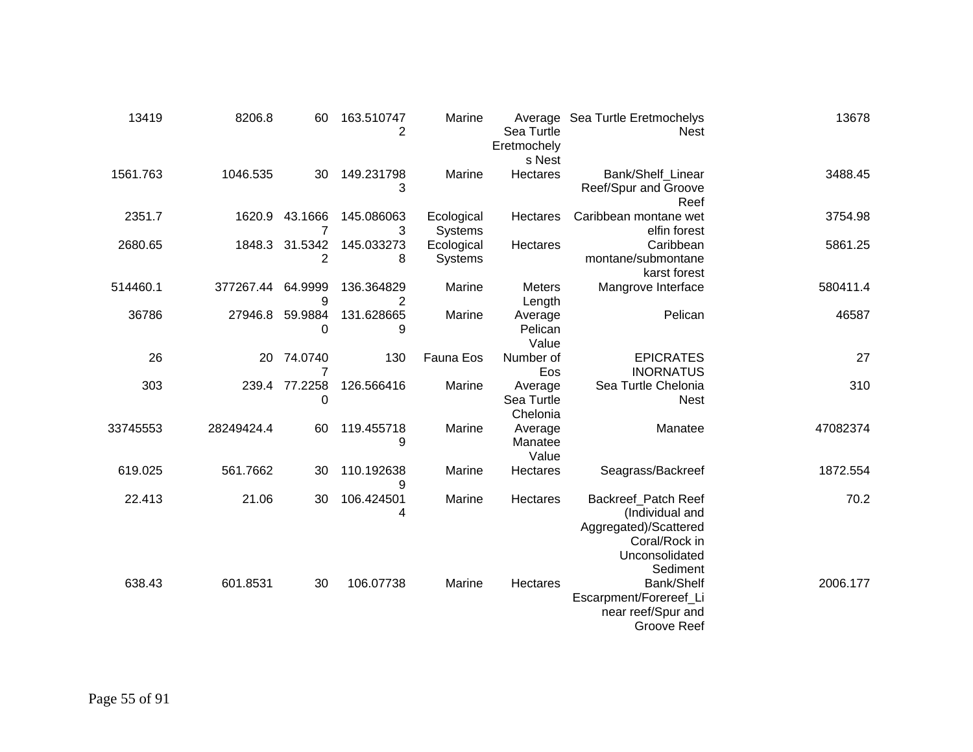| 13419    | 8206.8     | 60                 | 163.510747<br>2 | Marine                | Sea Turtle<br>Eretmochely<br>s Nest | Average Sea Turtle Eretmochelys<br><b>Nest</b>                                                                 | 13678    |
|----------|------------|--------------------|-----------------|-----------------------|-------------------------------------|----------------------------------------------------------------------------------------------------------------|----------|
| 1561.763 | 1046.535   | 30                 | 149.231798<br>3 | Marine                | Hectares                            | Bank/Shelf Linear<br>Reef/Spur and Groove<br>Reef                                                              | 3488.45  |
| 2351.7   | 1620.9     | 43.1666            | 145.086063<br>3 | Ecological<br>Systems | Hectares                            | Caribbean montane wet<br>elfin forest                                                                          | 3754.98  |
| 2680.65  | 1848.3     | 31.5342<br>2       | 145.033273<br>8 | Ecological<br>Systems | Hectares                            | Caribbean<br>montane/submontane<br>karst forest                                                                | 5861.25  |
| 514460.1 | 377267.44  | 64.9999<br>9       | 136.364829<br>2 | Marine                | Meters<br>Length                    | Mangrove Interface                                                                                             | 580411.4 |
| 36786    | 27946.8    | 59.9884<br>0       | 131.628665<br>9 | Marine                | Average<br>Pelican<br>Value         | Pelican                                                                                                        | 46587    |
| 26       | 20         | 74.0740<br>7       | 130             | Fauna Eos             | Number of<br>Eos                    | <b>EPICRATES</b><br><b>INORNATUS</b>                                                                           | 27       |
| 303      |            | 239.4 77.2258<br>0 | 126.566416      | Marine                | Average<br>Sea Turtle<br>Chelonia   | Sea Turtle Chelonia<br><b>Nest</b>                                                                             | 310      |
| 33745553 | 28249424.4 | 60                 | 119.455718<br>9 | Marine                | Average<br>Manatee<br>Value         | Manatee                                                                                                        | 47082374 |
| 619.025  | 561.7662   | 30                 | 110.192638<br>9 | Marine                | Hectares                            | Seagrass/Backreef                                                                                              | 1872.554 |
| 22.413   | 21.06      | 30                 | 106.424501<br>4 | Marine                | Hectares                            | Backreef_Patch Reef<br>(Individual and<br>Aggregated)/Scattered<br>Coral/Rock in<br>Unconsolidated<br>Sediment | 70.2     |
| 638.43   | 601.8531   | 30                 | 106.07738       | Marine                | Hectares                            | Bank/Shelf<br>Escarpment/Forereef_Li<br>near reef/Spur and<br>Groove Reef                                      | 2006.177 |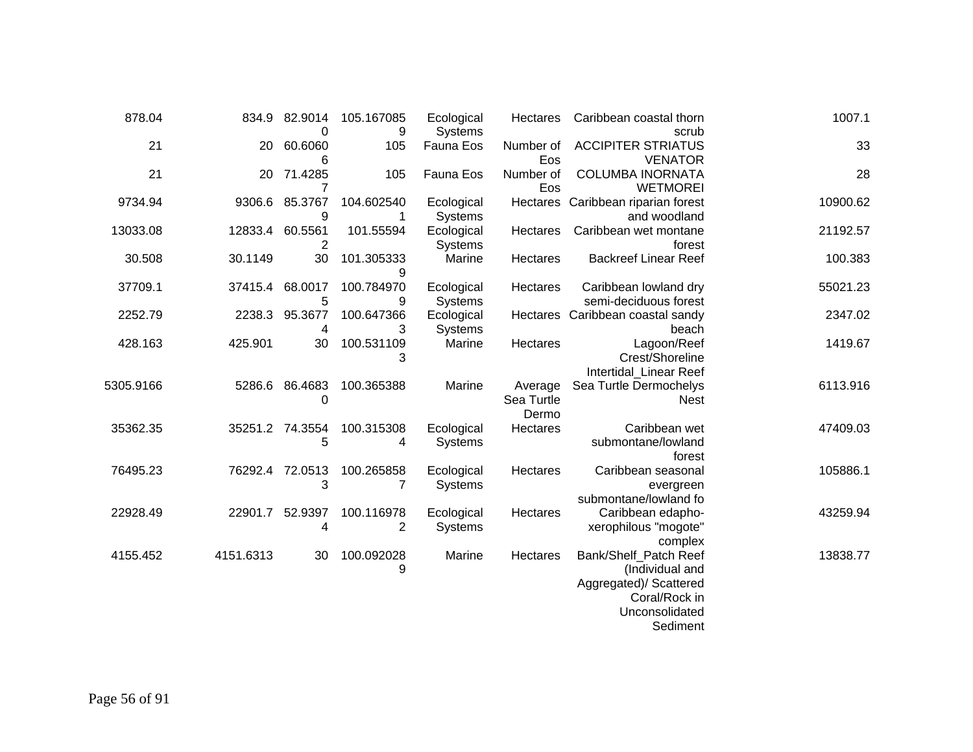| 878.04    | 834.9     | 82.9014<br>0         | 105.167085                   | Ecological                   | Hectares                       | Caribbean coastal thorn                                                                                           | 1007.1   |
|-----------|-----------|----------------------|------------------------------|------------------------------|--------------------------------|-------------------------------------------------------------------------------------------------------------------|----------|
| 21        | 20        | 60.6060<br>6         | 9<br>105                     | Systems<br>Fauna Eos         | Number of<br>Eos               | scrub<br><b>ACCIPITER STRIATUS</b><br><b>VENATOR</b>                                                              | 33       |
| 21        | 20        | 71.4285              | 105                          | Fauna Eos                    | Number of<br>Eos               | <b>COLUMBA INORNATA</b><br><b>WETMOREI</b>                                                                        | 28       |
| 9734.94   | 9306.6    | 85.3767<br>9         | 104.602540                   | Ecological<br>Systems        |                                | Hectares Caribbean riparian forest<br>and woodland                                                                | 10900.62 |
| 13033.08  | 12833.4   | 60.5561<br>2         | 101.55594                    | Ecological<br>Systems        | <b>Hectares</b>                | Caribbean wet montane<br>forest                                                                                   | 21192.57 |
| 30.508    | 30.1149   | 30                   | 101.305333<br>9              | Marine                       | Hectares                       | <b>Backreef Linear Reef</b>                                                                                       | 100.383  |
| 37709.1   | 37415.4   | 68.0017<br>5         | 100.784970<br>9              | Ecological<br>Systems        | Hectares                       | Caribbean lowland dry<br>semi-deciduous forest                                                                    | 55021.23 |
| 2252.79   | 2238.3    | 95.3677<br>4         | 100.647366<br>3              | Ecological<br>Systems        |                                | Hectares Caribbean coastal sandy<br>beach                                                                         | 2347.02  |
| 428.163   | 425.901   | 30                   | 100.531109<br>3              | Marine                       | Hectares                       | Lagoon/Reef<br>Crest/Shoreline<br>Intertidal_Linear Reef                                                          | 1419.67  |
| 5305.9166 |           | 5286.6 86.4683<br>0  | 100.365388                   | Marine                       | Average<br>Sea Turtle<br>Dermo | Sea Turtle Dermochelys<br><b>Nest</b>                                                                             | 6113.916 |
| 35362.35  |           | 35251.2 74.3554<br>5 | 100.315308<br>4              | Ecological<br><b>Systems</b> | Hectares                       | Caribbean wet<br>submontane/lowland<br>forest                                                                     | 47409.03 |
| 76495.23  | 76292.4   | 72.0513<br>3         | 100.265858<br>7              | Ecological<br><b>Systems</b> | Hectares                       | Caribbean seasonal<br>evergreen<br>submontane/lowland fo                                                          | 105886.1 |
| 22928.49  | 22901.7   | 52.9397<br>4         | 100.116978<br>$\overline{2}$ | Ecological<br><b>Systems</b> | Hectares                       | Caribbean edapho-<br>xerophilous "mogote"<br>complex                                                              | 43259.94 |
| 4155.452  | 4151.6313 | 30                   | 100.092028<br>9              | Marine                       | Hectares                       | Bank/Shelf_Patch Reef<br>(Individual and<br>Aggregated)/ Scattered<br>Coral/Rock in<br>Unconsolidated<br>Sediment | 13838.77 |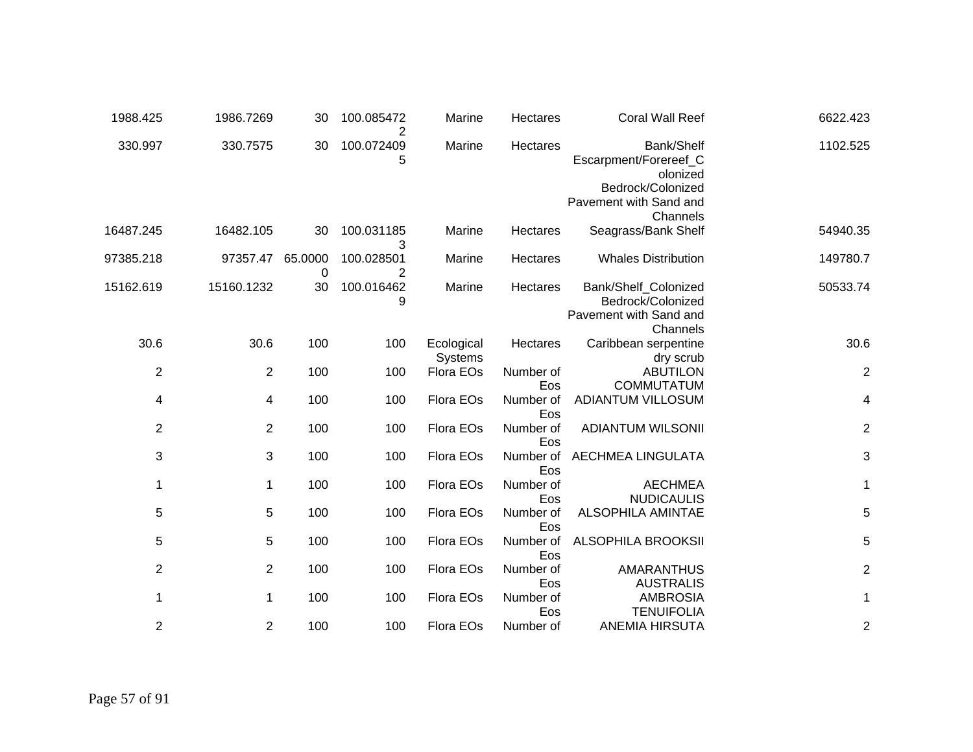| 6622.423                | <b>Coral Wall Reef</b>                                                                                     | <b>Hectares</b>  | Marine                | 100.085472<br>2 | 30           | 1986.7269      | 1988.425       |
|-------------------------|------------------------------------------------------------------------------------------------------------|------------------|-----------------------|-----------------|--------------|----------------|----------------|
| 1102.525                | Bank/Shelf<br>Escarpment/Forereef_C<br>olonized<br>Bedrock/Colonized<br>Pavement with Sand and<br>Channels | Hectares         | Marine                | 100.072409<br>5 | 30           | 330.7575       | 330.997        |
| 54940.35                | Seagrass/Bank Shelf                                                                                        | Hectares         | Marine                | 100.031185<br>3 | 30           | 16482.105      | 16487.245      |
| 149780.7                | <b>Whales Distribution</b>                                                                                 | Hectares         | Marine                | 100.028501<br>2 | 65.0000<br>0 | 97357.47       | 97385.218      |
| 50533.74                | Bank/Shelf_Colonized<br>Bedrock/Colonized<br>Pavement with Sand and<br>Channels                            | Hectares         | Marine                | 100.016462<br>9 | 30           | 15160.1232     | 15162.619      |
| 30.6                    | Caribbean serpentine<br>dry scrub                                                                          | Hectares         | Ecological<br>Systems | 100             | 100          | 30.6           | 30.6           |
| $\boldsymbol{2}$        | <b>ABUTILON</b><br><b>COMMUTATUM</b>                                                                       | Number of<br>Eos | Flora EOs             | 100             | 100          | $\overline{2}$ | $\overline{c}$ |
| 4                       | ADIANTUM VILLOSUM                                                                                          | Number of<br>Eos | Flora EOs             | 100             | 100          | 4              | 4              |
| $\overline{c}$          | <b>ADIANTUM WILSONII</b>                                                                                   | Number of<br>Eos | Flora EOs             | 100             | 100          | 2              | $\overline{2}$ |
| 3                       | <b>AECHMEA LINGULATA</b>                                                                                   | Number of<br>Eos | Flora EOs             | 100             | 100          | 3              | 3              |
| 1                       | <b>AECHMEA</b><br><b>NUDICAULIS</b>                                                                        | Number of<br>Eos | Flora EOs             | 100             | 100          | $\mathbf 1$    | 1              |
| 5                       | <b>ALSOPHILA AMINTAE</b>                                                                                   | Number of<br>Eos | Flora EOs             | 100             | 100          | 5              | 5              |
| 5                       | <b>ALSOPHILA BROOKSII</b>                                                                                  | Number of<br>Eos | Flora EOs             | 100             | 100          | 5              | 5              |
| $\overline{\mathbf{c}}$ | <b>AMARANTHUS</b><br><b>AUSTRALIS</b>                                                                      | Number of<br>Eos | Flora EOs             | 100             | 100          | $\overline{c}$ | $\overline{2}$ |
| 1                       | <b>AMBROSIA</b><br><b>TENUIFOLIA</b>                                                                       | Number of<br>Eos | Flora EOs             | 100             | 100          | 1              | 1              |
| 2                       | <b>ANEMIA HIRSUTA</b>                                                                                      | Number of        | Flora EOs             | 100             | 100          | 2              | $\overline{c}$ |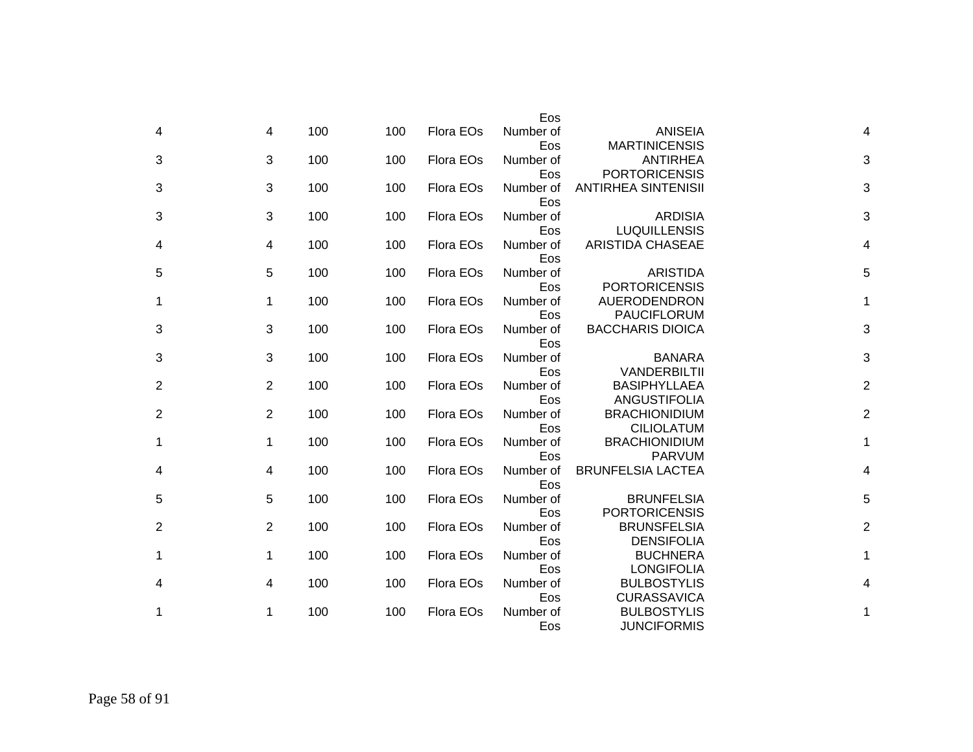|                         |                                                    | Eos                     |           |     |     |                |                |
|-------------------------|----------------------------------------------------|-------------------------|-----------|-----|-----|----------------|----------------|
| 4                       | <b>ANISEIA</b><br><b>MARTINICENSIS</b>             | Number of<br>Eos        | Flora EOs | 100 | 100 | $\overline{4}$ | 4              |
| 3                       | <b>ANTIRHEA</b>                                    | Number of               | Flora EOs | 100 | 100 | 3              | 3              |
| 3                       | <b>PORTORICENSIS</b><br><b>ANTIRHEA SINTENISII</b> | Eos<br>Number of        | Flora EOs | 100 | 100 | 3              | 3              |
| 3                       | <b>ARDISIA</b>                                     | Eos<br>Number of        | Flora EOs | 100 | 100 | 3              | 3              |
| 4                       | <b>LUQUILLENSIS</b><br><b>ARISTIDA CHASEAE</b>     | Eos<br>Number of<br>Eos | Flora EOs | 100 | 100 | 4              | 4              |
| 5                       | <b>ARISTIDA</b><br><b>PORTORICENSIS</b>            | Number of<br>Eos        | Flora EOs | 100 | 100 | 5              | 5              |
| 1                       | AUERODENDRON<br><b>PAUCIFLORUM</b>                 | Number of<br>Eos        | Flora EOs | 100 | 100 | 1              | 1              |
| 3                       | <b>BACCHARIS DIOICA</b>                            | Number of<br>Eos        | Flora EOs | 100 | 100 | 3              | 3              |
| 3                       | <b>BANARA</b><br><b>VANDERBILTII</b>               | Number of<br>Eos        | Flora EOs | 100 | 100 | 3              | 3              |
| $\overline{2}$          | <b>BASIPHYLLAEA</b><br><b>ANGUSTIFOLIA</b>         | Number of<br>Eos        | Flora EOs | 100 | 100 | $\overline{2}$ | 2              |
| $\overline{2}$          | <b>BRACHIONIDIUM</b><br><b>CILIOLATUM</b>          | Number of<br>Eos        | Flora EOs | 100 | 100 | 2              | $\overline{c}$ |
| 1                       | <b>BRACHIONIDIUM</b><br><b>PARVUM</b>              | Number of<br>Eos        | Flora EOs | 100 | 100 | 1              | 1              |
| $\overline{\mathbf{4}}$ | <b>BRUNFELSIA LACTEA</b>                           | Number of<br>Eos        | Flora EOs | 100 | 100 | 4              | 4              |
| 5                       | <b>BRUNFELSIA</b><br><b>PORTORICENSIS</b>          | Number of<br>Eos        | Flora EOs | 100 | 100 | 5              | 5              |
| $\overline{2}$          | <b>BRUNSFELSIA</b><br><b>DENSIFOLIA</b>            | Number of<br>Eos        | Flora EOs | 100 | 100 | $\overline{2}$ | $\overline{c}$ |
| $\mathbf 1$             | <b>BUCHNERA</b><br><b>LONGIFOLIA</b>               | Number of<br>Eos        | Flora EOs | 100 | 100 | 1              | 1              |
|                         | <b>BULBOSTYLIS</b><br><b>CURASSAVICA</b>           | Number of<br>Eos        | Flora EOs | 100 | 100 | 4              | 4              |
| 1                       | <b>BULBOSTYLIS</b><br><b>JUNCIFORMIS</b>           | Number of<br>Eos        | Flora EOs | 100 | 100 | 1              | 1              |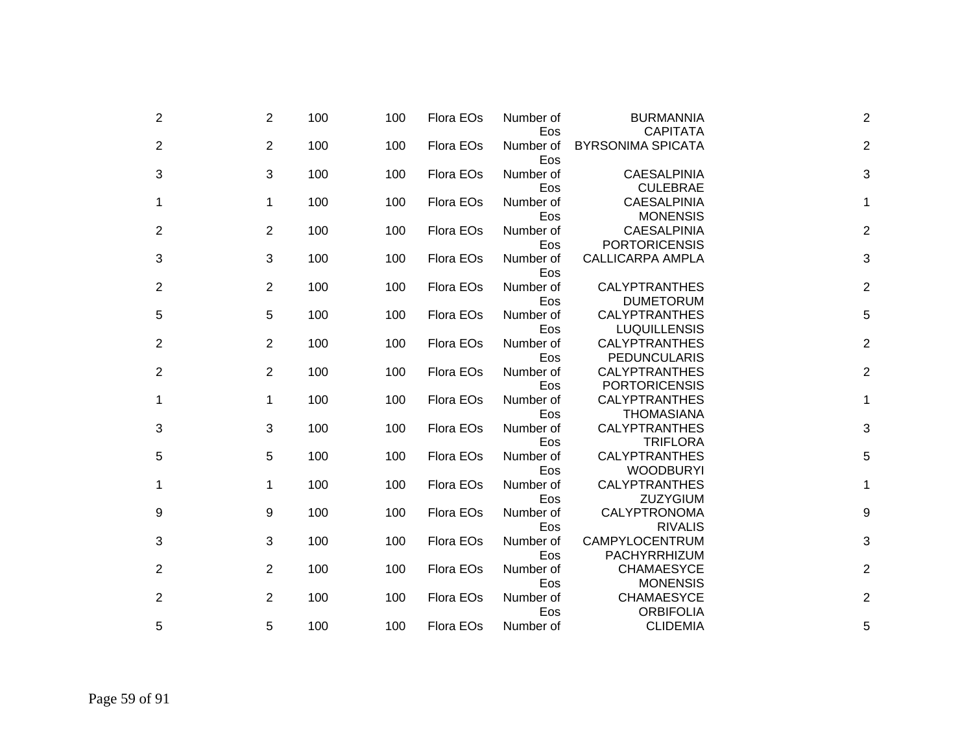| 2              | $\overline{2}$ | 100 | 100 | Flora EOs | Number of<br>Eos | <b>BURMANNIA</b><br><b>CAPITATA</b>          | $\overline{2}$ |
|----------------|----------------|-----|-----|-----------|------------------|----------------------------------------------|----------------|
| $\overline{2}$ | $\overline{2}$ | 100 | 100 | Flora EOs | Number of<br>Eos | <b>BYRSONIMA SPICATA</b>                     | $\overline{c}$ |
| 3              | 3              | 100 | 100 | Flora EOs | Number of<br>Eos | <b>CAESALPINIA</b><br><b>CULEBRAE</b>        | 3              |
| 1              | 1              | 100 | 100 | Flora EOs | Number of<br>Eos | <b>CAESALPINIA</b><br><b>MONENSIS</b>        | 1              |
| $\overline{2}$ | $\overline{2}$ | 100 | 100 | Flora EOs | Number of<br>Eos | <b>CAESALPINIA</b><br><b>PORTORICENSIS</b>   | $\overline{c}$ |
| 3              | 3              | 100 | 100 | Flora EOs | Number of<br>Eos | <b>CALLICARPA AMPLA</b>                      | 3              |
| $\overline{2}$ | 2              | 100 | 100 | Flora EOs | Number of<br>Eos | <b>CALYPTRANTHES</b><br><b>DUMETORUM</b>     | $\overline{c}$ |
| 5              | 5              | 100 | 100 | Flora EOs | Number of<br>Eos | <b>CALYPTRANTHES</b><br><b>LUQUILLENSIS</b>  | 5              |
| $\overline{2}$ | 2              | 100 | 100 | Flora EOs | Number of<br>Eos | <b>CALYPTRANTHES</b><br><b>PEDUNCULARIS</b>  | $\overline{2}$ |
| $\overline{2}$ | $\overline{2}$ | 100 | 100 | Flora EOs | Number of<br>Eos | <b>CALYPTRANTHES</b><br><b>PORTORICENSIS</b> | $\overline{2}$ |
| 1              | 1              | 100 | 100 | Flora EOs | Number of<br>Eos | <b>CALYPTRANTHES</b><br><b>THOMASIANA</b>    | 1              |
| 3              | 3              | 100 | 100 | Flora EOs | Number of<br>Eos | <b>CALYPTRANTHES</b><br><b>TRIFLORA</b>      | 3              |
| 5              | 5              | 100 | 100 | Flora EOs | Number of<br>Eos | <b>CALYPTRANTHES</b><br><b>WOODBURYI</b>     | 5              |
| 1              | 1              | 100 | 100 | Flora EOs | Number of<br>Eos | <b>CALYPTRANTHES</b><br><b>ZUZYGIUM</b>      | 1              |
| 9              | 9              | 100 | 100 | Flora EOs | Number of<br>Eos | CALYPTRONOMA<br><b>RIVALIS</b>               | 9              |
| 3              | 3              | 100 | 100 | Flora EOs | Number of<br>Eos | CAMPYLOCENTRUM<br>PACHYRRHIZUM               | 3              |
| 2              | 2              | 100 | 100 | Flora EOs | Number of<br>Eos | <b>CHAMAESYCE</b><br><b>MONENSIS</b>         | $\overline{2}$ |
| 2              | 2              | 100 | 100 | Flora EOs | Number of        | <b>CHAMAESYCE</b><br><b>ORBIFOLIA</b>        | $\overline{c}$ |
| 5              | 5              | 100 | 100 | Flora EOs | Eos<br>Number of | <b>CLIDEMIA</b>                              | 5              |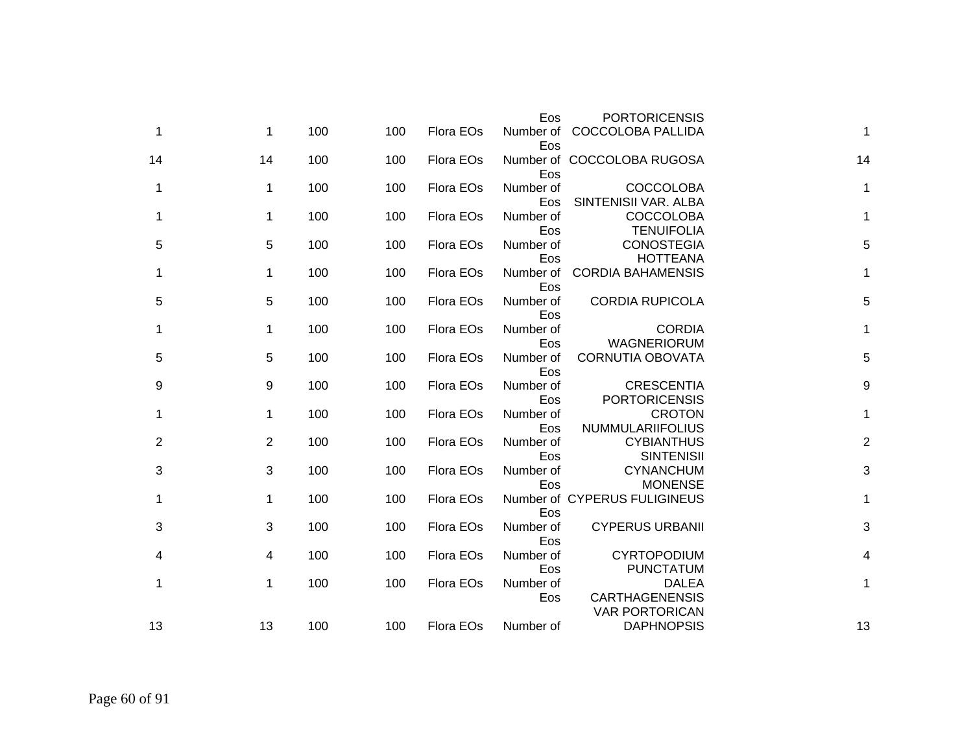|                | <b>PORTORICENSIS</b>                                           | Eos              |           |     |     |    |    |
|----------------|----------------------------------------------------------------|------------------|-----------|-----|-----|----|----|
| 1              | <b>COCCOLOBA PALLIDA</b>                                       | Number of<br>Eos | Flora EOs | 100 | 100 | 1  | 1  |
| 14             | Number of COCCOLOBA RUGOSA                                     | Eos              | Flora EOs | 100 | 100 | 14 | 14 |
| 1              | <b>COCCOLOBA</b><br>SINTENISII VAR. ALBA                       | Number of<br>Eos | Flora EOs | 100 | 100 | 1  | 1  |
| 1              | <b>COCCOLOBA</b><br><b>TENUIFOLIA</b>                          | Number of<br>Eos | Flora EOs | 100 | 100 | 1  | 1  |
| 5              | <b>CONOSTEGIA</b><br><b>HOTTEANA</b>                           | Number of<br>Eos | Flora EOs | 100 | 100 | 5  | 5  |
| 1              | <b>CORDIA BAHAMENSIS</b>                                       | Number of<br>Eos | Flora EOs | 100 | 100 | 1  | 1  |
| 5              | <b>CORDIA RUPICOLA</b>                                         | Number of<br>Eos | Flora EOs | 100 | 100 | 5  | 5  |
| 1              | <b>CORDIA</b><br><b>WAGNERIORUM</b>                            | Number of<br>Eos | Flora EOs | 100 | 100 | 1  | 1  |
| 5              | <b>CORNUTIA OBOVATA</b>                                        | Number of<br>Eos | Flora EOs | 100 | 100 | 5  | 5  |
| 9              | <b>CRESCENTIA</b><br><b>PORTORICENSIS</b>                      | Number of<br>Eos | Flora EOs | 100 | 100 | 9  | 9  |
| 1              | <b>CROTON</b><br>NUMMULARIIFOLIUS                              | Number of<br>Eos | Flora EOs | 100 | 100 | 1  | 1  |
| $\overline{2}$ | <b>CYBIANTHUS</b><br><b>SINTENISII</b>                         | Number of<br>Eos | Flora EOs | 100 | 100 | 2  | 2  |
| 3              | <b>CYNANCHUM</b><br><b>MONENSE</b>                             | Number of<br>Eos | Flora EOs | 100 | 100 | 3  | 3  |
| 1              | Number of CYPERUS FULIGINEUS                                   | Eos              | Flora EOs | 100 | 100 | 1  | 1  |
| 3              | <b>CYPERUS URBANII</b>                                         | Number of<br>Eos | Flora EOs | 100 | 100 | 3  | 3  |
| 4              | <b>CYRTOPODIUM</b><br><b>PUNCTATUM</b>                         | Number of<br>Eos | Flora EOs | 100 | 100 | 4  | 4  |
| 1              | <b>DALEA</b><br><b>CARTHAGENENSIS</b><br><b>VAR PORTORICAN</b> | Number of<br>Eos | Flora EOs | 100 | 100 | 1  | 1  |
| 13             | <b>DAPHNOPSIS</b>                                              | Number of        | Flora EOs | 100 | 100 | 13 | 13 |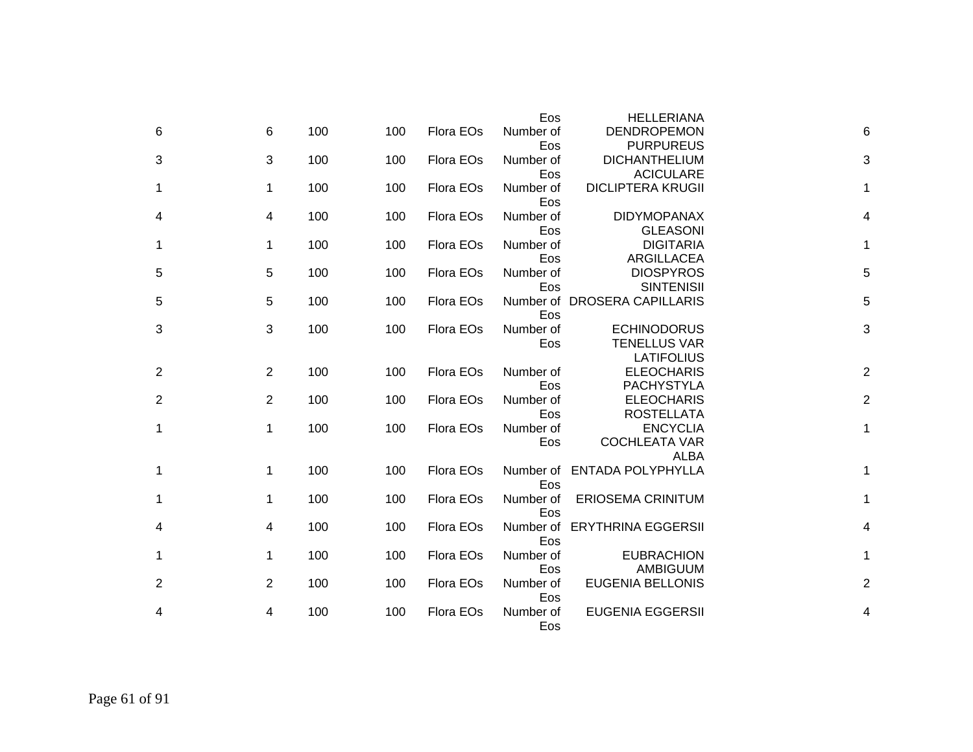|                |                |     |     |           | Eos       | <b>HELLERIANA</b>                         |                         |  |
|----------------|----------------|-----|-----|-----------|-----------|-------------------------------------------|-------------------------|--|
| 6              | 6              | 100 | 100 | Flora EOs | Number of | <b>DENDROPEMON</b>                        | 6                       |  |
|                |                |     |     |           | Eos       | <b>PURPUREUS</b>                          |                         |  |
| 3              | 3              | 100 | 100 | Flora EOs | Number of | <b>DICHANTHELIUM</b>                      | 3                       |  |
|                |                |     |     |           | Eos       | <b>ACICULARE</b>                          |                         |  |
| 1              | 1              | 100 | 100 | Flora EOs | Number of | <b>DICLIPTERA KRUGII</b>                  | 1                       |  |
|                |                |     |     |           | Eos       |                                           |                         |  |
| 4              | 4              | 100 | 100 | Flora EOs | Number of | <b>DIDYMOPANAX</b>                        | 4                       |  |
|                |                |     |     |           | Eos       | <b>GLEASONI</b>                           |                         |  |
| 1              | 1              | 100 | 100 | Flora EOs | Number of | <b>DIGITARIA</b>                          | 1                       |  |
|                |                |     |     |           | Eos       | ARGILLACEA                                |                         |  |
| 5              | 5              | 100 | 100 | Flora EOs | Number of | <b>DIOSPYROS</b>                          | 5                       |  |
|                |                |     |     |           | Eos       | <b>SINTENISII</b>                         |                         |  |
| 5              | 5              | 100 | 100 | Flora EOs |           | Number of DROSERA CAPILLARIS              | 5                       |  |
|                |                |     |     |           | Eos       |                                           |                         |  |
| 3              | 3              | 100 | 100 | Flora EOs | Number of | <b>ECHINODORUS</b><br><b>TENELLUS VAR</b> | 3                       |  |
|                |                |     |     |           | Eos       | <b>LATIFOLIUS</b>                         |                         |  |
| 2              | $\overline{2}$ | 100 | 100 | Flora EOs | Number of | <b>ELEOCHARIS</b>                         | $\overline{\mathbf{c}}$ |  |
|                |                |     |     |           | Eos       | <b>PACHYSTYLA</b>                         |                         |  |
| $\overline{2}$ | $\overline{2}$ | 100 | 100 | Flora EOs | Number of | <b>ELEOCHARIS</b>                         | $\overline{\mathbf{c}}$ |  |
|                |                |     |     |           | Eos       | <b>ROSTELLATA</b>                         |                         |  |
| 1              | 1              | 100 | 100 | Flora EOs | Number of | <b>ENCYCLIA</b>                           | 1                       |  |
|                |                |     |     |           | Eos       | <b>COCHLEATA VAR</b>                      |                         |  |
|                |                |     |     |           |           | <b>ALBA</b>                               |                         |  |
| 1              | 1              | 100 | 100 | Flora EOs | Number of | <b>ENTADA POLYPHYLLA</b>                  | 1                       |  |
|                |                |     |     |           | Eos       |                                           |                         |  |
| 1              | $\mathbf 1$    | 100 | 100 | Flora EOs | Number of | <b>ERIOSEMA CRINITUM</b>                  | 1                       |  |
|                |                |     |     |           | Eos       |                                           |                         |  |
| 4              | 4              | 100 | 100 | Flora EOs | Number of | <b>ERYTHRINA EGGERSII</b>                 | 4                       |  |
|                |                |     |     |           | Eos       |                                           |                         |  |
| 1              | 1              | 100 | 100 | Flora EOs | Number of | <b>EUBRACHION</b>                         | 1                       |  |
|                |                |     |     |           | Eos       | AMBIGUUM                                  |                         |  |
| 2              | $\overline{2}$ | 100 | 100 | Flora EOs | Number of | <b>EUGENIA BELLONIS</b>                   | $\overline{c}$          |  |
|                |                |     |     |           | Eos       |                                           |                         |  |
| 4              | 4              | 100 | 100 | Flora EOs | Number of | <b>EUGENIA EGGERSII</b>                   | 4                       |  |
|                |                |     |     |           | Eos       |                                           |                         |  |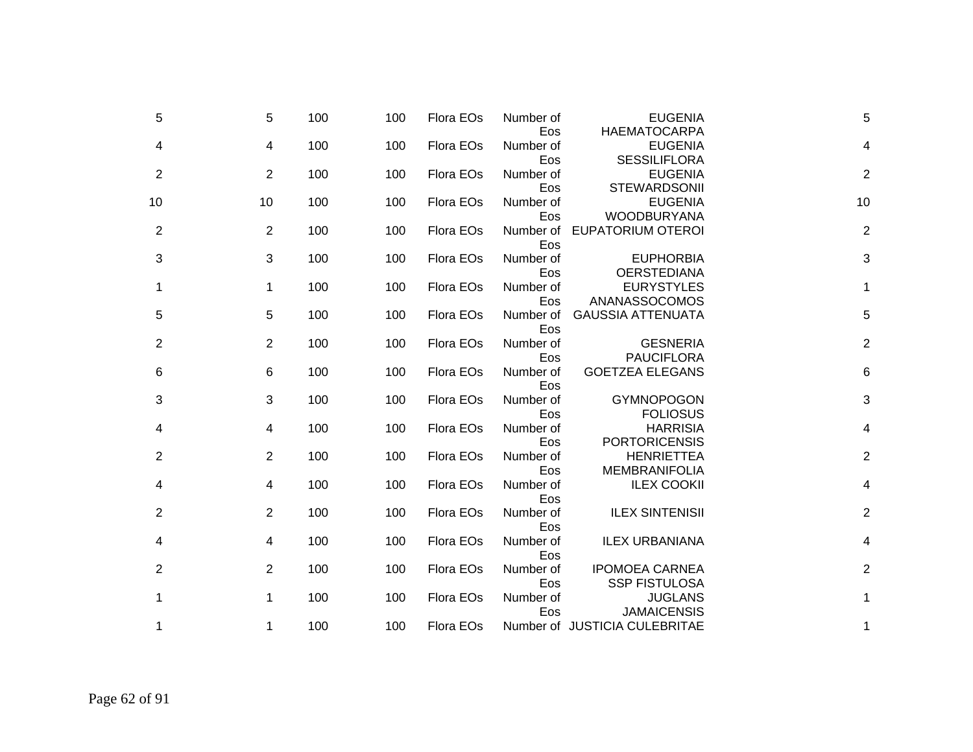| 5              |    | 100<br>5              | 100 | Flora EOs | Number of               | <b>EUGENIA</b>                                              | 5              |
|----------------|----|-----------------------|-----|-----------|-------------------------|-------------------------------------------------------------|----------------|
| 4              |    | 100<br>4              | 100 | Flora EOs | Eos<br>Number of        | <b>HAEMATOCARPA</b><br><b>EUGENIA</b>                       | 4              |
| 2              |    | 100<br>2              | 100 | Flora EOs | Eos<br>Number of        | <b>SESSILIFLORA</b><br><b>EUGENIA</b>                       | $\overline{2}$ |
| 10             | 10 | 100                   | 100 | Flora EOs | Eos<br>Number of<br>Eos | <b>STEWARDSONII</b><br><b>EUGENIA</b><br><b>WOODBURYANA</b> | 10             |
| $\overline{c}$ |    | 2<br>100              | 100 | Flora EOs | Number of<br>Eos        | <b>EUPATORIUM OTEROI</b>                                    | $\overline{2}$ |
| 3              |    | 100<br>3              | 100 | Flora EOs | Number of<br>Eos        | <b>EUPHORBIA</b><br><b>OERSTEDIANA</b>                      | 3              |
| 1              |    | 100<br>1              | 100 | Flora EOs | Number of<br>Eos        | <b>EURYSTYLES</b><br>ANANASSOCOMOS                          | 1              |
| 5              |    | 5<br>100              | 100 | Flora EOs | Number of<br>Eos        | <b>GAUSSIA ATTENUATA</b>                                    | 5              |
| $\overline{c}$ |    | 100<br>$\overline{2}$ | 100 | Flora EOs | Number of<br>Eos        | <b>GESNERIA</b><br><b>PAUCIFLORA</b>                        | $\overline{2}$ |
| 6              |    | 100<br>6              | 100 | Flora EOs | Number of<br>Eos        | <b>GOETZEA ELEGANS</b>                                      | 6              |
| 3              |    | 100<br>3              | 100 | Flora EOs | Number of<br>Eos        | <b>GYMNOPOGON</b><br><b>FOLIOSUS</b>                        | 3              |
| 4              |    | 100<br>4              | 100 | Flora EOs | Number of<br>Eos        | <b>HARRISIA</b><br><b>PORTORICENSIS</b>                     | 4              |
| $\overline{c}$ |    | 100<br>2              | 100 | Flora EOs | Number of<br>Eos        | <b>HENRIETTEA</b><br><b>MEMBRANIFOLIA</b>                   | $\overline{2}$ |
| 4              |    | 100<br>4              | 100 | Flora EOs | Number of<br>Eos        | <b>ILEX COOKII</b>                                          | 4              |
| $\overline{c}$ |    | 100<br>$\overline{2}$ | 100 | Flora EOs | Number of<br>Eos        | <b>ILEX SINTENISII</b>                                      | $\overline{2}$ |
| 4              |    | 100<br>4              | 100 | Flora EOs | Number of<br>Eos        | <b>ILEX URBANIANA</b>                                       | 4              |
| 2              |    | 100<br>2              | 100 | Flora EOs | Number of<br>Eos        | <b>IPOMOEA CARNEA</b><br><b>SSP FISTULOSA</b>               | $\overline{2}$ |
| 1              |    | 100<br>1              | 100 | Flora EOs | Number of<br>Eos        | <b>JUGLANS</b><br><b>JAMAICENSIS</b>                        | 1              |
| 1              |    | 100<br>1              | 100 | Flora EOs |                         | Number of JUSTICIA CULEBRITAE                               | 1              |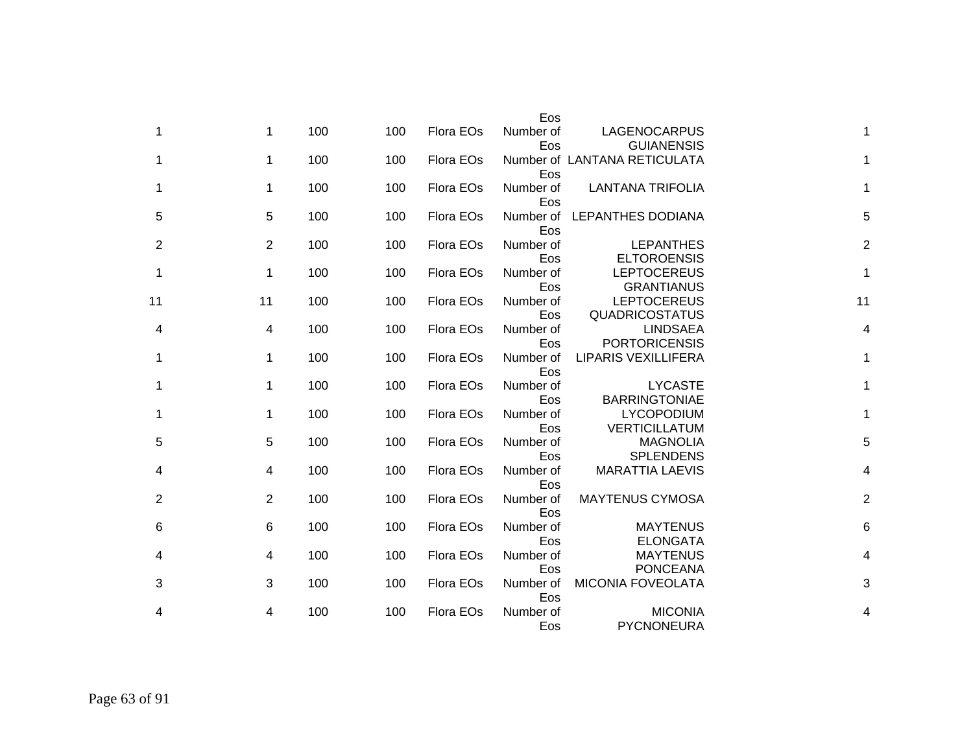|                |                                           | Eos              |           |     |     |                 |                |
|----------------|-------------------------------------------|------------------|-----------|-----|-----|-----------------|----------------|
| 1              | LAGENOCARPUS<br><b>GUIANENSIS</b>         | Number of<br>Eos | Flora EOs | 100 | 100 | $\mathbf 1$     | 1              |
| 1              | Number of LANTANA RETICULATA              | Eos              | Flora EOs | 100 | 100 | 1               | 1              |
| 1              | <b>LANTANA TRIFOLIA</b>                   | Number of<br>Eos | Flora EOs | 100 | 100 | 1               | 1              |
| 5              | <b>LEPANTHES DODIANA</b>                  | Number of<br>Eos | Flora EOs | 100 | 100 | $5\phantom{.0}$ | 5              |
| $\overline{c}$ | <b>LEPANTHES</b><br><b>ELTOROENSIS</b>    | Number of<br>Eos | Flora EOs | 100 | 100 | 2               | 2              |
| 1              | <b>LEPTOCEREUS</b><br><b>GRANTIANUS</b>   | Number of<br>Eos | Flora EOs | 100 | 100 | 1               | 1              |
| 11             | <b>LEPTOCEREUS</b><br>QUADRICOSTATUS      | Number of<br>Eos | Flora EOs | 100 | 100 | 11              | 11             |
| 4              | <b>LINDSAEA</b><br><b>PORTORICENSIS</b>   | Number of<br>Eos | Flora EOs | 100 | 100 | 4               | 4              |
| 1              | <b>LIPARIS VEXILLIFERA</b>                | Number of<br>Eos | Flora EOs | 100 | 100 | 1               | 1              |
| 1              | <b>LYCASTE</b><br><b>BARRINGTONIAE</b>    | Number of<br>Eos | Flora EOs | 100 | 100 | 1               | 1              |
| 1              | <b>LYCOPODIUM</b><br><b>VERTICILLATUM</b> | Number of<br>Eos | Flora EOs | 100 | 100 | 1               | 1              |
| 5              | <b>MAGNOLIA</b><br><b>SPLENDENS</b>       | Number of<br>Eos | Flora EOs | 100 | 100 | 5               | 5              |
| 4              | <b>MARATTIA LAEVIS</b>                    | Number of<br>Eos | Flora EOs | 100 | 100 | 4               | 4              |
| $\overline{c}$ | <b>MAYTENUS CYMOSA</b>                    | Number of<br>Eos | Flora EOs | 100 | 100 | $\overline{2}$  | $\overline{c}$ |
| 6              | <b>MAYTENUS</b><br><b>ELONGATA</b>        | Number of<br>Eos | Flora EOs | 100 | 100 | 6               | 6              |
| 4              | <b>MAYTENUS</b><br><b>PONCEANA</b>        | Number of<br>Eos | Flora EOs | 100 | 100 | 4               | 4              |
| 3              | <b>MICONIA FOVEOLATA</b>                  | Number of<br>Eos | Flora EOs | 100 | 100 | 3               | 3              |
| 4              | <b>MICONIA</b><br>PYCNONEURA              | Number of<br>Eos | Flora EOs | 100 | 100 | 4               | 4              |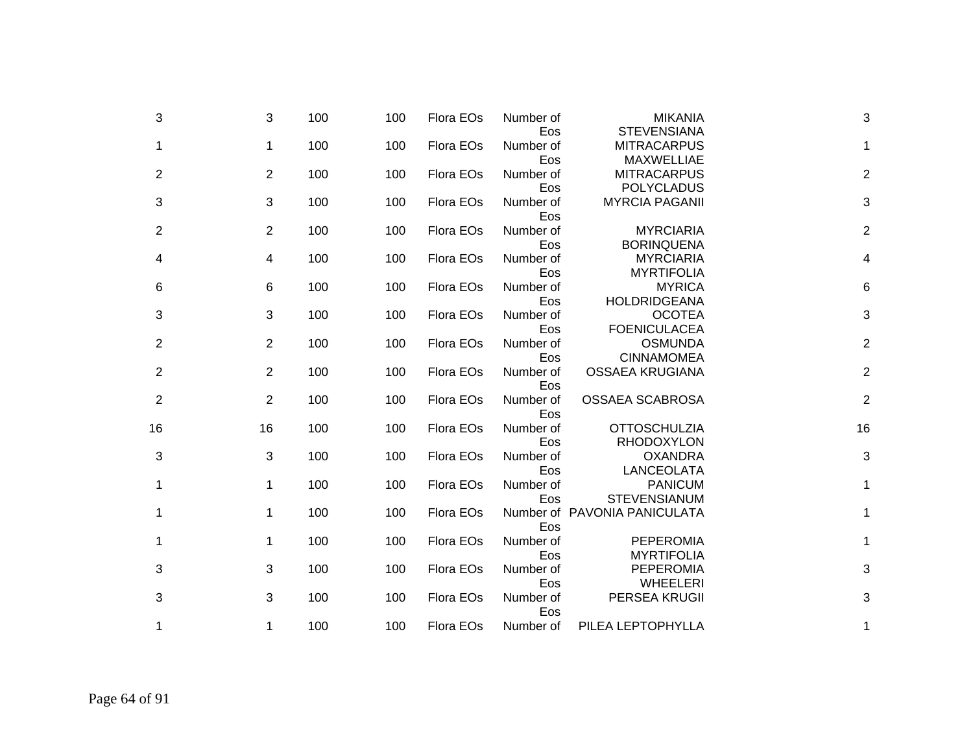| 3                         | <b>MIKANIA</b>                                    | Number of               | Flora EOs | 100 | 100 | 3              | 3              |
|---------------------------|---------------------------------------------------|-------------------------|-----------|-----|-----|----------------|----------------|
| 1                         | <b>STEVENSIANA</b><br><b>MITRACARPUS</b>          | Eos<br>Number of        | Flora EOs | 100 | 100 | $\mathbf 1$    | 1              |
| $\mathbf 2$               | <b>MAXWELLIAE</b><br><b>MITRACARPUS</b>           | Eos<br>Number of        | Flora EOs | 100 | 100 | 2              | $\overline{2}$ |
| 3                         | <b>POLYCLADUS</b><br><b>MYRCIA PAGANII</b>        | Eos<br>Number of        | Flora EOs | 100 | 100 | 3              | 3              |
| $\overline{2}$            | <b>MYRCIARIA</b>                                  | Eos<br>Number of        | Flora EOs | 100 | 100 | 2              | $\overline{2}$ |
| 4                         | <b>BORINQUENA</b><br><b>MYRCIARIA</b>             | Eos<br>Number of        | Flora EOs | 100 | 100 | 4              | 4              |
| 6                         | <b>MYRTIFOLIA</b><br><b>MYRICA</b>                | Eos<br>Number of        | Flora EOs | 100 | 100 | 6              | 6              |
| $\ensuremath{\mathsf{3}}$ | <b>HOLDRIDGEANA</b><br><b>OCOTEA</b>              | Eos<br>Number of        | Flora EOs | 100 | 100 | 3              | 3              |
| $\overline{c}$            | <b>FOENICULACEA</b><br><b>OSMUNDA</b>             | Eos<br>Number of        | Flora EOs | 100 | 100 | $\overline{2}$ | 2              |
| $\overline{2}$            | <b>CINNAMOMEA</b><br><b>OSSAEA KRUGIANA</b>       | Eos<br>Number of        | Flora EOs | 100 | 100 | $\overline{2}$ | 2              |
| $\overline{\mathbf{c}}$   | OSSAEA SCABROSA                                   | Eos<br>Number of        | Flora EOs | 100 | 100 | $\overline{2}$ | $\overline{2}$ |
| 16                        | <b>OTTOSCHULZIA</b>                               | Eos<br>Number of        | Flora EOs | 100 | 100 | 16             | 16             |
| 3                         | <b>RHODOXYLON</b><br><b>OXANDRA</b><br>LANCEOLATA | Eos<br>Number of<br>Eos | Flora EOs | 100 | 100 | 3              | 3              |
| 1                         | <b>PANICUM</b><br><b>STEVENSIANUM</b>             | Number of               | Flora EOs | 100 | 100 | 1              | 1              |
| 1                         | Number of PAVONIA PANICULATA                      | Eos<br>Eos              | Flora EOs | 100 | 100 | $\mathbf 1$    | 1              |
| $\mathbf{1}$              | <b>PEPEROMIA</b><br><b>MYRTIFOLIA</b>             | Number of<br>Eos        | Flora EOs | 100 | 100 | $\mathbf 1$    | 1              |
| $\mathbf{3}$              | <b>PEPEROMIA</b><br><b>WHEELERI</b>               | Number of<br>Eos        | Flora EOs | 100 | 100 | 3              | 3              |
| $\mathbf{3}$              | PERSEA KRUGII                                     | Number of<br>Eos        | Flora EOs | 100 | 100 | 3              | 3              |
| 1                         | PILEA LEPTOPHYLLA                                 | Number of               | Flora EOs | 100 | 100 | $\mathbf 1$    | 1              |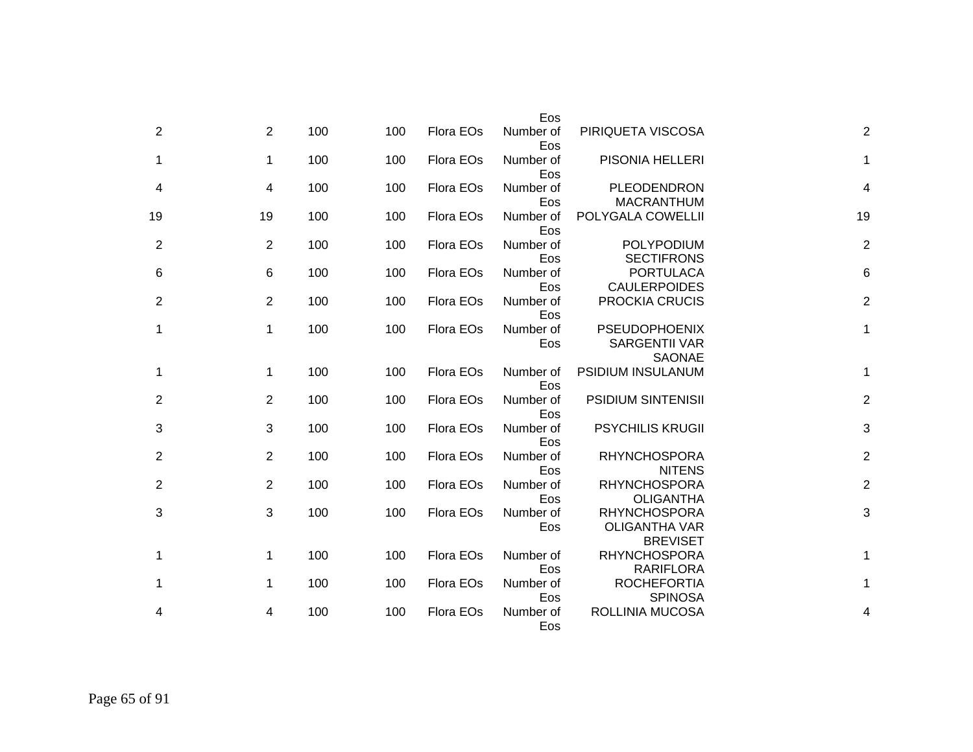|                 |                                                                | Eos              |           |     |     |                |                |
|-----------------|----------------------------------------------------------------|------------------|-----------|-----|-----|----------------|----------------|
| $\overline{c}$  | PIRIQUETA VISCOSA                                              | Number of<br>Eos | Flora EOs | 100 | 100 | $\overline{2}$ | $\overline{2}$ |
| 1               | PISONIA HELLERI                                                | Number of<br>Eos | Flora EOs | 100 | 100 | $\mathbf{1}$   | 1              |
| 4               | PLEODENDRON<br><b>MACRANTHUM</b>                               | Number of<br>Eos | Flora EOs | 100 | 100 | $\overline{4}$ | 4              |
| 19              | POLYGALA COWELLII                                              | Number of<br>Eos | Flora EOs | 100 | 100 | 19             | 19             |
| $\overline{c}$  | POLYPODIUM<br><b>SECTIFRONS</b>                                | Number of<br>Eos | Flora EOs | 100 | 100 | 2              | $\overline{2}$ |
| $6\phantom{1}6$ | <b>PORTULACA</b><br><b>CAULERPOIDES</b>                        | Number of<br>Eos | Flora EOs | 100 | 100 | 6              | 6              |
| 2               | PROCKIA CRUCIS                                                 | Number of<br>Eos | Flora EOs | 100 | 100 | 2              | $\overline{2}$ |
| 1               | <b>PSEUDOPHOENIX</b><br><b>SARGENTII VAR</b><br><b>SAONAE</b>  | Number of<br>Eos | Flora EOs | 100 | 100 | 1              | 1              |
| 1               | PSIDIUM INSULANUM                                              | Number of<br>Eos | Flora EOs | 100 | 100 | 1              | 1              |
| 2               | <b>PSIDIUM SINTENISII</b>                                      | Number of<br>Eos | Flora EOs | 100 | 100 | 2              | 2              |
| 3               | <b>PSYCHILIS KRUGII</b>                                        | Number of<br>Eos | Flora EOs | 100 | 100 | 3              | 3              |
| $\overline{c}$  | <b>RHYNCHOSPORA</b><br><b>NITENS</b>                           | Number of<br>Eos | Flora EOs | 100 | 100 | 2              | 2              |
| $\overline{c}$  | <b>RHYNCHOSPORA</b><br><b>OLIGANTHA</b>                        | Number of<br>Eos | Flora EOs | 100 | 100 | 2              | 2              |
| 3               | <b>RHYNCHOSPORA</b><br><b>OLIGANTHA VAR</b><br><b>BREVISET</b> | Number of<br>Eos | Flora EOs | 100 | 100 | 3              | 3              |
| 1               | <b>RHYNCHOSPORA</b><br><b>RARIFLORA</b>                        | Number of<br>Eos | Flora EOs | 100 | 100 | 1              | 1              |
| 1               | <b>ROCHEFORTIA</b><br><b>SPINOSA</b>                           | Number of<br>Eos | Flora EOs | 100 | 100 | 1              | 1              |
| 4               | ROLLINIA MUCOSA                                                | Number of<br>Eos | Flora EOs | 100 | 100 | 4              |                |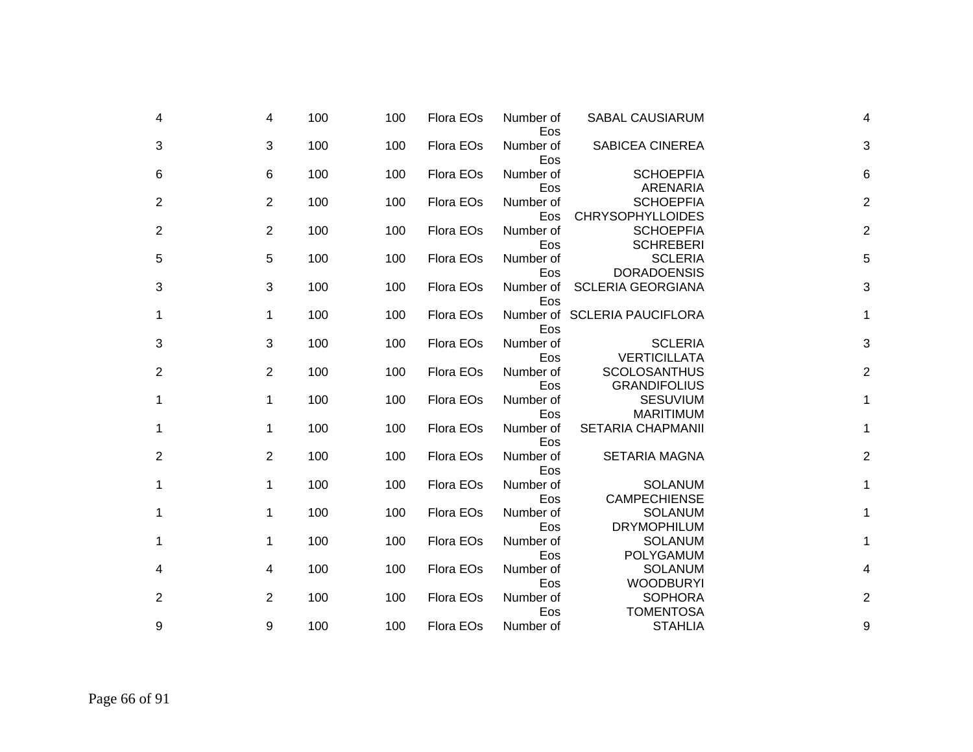| 4 | 4              | 100 | 100 | Flora EOs | Number of<br>Eos | <b>SABAL CAUSIARUM</b>                      | 4                         |
|---|----------------|-----|-----|-----------|------------------|---------------------------------------------|---------------------------|
| 3 | 3              | 100 | 100 | Flora EOs | Number of<br>Eos | <b>SABICEA CINEREA</b>                      | 3                         |
| 6 | 6              | 100 | 100 | Flora EOs | Number of<br>Eos | <b>SCHOEPFIA</b><br>ARENARIA                | 6                         |
| 2 | 2              | 100 | 100 | Flora EOs | Number of<br>Eos | <b>SCHOEPFIA</b><br><b>CHRYSOPHYLLOIDES</b> | $\overline{2}$            |
| 2 | $\overline{2}$ | 100 | 100 | Flora EOs | Number of<br>Eos | <b>SCHOEPFIA</b><br><b>SCHREBERI</b>        | $\overline{2}$            |
| 5 | 5              | 100 | 100 | Flora EOs | Number of<br>Eos | <b>SCLERIA</b><br><b>DORADOENSIS</b>        | 5                         |
| 3 | 3              | 100 | 100 | Flora EOs | Number of<br>Eos | <b>SCLERIA GEORGIANA</b>                    | 3                         |
| 1 | $\mathbf 1$    | 100 | 100 | Flora EOs | Eos              | Number of SCLERIA PAUCIFLORA                | 1                         |
| 3 | 3              | 100 | 100 | Flora EOs | Number of<br>Eos | <b>SCLERIA</b><br><b>VERTICILLATA</b>       | $\ensuremath{\mathsf{3}}$ |
| 2 | 2              | 100 | 100 | Flora EOs | Number of<br>Eos | <b>SCOLOSANTHUS</b><br><b>GRANDIFOLIUS</b>  | $\overline{2}$            |
| 1 | 1              | 100 | 100 | Flora EOs | Number of<br>Eos | <b>SESUVIUM</b><br><b>MARITIMUM</b>         | 1                         |
| 1 | 1              | 100 | 100 | Flora EOs | Number of<br>Eos | <b>SETARIA CHAPMANII</b>                    | 1                         |
| 2 | 2              | 100 | 100 | Flora EOs | Number of<br>Eos | <b>SETARIA MAGNA</b>                        | $\overline{2}$            |
| 1 | 1              | 100 | 100 | Flora EOs | Number of<br>Eos | <b>SOLANUM</b><br><b>CAMPECHIENSE</b>       | 1                         |
| 1 | 1              | 100 | 100 | Flora EOs | Number of<br>Eos | <b>SOLANUM</b><br><b>DRYMOPHILUM</b>        | 1                         |
| 1 | 1              | 100 | 100 | Flora EOs | Number of<br>Eos | <b>SOLANUM</b><br><b>POLYGAMUM</b>          | 1                         |
| 4 | 4              | 100 | 100 | Flora EOs | Number of<br>Eos | <b>SOLANUM</b><br><b>WOODBURYI</b>          | 4                         |
| 2 | 2              | 100 | 100 | Flora EOs | Number of        | <b>SOPHORA</b>                              | $\mathbf 2$               |
| 9 | 9              | 100 | 100 | Flora EOs | Eos<br>Number of | <b>TOMENTOSA</b><br><b>STAHLIA</b>          | 9                         |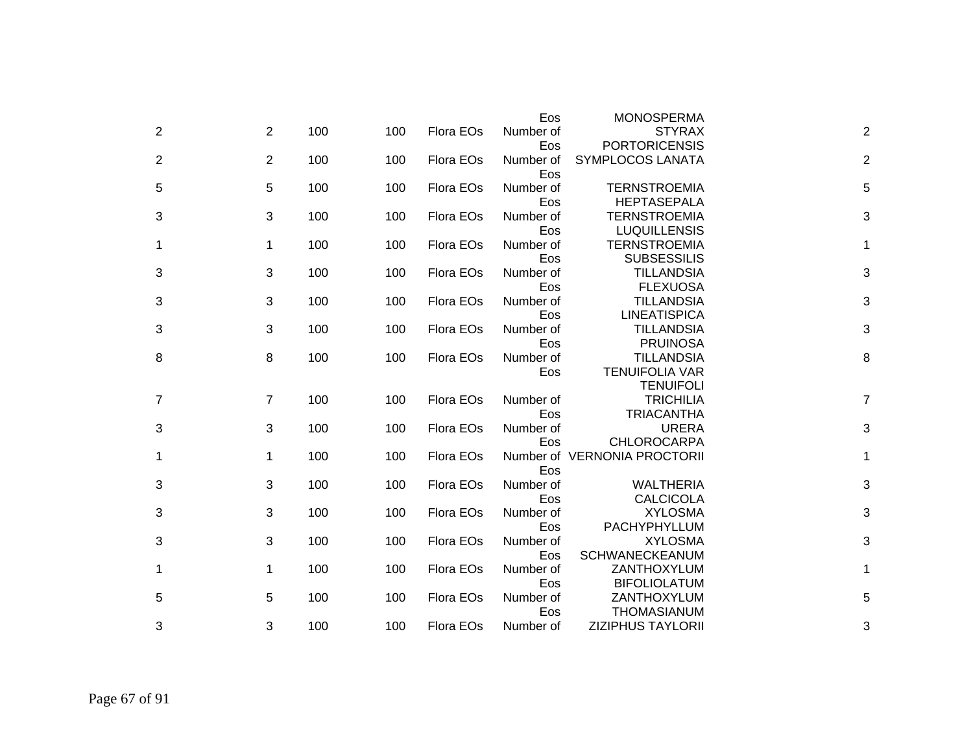|                |                |     |     |           | Eos              | <b>MONOSPERMA</b>                  |                |
|----------------|----------------|-----|-----|-----------|------------------|------------------------------------|----------------|
| 2              | 2              | 100 | 100 | Flora EOs | Number of        | <b>STYRAX</b>                      | $\overline{2}$ |
|                |                |     |     |           | Eos              | <b>PORTORICENSIS</b>               |                |
| $\overline{2}$ | 2              | 100 | 100 | Flora EOs | Number of        | SYMPLOCOS LANATA                   | $\overline{2}$ |
|                |                |     |     |           | Eos              |                                    |                |
| 5              | 5              | 100 | 100 | Flora EOs | Number of        | <b>TERNSTROEMIA</b>                | 5              |
|                |                |     |     |           | Eos              | <b>HEPTASEPALA</b>                 |                |
| 3              | 3              | 100 | 100 | Flora EOs | Number of        | <b>TERNSTROEMIA</b>                | 3              |
|                |                |     |     |           | Eos              | <b>LUQUILLENSIS</b>                |                |
| 1              | $\mathbf 1$    | 100 | 100 | Flora EOs | Number of        | <b>TERNSTROEMIA</b>                | 1              |
|                |                |     |     |           | Eos              | <b>SUBSESSILIS</b>                 |                |
| 3              | 3              | 100 | 100 | Flora EOs | Number of        | <b>TILLANDSIA</b>                  | 3              |
|                |                |     |     |           | Eos              | <b>FLEXUOSA</b>                    |                |
| 3              | 3              | 100 | 100 | Flora EOs | Number of        | <b>TILLANDSIA</b>                  | 3              |
|                |                |     |     |           | Eos              | <b>LINEATISPICA</b>                |                |
| 3              | 3              | 100 | 100 | Flora EOs | Number of        | <b>TILLANDSIA</b>                  | 3              |
|                |                |     |     |           | Eos              | <b>PRUINOSA</b>                    |                |
| 8              | 8              | 100 | 100 | Flora EOs | Number of        | <b>TILLANDSIA</b>                  | 8              |
|                |                |     |     |           | Eos              | <b>TENUIFOLIA VAR</b>              |                |
|                |                |     |     |           |                  | <b>TENUIFOLI</b>                   |                |
| 7              | $\overline{7}$ | 100 | 100 | Flora EOs | Number of        | <b>TRICHILIA</b>                   | $\overline{7}$ |
|                |                |     |     |           | Eos              | <b>TRIACANTHA</b>                  |                |
| 3              | 3              | 100 | 100 | Flora EOs | Number of        | <b>URERA</b>                       | 3              |
|                |                |     |     |           | Eos              | <b>CHLOROCARPA</b>                 |                |
| 1              | 1              | 100 | 100 | Flora EOs |                  | Number of VERNONIA PROCTORII       | 1              |
|                |                |     |     |           | Eos              |                                    |                |
| 3              | 3              | 100 | 100 | Flora EOs | Number of        | <b>WALTHERIA</b>                   | 3              |
|                |                |     |     |           | Eos              | <b>CALCICOLA</b>                   |                |
| 3              | 3              | 100 | 100 | Flora EOs | Number of        | <b>XYLOSMA</b>                     | 3              |
|                |                |     |     |           | Eos              | PACHYPHYLLUM                       |                |
| 3              | 3              | 100 | 100 | Flora EOs | Number of        | <b>XYLOSMA</b>                     | 3              |
|                |                |     |     |           | Eos              | SCHWANECKEANUM                     |                |
| 1              | 1              | 100 | 100 | Flora EOs | Number of        | ZANTHOXYLUM                        | 1              |
|                | 5              | 100 | 100 | Flora EOs | Eos<br>Number of | <b>BIFOLIOLATUM</b><br>ZANTHOXYLUM | 5              |
| 5              |                |     |     |           | Eos              | <b>THOMASIANUM</b>                 |                |
| 3              | 3              | 100 | 100 | Flora EOs | Number of        | <b>ZIZIPHUS TAYLORII</b>           | 3              |
|                |                |     |     |           |                  |                                    |                |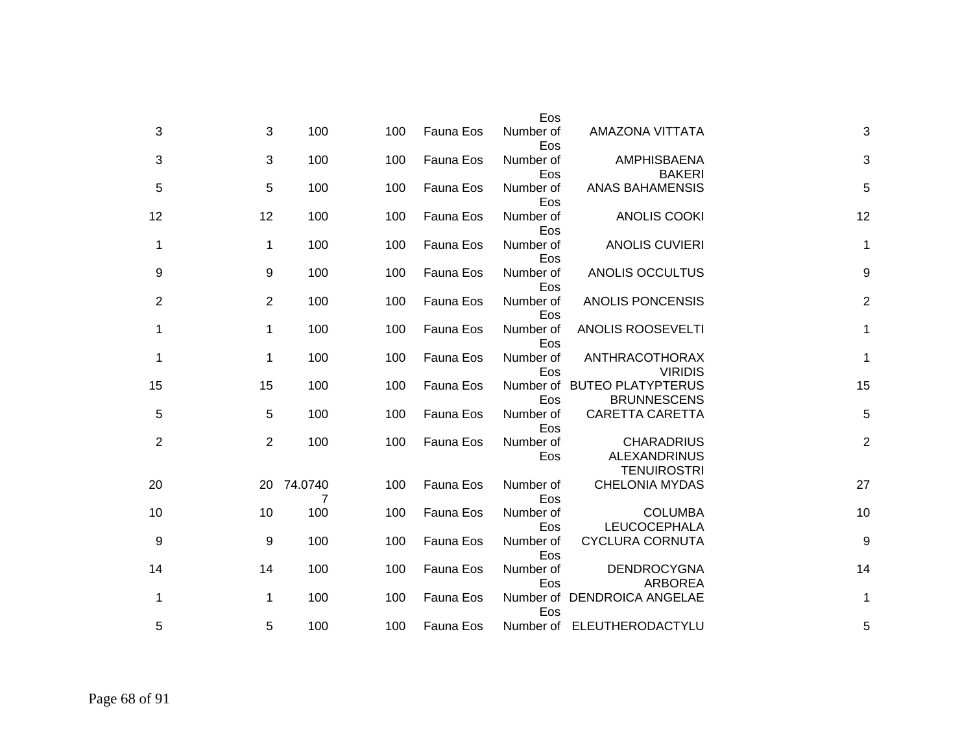|                  |                                                                | Eos              |           |     |                 |                |                |
|------------------|----------------------------------------------------------------|------------------|-----------|-----|-----------------|----------------|----------------|
| 3                | AMAZONA VITTATA                                                | Number of<br>Eos | Fauna Eos | 100 | 100             | 3              | 3              |
| 3                | <b>AMPHISBAENA</b><br><b>BAKERI</b>                            | Number of<br>Eos | Fauna Eos | 100 | 100             | 3              | 3              |
| 5                | <b>ANAS BAHAMENSIS</b>                                         | Number of<br>Eos | Fauna Eos | 100 | 100             | 5              | 5              |
| 12               | <b>ANOLIS COOKI</b>                                            | Number of<br>Eos | Fauna Eos | 100 | 100             | 12             | 12             |
| $\mathbf 1$      | <b>ANOLIS CUVIERI</b>                                          | Number of<br>Eos | Fauna Eos | 100 | 100             | $\mathbf{1}$   | 1              |
| $\boldsymbol{9}$ | ANOLIS OCCULTUS                                                | Number of<br>Eos | Fauna Eos | 100 | 100             | 9              | 9              |
| $\boldsymbol{2}$ | ANOLIS PONCENSIS                                               | Number of<br>Eos | Fauna Eos | 100 | 100             | 2              | $\overline{2}$ |
| 1                | ANOLIS ROOSEVELTI                                              | Number of<br>Eos | Fauna Eos | 100 | 100             | $\mathbf{1}$   | 1              |
| 1                | ANTHRACOTHORAX<br><b>VIRIDIS</b>                               | Number of<br>Eos | Fauna Eos | 100 | 100             | 1              | 1              |
| 15               | Number of BUTEO PLATYPTERUS<br><b>BRUNNESCENS</b>              | Eos              | Fauna Eos | 100 | 100             | 15             | 15             |
| 5                | <b>CARETTA CARETTA</b>                                         | Number of<br>Eos | Fauna Eos | 100 | 100             | 5              | 5              |
| $\overline{c}$   | <b>CHARADRIUS</b><br><b>ALEXANDRINUS</b><br><b>TENUIROSTRI</b> | Number of<br>Eos | Fauna Eos | 100 | 100             | $\overline{2}$ | $\overline{2}$ |
| 27               | <b>CHELONIA MYDAS</b>                                          | Number of<br>Eos | Fauna Eos | 100 | 20 74.0740<br>7 |                | 20             |
| 10               | <b>COLUMBA</b><br>LEUCOCEPHALA                                 | Number of<br>Eos | Fauna Eos | 100 | 100             | 10             | 10             |
| 9                | <b>CYCLURA CORNUTA</b>                                         | Number of<br>Eos | Fauna Eos | 100 | 100             | 9              | 9              |
| 14               | <b>DENDROCYGNA</b><br><b>ARBOREA</b>                           | Number of<br>Eos | Fauna Eos | 100 | 100             | 14             | 14             |
| 1                | Number of DENDROICA ANGELAE                                    | Eos              | Fauna Eos | 100 | 100             | 1              | 1              |
| 5                | Number of ELEUTHERODACTYLU                                     |                  | Fauna Eos | 100 | 100             | 5              | 5              |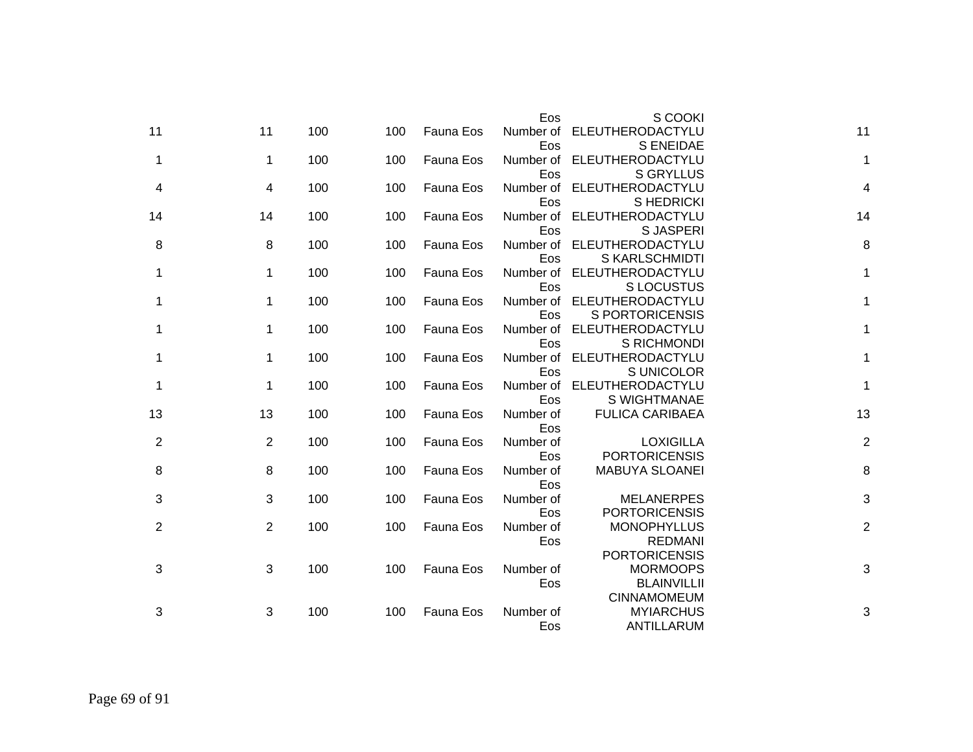|                | S COOKI                              | Eos              |           |     |     |              |                |
|----------------|--------------------------------------|------------------|-----------|-----|-----|--------------|----------------|
| 11             | ELEUTHERODACTYLU<br><b>S ENEIDAE</b> | Number of<br>Eos | Fauna Eos | 100 | 100 | 11           | 11             |
| 1              | ELEUTHERODACTYLU                     | Number of        | Fauna Eos | 100 | 100 | $\mathbf{1}$ | 1              |
|                | <b>S GRYLLUS</b>                     | Eos              |           |     |     |              |                |
| 4              | ELEUTHERODACTYLU                     | Number of        | Fauna Eos | 100 | 100 | 4            | 4              |
|                | S HEDRICKI                           | Eos              |           |     |     |              |                |
| 14             | ELEUTHERODACTYLU                     | Number of        | Fauna Eos | 100 | 100 | 14           | 14             |
|                | <b>SJASPERI</b>                      | Eos              |           |     |     |              |                |
| 8              | ELEUTHERODACTYLU                     | Number of        | Fauna Eos | 100 | 100 | 8            | 8              |
|                | S KARLSCHMIDTI                       | Eos              |           |     |     |              |                |
| $\mathbf 1$    | ELEUTHERODACTYLU                     | Number of        | Fauna Eos | 100 | 100 | $\mathbf{1}$ | 1              |
|                | <b>SLOCUSTUS</b>                     | Eos              |           |     |     |              |                |
| $\mathbf 1$    | ELEUTHERODACTYLU                     | Number of        | Fauna Eos | 100 | 100 | $\mathbf 1$  | 1              |
|                | <b>S PORTORICENSIS</b>               | Eos              |           |     |     |              |                |
| 1              | ELEUTHERODACTYLU                     | Number of        | Fauna Eos | 100 | 100 | 1            | 1              |
|                | S RICHMONDI                          | Eos              |           |     |     |              |                |
| $\mathbf 1$    | ELEUTHERODACTYLU                     | Number of        | Fauna Eos | 100 | 100 | 1            | 1              |
|                | S UNICOLOR                           | Eos              |           |     |     |              |                |
| $\mathbf{1}$   | ELEUTHERODACTYLU                     | Number of        | Fauna Eos | 100 | 100 | 1            | 1              |
|                | S WIGHTMANAE                         | Eos              |           |     |     |              |                |
| 13             | <b>FULICA CARIBAEA</b>               | Number of        | Fauna Eos | 100 | 100 | 13           | 13             |
|                |                                      | Eos              |           |     |     |              |                |
| $\overline{2}$ | <b>LOXIGILLA</b>                     | Number of        | Fauna Eos | 100 | 100 | 2            | $\overline{2}$ |
|                | <b>PORTORICENSIS</b>                 | Eos              |           |     |     |              |                |
| 8              | <b>MABUYA SLOANEI</b>                | Number of        | Fauna Eos | 100 | 100 | 8            | 8              |
|                |                                      | Eos              |           |     |     |              |                |
| 3              | <b>MELANERPES</b>                    | Number of        | Fauna Eos | 100 | 100 | 3            | 3              |
|                | <b>PORTORICENSIS</b>                 | Eos              |           |     |     |              |                |
| $\overline{2}$ | <b>MONOPHYLLUS</b>                   | Number of        | Fauna Eos | 100 | 100 | 2            | $\overline{2}$ |
|                | <b>REDMANI</b>                       | Eos              |           |     |     |              |                |
|                | <b>PORTORICENSIS</b>                 |                  |           |     |     |              |                |
| 3              | <b>MORMOOPS</b>                      | Number of        | Fauna Eos | 100 | 100 | 3            | 3              |
|                | <b>BLAINVILLII</b>                   | Eos              |           |     |     |              |                |
|                | <b>CINNAMOMEUM</b>                   |                  |           |     |     |              |                |
| 3              | <b>MYIARCHUS</b>                     | Number of        | Fauna Eos | 100 | 100 | 3            | 3              |
|                | ANTILLARUM                           | Eos              |           |     |     |              |                |
|                |                                      |                  |           |     |     |              |                |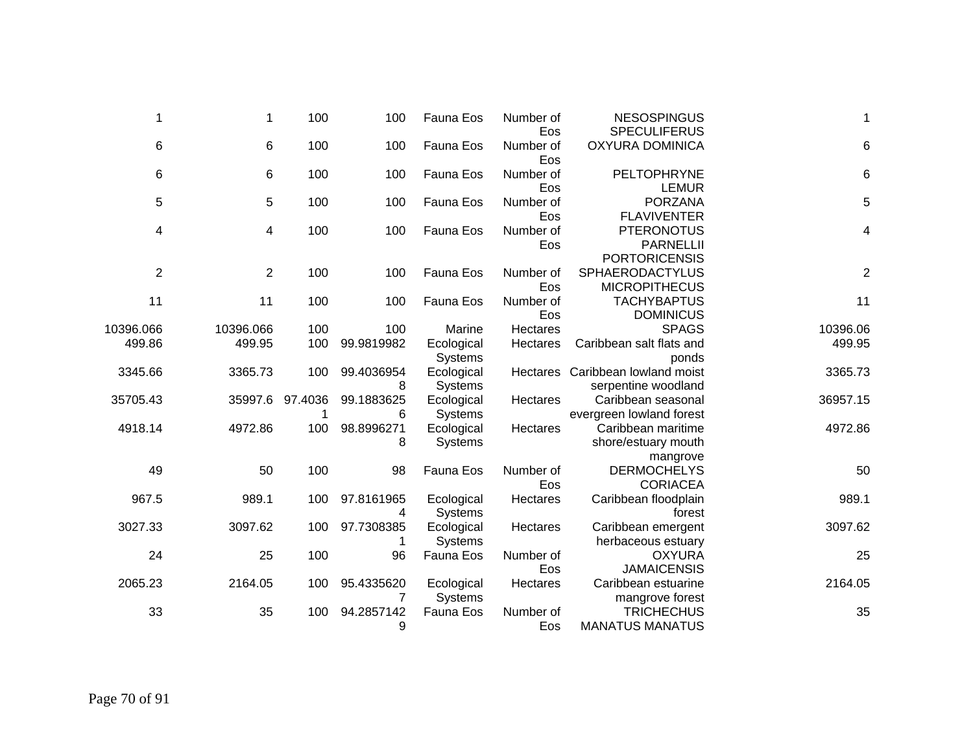| 1                   | 1                   | 100        | 100               | Fauna Eos                              | Number of               | <b>NESOSPINGUS</b>                                              | $\mathbf 1$        |
|---------------------|---------------------|------------|-------------------|----------------------------------------|-------------------------|-----------------------------------------------------------------|--------------------|
| 6                   | 6                   | 100        | 100               | Fauna Eos                              | Eos<br>Number of        | <b>SPECULIFERUS</b><br><b>OXYURA DOMINICA</b>                   | 6                  |
| 6                   | 6                   | 100        | 100               | Fauna Eos                              | Eos<br>Number of        | <b>PELTOPHRYNE</b>                                              | 6                  |
| 5                   | 5                   | 100        | 100               | Fauna Eos                              | Eos<br>Number of        | <b>LEMUR</b><br><b>PORZANA</b>                                  | 5                  |
| 4                   | 4                   | 100        | 100               | Fauna Eos                              | Eos<br>Number of<br>Eos | <b>FLAVIVENTER</b><br><b>PTERONOTUS</b><br><b>PARNELLII</b>     | 4                  |
| 2                   | $\overline{2}$      | 100        | 100               | Fauna Eos                              | Number of<br>Eos        | <b>PORTORICENSIS</b><br>SPHAERODACTYLUS<br><b>MICROPITHECUS</b> | $\overline{c}$     |
| 11                  | 11                  | 100        | 100               | Fauna Eos                              | Number of<br>Eos        | <b>TACHYBAPTUS</b><br><b>DOMINICUS</b>                          | 11                 |
| 10396.066<br>499.86 | 10396.066<br>499.95 | 100<br>100 | 100<br>99.9819982 | Marine<br>Ecological<br><b>Systems</b> | Hectares<br>Hectares    | <b>SPAGS</b><br>Caribbean salt flats and<br>ponds               | 10396.06<br>499.95 |
| 3345.66             | 3365.73             | 100        | 99.4036954<br>8   | Ecological<br>Systems                  | Hectares                | Caribbean lowland moist<br>serpentine woodland                  | 3365.73            |
| 35705.43            | 35997.6             | 97.4036    | 99.1883625<br>6   | Ecological<br>Systems                  | Hectares                | Caribbean seasonal<br>evergreen lowland forest                  | 36957.15           |
| 4918.14             | 4972.86             | 100        | 98.8996271<br>8   | Ecological<br><b>Systems</b>           | Hectares                | Caribbean maritime<br>shore/estuary mouth                       | 4972.86            |
| 49                  | 50                  | 100        | 98                | Fauna Eos                              | Number of<br>Eos        | mangrove<br><b>DERMOCHELYS</b><br><b>CORIACEA</b>               | 50                 |
| 967.5               | 989.1               | 100        | 97.8161965<br>4   | Ecological<br><b>Systems</b>           | Hectares                | Caribbean floodplain<br>forest                                  | 989.1              |
| 3027.33             | 3097.62             | 100        | 97.7308385        | Ecological<br><b>Systems</b>           | Hectares                | Caribbean emergent<br>herbaceous estuary                        | 3097.62            |
| 24                  | 25                  | 100        | 96                | Fauna Eos                              | Number of<br>Eos        | <b>OXYURA</b><br><b>JAMAICENSIS</b>                             | 25                 |
| 2065.23             | 2164.05             | 100        | 95.4335620<br>7   | Ecological<br>Systems                  | Hectares                | Caribbean estuarine<br>mangrove forest                          | 2164.05            |
| 33                  | 35                  | 100        | 94.2857142<br>9   | Fauna Eos                              | Number of<br>Eos        | <b>TRICHECHUS</b><br><b>MANATUS MANATUS</b>                     | 35                 |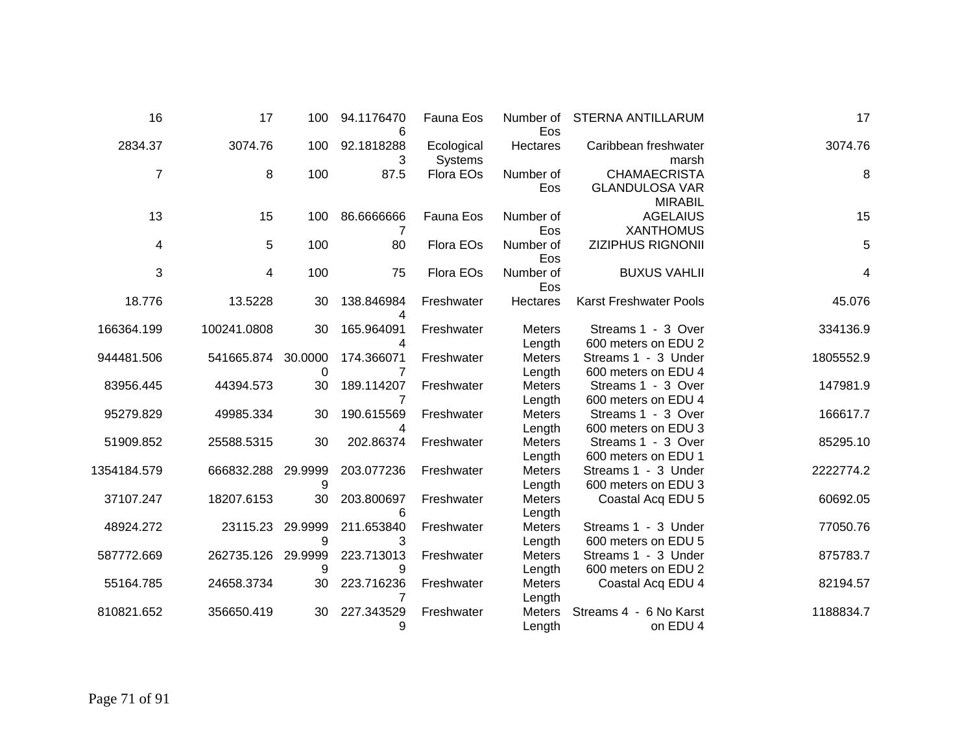| 16             | 17          | 100          | 94.1176470<br>6 | Fauna Eos             | Number of<br>Eos        | <b>STERNA ANTILLARUM</b>                                       | 17        |
|----------------|-------------|--------------|-----------------|-----------------------|-------------------------|----------------------------------------------------------------|-----------|
| 2834.37        | 3074.76     | 100          | 92.1818288<br>3 | Ecological<br>Systems | Hectares                | Caribbean freshwater<br>marsh                                  | 3074.76   |
| $\overline{7}$ | 8           | 100          | 87.5            | Flora EOs             | Number of<br>Eos        | <b>CHAMAECRISTA</b><br><b>GLANDULOSA VAR</b><br><b>MIRABIL</b> | 8         |
| 13             | 15          | 100          | 86.6666666<br>7 | Fauna Eos             | Number of<br>Eos        | <b>AGELAIUS</b><br><b>XANTHOMUS</b>                            | 15        |
| 4              | 5           | 100          | 80              | Flora EOs             | Number of<br>Eos        | <b>ZIZIPHUS RIGNONII</b>                                       | 5         |
| 3              | 4           | 100          | 75              | Flora EOs             | Number of<br>Eos        | <b>BUXUS VAHLII</b>                                            | 4         |
| 18.776         | 13.5228     | 30           | 138.846984<br>4 | Freshwater            | Hectares                | <b>Karst Freshwater Pools</b>                                  | 45.076    |
| 166364.199     | 100241.0808 | 30           | 165.964091<br>4 | Freshwater            | <b>Meters</b><br>Length | Streams 1 - 3 Over<br>600 meters on EDU 2                      | 334136.9  |
| 944481.506     | 541665.874  | 30.0000<br>0 | 174.366071<br>7 | Freshwater            | <b>Meters</b><br>Length | Streams 1 - 3 Under<br>600 meters on EDU 4                     | 1805552.9 |
| 83956.445      | 44394.573   | 30           | 189.114207<br>7 | Freshwater            | <b>Meters</b><br>Length | Streams 1 - 3 Over<br>600 meters on EDU 4                      | 147981.9  |
| 95279.829      | 49985.334   | 30           | 190.615569<br>4 | Freshwater            | <b>Meters</b><br>Length | Streams 1 - 3 Over<br>600 meters on EDU 3                      | 166617.7  |
| 51909.852      | 25588.5315  | 30           | 202.86374       | Freshwater            | <b>Meters</b><br>Length | Streams 1 - 3 Over<br>600 meters on EDU 1                      | 85295.10  |
| 1354184.579    | 666832.288  | 29.9999<br>9 | 203.077236      | Freshwater            | <b>Meters</b><br>Length | Streams 1 - 3 Under<br>600 meters on EDU 3                     | 2222774.2 |
| 37107.247      | 18207.6153  | 30           | 203.800697<br>6 | Freshwater            | <b>Meters</b><br>Length | Coastal Acq EDU 5                                              | 60692.05  |
| 48924.272      | 23115.23    | 29.9999<br>9 | 211.653840<br>3 | Freshwater            | <b>Meters</b><br>Length | Streams 1 - 3 Under<br>600 meters on EDU 5                     | 77050.76  |
| 587772.669     | 262735.126  | 29.9999<br>9 | 223.713013<br>9 | Freshwater            | <b>Meters</b><br>Length | Streams 1 - 3 Under<br>600 meters on EDU 2                     | 875783.7  |
| 55164.785      | 24658.3734  | 30           | 223.716236      | Freshwater            | <b>Meters</b><br>Length | Coastal Acq EDU 4                                              | 82194.57  |
| 810821.652     | 356650.419  | 30           | 227.343529<br>9 | Freshwater            | <b>Meters</b><br>Length | Streams 4 - 6 No Karst<br>on EDU 4                             | 1188834.7 |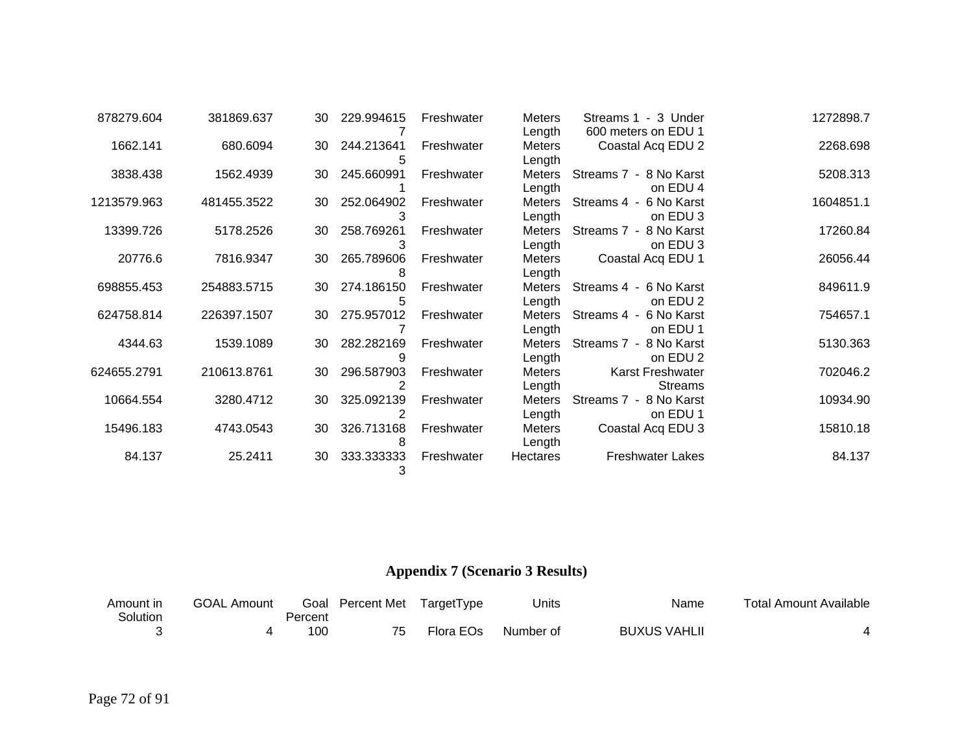| 878279.604  | 381869.637  | 30 | 229.994615 | Freshwater | <b>Meters</b>              | Streams 1 - 3 Under                      | 1272898.7 |
|-------------|-------------|----|------------|------------|----------------------------|------------------------------------------|-----------|
| 1662.141    | 680.6094    | 30 | 244.213641 | Freshwater | Length<br>Meters<br>Length | 600 meters on EDU 1<br>Coastal Acq EDU 2 | 2268.698  |
| 3838.438    | 1562.4939   | 30 | 245.660991 | Freshwater | Meters<br>Length           | Streams 7 - 8 No Karst<br>on EDU 4       | 5208.313  |
| 1213579.963 | 481455.3522 | 30 | 252.064902 | Freshwater | <b>Meters</b><br>Length    | Streams 4 - 6 No Karst<br>on EDU 3       | 1604851.1 |
| 13399.726   | 5178.2526   | 30 | 258.769261 | Freshwater | Meters<br>Length           | Streams 7 - 8 No Karst<br>on EDU 3       | 17260.84  |
| 20776.6     | 7816.9347   | 30 | 265.789606 | Freshwater | Meters<br>Length           | Coastal Acq EDU 1                        | 26056.44  |
| 698855.453  | 254883.5715 | 30 | 274.186150 | Freshwater | Meters<br>Length           | Streams 4 - 6 No Karst<br>on EDU 2       | 849611.9  |
| 624758.814  | 226397.1507 | 30 | 275.957012 | Freshwater | <b>Meters</b><br>Length    | Streams 4 - 6 No Karst<br>on EDU 1       | 754657.1  |
| 4344.63     | 1539.1089   | 30 | 282.282169 | Freshwater | <b>Meters</b><br>Length    | Streams 7 - 8 No Karst<br>on EDU 2       | 5130.363  |
| 624655.2791 | 210613.8761 | 30 | 296.587903 | Freshwater | <b>Meters</b><br>Length    | Karst Freshwater<br><b>Streams</b>       | 702046.2  |
| 10664.554   | 3280.4712   | 30 | 325.092139 | Freshwater | Meters<br>Length           | Streams 7 - 8 No Karst<br>on EDU 1       | 10934.90  |
| 15496.183   | 4743.0543   | 30 | 326.713168 | Freshwater | <b>Meters</b><br>Length    | Coastal Acq EDU 3                        | 15810.18  |
| 84.137      | 25.2411     | 30 | 333.333333 | Freshwater | Hectares                   | <b>Freshwater Lakes</b>                  | 84.137    |

## **Appendix 7 (Scenario 3 Results)**

| Amount in | <b>GOAL Amount</b> |         | Goal Percent Met | TargetType | Units     | Name                | <b>Total Amount Available</b> |
|-----------|--------------------|---------|------------------|------------|-----------|---------------------|-------------------------------|
| Solution  |                    | Percent |                  |            |           |                     |                               |
|           |                    | 10C     | 75               | Flora EOs  | Number of | <b>BUXUS VAHLII</b> |                               |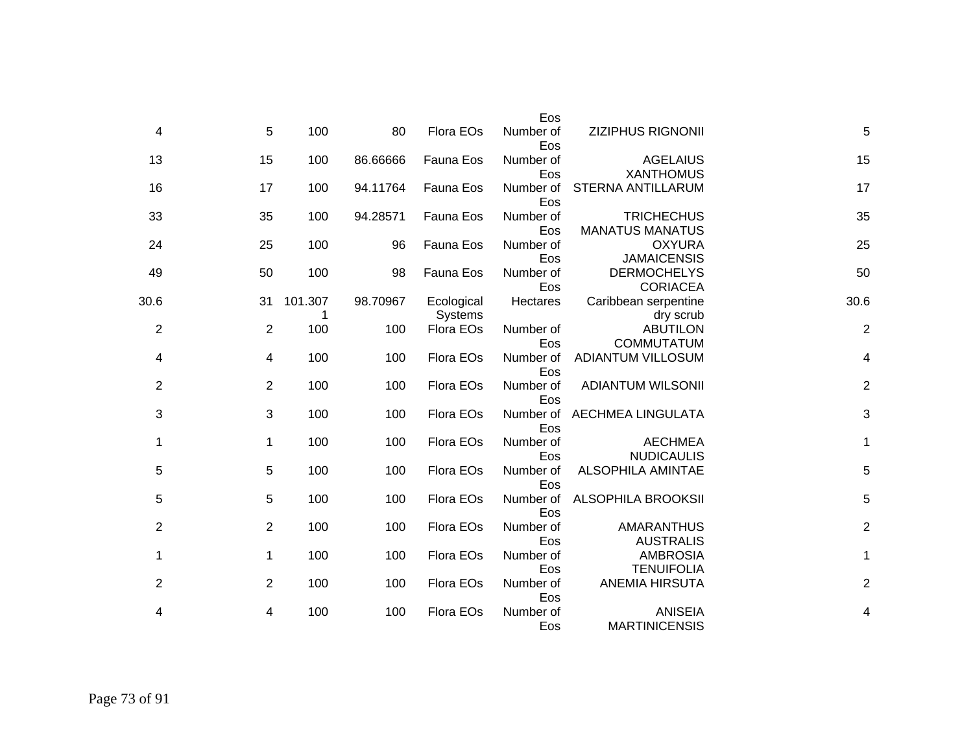|                  |                                             | Eos              |                       |          |         |                |                |
|------------------|---------------------------------------------|------------------|-----------------------|----------|---------|----------------|----------------|
| 5                | <b>ZIZIPHUS RIGNONII</b>                    | Number of<br>Eos | Flora EOs             | 80       | 100     | 5              | 4              |
| 15               | <b>AGELAIUS</b><br><b>XANTHOMUS</b>         | Number of<br>Eos | Fauna Eos             | 86.66666 | 100     | 15             | 13             |
| 17               | <b>STERNA ANTILLARUM</b>                    | Number of<br>Eos | Fauna Eos             | 94.11764 | 100     | 17             | 16             |
| 35               | <b>TRICHECHUS</b><br><b>MANATUS MANATUS</b> | Number of<br>Eos | Fauna Eos             | 94.28571 | 100     | 35             | 33             |
| 25               | <b>OXYURA</b><br><b>JAMAICENSIS</b>         | Number of<br>Eos | Fauna Eos             | 96       | 100     | 25             | 24             |
| 50               | <b>DERMOCHELYS</b><br><b>CORIACEA</b>       | Number of<br>Eos | Fauna Eos             | 98       | 100     | 50             | 49             |
| 30.6             | Caribbean serpentine<br>dry scrub           | Hectares         | Ecological<br>Systems | 98.70967 | 101.307 | 31             | 30.6           |
| $\boldsymbol{2}$ | <b>ABUTILON</b><br><b>COMMUTATUM</b>        | Number of<br>Eos | Flora EOs             | 100      | 100     | $\overline{2}$ | $\overline{2}$ |
| 4                | <b>ADIANTUM VILLOSUM</b>                    | Number of<br>Eos | Flora EOs             | 100      | 100     | 4              | 4              |
| $\overline{c}$   | <b>ADIANTUM WILSONII</b>                    | Number of<br>Eos | Flora EOs             | 100      | 100     | $\overline{2}$ | $\overline{2}$ |
| 3                | AECHMEA LINGULATA                           | Number of<br>Eos | Flora EOs             | 100      | 100     | 3              | 3              |
| $\mathbf{1}$     | <b>AECHMEA</b><br><b>NUDICAULIS</b>         | Number of<br>Eos | Flora EOs             | 100      | 100     | $\mathbf{1}$   | 1              |
| 5                | <b>ALSOPHILA AMINTAE</b>                    | Number of<br>Eos | Flora EOs             | 100      | 100     | 5              | $\sqrt{5}$     |
| 5                | <b>ALSOPHILA BROOKSII</b>                   | Number of<br>Eos | Flora EOs             | 100      | 100     | 5              | $\,$ 5 $\,$    |
| $\overline{c}$   | <b>AMARANTHUS</b><br><b>AUSTRALIS</b>       | Number of<br>Eos | Flora EOs             | 100      | 100     | $\overline{2}$ | $\sqrt{2}$     |
| $\mathbf{1}$     | <b>AMBROSIA</b><br><b>TENUIFOLIA</b>        | Number of<br>Eos | Flora EOs             | 100      | 100     | $\mathbf 1$    | 1              |
| $\overline{c}$   | <b>ANEMIA HIRSUTA</b>                       | Number of<br>Eos | Flora EOs             | 100      | 100     | $\overline{2}$ | $\overline{2}$ |
| 4                | <b>ANISEIA</b><br><b>MARTINICENSIS</b>      | Number of<br>Eos | Flora EOs             | 100      | 100     | 4              | 4              |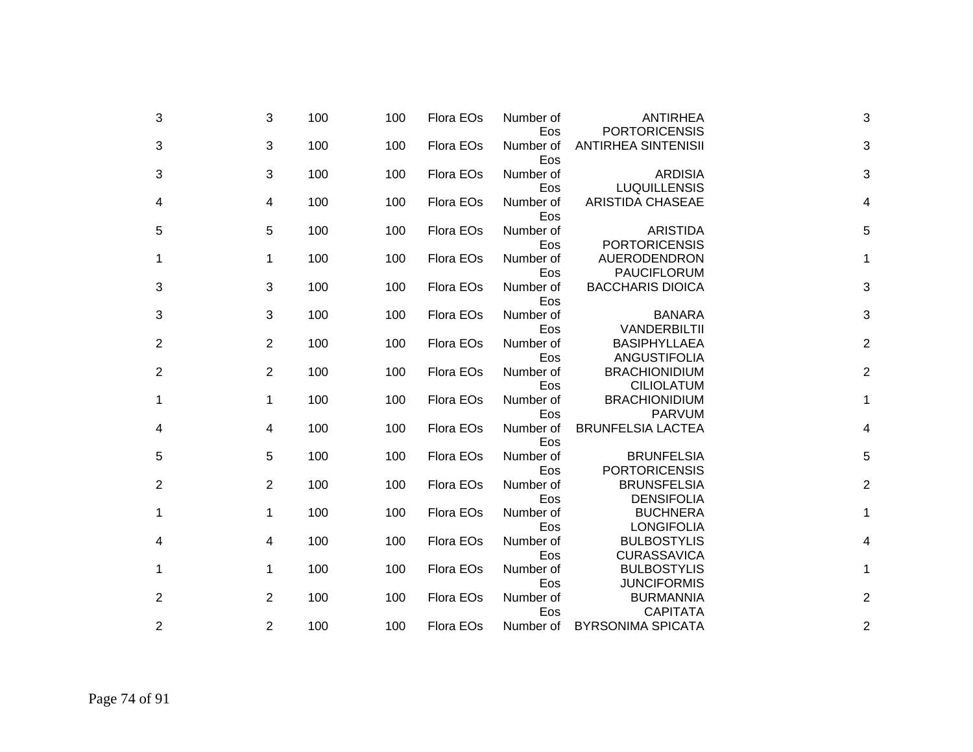| 3              | 3              | 100 | 100 | Flora EOs | Number of<br>Eos | ANTIRHEA<br><b>PORTORICENSIS</b>          | 3                       |
|----------------|----------------|-----|-----|-----------|------------------|-------------------------------------------|-------------------------|
| 3              | 3              | 100 | 100 | Flora EOs | Number of<br>Eos | <b>ANTIRHEA SINTENISII</b>                | 3                       |
| 3              | 3              | 100 | 100 | Flora EOs | Number of<br>Eos | <b>ARDISIA</b><br><b>LUQUILLENSIS</b>     | 3                       |
| 4              | 4              | 100 | 100 | Flora EOs | Number of<br>Eos | <b>ARISTIDA CHASEAE</b>                   | 4                       |
| 5              | 5              | 100 | 100 | Flora EOs | Number of<br>Eos | <b>ARISTIDA</b><br><b>PORTORICENSIS</b>   | 5                       |
| 1              | 1              | 100 | 100 | Flora EOs | Number of<br>Eos | AUERODENDRON<br><b>PAUCIFLORUM</b>        | 1                       |
| 3              | 3              | 100 | 100 | Flora EOs | Number of<br>Eos | <b>BACCHARIS DIOICA</b>                   | 3                       |
| 3              | 3              | 100 | 100 | Flora EOs | Number of<br>Eos | <b>BANARA</b><br>VANDERBILTII             | 3                       |
| $\overline{2}$ | 2              | 100 | 100 | Flora EOs | Number of<br>Eos | <b>BASIPHYLLAEA</b><br>ANGUSTIFOLIA       | $\overline{\mathbf{c}}$ |
| 2              | 2              | 100 | 100 | Flora EOs | Number of<br>Eos | <b>BRACHIONIDIUM</b><br><b>CILIOLATUM</b> | $\overline{2}$          |
| 1              | 1              | 100 | 100 | Flora EOs | Number of<br>Eos | <b>BRACHIONIDIUM</b><br><b>PARVUM</b>     | 1                       |
| 4              | 4              | 100 | 100 | Flora EOs | Number of<br>Eos | <b>BRUNFELSIA LACTEA</b>                  | 4                       |
| 5              | 5              | 100 | 100 | Flora EOs | Number of<br>Eos | <b>BRUNFELSIA</b><br><b>PORTORICENSIS</b> | 5                       |
| 2              | $\overline{2}$ | 100 | 100 | Flora EOs | Number of<br>Eos | <b>BRUNSFELSIA</b><br><b>DENSIFOLIA</b>   | $\overline{2}$          |
| 1              | 1              | 100 | 100 | Flora EOs | Number of<br>Eos | <b>BUCHNERA</b><br><b>LONGIFOLIA</b>      | 1                       |
| 4              | 4              | 100 | 100 | Flora EOs | Number of<br>Eos | <b>BULBOSTYLIS</b><br><b>CURASSAVICA</b>  | 4                       |
| 1              | 1              | 100 | 100 | Flora EOs | Number of<br>Eos | <b>BULBOSTYLIS</b><br><b>JUNCIFORMIS</b>  | 1                       |
| 2              | 2              | 100 | 100 | Flora EOs | Number of<br>Eos | <b>BURMANNIA</b><br><b>CAPITATA</b>       | $\overline{\mathbf{c}}$ |
| 2              | $\overline{c}$ | 100 | 100 | Flora EOs | Number of        | <b>BYRSONIMA SPICATA</b>                  | $\overline{2}$          |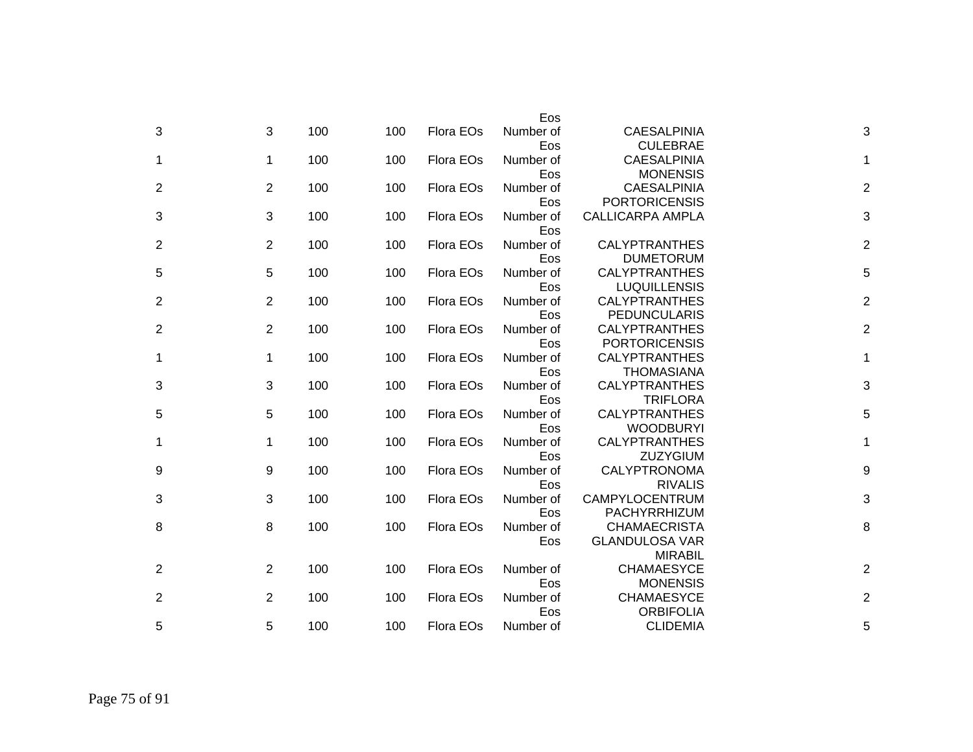|                |                |     |     |           | Eos       |                         |                |
|----------------|----------------|-----|-----|-----------|-----------|-------------------------|----------------|
| 3              | 3              | 100 | 100 | Flora EOs | Number of | <b>CAESALPINIA</b>      | 3              |
|                |                |     |     |           | Eos       | <b>CULEBRAE</b>         |                |
| 1              | 1              | 100 | 100 | Flora EOs | Number of | <b>CAESALPINIA</b>      | 1              |
|                |                |     |     |           | Eos       | <b>MONENSIS</b>         |                |
| $\overline{2}$ | 2              | 100 | 100 | Flora EOs | Number of | <b>CAESALPINIA</b>      | $\overline{2}$ |
|                |                |     |     |           | Eos       | <b>PORTORICENSIS</b>    |                |
| 3              | 3              | 100 | 100 | Flora EOs | Number of | <b>CALLICARPA AMPLA</b> | 3              |
|                |                |     |     |           | Eos       |                         |                |
| $\overline{2}$ | 2              | 100 | 100 | Flora EOs | Number of | <b>CALYPTRANTHES</b>    | $\overline{c}$ |
|                |                |     |     |           | Eos       | <b>DUMETORUM</b>        |                |
| 5              | $\overline{5}$ | 100 | 100 | Flora EOs | Number of | <b>CALYPTRANTHES</b>    | 5              |
|                |                |     |     |           | Eos       | <b>LUQUILLENSIS</b>     |                |
| $\overline{2}$ | 2              | 100 | 100 | Flora EOs | Number of | <b>CALYPTRANTHES</b>    | $\overline{c}$ |
|                |                |     |     |           | Eos       | PEDUNCULARIS            |                |
| 2              | 2              | 100 | 100 | Flora EOs | Number of | <b>CALYPTRANTHES</b>    | $\overline{2}$ |
|                |                |     |     |           | Eos       | <b>PORTORICENSIS</b>    |                |
| 1              | $\mathbf 1$    | 100 | 100 | Flora EOs | Number of | <b>CALYPTRANTHES</b>    | 1              |
|                |                |     |     |           | Eos       | <b>THOMASIANA</b>       |                |
| 3              | 3              | 100 | 100 | Flora EOs | Number of | <b>CALYPTRANTHES</b>    | 3              |
|                |                |     |     |           | Eos       | <b>TRIFLORA</b>         |                |
| 5              | 5              | 100 | 100 | Flora EOs | Number of | <b>CALYPTRANTHES</b>    | 5              |
|                |                |     |     |           | Eos       | <b>WOODBURYI</b>        |                |
| 1              | $\mathbf 1$    | 100 | 100 | Flora EOs | Number of | <b>CALYPTRANTHES</b>    | 1              |
|                |                |     |     |           | Eos       | <b>ZUZYGIUM</b>         |                |
| 9              | 9              | 100 | 100 | Flora EOs | Number of | <b>CALYPTRONOMA</b>     | 9              |
|                |                |     |     |           | Eos       | <b>RIVALIS</b>          |                |
| 3              | 3              | 100 | 100 | Flora EOs | Number of | CAMPYLOCENTRUM          | 3              |
|                |                |     |     |           | Eos       | PACHYRRHIZUM            |                |
| 8              | 8              | 100 | 100 | Flora EOs | Number of | <b>CHAMAECRISTA</b>     | 8              |
|                |                |     |     |           | Eos       | <b>GLANDULOSA VAR</b>   |                |
|                |                |     |     |           |           | <b>MIRABIL</b>          |                |
| $\overline{2}$ | $\overline{2}$ | 100 | 100 | Flora EOs | Number of | <b>CHAMAESYCE</b>       | $\mathbf 2$    |
|                |                |     |     |           | Eos       | <b>MONENSIS</b>         |                |
| 2              | $\overline{2}$ | 100 | 100 | Flora EOs | Number of | <b>CHAMAESYCE</b>       | $\overline{2}$ |
|                |                |     |     |           | Eos       | <b>ORBIFOLIA</b>        |                |
| 5              | 5              | 100 | 100 | Flora EOs | Number of | <b>CLIDEMIA</b>         | 5              |
|                |                |     |     |           |           |                         |                |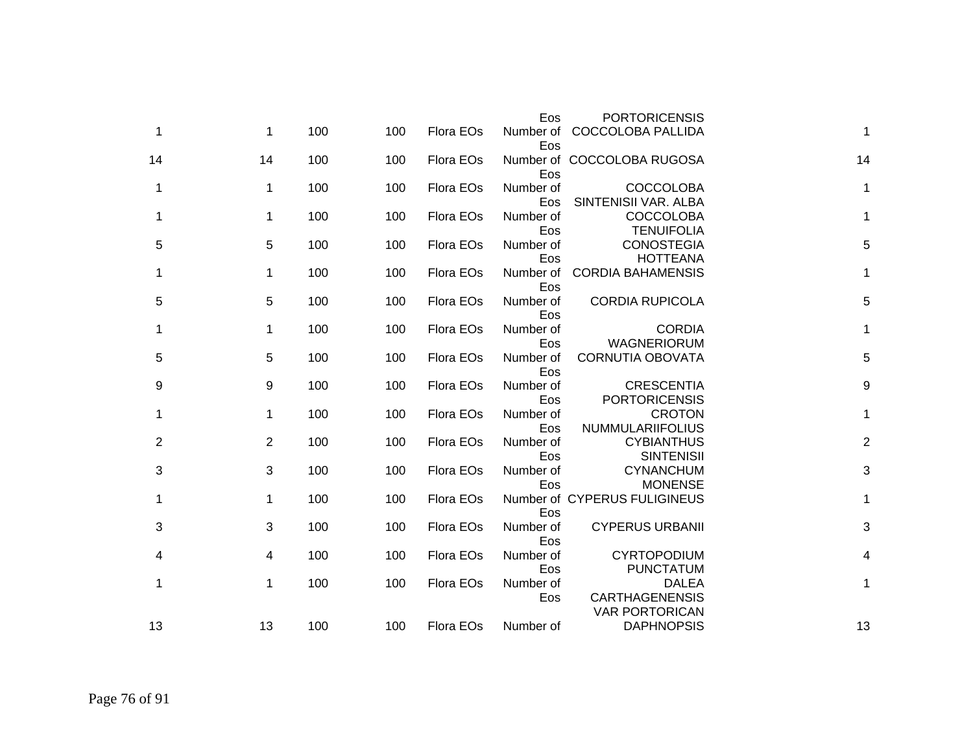|    | <b>PORTORICENSIS</b>                                           | Eos              |           |     |     |             |    |
|----|----------------------------------------------------------------|------------------|-----------|-----|-----|-------------|----|
| 1  | <b>COCCOLOBA PALLIDA</b>                                       | Number of<br>Eos | Flora EOs | 100 | 100 | $\mathbf 1$ | 1  |
| 14 | Number of COCCOLOBA RUGOSA                                     | Eos              | Flora EOs | 100 | 100 | 14          | 14 |
| 1  | <b>COCCOLOBA</b><br>SINTENISII VAR. ALBA                       | Number of<br>Eos | Flora EOs | 100 | 100 | 1           | 1  |
| 1  | <b>COCCOLOBA</b><br><b>TENUIFOLIA</b>                          | Number of<br>Eos | Flora EOs | 100 | 100 | 1           | 1  |
| 5  | <b>CONOSTEGIA</b><br><b>HOTTEANA</b>                           | Number of<br>Eos | Flora EOs | 100 | 100 | 5           | 5  |
| 1  | <b>CORDIA BAHAMENSIS</b>                                       | Number of<br>Eos | Flora EOs | 100 | 100 | 1           | 1  |
| 5  | <b>CORDIA RUPICOLA</b>                                         | Number of<br>Eos | Flora EOs | 100 | 100 | 5           | 5  |
| 1  | <b>CORDIA</b><br>WAGNERIORUM                                   | Number of<br>Eos | Flora EOs | 100 | 100 | 1           | 1  |
| 5  | <b>CORNUTIA OBOVATA</b>                                        | Number of<br>Eos | Flora EOs | 100 | 100 | 5           | 5  |
| 9  | <b>CRESCENTIA</b><br><b>PORTORICENSIS</b>                      | Number of<br>Eos | Flora EOs | 100 | 100 | 9           | 9  |
| 1  | <b>CROTON</b><br><b>NUMMULARIIFOLIUS</b>                       | Number of<br>Eos | Flora EOs | 100 | 100 | 1           | 1  |
| 2  | <b>CYBIANTHUS</b><br><b>SINTENISII</b>                         | Number of<br>Eos | Flora EOs | 100 | 100 | 2           | 2  |
| 3  | <b>CYNANCHUM</b><br><b>MONENSE</b>                             | Number of<br>Eos | Flora EOs | 100 | 100 | 3           | 3  |
| 1  | Number of CYPERUS FULIGINEUS                                   | Eos              | Flora EOs | 100 | 100 | 1           | 1  |
| 3  | <b>CYPERUS URBANII</b>                                         | Number of<br>Eos | Flora EOs | 100 | 100 | 3           | 3  |
| 4  | <b>CYRTOPODIUM</b><br><b>PUNCTATUM</b>                         | Number of<br>Eos | Flora EOs | 100 | 100 | 4           | 4  |
| 1  | <b>DALEA</b><br><b>CARTHAGENENSIS</b><br><b>VAR PORTORICAN</b> | Number of<br>Eos | Flora EOs | 100 | 100 | 1           | 1  |
| 13 | <b>DAPHNOPSIS</b>                                              | Number of        | Flora EOs | 100 | 100 | 13          | 13 |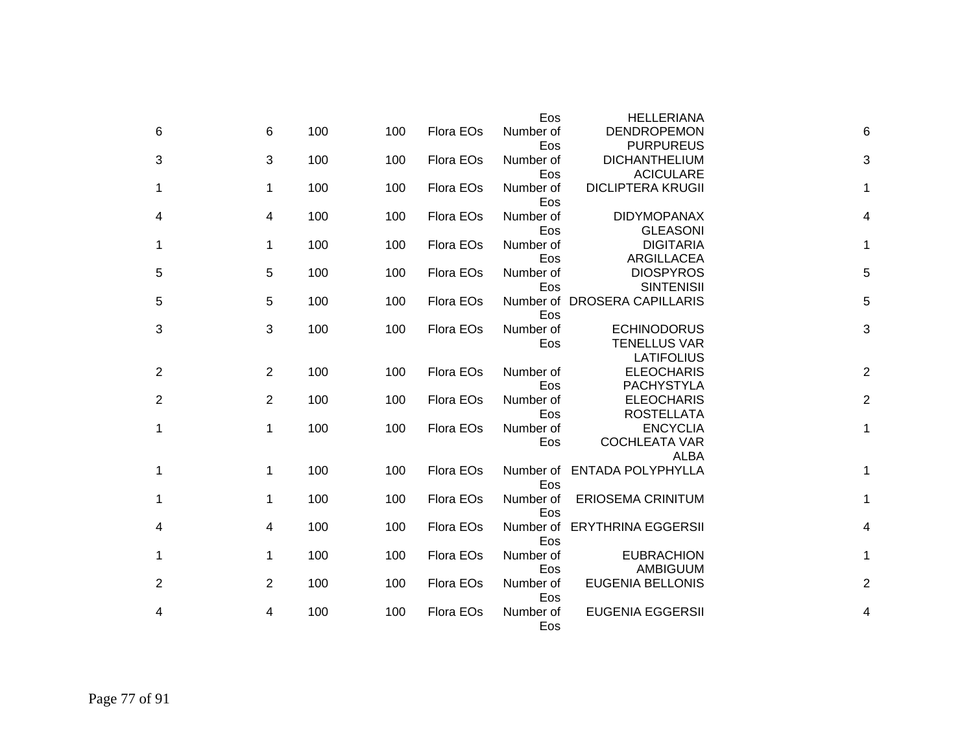|                |                |     |     |           | Eos       | <b>HELLERIANA</b>            |   |                |
|----------------|----------------|-----|-----|-----------|-----------|------------------------------|---|----------------|
| 6              | 6              | 100 | 100 | Flora EOs | Number of | <b>DENDROPEMON</b>           |   | 6              |
|                |                |     |     |           | Eos       | <b>PURPUREUS</b>             |   |                |
| 3              | 3              | 100 | 100 | Flora EOs | Number of | <b>DICHANTHELIUM</b>         |   | 3              |
|                |                |     |     |           | Eos       | <b>ACICULARE</b>             |   |                |
| 1              | $\mathbf 1$    | 100 | 100 | Flora EOs | Number of | <b>DICLIPTERA KRUGII</b>     |   | 1              |
|                |                |     |     |           | Eos       |                              |   |                |
| 4              | 4              | 100 | 100 | Flora EOs | Number of | <b>DIDYMOPANAX</b>           |   | 4              |
|                |                |     |     |           | Eos       | <b>GLEASONI</b>              |   |                |
| 1              | $\mathbf 1$    | 100 | 100 | Flora EOs | Number of | <b>DIGITARIA</b>             |   | 1              |
|                |                |     |     |           | Eos       | <b>ARGILLACEA</b>            |   |                |
| 5              | 5              | 100 | 100 | Flora EOs | Number of | <b>DIOSPYROS</b>             |   | 5              |
|                |                |     |     |           | Eos       | <b>SINTENISII</b>            |   |                |
| 5              | 5              | 100 | 100 | Flora EOs |           | Number of DROSERA CAPILLARIS |   | 5              |
|                |                |     |     |           | Eos       |                              |   |                |
| 3              | 3              | 100 | 100 | Flora EOs | Number of | <b>ECHINODORUS</b>           |   | 3              |
|                |                |     |     |           | Eos       | <b>TENELLUS VAR</b>          |   |                |
|                |                |     |     |           |           | <b>LATIFOLIUS</b>            |   |                |
| $\overline{2}$ | $\overline{2}$ | 100 | 100 | Flora EOs | Number of | <b>ELEOCHARIS</b>            |   | 2              |
|                |                |     |     |           | Eos       | <b>PACHYSTYLA</b>            |   |                |
| 2              | $\overline{2}$ | 100 | 100 | Flora EOs | Number of | <b>ELEOCHARIS</b>            |   | $\overline{c}$ |
|                |                |     |     |           | Eos       | <b>ROSTELLATA</b>            |   |                |
| 1              | $\mathbf 1$    | 100 | 100 | Flora EOs | Number of | <b>ENCYCLIA</b>              |   | 1              |
|                |                |     |     |           | Eos       | <b>COCHLEATA VAR</b>         |   |                |
|                |                |     |     |           |           | <b>ALBA</b>                  |   |                |
| 1              | 1              | 100 | 100 | Flora EOs | Number of | <b>ENTADA POLYPHYLLA</b>     |   | 1              |
|                |                |     |     |           | Eos       |                              |   |                |
| 1              | 1              | 100 | 100 | Flora EOs | Number of | <b>ERIOSEMA CRINITUM</b>     |   | $\mathbf 1$    |
|                |                |     |     |           | Eos       |                              |   |                |
| 4              | 4              | 100 | 100 | Flora EOs | Number of | <b>ERYTHRINA EGGERSII</b>    |   | 4              |
|                |                |     |     |           | Eos       |                              |   |                |
|                | 1              | 100 | 100 | Flora EOs | Number of | <b>EUBRACHION</b>            |   | 1              |
|                |                |     |     |           | Eos       | AMBIGUUM                     |   |                |
| 2              | $\overline{2}$ | 100 | 100 | Flora EOs | Number of | <b>EUGENIA BELLONIS</b>      |   | $\overline{c}$ |
|                |                |     |     |           | Eos       |                              |   |                |
| 4              | 4              | 100 | 100 | Flora EOs | Number of | <b>EUGENIA EGGERSII</b>      | 4 |                |
|                |                |     |     |           | Eos       |                              |   |                |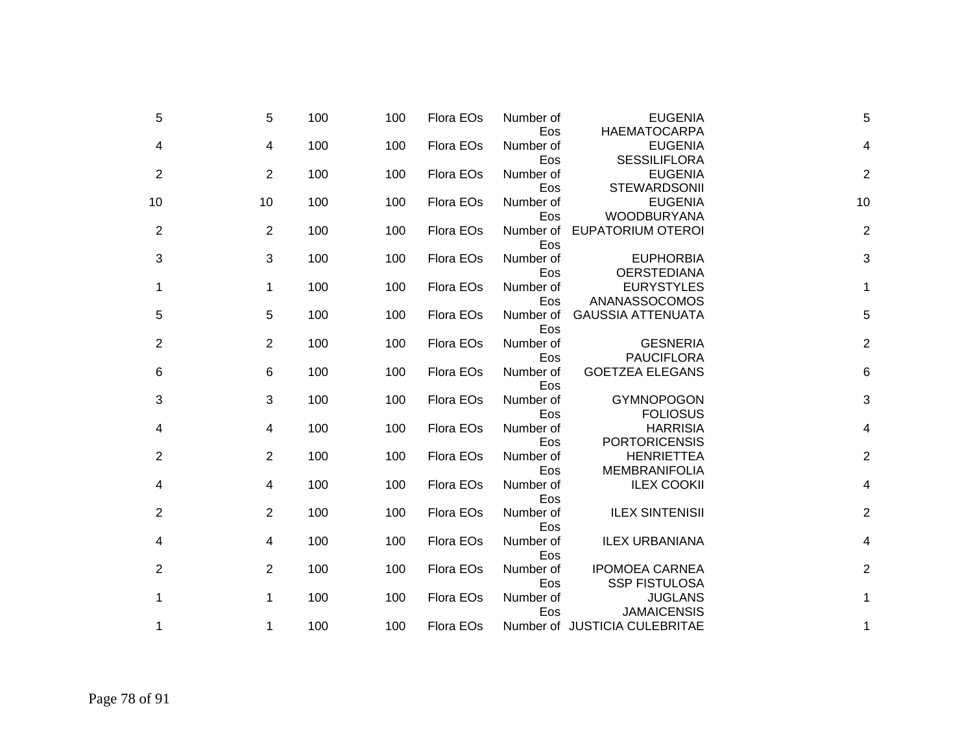| 5              |    | 100<br>5              | 100 | Flora EOs | Number of               | <b>EUGENIA</b>                                              | 5              |
|----------------|----|-----------------------|-----|-----------|-------------------------|-------------------------------------------------------------|----------------|
| 4              |    | 100<br>4              | 100 | Flora EOs | Eos<br>Number of        | <b>HAEMATOCARPA</b><br><b>EUGENIA</b>                       | 4              |
| 2              |    | 100<br>2              | 100 | Flora EOs | Eos<br>Number of        | <b>SESSILIFLORA</b><br><b>EUGENIA</b>                       | $\overline{2}$ |
| 10             | 10 | 100                   | 100 | Flora EOs | Eos<br>Number of<br>Eos | <b>STEWARDSONII</b><br><b>EUGENIA</b><br><b>WOODBURYANA</b> | 10             |
| $\overline{c}$ |    | 2<br>100              | 100 | Flora EOs | Number of<br>Eos        | <b>EUPATORIUM OTEROI</b>                                    | $\overline{2}$ |
| 3              |    | 100<br>3              | 100 | Flora EOs | Number of<br>Eos        | <b>EUPHORBIA</b><br><b>OERSTEDIANA</b>                      | 3              |
| 1              |    | 100<br>1              | 100 | Flora EOs | Number of<br>Eos        | <b>EURYSTYLES</b><br>ANANASSOCOMOS                          | 1              |
| 5              |    | 5<br>100              | 100 | Flora EOs | Number of<br>Eos        | <b>GAUSSIA ATTENUATA</b>                                    | 5              |
| $\overline{c}$ |    | 100<br>$\overline{2}$ | 100 | Flora EOs | Number of<br>Eos        | <b>GESNERIA</b><br><b>PAUCIFLORA</b>                        | $\overline{2}$ |
| 6              |    | 100<br>6              | 100 | Flora EOs | Number of<br>Eos        | <b>GOETZEA ELEGANS</b>                                      | 6              |
| 3              |    | 100<br>3              | 100 | Flora EOs | Number of<br>Eos        | <b>GYMNOPOGON</b><br><b>FOLIOSUS</b>                        | 3              |
| 4              |    | 100<br>4              | 100 | Flora EOs | Number of<br>Eos        | <b>HARRISIA</b><br><b>PORTORICENSIS</b>                     | 4              |
| $\overline{c}$ |    | 100<br>2              | 100 | Flora EOs | Number of<br>Eos        | <b>HENRIETTEA</b><br><b>MEMBRANIFOLIA</b>                   | $\overline{2}$ |
| 4              |    | 100<br>4              | 100 | Flora EOs | Number of<br>Eos        | <b>ILEX COOKII</b>                                          | 4              |
| $\overline{c}$ |    | 100<br>$\overline{2}$ | 100 | Flora EOs | Number of<br>Eos        | <b>ILEX SINTENISII</b>                                      | $\overline{2}$ |
| 4              |    | 100<br>4              | 100 | Flora EOs | Number of<br>Eos        | <b>ILEX URBANIANA</b>                                       | 4              |
| 2              |    | 100<br>2              | 100 | Flora EOs | Number of<br>Eos        | <b>IPOMOEA CARNEA</b><br><b>SSP FISTULOSA</b>               | $\overline{2}$ |
| 1              |    | 100<br>1              | 100 | Flora EOs | Number of<br>Eos        | <b>JUGLANS</b><br><b>JAMAICENSIS</b>                        | 1              |
| 1              |    | 100<br>1              | 100 | Flora EOs |                         | Number of JUSTICIA CULEBRITAE                               | 1              |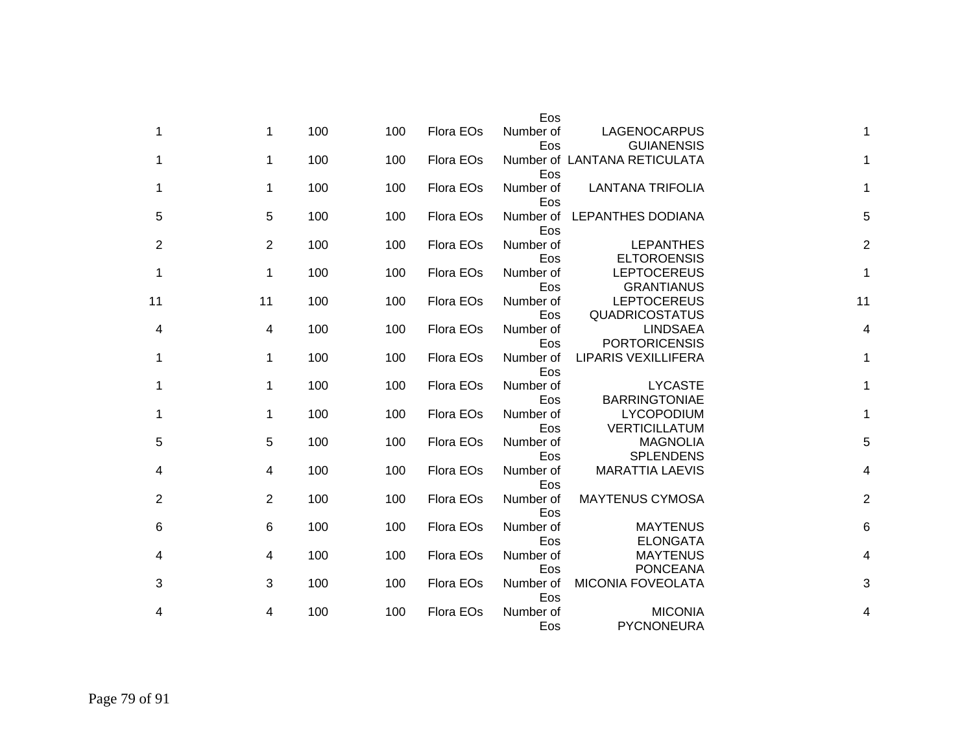|                |                                             | Eos              |           |     |     |                 |                |
|----------------|---------------------------------------------|------------------|-----------|-----|-----|-----------------|----------------|
| 1              | LAGENOCARPUS<br><b>GUIANENSIS</b>           | Number of<br>Eos | Flora EOs | 100 | 100 | $\mathbf 1$     | 1              |
| 1              | Number of LANTANA RETICULATA                | Eos              | Flora EOs | 100 | 100 | 1               | 1              |
| 1              | <b>LANTANA TRIFOLIA</b>                     | Number of<br>Eos | Flora EOs | 100 | 100 | 1               | 1              |
| 5              | <b>LEPANTHES DODIANA</b>                    | Number of<br>Eos | Flora EOs | 100 | 100 | $5\phantom{.0}$ | 5              |
| $\overline{c}$ | <b>LEPANTHES</b><br><b>ELTOROENSIS</b>      | Number of<br>Eos | Flora EOs | 100 | 100 | 2               | 2              |
| 1              | <b>LEPTOCEREUS</b><br><b>GRANTIANUS</b>     | Number of<br>Eos | Flora EOs | 100 | 100 | 1               | 1              |
| 11             | <b>LEPTOCEREUS</b><br><b>QUADRICOSTATUS</b> | Number of<br>Eos | Flora EOs | 100 | 100 | 11              | 11             |
| 4              | <b>LINDSAEA</b><br><b>PORTORICENSIS</b>     | Number of<br>Eos | Flora EOs | 100 | 100 | 4               | 4              |
| 1              | <b>LIPARIS VEXILLIFERA</b>                  | Number of<br>Eos | Flora EOs | 100 | 100 | 1               | 1              |
| 1              | <b>LYCASTE</b><br><b>BARRINGTONIAE</b>      | Number of<br>Eos | Flora EOs | 100 | 100 | 1               | 1              |
| 1              | <b>LYCOPODIUM</b><br><b>VERTICILLATUM</b>   | Number of<br>Eos | Flora EOs | 100 | 100 | 1               | 1              |
| 5              | <b>MAGNOLIA</b><br><b>SPLENDENS</b>         | Number of<br>Eos | Flora EOs | 100 | 100 | 5               | 5              |
| 4              | <b>MARATTIA LAEVIS</b>                      | Number of<br>Eos | Flora EOs | 100 | 100 | 4               | 4              |
| $\overline{c}$ | <b>MAYTENUS CYMOSA</b>                      | Number of<br>Eos | Flora EOs | 100 | 100 | $\overline{2}$  | $\overline{c}$ |
| 6              | <b>MAYTENUS</b><br><b>ELONGATA</b>          | Number of<br>Eos | Flora EOs | 100 | 100 | 6               | 6              |
| 4              | <b>MAYTENUS</b><br><b>PONCEANA</b>          | Number of<br>Eos | Flora EOs | 100 | 100 | 4               | 4              |
| 3              | <b>MICONIA FOVEOLATA</b>                    | Number of<br>Eos | Flora EOs | 100 | 100 | 3               | 3              |
| 4              | <b>MICONIA</b><br>PYCNONEURA                | Number of<br>Eos | Flora EOs | 100 | 100 | 4               | 4              |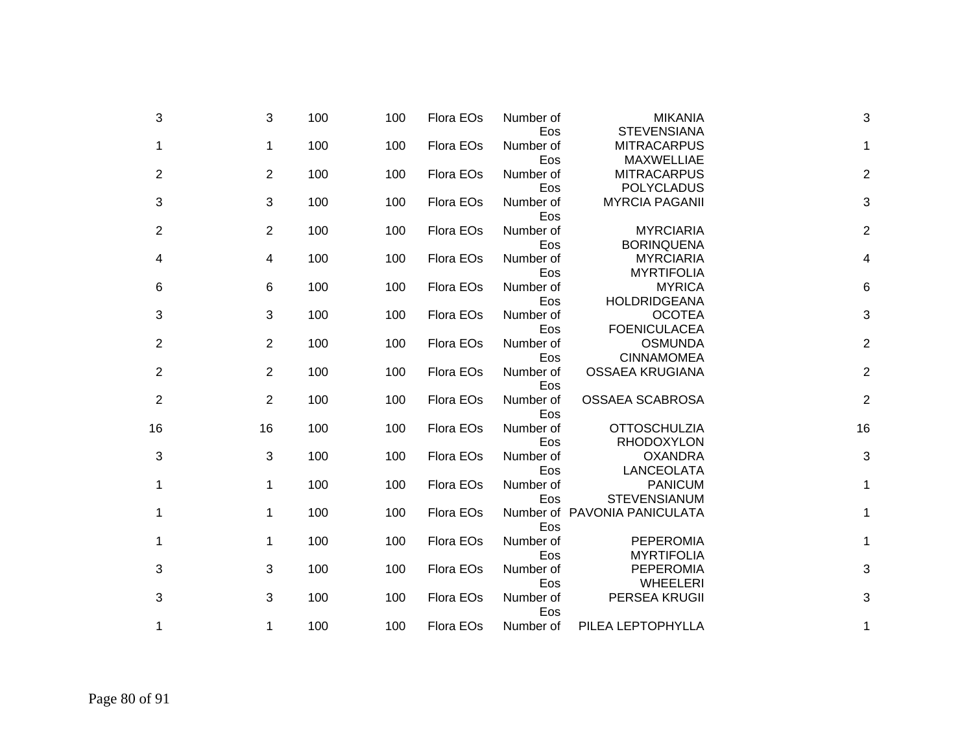| 3                         | <b>MIKANIA</b><br><b>STEVENSIANA</b>                         | Number of<br>Eos        | Flora EOs | 100 | 100 | 3              | 3              |
|---------------------------|--------------------------------------------------------------|-------------------------|-----------|-----|-----|----------------|----------------|
| 1                         | <b>MITRACARPUS</b>                                           | Number of               | Flora EOs | 100 | 100 | $\mathbf 1$    | 1              |
| $\overline{2}$            | <b>MAXWELLIAE</b><br><b>MITRACARPUS</b><br><b>POLYCLADUS</b> | Eos<br>Number of<br>Eos | Flora EOs | 100 | 100 | 2              | 2              |
| 3                         | <b>MYRCIA PAGANII</b>                                        | Number of               | Flora EOs | 100 | 100 | 3              | 3              |
| $\overline{2}$            | <b>MYRCIARIA</b>                                             | Eos<br>Number of        | Flora EOs | 100 | 100 | 2              | 2              |
| 4                         | <b>BORINQUENA</b><br><b>MYRCIARIA</b><br><b>MYRTIFOLIA</b>   | Eos<br>Number of<br>Eos | Flora EOs | 100 | 100 | 4              | 4              |
| 6                         | <b>MYRICA</b><br><b>HOLDRIDGEANA</b>                         | Number of<br>Eos        | Flora EOs | 100 | 100 | 6              | 6              |
| $\ensuremath{\mathsf{3}}$ | <b>OCOTEA</b><br><b>FOENICULACEA</b>                         | Number of<br>Eos        | Flora EOs | 100 | 100 | 3              | 3              |
| $\overline{2}$            | <b>OSMUNDA</b><br><b>CINNAMOMEA</b>                          | Number of<br>Eos        | Flora EOs | 100 | 100 | $\overline{2}$ | 2              |
| $\overline{2}$            | <b>OSSAEA KRUGIANA</b>                                       | Number of<br>Eos        | Flora EOs | 100 | 100 | $\overline{2}$ | $\overline{2}$ |
| $\overline{c}$            | <b>OSSAEA SCABROSA</b>                                       | Number of<br>Eos        | Flora EOs | 100 | 100 | $\overline{2}$ | $\overline{2}$ |
| 16                        | <b>OTTOSCHULZIA</b><br><b>RHODOXYLON</b>                     | Number of<br>Eos        | Flora EOs | 100 | 100 | 16             | 16             |
| 3                         | <b>OXANDRA</b><br>LANCEOLATA                                 | Number of<br>Eos        | Flora EOs | 100 | 100 | 3              | 3              |
| 1                         | <b>PANICUM</b><br><b>STEVENSIANUM</b>                        | Number of<br>Eos        | Flora EOs | 100 | 100 | $\mathbf 1$    | 1              |
| 1                         | Number of PAVONIA PANICULATA                                 | Eos                     | Flora EOs | 100 | 100 | $\mathbf 1$    | 1              |
| $\mathbf{1}$              | <b>PEPEROMIA</b><br><b>MYRTIFOLIA</b>                        | Number of<br>Eos        | Flora EOs | 100 | 100 | $\mathbf{1}$   | 1              |
| 3                         | <b>PEPEROMIA</b>                                             | Number of               | Flora EOs | 100 | 100 | 3              | 3              |
| 3                         | <b>WHEELERI</b><br>PERSEA KRUGII                             | Eos<br>Number of        | Flora EOs | 100 | 100 | 3              | 3              |
| 1                         | PILEA LEPTOPHYLLA                                            | Eos<br>Number of        | Flora EOs | 100 | 100 | 1              | 1              |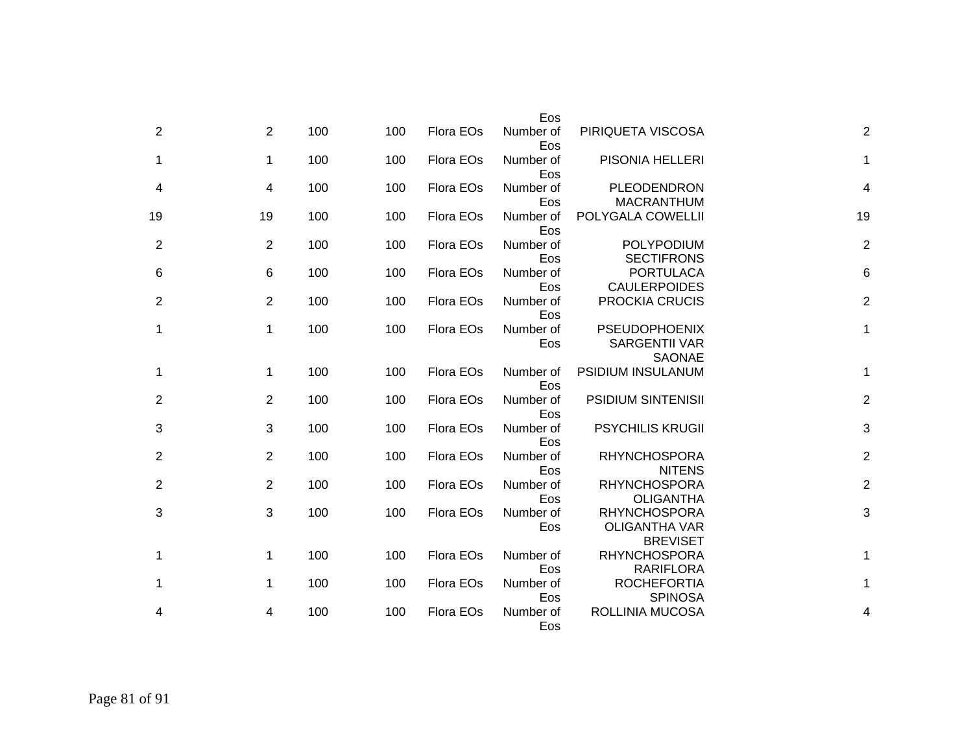|                |                                                                | Eos              |           |     |     |                |    |
|----------------|----------------------------------------------------------------|------------------|-----------|-----|-----|----------------|----|
| $\overline{2}$ | PIRIQUETA VISCOSA                                              | Number of<br>Eos | Flora EOs | 100 | 100 | 2              | 2  |
| 1              | PISONIA HELLERI                                                | Number of<br>Eos | Flora EOs | 100 | 100 | $\mathbf{1}$   | 1  |
| 4              | PLEODENDRON<br><b>MACRANTHUM</b>                               | Number of<br>Eos | Flora EOs | 100 | 100 | $\overline{4}$ | 4  |
| 19             | POLYGALA COWELLII                                              | Number of<br>Eos | Flora EOs | 100 | 100 | 19             | 19 |
| $\overline{c}$ | POLYPODIUM<br><b>SECTIFRONS</b>                                | Number of<br>Eos | Flora EOs | 100 | 100 | 2              | 2  |
| 6              | <b>PORTULACA</b><br><b>CAULERPOIDES</b>                        | Number of<br>Eos | Flora EOs | 100 | 100 | 6              | 6  |
| $\overline{c}$ | <b>PROCKIA CRUCIS</b>                                          | Number of<br>Eos | Flora EOs | 100 | 100 | 2              | 2  |
| 1              | <b>PSEUDOPHOENIX</b><br><b>SARGENTII VAR</b><br><b>SAONAE</b>  | Number of<br>Eos | Flora EOs | 100 | 100 | 1              | 1  |
| 1              | PSIDIUM INSULANUM                                              | Number of<br>Eos | Flora EOs | 100 | 100 | 1              | 1  |
| $\overline{c}$ | <b>PSIDIUM SINTENISII</b>                                      | Number of<br>Eos | Flora EOs | 100 | 100 | 2              | 2  |
| 3              | <b>PSYCHILIS KRUGII</b>                                        | Number of<br>Eos | Flora EOs | 100 | 100 | 3              | 3  |
| $\overline{2}$ | <b>RHYNCHOSPORA</b><br><b>NITENS</b>                           | Number of<br>Eos | Flora EOs | 100 | 100 | 2              | 2  |
| $\overline{2}$ | <b>RHYNCHOSPORA</b><br><b>OLIGANTHA</b>                        | Number of<br>Eos | Flora EOs | 100 | 100 | 2              | 2  |
| 3              | <b>RHYNCHOSPORA</b><br><b>OLIGANTHA VAR</b><br><b>BREVISET</b> | Number of<br>Eos | Flora EOs | 100 | 100 | 3              | 3  |
| 1              | <b>RHYNCHOSPORA</b><br><b>RARIFLORA</b>                        | Number of<br>Eos | Flora EOs | 100 | 100 | $\mathbf 1$    | 1  |
| 1              | <b>ROCHEFORTIA</b><br><b>SPINOSA</b>                           | Number of<br>Eos | Flora EOs | 100 | 100 | 1              | 1  |
| 4              | ROLLINIA MUCOSA                                                | Number of<br>Eos | Flora EOs | 100 | 100 | 4              | 4  |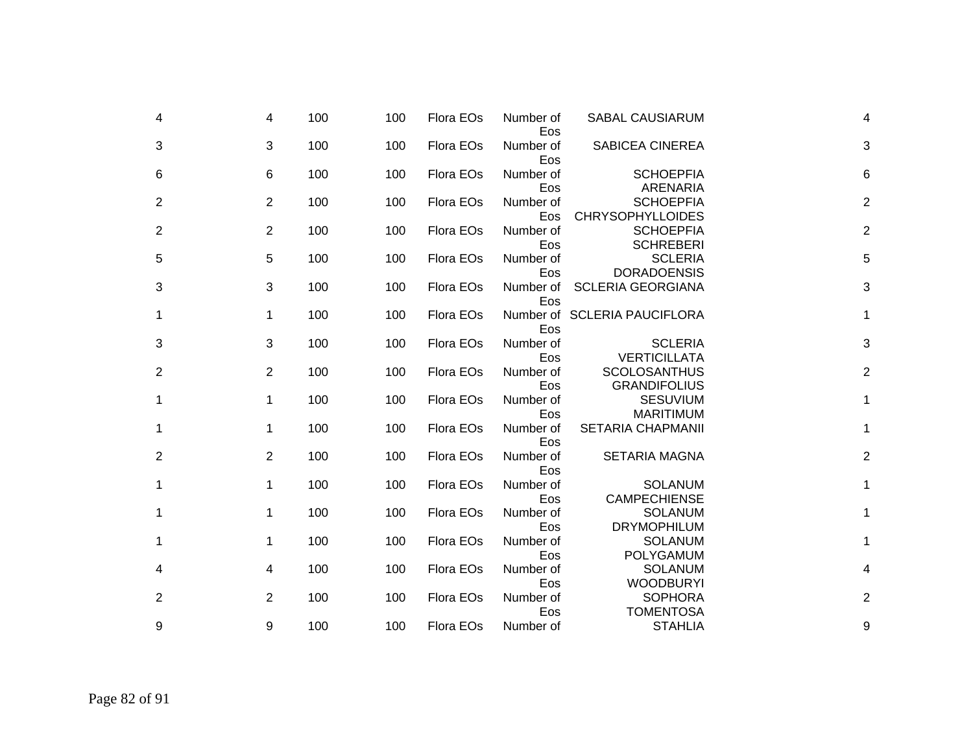| 4 | 4              | 100 | 100 | Flora EOs | Number of<br>Eos | <b>SABAL CAUSIARUM</b>                      | 4              |
|---|----------------|-----|-----|-----------|------------------|---------------------------------------------|----------------|
| 3 | 3              | 100 | 100 | Flora EOs | Number of<br>Eos | <b>SABICEA CINEREA</b>                      | 3              |
| 6 | 6              | 100 | 100 | Flora EOs | Number of<br>Eos | <b>SCHOEPFIA</b><br>ARENARIA                | 6              |
| 2 | 2              | 100 | 100 | Flora EOs | Number of<br>Eos | <b>SCHOEPFIA</b><br><b>CHRYSOPHYLLOIDES</b> | $\overline{2}$ |
| 2 | 2              | 100 | 100 | Flora EOs | Number of<br>Eos | <b>SCHOEPFIA</b><br><b>SCHREBERI</b>        | $\overline{2}$ |
| 5 | 5              | 100 | 100 | Flora EOs | Number of<br>Eos | <b>SCLERIA</b><br><b>DORADOENSIS</b>        | 5              |
| 3 | 3              | 100 | 100 | Flora EOs | Number of<br>Eos | <b>SCLERIA GEORGIANA</b>                    | 3              |
| 1 | $\mathbf 1$    | 100 | 100 | Flora EOs | Eos              | Number of SCLERIA PAUCIFLORA                | 1              |
| 3 | 3              | 100 | 100 | Flora EOs | Number of<br>Eos | <b>SCLERIA</b><br><b>VERTICILLATA</b>       | 3              |
| 2 | $\overline{2}$ | 100 | 100 | Flora EOs | Number of<br>Eos | <b>SCOLOSANTHUS</b><br><b>GRANDIFOLIUS</b>  | $\overline{2}$ |
| 1 | 1              | 100 | 100 | Flora EOs | Number of<br>Eos | <b>SESUVIUM</b><br><b>MARITIMUM</b>         | 1              |
| 1 | 1              | 100 | 100 | Flora EOs | Number of<br>Eos | <b>SETARIA CHAPMANII</b>                    | 1              |
| 2 | 2              | 100 | 100 | Flora EOs | Number of<br>Eos | <b>SETARIA MAGNA</b>                        | $\overline{2}$ |
| 1 | 1              | 100 | 100 | Flora EOs | Number of<br>Eos | <b>SOLANUM</b><br><b>CAMPECHIENSE</b>       | 1              |
| 1 | 1              | 100 | 100 | Flora EOs | Number of<br>Eos | <b>SOLANUM</b><br><b>DRYMOPHILUM</b>        | 1              |
| 1 | 1              | 100 | 100 | Flora EOs | Number of        | <b>SOLANUM</b><br>POLYGAMUM                 | 1              |
| 4 | 4              | 100 | 100 | Flora EOs | Eos<br>Number of | <b>SOLANUM</b>                              | 4              |
| 2 | 2              | 100 | 100 | Flora EOs | Eos<br>Number of | <b>WOODBURYI</b><br><b>SOPHORA</b>          | $\mathbf 2$    |
| 9 | 9              | 100 | 100 | Flora EOs | Eos<br>Number of | <b>TOMENTOSA</b><br><b>STAHLIA</b>          | 9              |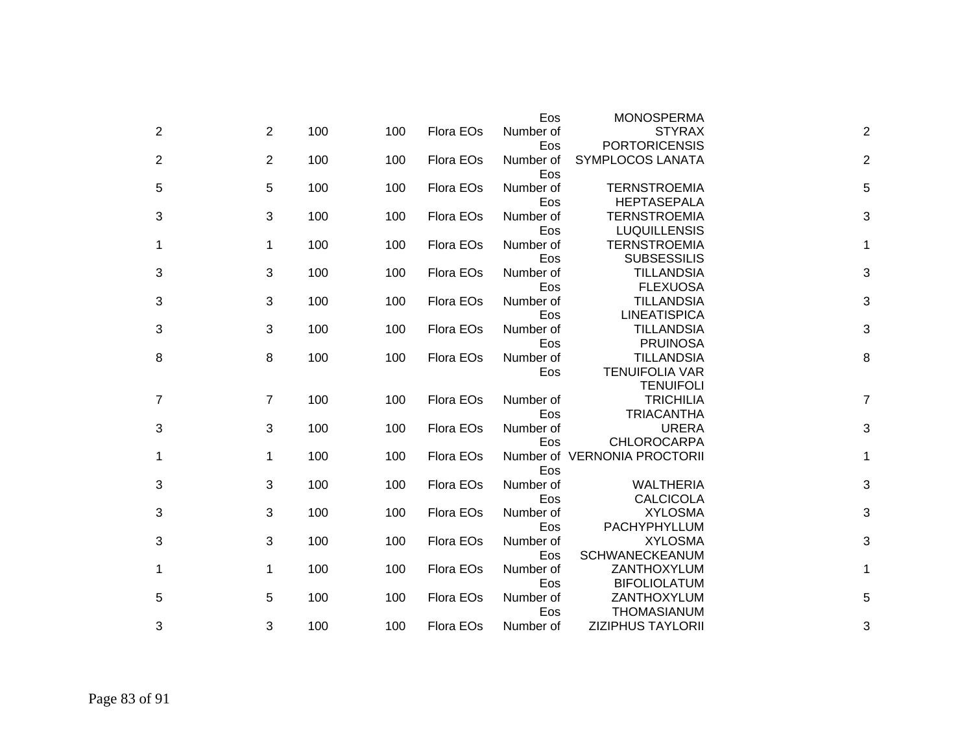|                |                |     |     |           | Eos       | <b>MONOSPERMA</b>            |                |
|----------------|----------------|-----|-----|-----------|-----------|------------------------------|----------------|
| 2              | 2              | 100 | 100 | Flora EOs | Number of | <b>STYRAX</b>                | $\overline{2}$ |
|                |                |     |     |           | Eos       | <b>PORTORICENSIS</b>         |                |
| $\overline{2}$ | 2              | 100 | 100 | Flora EOs | Number of | SYMPLOCOS LANATA             | $\overline{2}$ |
|                |                |     |     |           | Eos       |                              |                |
| 5              | 5              | 100 | 100 | Flora EOs | Number of | <b>TERNSTROEMIA</b>          | 5              |
|                |                |     |     |           | Eos       | <b>HEPTASEPALA</b>           |                |
| 3              | 3              | 100 | 100 | Flora EOs | Number of | <b>TERNSTROEMIA</b>          | 3              |
|                |                |     |     |           | Eos       | <b>LUQUILLENSIS</b>          |                |
| 1              | $\mathbf 1$    | 100 | 100 | Flora EOs | Number of | <b>TERNSTROEMIA</b>          | 1              |
|                |                |     |     |           | Eos       | <b>SUBSESSILIS</b>           |                |
| 3              | 3              | 100 | 100 | Flora EOs | Number of | <b>TILLANDSIA</b>            | 3              |
|                |                |     |     |           | Eos       | <b>FLEXUOSA</b>              |                |
| 3              | 3              | 100 | 100 | Flora EOs | Number of | <b>TILLANDSIA</b>            | 3              |
|                |                |     |     |           | Eos       | <b>LINEATISPICA</b>          |                |
| 3              | 3              | 100 | 100 | Flora EOs | Number of | <b>TILLANDSIA</b>            | 3              |
|                |                |     |     |           | Eos       | <b>PRUINOSA</b>              |                |
| 8              | 8              | 100 | 100 | Flora EOs | Number of | <b>TILLANDSIA</b>            | 8              |
|                |                |     |     |           | Eos       | <b>TENUIFOLIA VAR</b>        |                |
|                |                |     |     |           |           | <b>TENUIFOLI</b>             |                |
| 7              | $\overline{7}$ | 100 | 100 | Flora EOs | Number of | <b>TRICHILIA</b>             | $\overline{7}$ |
|                |                |     |     |           | Eos       | <b>TRIACANTHA</b>            |                |
| 3              | 3              | 100 | 100 | Flora EOs | Number of | <b>URERA</b>                 | 3              |
|                |                |     |     |           | Eos       | <b>CHLOROCARPA</b>           |                |
| 1              | 1              | 100 | 100 | Flora EOs |           | Number of VERNONIA PROCTORII | 1              |
|                |                |     |     |           | Eos       |                              |                |
| 3              | 3              | 100 | 100 | Flora EOs | Number of | <b>WALTHERIA</b>             | 3              |
|                |                |     |     |           | Eos       | <b>CALCICOLA</b>             |                |
| 3              | 3              | 100 | 100 | Flora EOs | Number of | <b>XYLOSMA</b>               | 3              |
|                |                |     |     |           | Eos       | PACHYPHYLLUM                 |                |
| 3              | 3              | 100 | 100 | Flora EOs | Number of | <b>XYLOSMA</b>               | 3              |
|                |                |     |     |           | Eos       | SCHWANECKEANUM               |                |
| 1              | 1              | 100 | 100 | Flora EOs | Number of | ZANTHOXYLUM                  | 1              |
|                |                |     |     |           | Eos       | <b>BIFOLIOLATUM</b>          |                |
| 5              | 5              | 100 | 100 | Flora EOs | Number of | ZANTHOXYLUM                  | 5              |
|                |                |     |     |           | Eos       | <b>THOMASIANUM</b>           |                |
| 3              | 3              | 100 | 100 | Flora EOs | Number of | <b>ZIZIPHUS TAYLORII</b>     | 3              |
|                |                |     |     |           |           |                              |                |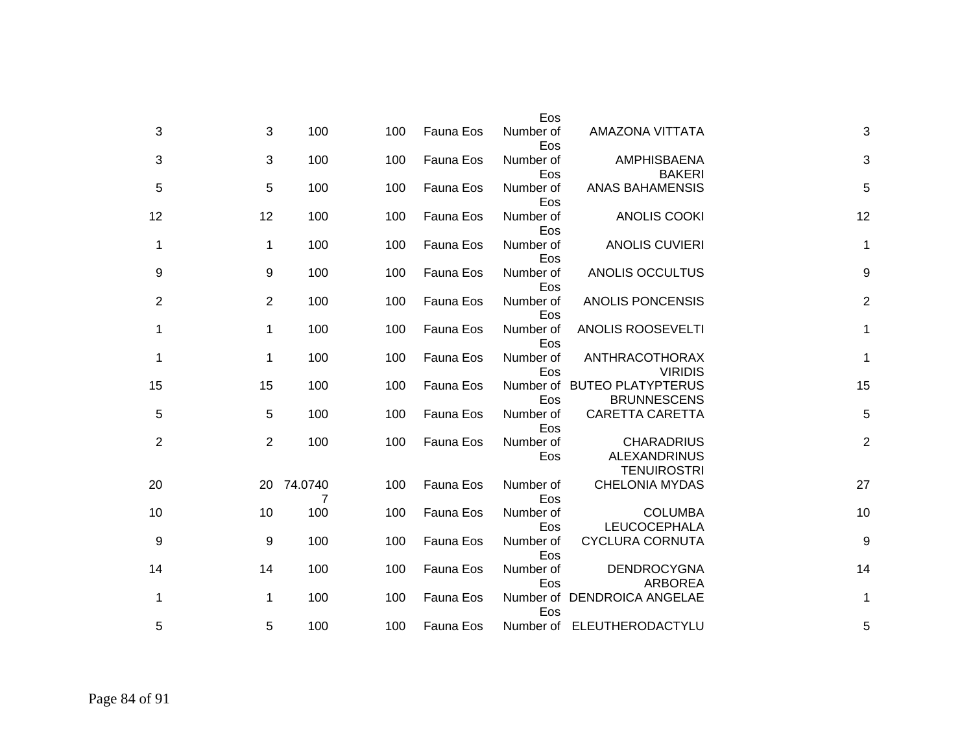|                  |                                                                | Eos              |           |     |                 |                |                |
|------------------|----------------------------------------------------------------|------------------|-----------|-----|-----------------|----------------|----------------|
| 3                | AMAZONA VITTATA                                                | Number of<br>Eos | Fauna Eos | 100 | 100             | 3              | 3              |
| 3                | <b>AMPHISBAENA</b><br><b>BAKERI</b>                            | Number of<br>Eos | Fauna Eos | 100 | 100             | 3              | 3              |
| 5                | <b>ANAS BAHAMENSIS</b>                                         | Number of<br>Eos | Fauna Eos | 100 | 100             | 5              | 5              |
| 12               | <b>ANOLIS COOKI</b>                                            | Number of<br>Eos | Fauna Eos | 100 | 100             | 12             | 12             |
| $\mathbf 1$      | <b>ANOLIS CUVIERI</b>                                          | Number of<br>Eos | Fauna Eos | 100 | 100             | $\mathbf{1}$   | 1              |
| $\boldsymbol{9}$ | ANOLIS OCCULTUS                                                | Number of<br>Eos | Fauna Eos | 100 | 100             | 9              | 9              |
| $\boldsymbol{2}$ | ANOLIS PONCENSIS                                               | Number of<br>Eos | Fauna Eos | 100 | 100             | 2              | $\overline{2}$ |
| 1                | <b>ANOLIS ROOSEVELTI</b>                                       | Number of<br>Eos | Fauna Eos | 100 | 100             | $\mathbf{1}$   | 1              |
| 1                | ANTHRACOTHORAX<br><b>VIRIDIS</b>                               | Number of<br>Eos | Fauna Eos | 100 | 100             | 1              | 1              |
| 15               | Number of BUTEO PLATYPTERUS<br><b>BRUNNESCENS</b>              | Eos              | Fauna Eos | 100 | 100             | 15             | 15             |
| 5                | <b>CARETTA CARETTA</b>                                         | Number of<br>Eos | Fauna Eos | 100 | 100             | 5              | 5              |
| $\overline{c}$   | <b>CHARADRIUS</b><br><b>ALEXANDRINUS</b><br><b>TENUIROSTRI</b> | Number of<br>Eos | Fauna Eos | 100 | 100             | $\overline{2}$ | $\overline{2}$ |
| 27               | <b>CHELONIA MYDAS</b>                                          | Number of<br>Eos | Fauna Eos | 100 | 20 74.0740<br>7 |                | 20             |
| 10               | <b>COLUMBA</b><br>LEUCOCEPHALA                                 | Number of<br>Eos | Fauna Eos | 100 | 100             | 10             | 10             |
| 9                | <b>CYCLURA CORNUTA</b>                                         | Number of<br>Eos | Fauna Eos | 100 | 100             | 9              | 9              |
| 14               | <b>DENDROCYGNA</b><br><b>ARBOREA</b>                           | Number of<br>Eos | Fauna Eos | 100 | 100             | 14             | 14             |
| 1                | Number of DENDROICA ANGELAE                                    | Eos              | Fauna Eos | 100 | 100             | 1              | 1              |
| 5                | Number of ELEUTHERODACTYLU                                     |                  | Fauna Eos | 100 | 100             | 5              | 5              |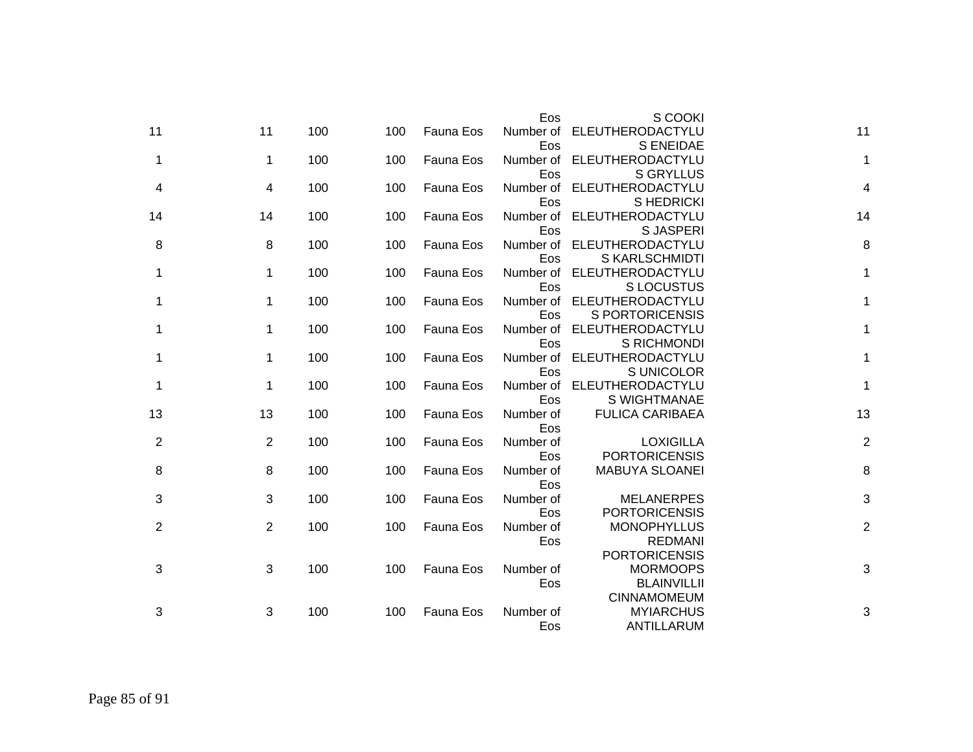|                |                |     |     |           | Eos              | S COOKI                              |                |
|----------------|----------------|-----|-----|-----------|------------------|--------------------------------------|----------------|
| 11             | 11             | 100 | 100 | Fauna Eos | Number of<br>Eos | ELEUTHERODACTYLU<br><b>S ENEIDAE</b> | 11             |
| 1              | $\mathbf{1}$   | 100 | 100 | Fauna Eos | Number of        | ELEUTHERODACTYLU                     | 1              |
|                |                |     |     |           | Eos              | <b>S GRYLLUS</b>                     |                |
| 4              | 4              | 100 | 100 | Fauna Eos | Number of        | ELEUTHERODACTYLU                     | 4              |
|                |                |     |     |           | Eos              | S HEDRICKI                           |                |
| 14             | 14             | 100 | 100 | Fauna Eos | Number of        | ELEUTHERODACTYLU                     | 14             |
|                |                |     |     |           | Eos              | S JASPERI                            |                |
| 8              | 8              | 100 | 100 | Fauna Eos | Number of        | ELEUTHERODACTYLU                     | 8              |
|                |                |     |     |           | Eos              | S KARLSCHMIDTI                       |                |
| 1              | $\mathbf{1}$   | 100 | 100 | Fauna Eos | Number of        | ELEUTHERODACTYLU                     | $\mathbf 1$    |
|                |                |     |     |           | Eos              | <b>SLOCUSTUS</b>                     |                |
| 1              | $\mathbf 1$    | 100 | 100 | Fauna Eos | Number of        | ELEUTHERODACTYLU                     | 1              |
|                |                |     |     |           | Eos              | S PORTORICENSIS                      |                |
| 1              | 1              | 100 | 100 | Fauna Eos | Number of        | ELEUTHERODACTYLU                     | $\mathbf 1$    |
|                |                |     |     |           | Eos              | S RICHMONDI                          |                |
| 1              | 1              | 100 | 100 | Fauna Eos | Number of        | ELEUTHERODACTYLU                     | $\mathbf 1$    |
|                |                |     |     |           | Eos              | S UNICOLOR                           |                |
| 1              | 1              | 100 | 100 | Fauna Eos | Number of        | ELEUTHERODACTYLU                     | $\mathbf{1}$   |
|                |                |     |     |           | Eos              | S WIGHTMANAE                         |                |
| 13             | 13             | 100 | 100 | Fauna Eos | Number of        | <b>FULICA CARIBAEA</b>               | 13             |
|                |                |     |     |           | Eos              |                                      |                |
| $\overline{2}$ | 2              | 100 | 100 | Fauna Eos | Number of        | <b>LOXIGILLA</b>                     | $\overline{2}$ |
|                |                |     |     |           | Eos              | <b>PORTORICENSIS</b>                 |                |
| 8              | 8              | 100 | 100 | Fauna Eos | Number of        | MABUYA SLOANEI                       | 8              |
|                |                |     |     |           | Eos              |                                      |                |
| 3              | 3              | 100 | 100 | Fauna Eos | Number of        | <b>MELANERPES</b>                    | 3              |
|                |                |     |     |           | Eos              | <b>PORTORICENSIS</b>                 |                |
| 2              | $\overline{2}$ | 100 | 100 | Fauna Eos | Number of        | <b>MONOPHYLLUS</b>                   | $\overline{2}$ |
|                |                |     |     |           | Eos              | <b>REDMANI</b>                       |                |
|                |                |     |     |           |                  | <b>PORTORICENSIS</b>                 |                |
| 3              | 3              | 100 | 100 | Fauna Eos | Number of        | <b>MORMOOPS</b>                      | 3              |
|                |                |     |     |           | Eos              | <b>BLAINVILLII</b>                   |                |
|                |                |     |     |           |                  | <b>CINNAMOMEUM</b>                   |                |
| 3              | 3              | 100 | 100 | Fauna Eos | Number of        | <b>MYIARCHUS</b>                     | 3              |
|                |                |     |     |           | Eos              | ANTILLARUM                           |                |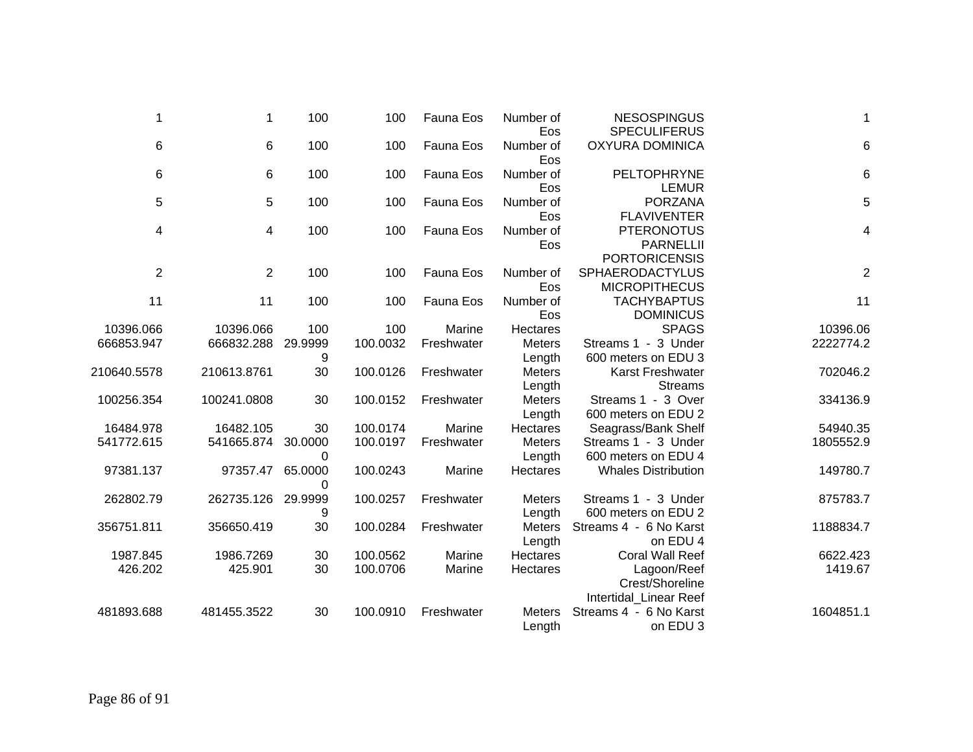| 1              | 1                  | 100          | 100      | Fauna Eos  | Number of<br>Eos        | <b>NESOSPINGUS</b><br><b>SPECULIFERUS</b>                     | $\mathbf{1}$    |
|----------------|--------------------|--------------|----------|------------|-------------------------|---------------------------------------------------------------|-----------------|
| 6              | 6                  | 100          | 100      | Fauna Eos  | Number of<br>Eos        | <b>OXYURA DOMINICA</b>                                        | $6\phantom{1}6$ |
| 6              | 6                  | 100          | 100      | Fauna Eos  | Number of<br>Eos        | PELTOPHRYNE<br><b>LEMUR</b>                                   | 6               |
| $\,$ 5 $\,$    | $\overline{5}$     | 100          | 100      | Fauna Eos  | Number of<br>Eos        | <b>PORZANA</b><br><b>FLAVIVENTER</b>                          | 5               |
| 4              | 4                  | 100          | 100      | Fauna Eos  | Number of<br>Eos        | <b>PTERONOTUS</b><br><b>PARNELLII</b><br><b>PORTORICENSIS</b> | 4               |
| $\overline{2}$ | 2                  | 100          | 100      | Fauna Eos  | Number of<br>Eos        | SPHAERODACTYLUS<br><b>MICROPITHECUS</b>                       | $\sqrt{2}$      |
| 11             | 11                 | 100          | 100      | Fauna Eos  | Number of<br>Eos        | <b>TACHYBAPTUS</b><br><b>DOMINICUS</b>                        | 11              |
| 10396.066      | 10396.066          | 100          | 100      | Marine     | Hectares                | <b>SPAGS</b>                                                  | 10396.06        |
| 666853.947     | 666832.288         | 29.9999<br>9 | 100.0032 | Freshwater | <b>Meters</b><br>Length | Streams 1 - 3 Under<br>600 meters on EDU 3                    | 2222774.2       |
| 210640.5578    | 210613.8761        | 30           | 100.0126 | Freshwater | <b>Meters</b><br>Length | Karst Freshwater<br><b>Streams</b>                            | 702046.2        |
| 100256.354     | 100241.0808        | 30           | 100.0152 | Freshwater | <b>Meters</b><br>Length | Streams 1 - 3 Over<br>600 meters on EDU 2                     | 334136.9        |
| 16484.978      | 16482.105          | 30           | 100.0174 | Marine     | <b>Hectares</b>         | Seagrass/Bank Shelf                                           | 54940.35        |
| 541772.615     | 541665.874 30.0000 | 0            | 100.0197 | Freshwater | <b>Meters</b><br>Length | Streams 1 - 3 Under<br>600 meters on EDU 4                    | 1805552.9       |
| 97381.137      | 97357.47           | 65.0000<br>0 | 100.0243 | Marine     | Hectares                | <b>Whales Distribution</b>                                    | 149780.7        |
| 262802.79      | 262735.126         | 29.9999<br>9 | 100.0257 | Freshwater | <b>Meters</b><br>Length | Streams 1 - 3 Under<br>600 meters on EDU 2                    | 875783.7        |
| 356751.811     | 356650.419         | 30           | 100.0284 | Freshwater | <b>Meters</b><br>Length | Streams 4 - 6 No Karst<br>on EDU 4                            | 1188834.7       |
| 1987.845       | 1986.7269          | 30           | 100.0562 | Marine     | <b>Hectares</b>         | <b>Coral Wall Reef</b>                                        | 6622.423        |
| 426.202        | 425.901            | 30           | 100.0706 | Marine     | Hectares                | Lagoon/Reef<br>Crest/Shoreline<br>Intertidal_Linear Reef      | 1419.67         |
| 481893.688     | 481455.3522        | 30           | 100.0910 | Freshwater | <b>Meters</b><br>Length | Streams 4 - 6 No Karst<br>on EDU 3                            | 1604851.1       |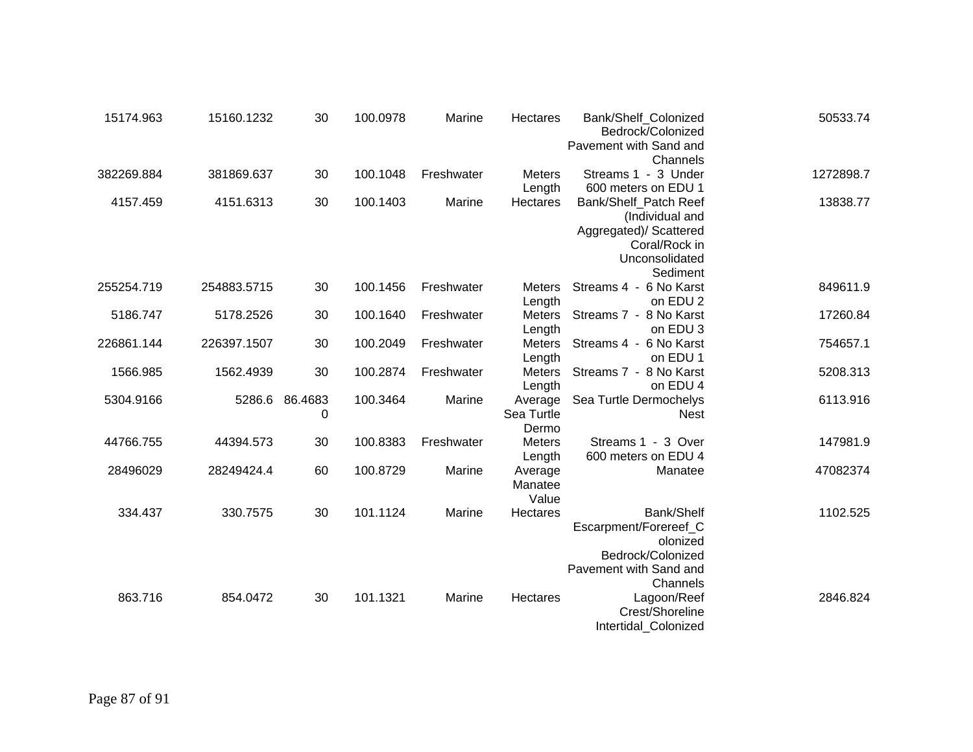| 15174.963  | 15160.1232  | 30                  | 100.0978 | Marine     | Hectares                       | Bank/Shelf_Colonized<br>Bedrock/Colonized<br>Pavement with Sand and                                               | 50533.74  |
|------------|-------------|---------------------|----------|------------|--------------------------------|-------------------------------------------------------------------------------------------------------------------|-----------|
| 382269.884 | 381869.637  | 30                  | 100.1048 | Freshwater | <b>Meters</b><br>Length        | Channels<br>Streams 1 - 3 Under<br>600 meters on EDU 1                                                            | 1272898.7 |
| 4157.459   | 4151.6313   | 30                  | 100.1403 | Marine     | Hectares                       | Bank/Shelf_Patch Reef<br>(Individual and<br>Aggregated)/ Scattered<br>Coral/Rock in<br>Unconsolidated<br>Sediment | 13838.77  |
| 255254.719 | 254883.5715 | 30                  | 100.1456 | Freshwater | <b>Meters</b><br>Length        | Streams 4 - 6 No Karst<br>on EDU 2                                                                                | 849611.9  |
| 5186.747   | 5178.2526   | 30                  | 100.1640 | Freshwater | <b>Meters</b><br>Length        | Streams 7 - 8 No Karst<br>on EDU 3                                                                                | 17260.84  |
| 226861.144 | 226397.1507 | 30                  | 100.2049 | Freshwater | <b>Meters</b><br>Length        | Streams 4 - 6 No Karst<br>on EDU 1                                                                                | 754657.1  |
| 1566.985   | 1562.4939   | 30                  | 100.2874 | Freshwater | <b>Meters</b><br>Length        | Streams 7 - 8 No Karst<br>on EDU 4                                                                                | 5208.313  |
| 5304.9166  |             | 5286.6 86.4683<br>0 | 100.3464 | Marine     | Average<br>Sea Turtle<br>Dermo | Sea Turtle Dermochelys<br><b>Nest</b>                                                                             | 6113.916  |
| 44766.755  | 44394.573   | 30                  | 100.8383 | Freshwater | <b>Meters</b><br>Length        | Streams 1 - 3 Over<br>600 meters on EDU 4                                                                         | 147981.9  |
| 28496029   | 28249424.4  | 60                  | 100.8729 | Marine     | Average<br>Manatee<br>Value    | Manatee                                                                                                           | 47082374  |
| 334.437    | 330.7575    | 30                  | 101.1124 | Marine     | Hectares                       | Bank/Shelf<br>Escarpment/Forereef_C<br>olonized<br>Bedrock/Colonized<br>Pavement with Sand and<br>Channels        | 1102.525  |
| 863.716    | 854.0472    | 30                  | 101.1321 | Marine     | Hectares                       | Lagoon/Reef<br>Crest/Shoreline<br>Intertidal_Colonized                                                            | 2846.824  |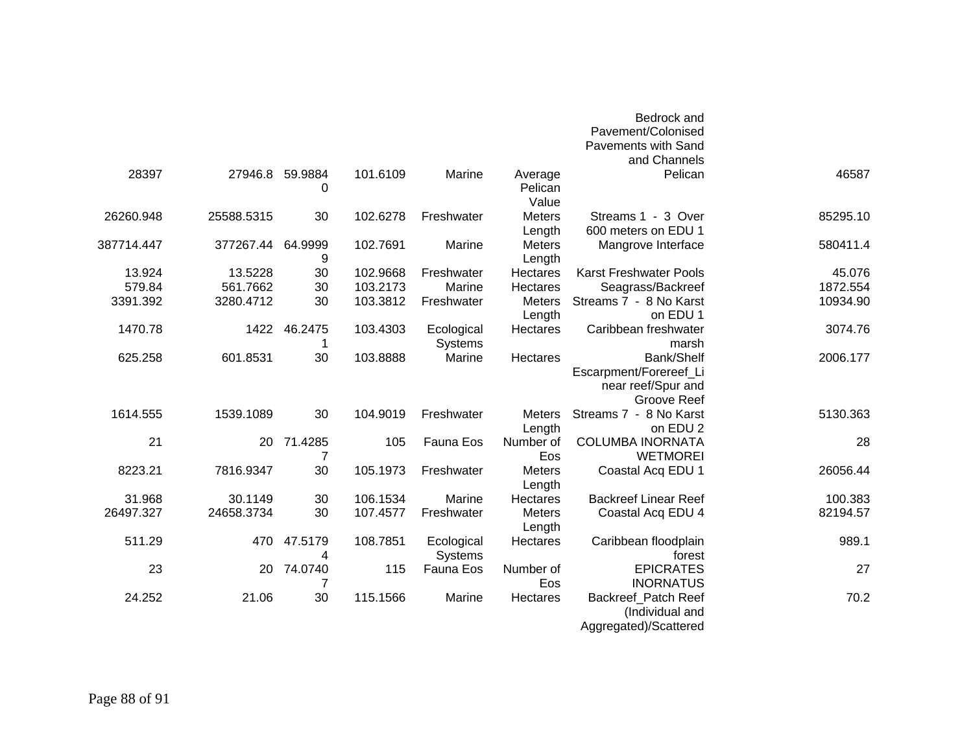|          | Bedrock and                                                                      |                         |                              |          |                 |            |            |
|----------|----------------------------------------------------------------------------------|-------------------------|------------------------------|----------|-----------------|------------|------------|
|          | Pavement/Colonised                                                               |                         |                              |          |                 |            |            |
|          | <b>Pavements with Sand</b>                                                       |                         |                              |          |                 |            |            |
|          | and Channels                                                                     |                         |                              |          |                 |            |            |
| 46587    | Pelican                                                                          | Average<br>Pelican      | Marine                       | 101.6109 | 59.9884<br>0    | 27946.8    | 28397      |
|          |                                                                                  | Value                   |                              |          |                 |            |            |
| 85295.10 | Streams 1 - 3 Over<br>600 meters on EDU 1                                        | <b>Meters</b><br>Length | Freshwater                   | 102.6278 | 30              | 25588.5315 | 26260.948  |
| 580411.4 | Mangrove Interface                                                               | Meters<br>Length        | Marine                       | 102.7691 | 64.9999<br>9    | 377267.44  | 387714.447 |
| 45.076   | <b>Karst Freshwater Pools</b>                                                    | Hectares                | Freshwater                   | 102.9668 | 30              | 13.5228    | 13.924     |
| 1872.554 | Seagrass/Backreef                                                                | Hectares                | Marine                       | 103.2173 | 30              | 561.7662   | 579.84     |
| 10934.90 | Streams 7 - 8 No Karst<br>on EDU 1                                               | <b>Meters</b><br>Length | Freshwater                   | 103.3812 | 30              | 3280.4712  | 3391.392   |
| 3074.76  | Caribbean freshwater<br>marsh                                                    | Hectares                | Ecological<br><b>Systems</b> | 103.4303 | 46.2475         | 1422       | 1470.78    |
| 2006.177 | Bank/Shelf<br>Escarpment/Forereef_Li<br>near reef/Spur and<br><b>Groove Reef</b> | Hectares                | Marine                       | 103.8888 | 30              | 601.8531   | 625.258    |
| 5130.363 | Streams 7 - 8 No Karst<br>on EDU 2                                               | Meters<br>Length        | Freshwater                   | 104.9019 | 30              | 1539.1089  | 1614.555   |
| 28       | <b>COLUMBA INORNATA</b><br><b>WETMOREI</b>                                       | Number of<br>Eos        | Fauna Eos                    | 105      | 20 71.4285<br>7 |            | 21         |
| 26056.44 | Coastal Acq EDU 1                                                                | Meters<br>Length        | Freshwater                   | 105.1973 | 30              | 7816.9347  | 8223.21    |
| 100.383  | <b>Backreef Linear Reef</b>                                                      | <b>Hectares</b>         | Marine                       | 106.1534 | 30              | 30.1149    | 31.968     |
| 82194.57 | Coastal Acq EDU 4                                                                | <b>Meters</b><br>Length | Freshwater                   | 107.4577 | 30              | 24658.3734 | 26497.327  |
| 989.1    | Caribbean floodplain<br>forest                                                   | Hectares                | Ecological<br>Systems        | 108.7851 | 47.5179<br>4    | 470        | 511.29     |
| 27       | <b>EPICRATES</b><br><b>INORNATUS</b>                                             | Number of<br>Eos        | Fauna Eos                    | 115      | 74.0740<br>7    | 20         | 23         |
| 70.2     | Backreef_Patch Reef<br>(Individual and<br>Aggregated)/Scattered                  | Hectares                | Marine                       | 115.1566 | 30              | 21.06      | 24.252     |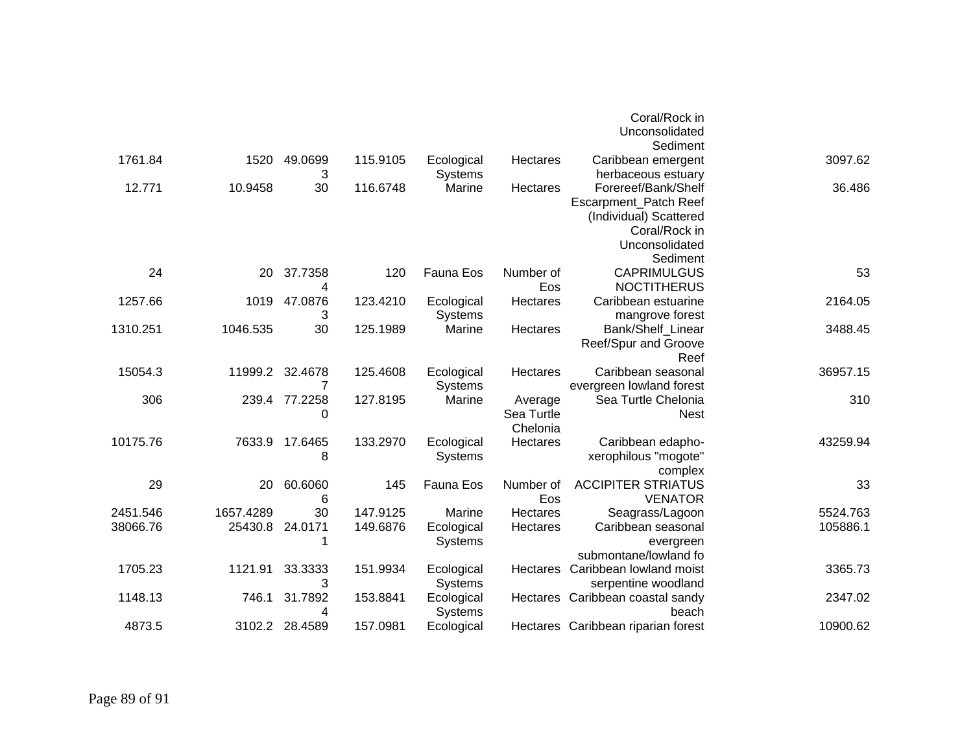|          |           |               |          |                |            | Coral/Rock in                      |          |
|----------|-----------|---------------|----------|----------------|------------|------------------------------------|----------|
|          |           |               |          |                |            | Unconsolidated                     |          |
|          |           |               |          |                |            | Sediment                           |          |
| 1761.84  | 1520      | 49.0699       | 115.9105 | Ecological     | Hectares   | Caribbean emergent                 | 3097.62  |
|          |           | 3             |          | <b>Systems</b> |            | herbaceous estuary                 |          |
| 12.771   | 10.9458   | 30            | 116.6748 | Marine         | Hectares   | Forereef/Bank/Shelf                | 36.486   |
|          |           |               |          |                |            | Escarpment_Patch Reef              |          |
|          |           |               |          |                |            | (Individual) Scattered             |          |
|          |           |               |          |                |            | Coral/Rock in                      |          |
|          |           |               |          |                |            | Unconsolidated                     |          |
|          |           |               |          |                |            | Sediment                           |          |
| 24       | 20        | 37.7358       | 120      | Fauna Eos      | Number of  | <b>CAPRIMULGUS</b>                 | 53       |
|          |           | 4             |          |                | Eos        | <b>NOCTITHERUS</b>                 |          |
| 1257.66  | 1019      | 47.0876       | 123.4210 | Ecological     | Hectares   | Caribbean estuarine                | 2164.05  |
|          |           | 3             |          | <b>Systems</b> |            | mangrove forest                    |          |
| 1310.251 | 1046.535  | 30            | 125.1989 | Marine         | Hectares   | Bank/Shelf Linear                  | 3488.45  |
|          |           |               |          |                |            | Reef/Spur and Groove               |          |
|          |           |               |          |                |            | Reef                               |          |
| 15054.3  | 11999.2   | 32.4678       | 125.4608 | Ecological     | Hectares   | Caribbean seasonal                 | 36957.15 |
|          |           | 7             |          | <b>Systems</b> |            | evergreen lowland forest           |          |
| 306      |           | 239.4 77.2258 | 127.8195 | Marine         | Average    | Sea Turtle Chelonia                | 310      |
|          |           | 0             |          |                | Sea Turtle | <b>Nest</b>                        |          |
|          |           |               |          |                | Chelonia   |                                    |          |
| 10175.76 | 7633.9    | 17.6465       | 133.2970 | Ecological     | Hectares   | Caribbean edapho-                  | 43259.94 |
|          |           | 8             |          | Systems        |            | xerophilous "mogote"               |          |
|          |           |               |          |                |            | complex                            |          |
| 29       | 20        | 60.6060       | 145      | Fauna Eos      | Number of  | <b>ACCIPITER STRIATUS</b>          | 33       |
|          |           | 6             |          |                | Eos        | <b>VENATOR</b>                     |          |
| 2451.546 | 1657.4289 | 30            | 147.9125 | Marine         | Hectares   | Seagrass/Lagoon                    | 5524.763 |
| 38066.76 | 25430.8   | 24.0171       | 149.6876 | Ecological     | Hectares   | Caribbean seasonal                 | 105886.1 |
|          |           |               |          | <b>Systems</b> |            | evergreen                          |          |
|          |           |               |          |                |            | submontane/lowland fo              |          |
| 1705.23  | 1121.91   | 33.3333       | 151.9934 | Ecological     |            | Hectares Caribbean lowland moist   | 3365.73  |
|          |           | 3             |          | <b>Systems</b> |            | serpentine woodland                |          |
| 1148.13  | 746.1     | 31.7892       | 153.8841 | Ecological     |            | Hectares Caribbean coastal sandy   | 2347.02  |
|          |           | 4             |          | Systems        |            | beach                              |          |
| 4873.5   | 3102.2    | 28.4589       | 157.0981 | Ecological     |            | Hectares Caribbean riparian forest | 10900.62 |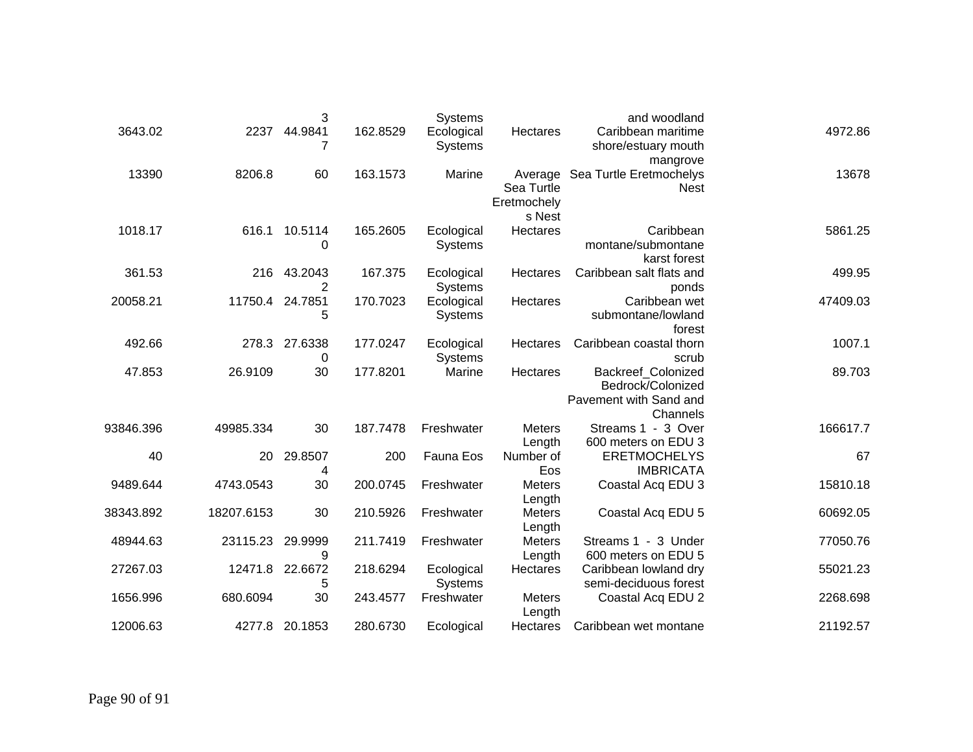|          | and woodland                                                                         |                                     | Systems                      |          | 3            |            |           |
|----------|--------------------------------------------------------------------------------------|-------------------------------------|------------------------------|----------|--------------|------------|-----------|
| 4972.86  | Caribbean maritime<br>shore/estuary mouth<br>mangrove                                | Hectares                            | Ecological<br><b>Systems</b> | 162.8529 | 44.9841      | 2237       | 3643.02   |
| 13678    | Average Sea Turtle Eretmochelys<br><b>Nest</b>                                       | Sea Turtle<br>Eretmochely<br>s Nest | Marine                       | 163.1573 | 60           | 8206.8     | 13390     |
| 5861.25  | Caribbean<br>montane/submontane<br>karst forest                                      | Hectares                            | Ecological<br>Systems        | 165.2605 | 10.5114<br>0 | 616.1      | 1018.17   |
| 499.95   | Caribbean salt flats and<br>ponds                                                    | Hectares                            | Ecological<br>Systems        | 167.375  | 43.2043<br>2 | 216        | 361.53    |
| 47409.03 | Caribbean wet<br>submontane/lowland<br>forest                                        | Hectares                            | Ecological<br>Systems        | 170.7023 | 24.7851<br>5 | 11750.4    | 20058.21  |
| 1007.1   | Caribbean coastal thorn<br>scrub                                                     | Hectares                            | Ecological<br><b>Systems</b> | 177.0247 | 27.6338<br>0 | 278.3      | 492.66    |
| 89.703   | <b>Backreef Colonized</b><br>Bedrock/Colonized<br>Pavement with Sand and<br>Channels | Hectares                            | Marine                       | 177.8201 | 30           | 26.9109    | 47.853    |
| 166617.7 | Streams 1 - 3 Over<br>600 meters on EDU 3                                            | <b>Meters</b><br>Length             | Freshwater                   | 187.7478 | 30           | 49985.334  | 93846.396 |
| 67       | <b>ERETMOCHELYS</b><br><b>IMBRICATA</b>                                              | Number of<br>Eos                    | Fauna Eos                    | 200      | 29.8507<br>4 | 20         | 40        |
| 15810.18 | Coastal Acq EDU 3                                                                    | <b>Meters</b><br>Length             | Freshwater                   | 200.0745 | 30           | 4743.0543  | 9489.644  |
| 60692.05 | Coastal Acq EDU 5                                                                    | <b>Meters</b><br>Length             | Freshwater                   | 210.5926 | 30           | 18207.6153 | 38343.892 |
| 77050.76 | Streams 1 - 3 Under<br>600 meters on EDU 5                                           | Meters<br>Length                    | Freshwater                   | 211.7419 | 29.9999<br>9 | 23115.23   | 48944.63  |
| 55021.23 | Caribbean lowland dry<br>semi-deciduous forest                                       | Hectares                            | Ecological<br>Systems        | 218.6294 | 22.6672<br>5 | 12471.8    | 27267.03  |
| 2268.698 | Coastal Acq EDU 2                                                                    | Meters<br>Length                    | Freshwater                   | 243.4577 | 30           | 680.6094   | 1656.996  |
| 21192.57 | Caribbean wet montane                                                                | Hectares                            | Ecological                   | 280.6730 | 20.1853      | 4277.8     | 12006.63  |